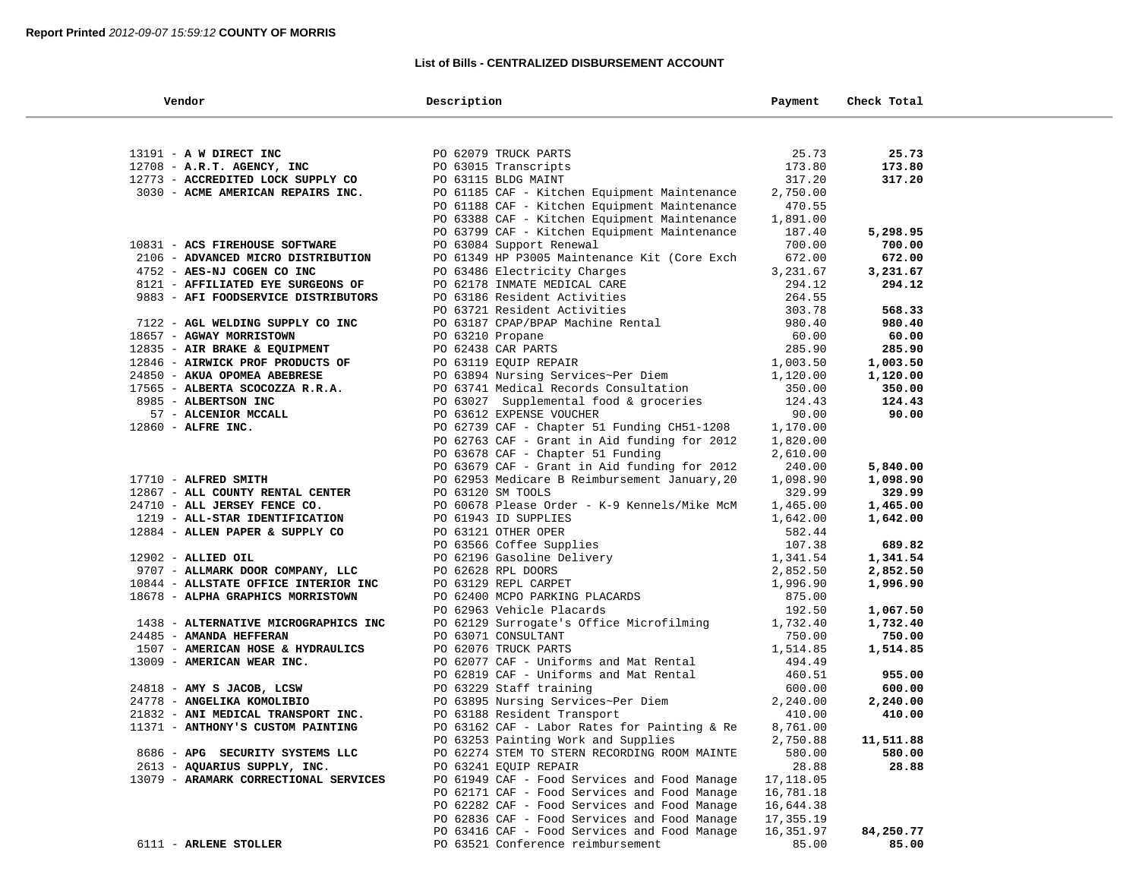# **List of Bills - CENTRALIZED DISBURSEMENT ACCOUNT**

| Vendor |                                       | Description                                            | Payment          | Check Total |  |
|--------|---------------------------------------|--------------------------------------------------------|------------------|-------------|--|
|        |                                       |                                                        |                  |             |  |
|        | 13191 - A W DIRECT INC                | PO 62079 TRUCK PARTS                                   | 25.73            | 25.73       |  |
|        | 12708 - A.R.T. AGENCY, INC            | PO 63015 Transcripts                                   | 173.80           | 173.80      |  |
|        | 12773 - ACCREDITED LOCK SUPPLY CO     | PO 63115 BLDG MAINT                                    | 317.20           | 317.20      |  |
|        | 3030 - ACME AMERICAN REPAIRS INC.     | PO 61185 CAF - Kitchen Equipment Maintenance           | 2,750.00         |             |  |
|        |                                       | PO 61188 CAF - Kitchen Equipment Maintenance           | 470.55           |             |  |
|        |                                       | PO 63388 CAF - Kitchen Equipment Maintenance           | 1,891.00         |             |  |
|        |                                       | PO 63799 CAF - Kitchen Equipment Maintenance           | 187.40           | 5,298.95    |  |
|        | 10831 - ACS FIREHOUSE SOFTWARE        | PO 63084 Support Renewal                               | 700.00           | 700.00      |  |
|        | 2106 - ADVANCED MICRO DISTRIBUTION    | PO 61349 HP P3005 Maintenance Kit (Core Exch           | 672.00           | 672.00      |  |
|        | 4752 - AES-NJ COGEN CO INC            | PO 63486 Electricity Charges                           | 3,231.67         | 3,231.67    |  |
|        | 8121 - AFFILIATED EYE SURGEONS OF     | PO 62178 INMATE MEDICAL CARE                           | 294.12           | 294.12      |  |
|        | 9883 - AFI FOODSERVICE DISTRIBUTORS   | PO 63186 Resident Activities                           | 264.55           |             |  |
|        |                                       | PO 63721 Resident Activities                           | 303.78           | 568.33      |  |
|        | 7122 - AGL WELDING SUPPLY CO INC      | PO 63187 CPAP/BPAP Machine Rental                      | 980.40           | 980.40      |  |
|        | 18657 - AGWAY MORRISTOWN              | PO 63210 Propane                                       | 60.00            | 60.00       |  |
|        | 12835 - AIR BRAKE & EQUIPMENT         | PO 62438 CAR PARTS                                     | 285.90           | 285.90      |  |
|        | 12846 - AIRWICK PROF PRODUCTS OF      | PO 63119 EQUIP REPAIR                                  | 1,003.50         | 1,003.50    |  |
|        | 24850 - AKUA OPOMEA ABEBRESE          | PO 63894 Nursing Services~Per Diem                     | 1,120.00         | 1,120.00    |  |
|        | 17565 - ALBERTA SCOCOZZA R.R.A.       | PO 63741 Medical Records Consultation                  | 350.00           | 350.00      |  |
|        | 8985 - ALBERTSON INC                  | PO 63027 Supplemental food & groceries                 | 124.43           | 124.43      |  |
|        | 57 - ALCENIOR MCCALL                  | PO 63612 EXPENSE VOUCHER                               | 90.00            | 90.00       |  |
|        | 12860 - ALFRE INC.                    | PO 62739 CAF - Chapter 51 Funding CH51-1208            | 1,170.00         |             |  |
|        |                                       | PO 62763 CAF - Grant in Aid funding for 2012           | 1,820.00         |             |  |
|        |                                       | PO 63678 CAF - Chapter 51 Funding                      | 2,610.00         |             |  |
|        |                                       | PO 63679 CAF - Grant in Aid funding for 2012           | 240.00           | 5,840.00    |  |
|        | 17710 - ALFRED SMITH                  | PO 62953 Medicare B Reimbursement January, 20          | 1,098.90         | 1,098.90    |  |
|        | 12867 - ALL COUNTY RENTAL CENTER      | PO 63120 SM TOOLS                                      | 329.99           | 329.99      |  |
|        | 24710 - ALL JERSEY FENCE CO.          | PO 60678 Please Order - K-9 Kennels/Mike McM           | 1,465.00         | 1,465.00    |  |
|        | 1219 - ALL-STAR IDENTIFICATION        | PO 61943 ID SUPPLIES                                   | 1,642.00         | 1,642.00    |  |
|        | 12884 - ALLEN PAPER & SUPPLY CO       | PO 63121 OTHER OPER                                    | 582.44<br>107.38 | 689.82      |  |
|        | $12902$ - ALLIED OIL                  | PO 63566 Coffee Supplies<br>PO 62196 Gasoline Delivery | 1,341.54         | 1,341.54    |  |
|        | 9707 - ALLMARK DOOR COMPANY, LLC      | PO 62628 RPL DOORS                                     | 2,852.50         | 2,852.50    |  |
|        | 10844 - ALLSTATE OFFICE INTERIOR INC  | PO 63129 REPL CARPET                                   | 1,996.90         | 1,996.90    |  |
|        | 18678 - ALPHA GRAPHICS MORRISTOWN     | PO 62400 MCPO PARKING PLACARDS                         | 875.00           |             |  |
|        |                                       | PO 62963 Vehicle Placards                              | 192.50           | 1,067.50    |  |
|        | 1438 - ALTERNATIVE MICROGRAPHICS INC  | PO 62129 Surrogate's Office Microfilming               | 1,732.40         | 1,732.40    |  |
|        | 24485 - AMANDA HEFFERAN               | PO 63071 CONSULTANT                                    | 750.00           | 750.00      |  |
|        | 1507 - AMERICAN HOSE & HYDRAULICS     | PO 62076 TRUCK PARTS                                   | 1,514.85         | 1,514.85    |  |
|        | 13009 - AMERICAN WEAR INC.            | PO 62077 CAF - Uniforms and Mat Rental                 | 494.49           |             |  |
|        |                                       | PO 62819 CAF - Uniforms and Mat Rental                 | 460.51           | 955.00      |  |
|        | 24818 - AMY S JACOB, LCSW             | PO 63229 Staff training                                | 600.00           | 600.00      |  |
|        | 24778 - ANGELIKA KOMOLIBIO            | PO 63895 Nursing Services~Per Diem                     | 2,240.00         | 2,240.00    |  |
|        | 21832 - ANI MEDICAL TRANSPORT INC.    | PO 63188 Resident Transport                            | 410.00           | 410.00      |  |
|        | 11371 - ANTHONY'S CUSTOM PAINTING     | PO 63162 CAF - Labor Rates for Painting & Re           | 8,761.00         |             |  |
|        |                                       | PO 63253 Painting Work and Supplies                    | 2,750.88         | 11,511.88   |  |
|        | 8686 - APG SECURITY SYSTEMS LLC       | PO 62274 STEM TO STERN RECORDING ROOM MAINTE           | 580.00           | 580.00      |  |
|        | 2613 - AQUARIUS SUPPLY, INC.          | PO 63241 EQUIP REPAIR                                  | 28.88            | 28.88       |  |
|        | 13079 - ARAMARK CORRECTIONAL SERVICES | PO 61949 CAF - Food Services and Food Manage           | 17,118.05        |             |  |
|        |                                       | PO 62171 CAF - Food Services and Food Manage           | 16,781.18        |             |  |
|        |                                       | PO 62282 CAF - Food Services and Food Manage           | 16,644.38        |             |  |
|        |                                       | PO 62836 CAF - Food Services and Food Manage           | 17,355.19        |             |  |
|        |                                       | PO 63416 CAF - Food Services and Food Manage           | 16,351.97        | 84,250.77   |  |
|        | 6111 - ARLENE STOLLER                 | PO 63521 Conference reimbursement                      | 85.00            | 85.00       |  |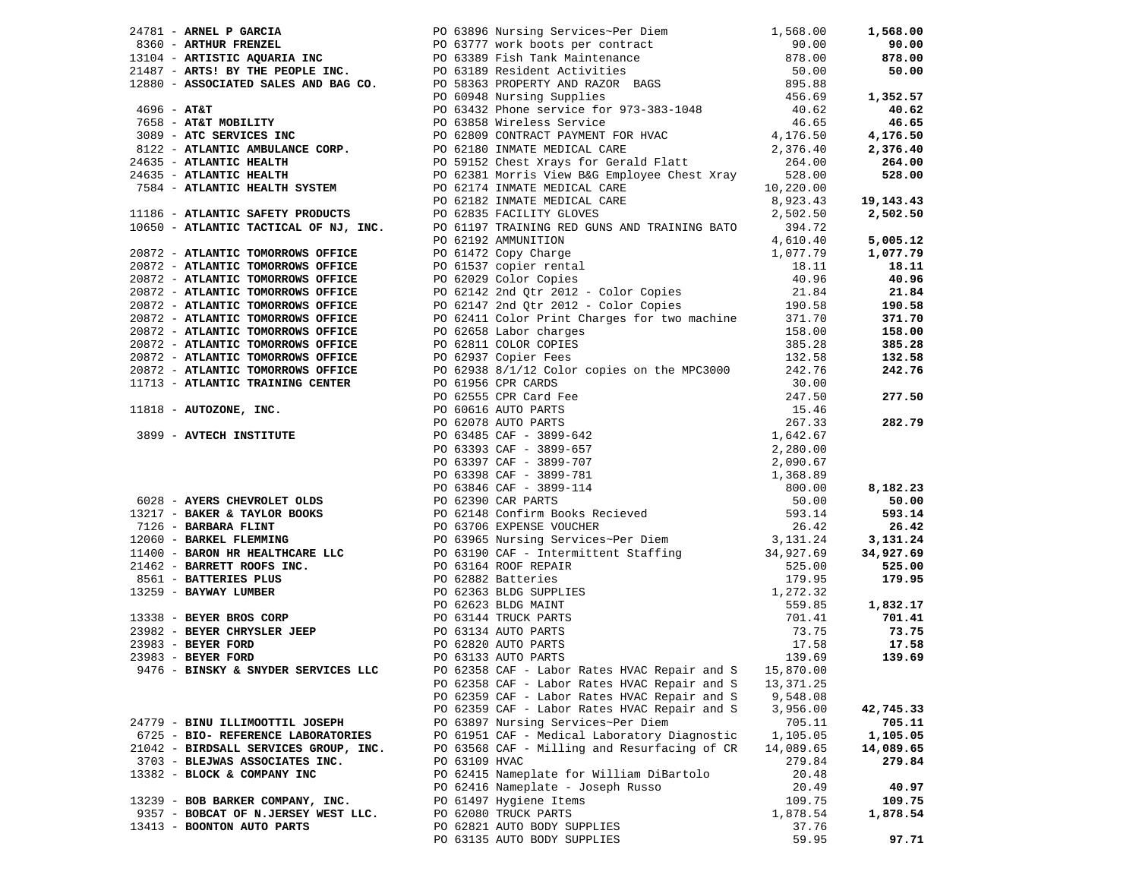|                                       |               | 24761 - ARMEL PORCIA OR PO 6399 Nursing Services-Per Diem (1,568.00 1,568.000 1,568.000 1,568.000 1,568.000 1,568.000 1,568.000 1,568.000 1,568.000 1,568.000 1,568.000 1,568.000 1,568.000 1,568.000 1,568.000 1,568.000 1,          |           |           |
|---------------------------------------|---------------|---------------------------------------------------------------------------------------------------------------------------------------------------------------------------------------------------------------------------------------|-----------|-----------|
|                                       |               |                                                                                                                                                                                                                                       |           |           |
|                                       |               |                                                                                                                                                                                                                                       |           |           |
|                                       |               |                                                                                                                                                                                                                                       |           |           |
|                                       |               |                                                                                                                                                                                                                                       |           |           |
|                                       |               |                                                                                                                                                                                                                                       |           | 1,352.57  |
|                                       |               |                                                                                                                                                                                                                                       |           |           |
|                                       |               |                                                                                                                                                                                                                                       |           |           |
|                                       |               |                                                                                                                                                                                                                                       |           |           |
|                                       |               |                                                                                                                                                                                                                                       |           |           |
|                                       |               |                                                                                                                                                                                                                                       |           | 264.00    |
|                                       |               |                                                                                                                                                                                                                                       |           |           |
|                                       |               |                                                                                                                                                                                                                                       |           |           |
|                                       |               |                                                                                                                                                                                                                                       |           |           |
|                                       |               |                                                                                                                                                                                                                                       |           |           |
|                                       |               |                                                                                                                                                                                                                                       |           |           |
|                                       |               |                                                                                                                                                                                                                                       |           |           |
|                                       |               |                                                                                                                                                                                                                                       |           |           |
|                                       |               |                                                                                                                                                                                                                                       |           | 18.11     |
|                                       |               |                                                                                                                                                                                                                                       |           |           |
|                                       |               |                                                                                                                                                                                                                                       |           |           |
|                                       |               |                                                                                                                                                                                                                                       |           |           |
|                                       |               |                                                                                                                                                                                                                                       |           |           |
|                                       |               |                                                                                                                                                                                                                                       |           |           |
|                                       |               |                                                                                                                                                                                                                                       |           |           |
|                                       |               |                                                                                                                                                                                                                                       |           |           |
|                                       |               |                                                                                                                                                                                                                                       |           |           |
|                                       |               |                                                                                                                                                                                                                                       |           |           |
|                                       |               |                                                                                                                                                                                                                                       |           |           |
|                                       |               |                                                                                                                                                                                                                                       |           |           |
|                                       |               |                                                                                                                                                                                                                                       |           |           |
|                                       |               |                                                                                                                                                                                                                                       |           |           |
|                                       |               |                                                                                                                                                                                                                                       |           |           |
|                                       |               |                                                                                                                                                                                                                                       |           |           |
|                                       |               |                                                                                                                                                                                                                                       |           |           |
|                                       |               |                                                                                                                                                                                                                                       |           |           |
|                                       |               |                                                                                                                                                                                                                                       |           |           |
|                                       |               |                                                                                                                                                                                                                                       |           |           |
|                                       |               |                                                                                                                                                                                                                                       |           |           |
|                                       |               |                                                                                                                                                                                                                                       |           |           |
|                                       |               |                                                                                                                                                                                                                                       |           |           |
|                                       |               |                                                                                                                                                                                                                                       |           |           |
|                                       |               |                                                                                                                                                                                                                                       |           |           |
|                                       |               |                                                                                                                                                                                                                                       |           |           |
|                                       |               |                                                                                                                                                                                                                                       |           |           |
|                                       |               |                                                                                                                                                                                                                                       |           |           |
|                                       |               | 1136 - ATHANTIC RAFTIC PACIDING THE 100 20131 MATHIT TRICHANDS AND TRAINING TO 2012.<br>1969 - ATHANTIC TRONGICHS (1972) AND TRICHANDS RED CONSUMER 1972)<br>20172 - ATHANTIC TOMOROMS OPTICE<br>20172 - ATHANTIC TOMOROMS OPTICE<br> |           |           |
|                                       |               |                                                                                                                                                                                                                                       |           |           |
|                                       |               |                                                                                                                                                                                                                                       |           |           |
|                                       |               |                                                                                                                                                                                                                                       |           |           |
|                                       |               |                                                                                                                                                                                                                                       |           |           |
|                                       |               | PO 62358 CAF - Labor Rates HVAC Repair and S                                                                                                                                                                                          | 13,371.25 |           |
|                                       |               | PO 62359 CAF - Labor Rates HVAC Repair and S                                                                                                                                                                                          | 9,548.08  |           |
|                                       |               | PO 62359 CAF - Labor Rates HVAC Repair and S                                                                                                                                                                                          | 3,956.00  | 42,745.33 |
| 24779 - BINU ILLIMOOTTIL JOSEPH       |               | PO 63897 Nursing Services~Per Diem                                                                                                                                                                                                    | 705.11    | 705.11    |
| 6725 - BIO- REFERENCE LABORATORIES    |               | PO 61951 CAF - Medical Laboratory Diagnostic                                                                                                                                                                                          | 1,105.05  | 1,105.05  |
| 21042 - BIRDSALL SERVICES GROUP, INC. |               | PO 63568 CAF - Milling and Resurfacing of CR                                                                                                                                                                                          | 14,089.65 | 14,089.65 |
| 3703 - BLEJWAS ASSOCIATES INC.        | PO 63109 HVAC |                                                                                                                                                                                                                                       | 279.84    | 279.84    |
| 13382 - BLOCK & COMPANY INC           |               | PO 62415 Nameplate for William DiBartolo                                                                                                                                                                                              | 20.48     |           |
|                                       |               | PO 62416 Nameplate - Joseph Russo                                                                                                                                                                                                     | 20.49     | 40.97     |
| 13239 - BOB BARKER COMPANY, INC.      |               | PO 61497 Hygiene Items                                                                                                                                                                                                                | 109.75    | 109.75    |
| 9357 - BOBCAT OF N.JERSEY WEST LLC.   |               | PO 62080 TRUCK PARTS                                                                                                                                                                                                                  | 1,878.54  | 1,878.54  |
| 13413 - BOONTON AUTO PARTS            |               | PO 62821 AUTO BODY SUPPLIES                                                                                                                                                                                                           | 37.76     |           |
|                                       |               | PO 63135 AUTO BODY SUPPLIES                                                                                                                                                                                                           | 59.95     | 97.71     |
|                                       |               |                                                                                                                                                                                                                                       |           |           |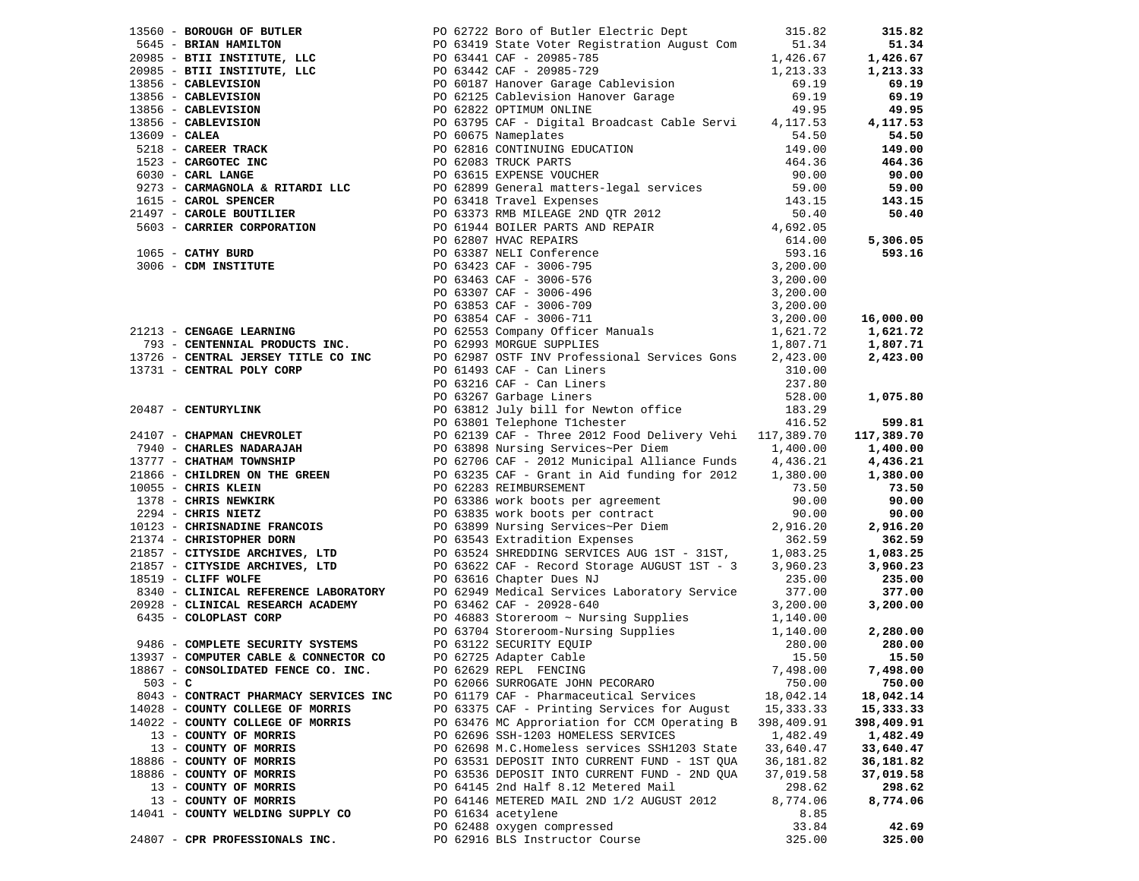|           |                                       | 1980 - SHORTAFT (1980) - Contribution (1980) - Contribution (1980) - Contribution (1980) - Contribution (1980) - Contribution (1980) - Contribution (1980) - Contribution (1980) - Contribution (1980) - Contribution (1980) |            |            |
|-----------|---------------------------------------|------------------------------------------------------------------------------------------------------------------------------------------------------------------------------------------------------------------------------|------------|------------|
|           |                                       |                                                                                                                                                                                                                              |            |            |
|           |                                       |                                                                                                                                                                                                                              |            |            |
|           |                                       |                                                                                                                                                                                                                              |            |            |
| $503 - C$ |                                       | PO 62066 SURROGATE JOHN PECORARO                                                                                                                                                                                             | 750.00     | 750.00     |
|           | 8043 - CONTRACT PHARMACY SERVICES INC | PO 61179 CAF - Pharmaceutical Services                                                                                                                                                                                       | 18,042.14  | 18,042.14  |
|           | 14028 - COUNTY COLLEGE OF MORRIS      | PO 63375 CAF - Printing Services for August                                                                                                                                                                                  | 15,333.33  | 15,333.33  |
|           | 14022 - COUNTY COLLEGE OF MORRIS      | PO 63476 MC Approriation for CCM Operating B                                                                                                                                                                                 | 398,409.91 | 398,409.91 |
|           | 13 - COUNTY OF MORRIS                 | PO 62696 SSH-1203 HOMELESS SERVICES                                                                                                                                                                                          | 1,482.49   | 1,482.49   |
|           | 13 - COUNTY OF MORRIS                 | PO 62698 M.C.Homeless services SSH1203 State                                                                                                                                                                                 | 33,640.47  | 33,640.47  |
|           | 18886 - COUNTY OF MORRIS              | PO 63531 DEPOSIT INTO CURRENT FUND - 1ST OUA                                                                                                                                                                                 | 36,181.82  | 36,181.82  |
|           | 18886 - COUNTY OF MORRIS              | PO 63536 DEPOSIT INTO CURRENT FUND - 2ND QUA                                                                                                                                                                                 | 37,019.58  | 37,019.58  |
|           | 13 - COUNTY OF MORRIS                 | PO 64145 2nd Half 8.12 Metered Mail                                                                                                                                                                                          | 298.62     | 298.62     |
|           | 13 - COUNTY OF MORRIS                 | PO 64146 METERED MAIL 2ND 1/2 AUGUST 2012                                                                                                                                                                                    | 8,774.06   | 8,774.06   |
|           | 14041 - COUNTY WELDING SUPPLY CO      | PO 61634 acetylene                                                                                                                                                                                                           | 8.85       |            |
|           |                                       | PO 62488 oxygen compressed                                                                                                                                                                                                   | 33.84      | 42.69      |
|           | 24807 - CPR PROFESSIONALS INC.        | PO 62916 BLS Instructor Course                                                                                                                                                                                               | 325.00     | 325.00     |
|           |                                       |                                                                                                                                                                                                                              |            |            |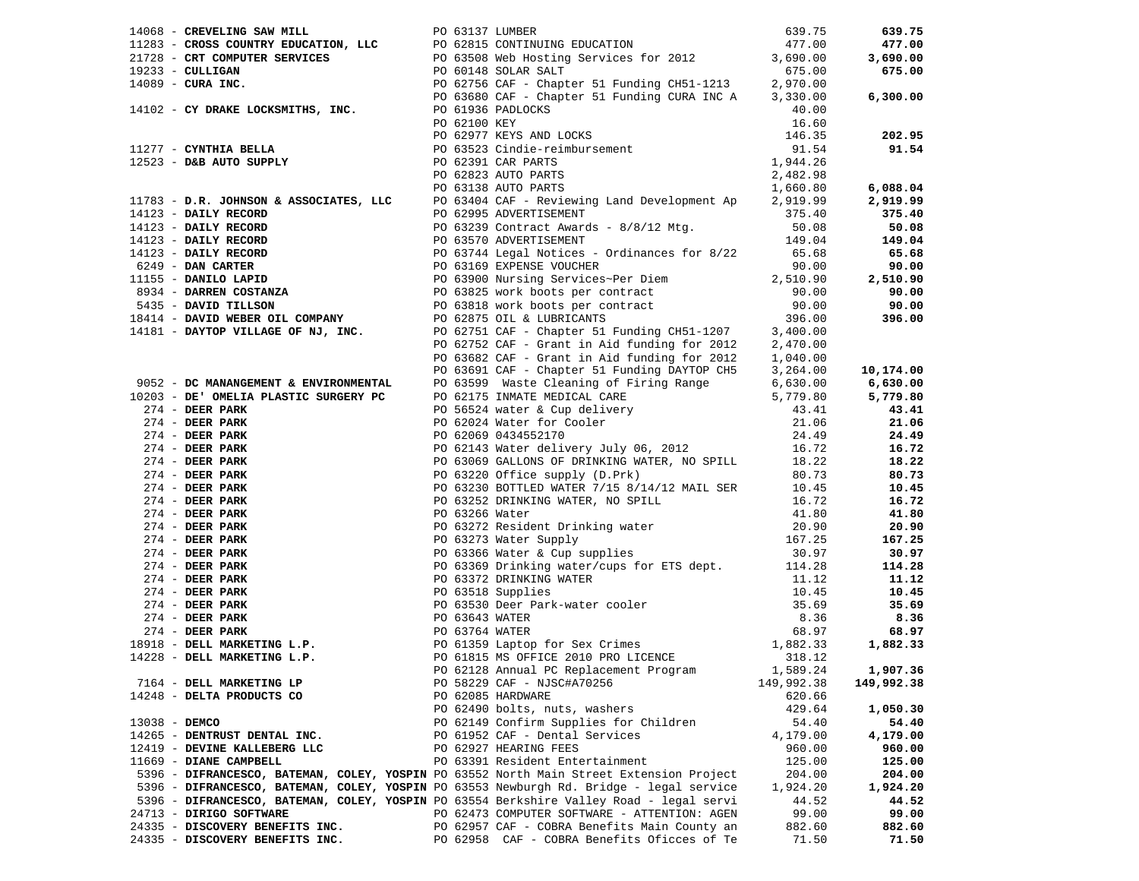|               |                                                                                         |  | 1406 - CREWILING SAW MILLE (1963) 75 (5317 LUMBER (1978) 2333 - CULTAB - CREWILING REVITEE POST (1979) 2233 - CULTAB SERVICES FOR CONTINUING EDUCATION (1979) - CREWIT SERVICES FOR CONTINUING EDUCATION (1979) - CONDITIES        |            | 639.75     |
|---------------|-----------------------------------------------------------------------------------------|--|------------------------------------------------------------------------------------------------------------------------------------------------------------------------------------------------------------------------------------|------------|------------|
|               |                                                                                         |  |                                                                                                                                                                                                                                    |            | 477.00     |
|               |                                                                                         |  |                                                                                                                                                                                                                                    |            | 3,690.00   |
|               |                                                                                         |  |                                                                                                                                                                                                                                    |            | 675.00     |
|               |                                                                                         |  |                                                                                                                                                                                                                                    |            |            |
|               |                                                                                         |  |                                                                                                                                                                                                                                    |            | 6,300.00   |
|               |                                                                                         |  |                                                                                                                                                                                                                                    |            |            |
|               |                                                                                         |  |                                                                                                                                                                                                                                    |            |            |
|               |                                                                                         |  |                                                                                                                                                                                                                                    |            | 202.95     |
|               |                                                                                         |  |                                                                                                                                                                                                                                    |            | 91.54      |
|               |                                                                                         |  |                                                                                                                                                                                                                                    |            |            |
|               |                                                                                         |  |                                                                                                                                                                                                                                    |            |            |
|               |                                                                                         |  |                                                                                                                                                                                                                                    |            | 6,088.04   |
|               |                                                                                         |  |                                                                                                                                                                                                                                    |            | 2,919.99   |
|               |                                                                                         |  |                                                                                                                                                                                                                                    |            | 375.40     |
|               |                                                                                         |  |                                                                                                                                                                                                                                    |            | 50.08      |
|               |                                                                                         |  |                                                                                                                                                                                                                                    |            | 149.04     |
|               |                                                                                         |  |                                                                                                                                                                                                                                    |            |            |
|               |                                                                                         |  |                                                                                                                                                                                                                                    |            | 65.68      |
|               |                                                                                         |  |                                                                                                                                                                                                                                    |            | 90.00      |
|               |                                                                                         |  |                                                                                                                                                                                                                                    |            | 2,510.90   |
|               |                                                                                         |  |                                                                                                                                                                                                                                    |            | 90.00      |
|               |                                                                                         |  |                                                                                                                                                                                                                                    |            | 90.00      |
|               |                                                                                         |  |                                                                                                                                                                                                                                    |            | 396.00     |
|               |                                                                                         |  |                                                                                                                                                                                                                                    |            |            |
|               |                                                                                         |  |                                                                                                                                                                                                                                    |            |            |
|               |                                                                                         |  |                                                                                                                                                                                                                                    |            |            |
|               |                                                                                         |  |                                                                                                                                                                                                                                    |            |            |
|               |                                                                                         |  |                                                                                                                                                                                                                                    |            |            |
|               |                                                                                         |  |                                                                                                                                                                                                                                    |            |            |
|               |                                                                                         |  |                                                                                                                                                                                                                                    |            |            |
|               |                                                                                         |  |                                                                                                                                                                                                                                    |            |            |
|               |                                                                                         |  |                                                                                                                                                                                                                                    |            |            |
|               |                                                                                         |  |                                                                                                                                                                                                                                    |            |            |
|               |                                                                                         |  |                                                                                                                                                                                                                                    |            |            |
|               |                                                                                         |  |                                                                                                                                                                                                                                    |            |            |
|               |                                                                                         |  |                                                                                                                                                                                                                                    |            |            |
|               |                                                                                         |  |                                                                                                                                                                                                                                    |            |            |
|               |                                                                                         |  |                                                                                                                                                                                                                                    |            |            |
|               |                                                                                         |  |                                                                                                                                                                                                                                    |            |            |
|               |                                                                                         |  |                                                                                                                                                                                                                                    |            |            |
|               |                                                                                         |  |                                                                                                                                                                                                                                    |            |            |
|               |                                                                                         |  |                                                                                                                                                                                                                                    |            |            |
|               |                                                                                         |  |                                                                                                                                                                                                                                    |            |            |
|               |                                                                                         |  |                                                                                                                                                                                                                                    |            |            |
|               |                                                                                         |  | 274 - <b>DERR PARK CONTENTIVE DE CONTENTIVE DE CONTENTE DE CONTENTIVE DE CONTENTIVE DE CONTENTIVE DE CONTENTIVE DE CONTENTIVE DE CONTENTIVE DE CONTENTIVE DE CONTENTIVE DE CONTENTIVE DE CONTENTIVE DE CONTENTIVE DE CONTENTIV</b> |            |            |
|               |                                                                                         |  |                                                                                                                                                                                                                                    |            |            |
|               |                                                                                         |  |                                                                                                                                                                                                                                    |            |            |
|               |                                                                                         |  |                                                                                                                                                                                                                                    |            |            |
|               |                                                                                         |  |                                                                                                                                                                                                                                    |            |            |
|               |                                                                                         |  | PO 62128 Annual PC Replacement Program 1,589.24 1,907.36                                                                                                                                                                           |            |            |
|               | 7164 - DELL MARKETING LP                                                                |  | PO 58229 CAF - NJSC#A70256                                                                                                                                                                                                         | 149,992.38 | 149,992.38 |
|               | 14248 - DELTA PRODUCTS CO                                                               |  | PO 62085 HARDWARE                                                                                                                                                                                                                  | 620.66     |            |
|               |                                                                                         |  | PO 62490 bolts, nuts, washers                                                                                                                                                                                                      | 429.64     | 1,050.30   |
| 13038 - DEMCO |                                                                                         |  | PO 62149 Confirm Supplies for Children                                                                                                                                                                                             |            | 54.40      |
|               |                                                                                         |  |                                                                                                                                                                                                                                    | 54.40      |            |
|               | 14265 - DENTRUST DENTAL INC.                                                            |  | PO 61952 CAF - Dental Services                                                                                                                                                                                                     | 4,179.00   | 4,179.00   |
|               | 12419 - DEVINE KALLEBERG LLC                                                            |  | PO 62927 HEARING FEES                                                                                                                                                                                                              | 960.00     | 960.00     |
|               | 11669 - DIANE CAMPBELL                                                                  |  | PO 63391 Resident Entertainment                                                                                                                                                                                                    | 125.00     | 125.00     |
|               | 5396 - DIFRANCESCO, BATEMAN, COLEY, YOSPIN PO 63552 North Main Street Extension Project |  |                                                                                                                                                                                                                                    | 204.00     | 204.00     |
|               | 5396 - DIFRANCESCO, BATEMAN, COLEY, YOSPIN PO 63553 Newburgh Rd. Bridge - legal service |  |                                                                                                                                                                                                                                    | 1,924.20   | 1,924.20   |
|               | 5396 - DIFRANCESCO, BATEMAN, COLEY, YOSPIN PO 63554 Berkshire Valley Road - legal servi |  |                                                                                                                                                                                                                                    | 44.52      | 44.52      |
|               | 24713 - DIRIGO SOFTWARE                                                                 |  | PO 62473 COMPUTER SOFTWARE - ATTENTION: AGEN                                                                                                                                                                                       | 99.00      | 99.00      |
|               | 24335 - DISCOVERY BENEFITS INC.                                                         |  | PO 62957 CAF - COBRA Benefits Main County an                                                                                                                                                                                       | 882.60     | 882.60     |
|               | 24335 - DISCOVERY BENEFITS INC.                                                         |  | PO 62958 CAF - COBRA Benefits Oficces of Te                                                                                                                                                                                        | 71.50      | 71.50      |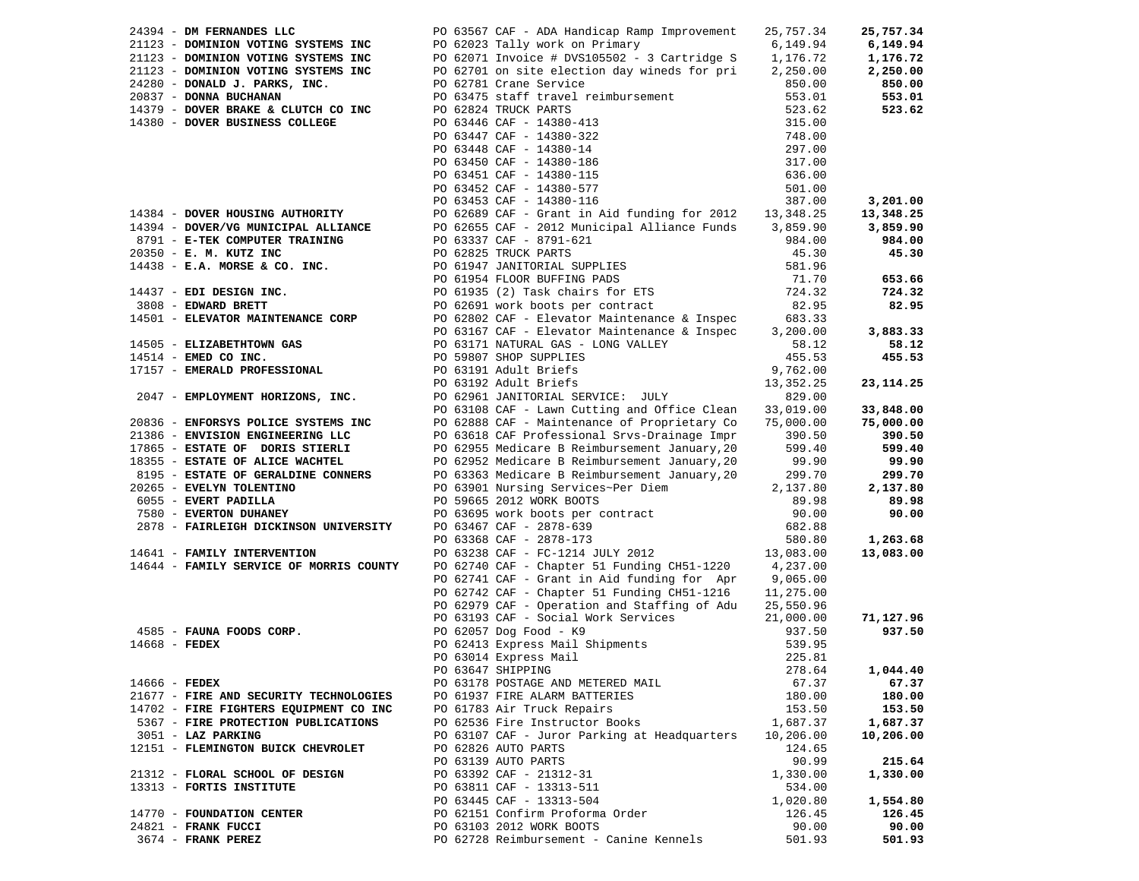| 24394 - DM FERNANDES LLC                | PO 63567 CAF - ADA Handicap Ramp Improvement                                                                                                                                                                               | 25,757.34        | 25,757.34              |
|-----------------------------------------|----------------------------------------------------------------------------------------------------------------------------------------------------------------------------------------------------------------------------|------------------|------------------------|
| 21123 - DOMINION VOTING SYSTEMS INC     | PO 62023 Tally work on Primary                                                                                                                                                                                             | 6,149.94         | 6,149.94               |
| 21123 - DOMINION VOTING SYSTEMS INC     | PO 62071 Invoice # DVS105502 - 3 Cartridge S                                                                                                                                                                               | 1,176.72         | 1,176.72               |
| 21123 - DOMINION VOTING SYSTEMS INC     | PO 62701 on site election day wineds for pri 2,250.00                                                                                                                                                                      |                  | 2,250.00               |
| 24280 - DONALD J. PARKS, INC.           | PO 62781 Crane Service                                                                                                                                                                                                     | 850.00           | 850.00                 |
| 20837 - DONNA BUCHANAN                  | PO 63475 staff travel reimbursement                                                                                                                                                                                        | 553.01           | 553.01                 |
| 14379 - DOVER BRAKE & CLUTCH CO INC     | PO 62824 TRUCK PARTS                                                                                                                                                                                                       | 523.62           | 523.62                 |
| 14380 - DOVER BUSINESS COLLEGE          | PO 63446 CAF - 14380-413<br>PO 63447 CAF - 14380-322<br>PO 63447 CAF - 14380-14<br>PO 63450 CAF - 14380-14<br>PO 63451 CAF - 14380-115<br>PO 63452 CAF - 14380-115<br>PO 63452 CAF - 14380-577<br>PO 63453 CAF - 14380-116 | 315.00           |                        |
|                                         |                                                                                                                                                                                                                            | 748.00           |                        |
|                                         |                                                                                                                                                                                                                            | 297.00           |                        |
|                                         |                                                                                                                                                                                                                            | 317.00           |                        |
|                                         |                                                                                                                                                                                                                            | 636.00           |                        |
|                                         |                                                                                                                                                                                                                            | 501.00           |                        |
|                                         |                                                                                                                                                                                                                            | 387.00           | 3,201.00               |
| 14384 - DOVER HOUSING AUTHORITY         | PO 62689 CAF - Grant in Aid funding for 2012 13,348.25                                                                                                                                                                     |                  | 13,348.25              |
| 14394 - DOVER/VG MUNICIPAL ALLIANCE     | PO 62655 CAF - 2012 Municipal Alliance Funds 3,859.90                                                                                                                                                                      |                  | 3,859.90               |
| 8791 - E-TEK COMPUTER TRAINING          | PO 63337 CAF - 8791-621                                                                                                                                                                                                    | 984.00           | 984.00                 |
| 20350 - E. M. KUTZ INC                  |                                                                                                                                                                                                                            | 45.30            | 45.30                  |
| $14438$ - E.A. MORSE & CO. INC.         | PO 62825 TRUCK PARTS<br>PO 61947 JANITORIAL SUPPLIES<br>PO 61954 FLOOR BUFFING PADS<br>PO 61935 (2) Task chairs for ETS<br>PO 62691 work boots per contract                                                                | 581.96           |                        |
|                                         |                                                                                                                                                                                                                            | 71.70            | 653.66                 |
| 14437 - EDI DESIGN INC.                 |                                                                                                                                                                                                                            | 724.32           | 724.32                 |
| 3808 - EDWARD BRETT                     |                                                                                                                                                                                                                            | 82.95            | 82.95                  |
| 14501 - ELEVATOR MAINTENANCE CORP       | PO 62802 CAF - Elevator Maintenance & Inspec                                                                                                                                                                               | 683.33           |                        |
|                                         | PO 63167 CAF - Elevator Maintenance & Inspec                                                                                                                                                                               | 3,200.00         | 3,883.33               |
| 14505 - ELIZABETHTOWN GAS               | PO 63171 NATURAL GAS - LONG VALLEY                                                                                                                                                                                         | 58.12            | 58.12                  |
| $14514$ - EMED CO INC.                  | PO 59807 SHOP SUPPLIES                                                                                                                                                                                                     | 455.53           | 455.53                 |
| 17157 - EMERALD PROFESSIONAL            |                                                                                                                                                                                                                            | 9,762.00         |                        |
|                                         | PO 63191 Adult Briefs<br>PO 63192 Adult Briefs                                                                                                                                                                             | 13,352.25        | 23, 114. 25            |
| 2047 - EMPLOYMENT HORIZONS, INC.        | PO 62961 JANITORIAL SERVICE: JULY                                                                                                                                                                                          | 829.00           |                        |
|                                         | PO 63108 CAF - Lawn Cutting and Office Clean                                                                                                                                                                               | 33,019.00        |                        |
| 20836 - ENFORSYS POLICE SYSTEMS INC     | PO 62888 CAF - Maintenance of Proprietary Co                                                                                                                                                                               | 75,000.00        | 33,848.00<br>75,000.00 |
| 21386 - ENVISION ENGINEERING LLC        | PO 63618 CAF Professional Srvs-Drainage Impr                                                                                                                                                                               |                  | 390.50                 |
| 17865 - ESTATE OF DORIS STIERLI         | PO 62955 Medicare B Reimbursement January, 20                                                                                                                                                                              | 390.50<br>599.40 | 599.40                 |
| 18355 - ESTATE OF ALICE WACHTEL         | PO 62952 Medicare B Reimbursement January, 20                                                                                                                                                                              | 99.90            | 99.90                  |
| 8195 - ESTATE OF GERALDINE CONNERS      | PO 63363 Medicare B Reimbursement January, 20                                                                                                                                                                              | 299.70           | 299.70                 |
| 20265 - EVELYN TOLENTINO                | PO 63901 Nursing Services~Per Diem                                                                                                                                                                                         | 2,137.80         | 2,137.80               |
| 6055 - EVERT PADILLA                    | PO 59665 2012 WORK BOOTS                                                                                                                                                                                                   | 89.98            | 89.98                  |
| 7580 - EVERTON DUHANEY                  |                                                                                                                                                                                                                            | 90.00            | 90.00                  |
| 2878 - FAIRLEIGH DICKINSON UNIVERSITY   | PO 63695 work boots per contract<br>PO 63467 CAF - 2878-639<br>PO 63368 CAF - 2878-173                                                                                                                                     | 682.88           |                        |
|                                         |                                                                                                                                                                                                                            | 580.80           | 1,263.68               |
| 14641 - FAMILY INTERVENTION             | PO 63238 CAF - FC-1214 JULY 2012                                                                                                                                                                                           | 13,083.00        | 13,083.00              |
| 14644 - FAMILY SERVICE OF MORRIS COUNTY | PO 62740 CAF - Chapter 51 Funding CH51-1220 4,237.00                                                                                                                                                                       |                  |                        |
|                                         | PO 62741 CAF - Grant in Aid funding for Apr 9,065.00                                                                                                                                                                       |                  |                        |
|                                         | PO 62742 CAF - Chapter 51 Funding CH51-1216                                                                                                                                                                                | 11,275.00        |                        |
|                                         | PO 62979 CAF - Operation and Staffing of Adu                                                                                                                                                                               | 25,550.96        |                        |
|                                         | PO 63193 CAF - Social Work Services                                                                                                                                                                                        | 21,000.00        | 71,127.96              |
| 4585 - FAUNA FOODS CORP.                | PO 62057 Dog Food - K9                                                                                                                                                                                                     | 937.50           | 937.50                 |
| $14668$ - FEDEX                         | PO 62413 Express Mail Shipments                                                                                                                                                                                            | 539.95           |                        |
|                                         | PO 63014 Express Mail                                                                                                                                                                                                      | 225.81           |                        |
|                                         | PO 63647 SHIPPING                                                                                                                                                                                                          | 278.64           | 1,044.40               |
| 14666 - FEDEX                           | PO 63178 POSTAGE AND METERED MAIL                                                                                                                                                                                          | 67.37            | 67.37                  |
| 21677 - FIRE AND SECURITY TECHNOLOGIES  |                                                                                                                                                                                                                            | 180.00           | 180.00                 |
| 14702 - FIRE FIGHTERS EQUIPMENT CO INC  | PO 61937 FIRE ALARM BATTERIES<br>PO 61783 Air Truck Repairs                                                                                                                                                                | 153.50           | 153.50                 |
| 5367 - FIRE PROTECTION PUBLICATIONS     | PO 62536 Fire Instructor Books                                                                                                                                                                                             | 1,687.37         | 1,687.37               |
| 3051 - LAZ PARKING                      | PO 63107 CAF - Juror Parking at Headquarters                                                                                                                                                                               | 10,206.00        | 10,206.00              |
| 12151 - FLEMINGTON BUICK CHEVROLET      | PO 62826 AUTO PARTS                                                                                                                                                                                                        | 124.65           |                        |
|                                         | PO 63139 AUTO PARTS                                                                                                                                                                                                        | 90.99            | 215.64                 |
| 21312 - FLORAL SCHOOL OF DESIGN         | PO 63392 CAF - 21312-31                                                                                                                                                                                                    | 1,330.00         | 1,330.00               |
| 13313 - FORTIS INSTITUTE                | PO 63811 CAF - 13313-511                                                                                                                                                                                                   | 534.00           |                        |
|                                         | PO 63445 CAF - 13313-504                                                                                                                                                                                                   | 1,020.80         | 1,554.80               |
| 14770 - FOUNDATION CENTER               | PO 62151 Confirm Proforma Order                                                                                                                                                                                            | 126.45           | 126.45                 |
| 24821 - FRANK FUCCI                     | PO 63103 2012 WORK BOOTS                                                                                                                                                                                                   | 90.00            | 90.00                  |
| 3674 - FRANK PEREZ                      | PO 62728 Reimbursement - Canine Kennels                                                                                                                                                                                    | 501.93           | 501.93                 |
|                                         |                                                                                                                                                                                                                            |                  |                        |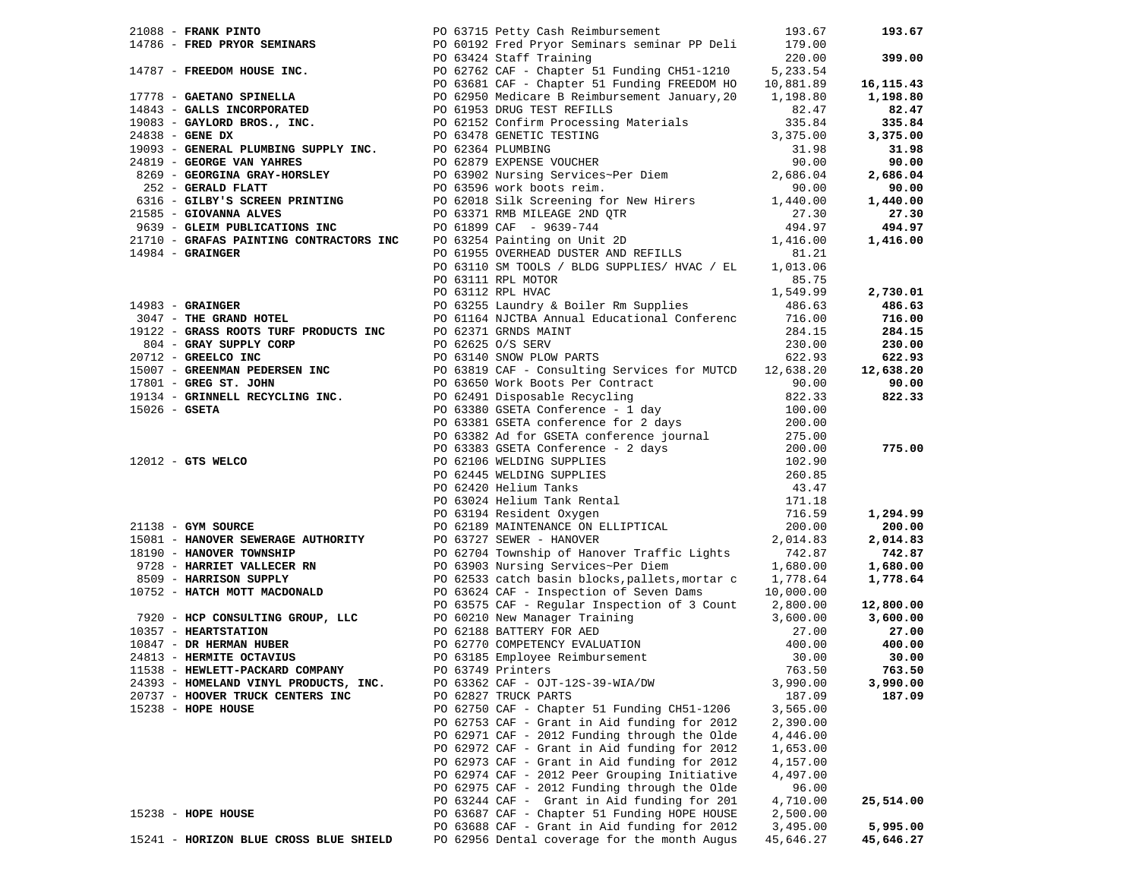|                                        | 21088 <b>- FRANK PINTO</b><br>14786 <b>- FRED PRYOR SEMINARS</b><br>14786 <b>- FRED PRYOR SEMINARS</b><br>14786 <b>- FRED PRYOR SEMINARS</b><br>14787 <b>- FREDOM HOUSE INC.</b><br>14787 <b>- FREDOM HOUSE INC.</b><br>14797 <b>- FREDOM BOUSE INC.</b><br>14797 <b>- FREDOM BO</b> |           | 193.67    |
|----------------------------------------|--------------------------------------------------------------------------------------------------------------------------------------------------------------------------------------------------------------------------------------------------------------------------------------|-----------|-----------|
|                                        |                                                                                                                                                                                                                                                                                      |           |           |
|                                        |                                                                                                                                                                                                                                                                                      |           | 399.00    |
|                                        |                                                                                                                                                                                                                                                                                      |           |           |
|                                        |                                                                                                                                                                                                                                                                                      |           | 16,115.43 |
|                                        |                                                                                                                                                                                                                                                                                      |           | 1,198.80  |
|                                        |                                                                                                                                                                                                                                                                                      |           | 82.47     |
|                                        |                                                                                                                                                                                                                                                                                      |           | 335.84    |
|                                        |                                                                                                                                                                                                                                                                                      |           | 3,375.00  |
|                                        |                                                                                                                                                                                                                                                                                      |           | 31.98     |
|                                        |                                                                                                                                                                                                                                                                                      |           | 90.00     |
|                                        |                                                                                                                                                                                                                                                                                      |           | 2,686.04  |
|                                        |                                                                                                                                                                                                                                                                                      |           |           |
|                                        |                                                                                                                                                                                                                                                                                      |           | 90.00     |
|                                        |                                                                                                                                                                                                                                                                                      |           | 1,440.00  |
|                                        |                                                                                                                                                                                                                                                                                      |           | 27.30     |
|                                        |                                                                                                                                                                                                                                                                                      |           | 494.97    |
|                                        |                                                                                                                                                                                                                                                                                      |           | 1,416.00  |
|                                        |                                                                                                                                                                                                                                                                                      |           |           |
|                                        |                                                                                                                                                                                                                                                                                      |           |           |
|                                        |                                                                                                                                                                                                                                                                                      |           |           |
|                                        |                                                                                                                                                                                                                                                                                      |           |           |
|                                        |                                                                                                                                                                                                                                                                                      |           |           |
|                                        |                                                                                                                                                                                                                                                                                      |           |           |
|                                        |                                                                                                                                                                                                                                                                                      |           |           |
|                                        |                                                                                                                                                                                                                                                                                      |           |           |
|                                        |                                                                                                                                                                                                                                                                                      |           |           |
|                                        |                                                                                                                                                                                                                                                                                      |           |           |
|                                        |                                                                                                                                                                                                                                                                                      |           |           |
|                                        |                                                                                                                                                                                                                                                                                      |           |           |
|                                        |                                                                                                                                                                                                                                                                                      |           |           |
|                                        |                                                                                                                                                                                                                                                                                      |           |           |
|                                        |                                                                                                                                                                                                                                                                                      |           |           |
|                                        |                                                                                                                                                                                                                                                                                      |           |           |
|                                        |                                                                                                                                                                                                                                                                                      |           |           |
|                                        |                                                                                                                                                                                                                                                                                      |           |           |
|                                        |                                                                                                                                                                                                                                                                                      |           |           |
|                                        |                                                                                                                                                                                                                                                                                      |           |           |
|                                        |                                                                                                                                                                                                                                                                                      |           |           |
|                                        |                                                                                                                                                                                                                                                                                      |           |           |
|                                        |                                                                                                                                                                                                                                                                                      |           |           |
|                                        |                                                                                                                                                                                                                                                                                      |           |           |
|                                        |                                                                                                                                                                                                                                                                                      |           |           |
|                                        |                                                                                                                                                                                                                                                                                      |           |           |
|                                        | 14998 - GRAINGER<br>14998 - GRAINGER<br>14998 - GRAINGER<br>14998 - GRAINGER<br>14998 - GRAINGER<br>14998 - GRAINGER<br>14998 - CRAINGER<br>14998 - CRAINGER<br>14998 - CRAINGER<br>14998 - CRAINGER<br>14998 - CRAINGER<br>14998 - GRAINGER<br>14998                                |           |           |
|                                        |                                                                                                                                                                                                                                                                                      |           |           |
|                                        |                                                                                                                                                                                                                                                                                      |           |           |
|                                        |                                                                                                                                                                                                                                                                                      |           |           |
|                                        |                                                                                                                                                                                                                                                                                      |           |           |
|                                        |                                                                                                                                                                                                                                                                                      |           |           |
|                                        |                                                                                                                                                                                                                                                                                      |           |           |
|                                        | 11538 - HEWLETT-PACKARD COMPANY PO 63749 Printers 2000 1538 - 2010                                                                                                                                                                                                                   |           | 763.50    |
| 24393 - HOMELAND VINYL PRODUCTS, INC.  | PO 63362 CAF - OJT-12S-39-WIA/DW                                                                                                                                                                                                                                                     | 3,990.00  | 3,990.00  |
| 20737 - HOOVER TRUCK CENTERS INC       | PO 62827 TRUCK PARTS                                                                                                                                                                                                                                                                 | 187.09    | 187.09    |
| 15238 - HOPE HOUSE                     | PO 62750 CAF - Chapter 51 Funding CH51-1206                                                                                                                                                                                                                                          | 3,565.00  |           |
|                                        | PO 62753 CAF - Grant in Aid funding for 2012                                                                                                                                                                                                                                         | 2,390.00  |           |
|                                        | PO 62971 CAF - 2012 Funding through the Olde                                                                                                                                                                                                                                         | 4,446.00  |           |
|                                        | PO 62972 CAF - Grant in Aid funding for 2012                                                                                                                                                                                                                                         | 1,653.00  |           |
|                                        | PO 62973 CAF - Grant in Aid funding for 2012                                                                                                                                                                                                                                         | 4,157.00  |           |
|                                        | PO 62974 CAF - 2012 Peer Grouping Initiative                                                                                                                                                                                                                                         | 4,497.00  |           |
|                                        | PO 62975 CAF - 2012 Funding through the Olde                                                                                                                                                                                                                                         | 96.00     |           |
|                                        | PO 63244 CAF - Grant in Aid funding for 201                                                                                                                                                                                                                                          | 4,710.00  | 25,514.00 |
| 15238 - HOPE HOUSE                     | PO 63687 CAF - Chapter 51 Funding HOPE HOUSE                                                                                                                                                                                                                                         | 2,500.00  |           |
|                                        | PO 63688 CAF - Grant in Aid funding for 2012                                                                                                                                                                                                                                         | 3,495.00  | 5,995.00  |
| 15241 - HORIZON BLUE CROSS BLUE SHIELD | PO 62956 Dental coverage for the month Augus                                                                                                                                                                                                                                         | 45,646.27 | 45,646.27 |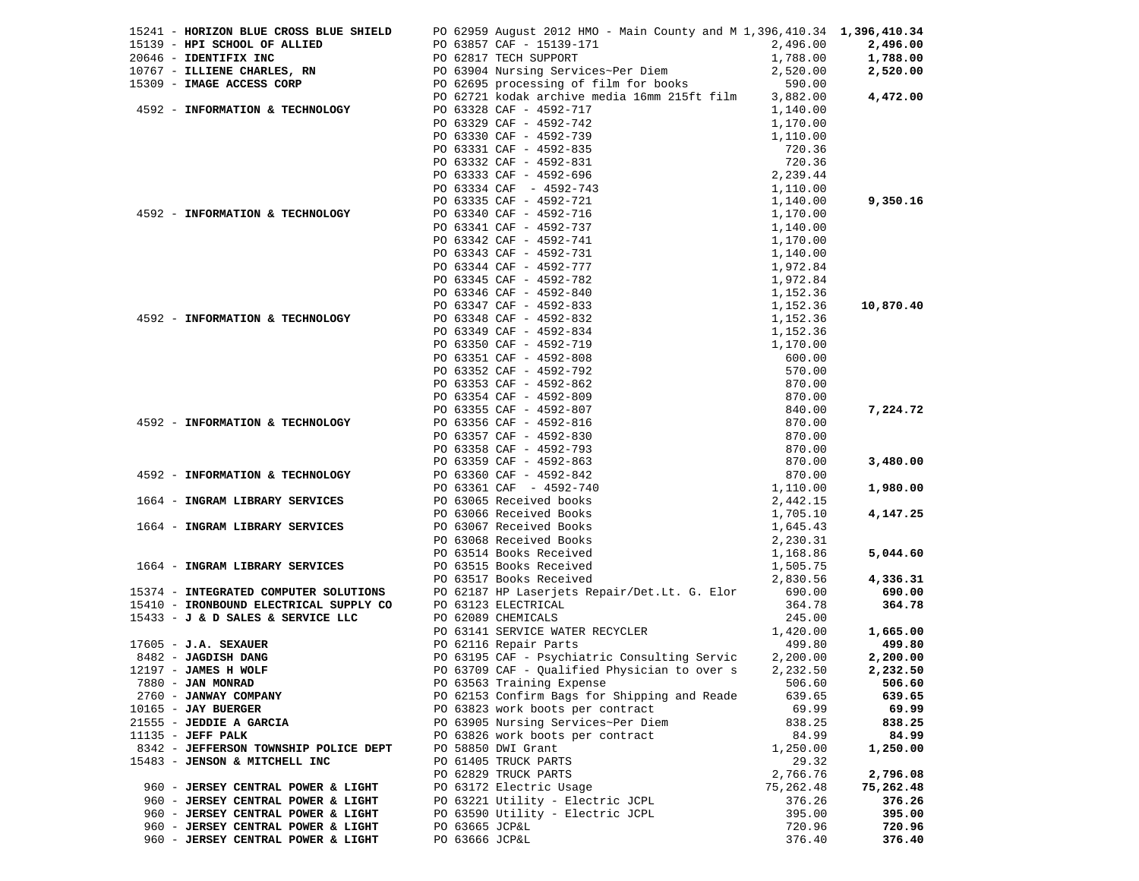|                                                         |                    | 15241 - HORIZON BLUE CROSS BLUE SHIELD PO 62959 August 2012 HMO - Main County and M 1,396,410.34 1,396,410.34                                                                                                                                                                                                                                                                                                                             |           |           |
|---------------------------------------------------------|--------------------|-------------------------------------------------------------------------------------------------------------------------------------------------------------------------------------------------------------------------------------------------------------------------------------------------------------------------------------------------------------------------------------------------------------------------------------------|-----------|-----------|
| 15139 - HPI SCHOOL OF ALLIED                            |                    |                                                                                                                                                                                                                                                                                                                                                                                                                                           |           | 2,496.00  |
| 20646 - IDENTIFIX INC                                   |                    |                                                                                                                                                                                                                                                                                                                                                                                                                                           |           | 1,788.00  |
| 10767 - ILLIENE CHARLES, RN                             |                    |                                                                                                                                                                                                                                                                                                                                                                                                                                           |           | 2,520.00  |
| 15309 - IMAGE ACCESS CORP                               |                    |                                                                                                                                                                                                                                                                                                                                                                                                                                           |           |           |
|                                                         |                    | PO 63857 CAF - 15139-171<br>PO 62817 TECH SUPPORT<br>PO 63904 Nursing Services~Per Diem<br>PO 62695 processing of film for books<br>PO 62721 kodak archive media 16mm 215ft film<br>3,882.00<br>4/41 kodak archive media 16mm 215ft film<br>PO 63328 CAF - 4592-717<br>PO 63338 CAF - 4592-717<br>PO 63331 CAF - 4592-739<br>PO 63331 CAF - 4592-739<br>PO 63331 CAF - 4592-739<br>PO 63333 CAF - 4592-731<br>PO 63333 CAF - 4592-743<br> |           | 4,472.00  |
| 4592 - INFORMATION & TECHNOLOGY PO 63328 CAF - 4592-717 |                    |                                                                                                                                                                                                                                                                                                                                                                                                                                           |           |           |
|                                                         |                    |                                                                                                                                                                                                                                                                                                                                                                                                                                           |           |           |
|                                                         |                    |                                                                                                                                                                                                                                                                                                                                                                                                                                           |           |           |
|                                                         |                    |                                                                                                                                                                                                                                                                                                                                                                                                                                           |           |           |
|                                                         |                    |                                                                                                                                                                                                                                                                                                                                                                                                                                           |           |           |
|                                                         |                    |                                                                                                                                                                                                                                                                                                                                                                                                                                           |           |           |
|                                                         |                    |                                                                                                                                                                                                                                                                                                                                                                                                                                           |           |           |
|                                                         |                    |                                                                                                                                                                                                                                                                                                                                                                                                                                           |           | 9,350.16  |
| 4592 - INFORMATION & TECHNOLOGY                         |                    |                                                                                                                                                                                                                                                                                                                                                                                                                                           |           |           |
|                                                         |                    |                                                                                                                                                                                                                                                                                                                                                                                                                                           |           |           |
|                                                         |                    |                                                                                                                                                                                                                                                                                                                                                                                                                                           |           |           |
|                                                         |                    |                                                                                                                                                                                                                                                                                                                                                                                                                                           |           |           |
|                                                         |                    |                                                                                                                                                                                                                                                                                                                                                                                                                                           |           |           |
|                                                         |                    |                                                                                                                                                                                                                                                                                                                                                                                                                                           |           |           |
|                                                         |                    |                                                                                                                                                                                                                                                                                                                                                                                                                                           |           |           |
|                                                         |                    |                                                                                                                                                                                                                                                                                                                                                                                                                                           |           |           |
|                                                         |                    |                                                                                                                                                                                                                                                                                                                                                                                                                                           |           | 10,870.40 |
| 4592 - INFORMATION & TECHNOLOGY                         |                    |                                                                                                                                                                                                                                                                                                                                                                                                                                           |           |           |
|                                                         |                    |                                                                                                                                                                                                                                                                                                                                                                                                                                           |           |           |
|                                                         |                    |                                                                                                                                                                                                                                                                                                                                                                                                                                           |           |           |
|                                                         |                    |                                                                                                                                                                                                                                                                                                                                                                                                                                           |           |           |
|                                                         |                    |                                                                                                                                                                                                                                                                                                                                                                                                                                           |           |           |
|                                                         |                    |                                                                                                                                                                                                                                                                                                                                                                                                                                           |           |           |
|                                                         |                    |                                                                                                                                                                                                                                                                                                                                                                                                                                           |           |           |
|                                                         |                    |                                                                                                                                                                                                                                                                                                                                                                                                                                           |           | 7,224.72  |
| 4592 - INFORMATION & TECHNOLOGY                         |                    |                                                                                                                                                                                                                                                                                                                                                                                                                                           |           |           |
|                                                         |                    |                                                                                                                                                                                                                                                                                                                                                                                                                                           |           |           |
|                                                         |                    |                                                                                                                                                                                                                                                                                                                                                                                                                                           |           |           |
|                                                         |                    |                                                                                                                                                                                                                                                                                                                                                                                                                                           |           | 3,480.00  |
| 4592 - INFORMATION & TECHNOLOGY                         |                    |                                                                                                                                                                                                                                                                                                                                                                                                                                           |           |           |
|                                                         |                    |                                                                                                                                                                                                                                                                                                                                                                                                                                           |           | 1,980.00  |
| 1664 - INGRAM LIBRARY SERVICES                          |                    |                                                                                                                                                                                                                                                                                                                                                                                                                                           |           |           |
|                                                         |                    |                                                                                                                                                                                                                                                                                                                                                                                                                                           |           | 4,147.25  |
| 1664 - INGRAM LIBRARY SERVICES                          |                    |                                                                                                                                                                                                                                                                                                                                                                                                                                           |           |           |
|                                                         |                    |                                                                                                                                                                                                                                                                                                                                                                                                                                           |           |           |
|                                                         |                    |                                                                                                                                                                                                                                                                                                                                                                                                                                           |           | 5,044.60  |
| 1664 - INGRAM LIBRARY SERVICES                          |                    | PO 63515 Books Received                                                                                                                                                                                                                                                                                                                                                                                                                   |           |           |
|                                                         |                    | PO 63517 Books Received                                                                                                                                                                                                                                                                                                                                                                                                                   | 2,830.56  | 4,336.31  |
|                                                         |                    |                                                                                                                                                                                                                                                                                                                                                                                                                                           |           | 690.00    |
|                                                         |                    | 15374 - INTEGRATED COMPUTER SOLUTIONS PO 62187 HP Laserjets Repair/Det.Lt. G. Elor 690.00<br>15410 - IRONBOUND ELECTRICAL SUPPLY CO PO 63123 ELECTRICAL ALLECTRICAL 364.78                                                                                                                                                                                                                                                                |           | 364.78    |
| 15433 - J & D SALES & SERVICE LLC                       | PO 62089 CHEMICALS |                                                                                                                                                                                                                                                                                                                                                                                                                                           | 245.00    |           |
|                                                         |                    | PO 63141 SERVICE WATER RECYCLER                                                                                                                                                                                                                                                                                                                                                                                                           | 1,420.00  | 1,665.00  |
| $17605 - J.A.$ SEXAUER                                  |                    | PO 62116 Repair Parts                                                                                                                                                                                                                                                                                                                                                                                                                     | 499.80    | 499.80    |
| 8482 - JAGDISH DANG                                     |                    | PO 63195 CAF - Psychiatric Consulting Servic 2,200.00                                                                                                                                                                                                                                                                                                                                                                                     |           | 2,200.00  |
|                                                         |                    |                                                                                                                                                                                                                                                                                                                                                                                                                                           |           |           |
| 12197 - JAMES H WOLF                                    |                    | PO 63709 CAF - Qualified Physician to over s 2,232.50                                                                                                                                                                                                                                                                                                                                                                                     |           | 2,232.50  |
| 7880 - JAN MONRAD                                       |                    | PO 63563 Training Expense                                                                                                                                                                                                                                                                                                                                                                                                                 | 506.60    | 506.60    |
| 2760 - JANWAY COMPANY                                   |                    | PO 62153 Confirm Bags for Shipping and Reade                                                                                                                                                                                                                                                                                                                                                                                              | 639.65    | 639.65    |
| $10165$ - JAY BUERGER                                   |                    | PO 63823 work boots per contract                                                                                                                                                                                                                                                                                                                                                                                                          | 69.99     | 69.99     |
| 21555 - JEDDIE A GARCIA                                 |                    | PO 63905 Nursing Services~Per Diem                                                                                                                                                                                                                                                                                                                                                                                                        | 838.25    | 838.25    |
| $11135$ - JEFF PALK                                     |                    | PO 63826 work boots per contract                                                                                                                                                                                                                                                                                                                                                                                                          | 84.99     | 84.99     |
| 8342 - JEFFERSON TOWNSHIP POLICE DEPT                   |                    | PO 58850 DWI Grant                                                                                                                                                                                                                                                                                                                                                                                                                        | 1,250.00  | 1,250.00  |
| 15483 - JENSON & MITCHELL INC                           |                    | PO 61405 TRUCK PARTS                                                                                                                                                                                                                                                                                                                                                                                                                      | 29.32     |           |
|                                                         |                    | PO 62829 TRUCK PARTS                                                                                                                                                                                                                                                                                                                                                                                                                      | 2,766.76  | 2,796.08  |
| 960 - JERSEY CENTRAL POWER & LIGHT                      |                    | PO 63172 Electric Usage                                                                                                                                                                                                                                                                                                                                                                                                                   | 75,262.48 | 75,262.48 |
| 960 - JERSEY CENTRAL POWER & LIGHT                      |                    | PO 63221 Utility - Electric JCPL                                                                                                                                                                                                                                                                                                                                                                                                          | 376.26    | 376.26    |
| 960 - JERSEY CENTRAL POWER & LIGHT                      |                    | PO 63590 Utility - Electric JCPL                                                                                                                                                                                                                                                                                                                                                                                                          | 395.00    | 395.00    |
| 960 - JERSEY CENTRAL POWER & LIGHT                      | PO 63665 JCP&L     |                                                                                                                                                                                                                                                                                                                                                                                                                                           | 720.96    | 720.96    |
| 960 - JERSEY CENTRAL POWER & LIGHT                      | PO 63666 JCP&L     |                                                                                                                                                                                                                                                                                                                                                                                                                                           | 376.40    | 376.40    |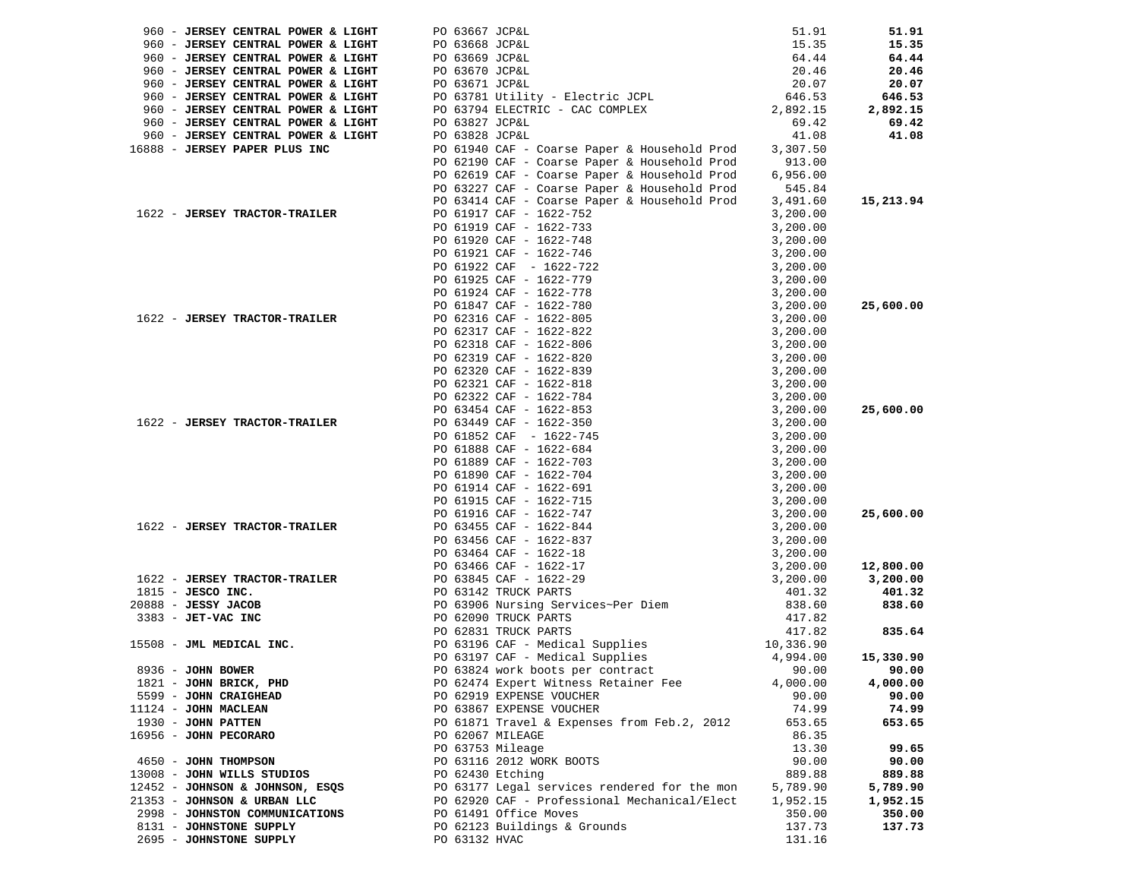| 960 - JERSEY CENTRAL POWER & LIGHT | PO 63667 JCP&L                                                                                                                                                                                                                                                                                    | 51.91              | 51.91     |
|------------------------------------|---------------------------------------------------------------------------------------------------------------------------------------------------------------------------------------------------------------------------------------------------------------------------------------------------|--------------------|-----------|
| 960 - JERSEY CENTRAL POWER & LIGHT | PO 63668 JCP&L                                                                                                                                                                                                                                                                                    | 15.35              | 15.35     |
| 960 - JERSEY CENTRAL POWER & LIGHT | PO 63669 JCP&L                                                                                                                                                                                                                                                                                    | 64.44              | 64.44     |
| 960 - JERSEY CENTRAL POWER & LIGHT |                                                                                                                                                                                                                                                                                                   | 20.46              | 20.46     |
| 960 - JERSEY CENTRAL POWER & LIGHT | PO 63670 JCP&L<br>PO 63671 JCP&L                                                                                                                                                                                                                                                                  | 20.07              | 20.07     |
| 960 - JERSEY CENTRAL POWER & LIGHT | PO 63781 Utility - Electric JCPL<br>PO 63794 ELECTRIC - CAC COMPLEX                                                                                                                                                                                                                               |                    | 646.53    |
| 960 - JERSEY CENTRAL POWER & LIGHT | PO 63794 ELECTRIC - CAC COMPLEX                                                                                                                                                                                                                                                                   | 646.53<br>2,892.15 | 2,892.15  |
| 960 - JERSEY CENTRAL POWER & LIGHT | PO 63827 JCP&L                                                                                                                                                                                                                                                                                    | 69.42              | 69.42     |
| 960 - JERSEY CENTRAL POWER & LIGHT | PO 63828 JCP&L                                                                                                                                                                                                                                                                                    | 41.08              | 41.08     |
| 16888 - JERSEY PAPER PLUS INC      | PO 61940 CAF - Coarse Paper & Household Prod                                                                                                                                                                                                                                                      | 3,307.50           |           |
|                                    | PO 62190 CAF - Coarse Paper & Household Prod                                                                                                                                                                                                                                                      | 913.00             |           |
|                                    | PO 62619 CAF - Coarse Paper & Household Prod                                                                                                                                                                                                                                                      | 6,956.00           |           |
|                                    | PO 63227 CAF - Coarse Paper & Household Prod                                                                                                                                                                                                                                                      | 545.84             |           |
|                                    | PO 63414 CAF - Coarse Paper & Household Prod                                                                                                                                                                                                                                                      | 3,491.60           | 15,213.94 |
| 1622 - JERSEY TRACTOR-TRAILER      | PO 61917 CAF - 1622-752                                                                                                                                                                                                                                                                           | 3,200.00           |           |
|                                    | PO 61919 CAF - 1622-733                                                                                                                                                                                                                                                                           |                    |           |
|                                    | PO 61920 CAF - 1622-748                                                                                                                                                                                                                                                                           |                    |           |
|                                    | PO 61921 CAF - 1622-746                                                                                                                                                                                                                                                                           |                    |           |
|                                    | PO 61922 CAF - 1622-722                                                                                                                                                                                                                                                                           |                    |           |
|                                    | PO 61925 CAF - 1622-779                                                                                                                                                                                                                                                                           |                    |           |
|                                    | PO 61924 CAF - 1622-778                                                                                                                                                                                                                                                                           |                    |           |
|                                    | PO 61847 CAF - 1622-780                                                                                                                                                                                                                                                                           |                    | 25,600.00 |
| 1622 - JERSEY TRACTOR-TRAILER      | PO 62316 CAF - 1622-805                                                                                                                                                                                                                                                                           |                    |           |
|                                    | PO 62317 CAF - 1622-822                                                                                                                                                                                                                                                                           |                    |           |
|                                    | PO 62318 CAF - 1622-806                                                                                                                                                                                                                                                                           |                    |           |
|                                    | PO 62319 CAF - 1622-820                                                                                                                                                                                                                                                                           |                    |           |
|                                    | PO 62320 CAF - 1622-839                                                                                                                                                                                                                                                                           |                    |           |
|                                    | PO 62321 CAF - 1622-818                                                                                                                                                                                                                                                                           |                    |           |
|                                    | PO 62322 CAF - 1622-784                                                                                                                                                                                                                                                                           |                    |           |
|                                    | PO 63454 CAF - 1622-853                                                                                                                                                                                                                                                                           |                    | 25,600.00 |
| 1622 - JERSEY TRACTOR-TRAILER      | PO 63449 CAF - 1622-350                                                                                                                                                                                                                                                                           |                    |           |
|                                    | PO 61852 CAF - 1622-745                                                                                                                                                                                                                                                                           |                    |           |
|                                    | PO 61888 CAF - 1622-684                                                                                                                                                                                                                                                                           |                    |           |
|                                    | PO 61889 CAF - 1622-703                                                                                                                                                                                                                                                                           |                    |           |
|                                    | PO 61890 CAF - 1622-704                                                                                                                                                                                                                                                                           |                    |           |
|                                    | PO 61914 CAF - 1622-691                                                                                                                                                                                                                                                                           |                    |           |
|                                    | PO 61915 CAF - 1622-715                                                                                                                                                                                                                                                                           |                    |           |
|                                    | aper & Household Prod 3,491.60<br>3,200.00<br>3,200.00<br>3,200.00<br>3,200.00<br>3,200.00<br>3,200.00<br>3,200.00<br>3,200.00<br>3,200.00<br>3,200.00<br>3,200.00<br>3,200.00<br>3,200.00<br>3,200.00<br>3,200.00<br>3,200.00<br>3,200.00<br>3,200.00<br>3,200.00<br><br>PO 61916 CAF - 1622-747 |                    | 25,600.00 |
| 1622 - JERSEY TRACTOR-TRAILER      | PO 63455 CAF - 1622-844                                                                                                                                                                                                                                                                           |                    |           |
|                                    | PO 63456 CAF - 1622-837                                                                                                                                                                                                                                                                           |                    |           |
|                                    | PO 63464 CAF - 1622-18                                                                                                                                                                                                                                                                            |                    |           |
|                                    | PO 63466 CAF - 1622-17                                                                                                                                                                                                                                                                            |                    | 12,800.00 |
| 1622 - JERSEY TRACTOR-TRAILER      |                                                                                                                                                                                                                                                                                                   | 3,200.00           | 3,200.00  |
| $1815$ - JESCO INC.                | R-TRAILER<br>PO 63845 CAF - 1622-29<br>PO 63142 TRUCK PARTS<br>PO 63906 Nursing Services~Per Diem<br>PO 62090 TRUCK PARTS<br>PO 62090 TRUCK PARTS                                                                                                                                                 | 401.32             | 401.32    |
| $20888 - JESSY JACOB$              |                                                                                                                                                                                                                                                                                                   | 838.60             | 838.60    |
| 3383 - JET-VAC INC                 |                                                                                                                                                                                                                                                                                                   | 417.82             |           |
|                                    | PO 62831 TRUCK PARTS                                                                                                                                                                                                                                                                              | 417.82             | 835.64    |
| 15508 - JML MEDICAL INC.           | PO 63196 CAF - Medical Supplies 10,336.90                                                                                                                                                                                                                                                         |                    |           |
|                                    | PO 63197 CAF - Medical Supplies                                                                                                                                                                                                                                                                   | 4,994.00           | 15,330.90 |
| 8936 - JOHN BOWER                  | PO 63824 work boots per contract                                                                                                                                                                                                                                                                  | 90.00              | 90.00     |
| 1821 - JOHN BRICK, PHD             | PO 62474 Expert Witness Retainer Fee                                                                                                                                                                                                                                                              | 4,000.00           | 4,000.00  |
| 5599 - JOHN CRAIGHEAD              | PO 62919 EXPENSE VOUCHER                                                                                                                                                                                                                                                                          | 90.00              | 90.00     |
| $11124$ - JOHN MACLEAN             | PO 63867 EXPENSE VOUCHER                                                                                                                                                                                                                                                                          | 74.99              | 74.99     |
| 1930 - JOHN PATTEN                 | PO 61871 Travel & Expenses from Feb.2, 2012                                                                                                                                                                                                                                                       | 653.65             | 653.65    |
| 16956 - JOHN PECORARO              | PO 62067 MILEAGE                                                                                                                                                                                                                                                                                  | 86.35              |           |
|                                    | PO 63753 Mileage                                                                                                                                                                                                                                                                                  | 13.30              | 99.65     |
| 4650 - JOHN THOMPSON               | PO 63116 2012 WORK BOOTS                                                                                                                                                                                                                                                                          | 90.00              | 90.00     |
| 13008 - JOHN WILLS STUDIOS         | PO 62430 Etching                                                                                                                                                                                                                                                                                  | 889.88             | 889.88    |
| 12452 - JOHNSON & JOHNSON, ESQS    | PO 63177 Legal services rendered for the mon                                                                                                                                                                                                                                                      | 5,789.90           | 5,789.90  |
| 21353 - JOHNSON & URBAN LLC        | PO 62920 CAF - Professional Mechanical/Elect                                                                                                                                                                                                                                                      | 1,952.15           | 1,952.15  |
| 2998 - JOHNSTON COMMUNICATIONS     | PO 61491 Office Moves                                                                                                                                                                                                                                                                             | 350.00             | 350.00    |
| 8131 - JOHNSTONE SUPPLY            | PO 62123 Buildings & Grounds                                                                                                                                                                                                                                                                      | 137.73             | 137.73    |
| 2695 - JOHNSTONE SUPPLY            | PO 63132 HVAC                                                                                                                                                                                                                                                                                     | 131.16             |           |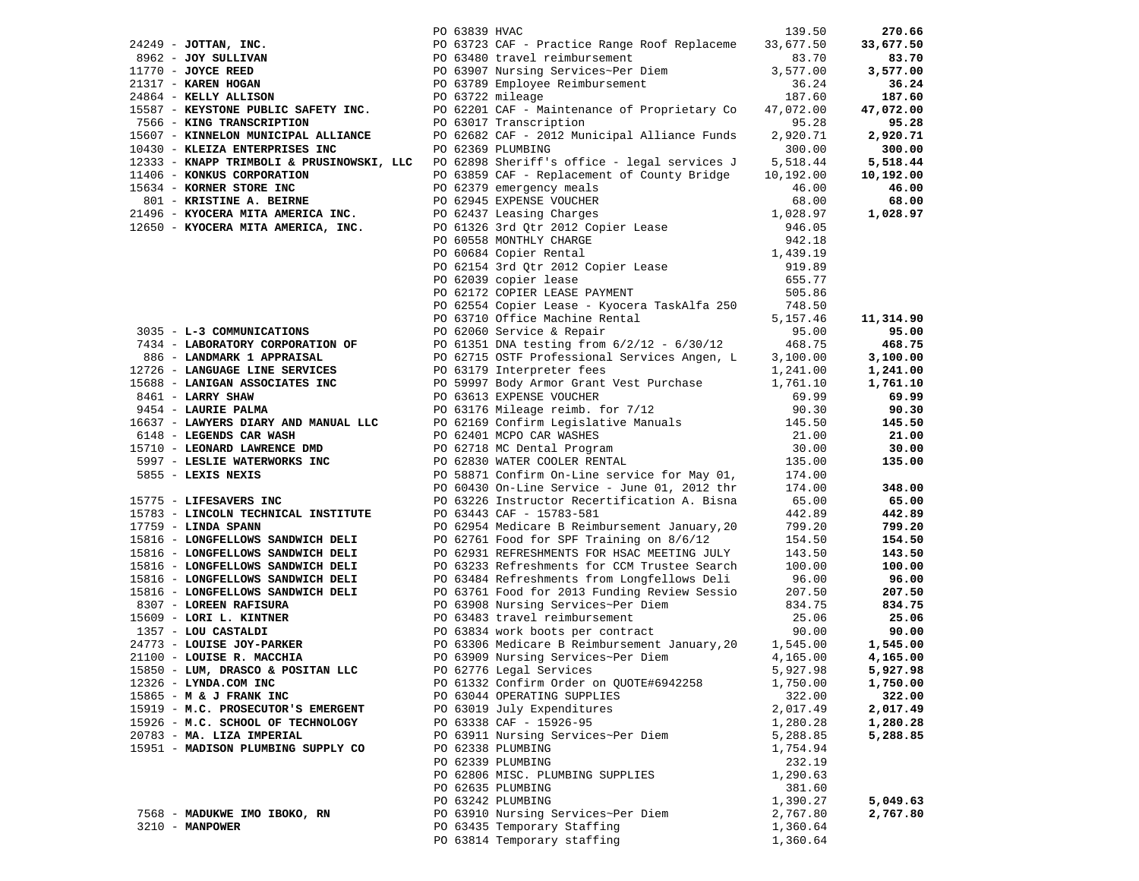|                                                                                                          | PO 63839 HVAC |                                                                                                                                                                                                                                                                                                                                                                  | 139.50               | 270.66               |
|----------------------------------------------------------------------------------------------------------|---------------|------------------------------------------------------------------------------------------------------------------------------------------------------------------------------------------------------------------------------------------------------------------------------------------------------------------------------------------------------------------|----------------------|----------------------|
|                                                                                                          |               | 24249 - JOTTAN, INC.<br>8962 - JOY SULIVAN PO 63839 HVAC<br>26962 - JOY SULIVAN PO 63723 CAF - Practice Range Roof Replaceme<br>21770 - JOYCE REED<br>21817 - KAREN HOGAN PO 63978 Mursing Services~Per Diem<br>24864 - KELIY ALLISON P                                                                                                                          | 33,677.50            | 33,677.50            |
|                                                                                                          |               |                                                                                                                                                                                                                                                                                                                                                                  | 83.70                | 83.70                |
|                                                                                                          |               |                                                                                                                                                                                                                                                                                                                                                                  | 3,577.00             | 3,577.00             |
|                                                                                                          |               |                                                                                                                                                                                                                                                                                                                                                                  | 36.24                | 36.24                |
|                                                                                                          |               |                                                                                                                                                                                                                                                                                                                                                                  | 187.60               | 187.60               |
|                                                                                                          |               |                                                                                                                                                                                                                                                                                                                                                                  | 47,072.00            | 47,072.00            |
| 7566 - KING TRANSCRIPTION                                                                                |               | PO 63017 Transcription                                                                                                                                                                                                                                                                                                                                           | 95.28                | 95.28                |
|                                                                                                          |               | 1990) - AINNELON MUNICIPAL ALLIANCE<br>10430 - KLEIZA ENTERPRISES INC 1990 62682 CAF - 2012 Municipal Alliance Funds<br>19222 - The Le                                                                                                                                                                                                                           | 2,920.71             | 2,920.71             |
|                                                                                                          |               |                                                                                                                                                                                                                                                                                                                                                                  | 300.00               | 300.00               |
|                                                                                                          |               | 12333 - KNAPP TRIMBOLI & PRUSINOWSKI, LLC PO 62898 Sheriff's office - legal services J                                                                                                                                                                                                                                                                           | 5,518.44             | 5,518.44             |
| 11406 - KONKUS CORPORATION                                                                               |               | PO 63859 CAF - Replacement of County Bridge                                                                                                                                                                                                                                                                                                                      | 10,192.00            | 10,192.00            |
| 15634 - KORNER STORE INC                                                                                 |               | PO 62379 emergency meals                                                                                                                                                                                                                                                                                                                                         | 46.00                | 46.00                |
| 801 - KRISTINE A. BEIRNE                                                                                 |               | PO 62945 EXPENSE VOUCHER                                                                                                                                                                                                                                                                                                                                         | 68.00                | 68.00                |
| 21496 - KYOCERA MITA AMERICA INC.<br>12650 - KYOCERA MITA AMERICA, INC.                                  |               |                                                                                                                                                                                                                                                                                                                                                                  | 1,028.97             | 1,028.97             |
|                                                                                                          |               |                                                                                                                                                                                                                                                                                                                                                                  | 946.05               |                      |
|                                                                                                          |               |                                                                                                                                                                                                                                                                                                                                                                  | 942.18               |                      |
|                                                                                                          |               |                                                                                                                                                                                                                                                                                                                                                                  | 1,439.19             |                      |
|                                                                                                          |               |                                                                                                                                                                                                                                                                                                                                                                  | 919.89               |                      |
|                                                                                                          |               |                                                                                                                                                                                                                                                                                                                                                                  | 655.77               |                      |
|                                                                                                          |               | PO 62945 EXPENSE VOUCHER<br>PO 62437 Leasing Charges<br>PO 61326 3rd Qtr 2012 Copier Lease<br>PO 60558 MONTHLY CHARGE<br>PO 62613 3rd Qtr 2012 Copier Lease<br>PO 62172 COPIER LEASE PAYMENT<br>PO 62172 COPIER LEASE PAYMENT<br>PO 62172 COPIER LE<br>PO 62172 COPIER LEASE PAYMENT<br>PO 62554 Copier Lease - Kyocera TaskAlfa 250 748.50<br>5,157.46 5,157.46 |                      |                      |
|                                                                                                          |               |                                                                                                                                                                                                                                                                                                                                                                  |                      |                      |
|                                                                                                          |               | PO 63710 Office Machine Rental<br>PO 62060 Service & Penair                                                                                                                                                                                                                                                                                                      |                      | 11,314.90            |
| 3035 - L-3 COMMUNICATIONS                                                                                |               | PO 62060 Service & Repair                                                                                                                                                                                                                                                                                                                                        | 95.00                | 95.00                |
|                                                                                                          |               | 7434 - LABORATORY CORPORATION OF PO 61351 DNA testing from 6/2/12 - 6/30/12 468.75<br>886 - LANDMARK 1 APPRAISAL PO 62715 OSTF Professional Services Angen, L 3,100.00                                                                                                                                                                                           |                      | 468.75               |
|                                                                                                          |               |                                                                                                                                                                                                                                                                                                                                                                  |                      | 3,100.00             |
| 12726 - LANGUAGE LINE SERVICES                                                                           |               | PO 63179 Interpreter fees                                                                                                                                                                                                                                                                                                                                        |                      | 1,241.00             |
| 15688 - LANIGAN ASSOCIATES INC                                                                           |               | PU 63179 Interpreter fees 1,241.00<br>PO 59997 Body Armor Grant Vest Purchase 1,761.10                                                                                                                                                                                                                                                                           |                      | 1,761.10             |
| 8461 - LARRY SHAW                                                                                        |               | PO 63613 EXPENSE VOUCHER                                                                                                                                                                                                                                                                                                                                         | 69.99<br>90.30       | 69.99                |
| 9454 - LAURIE PALMA                                                                                      |               | PO 63176 Mileage reimb. for 7/12                                                                                                                                                                                                                                                                                                                                 |                      | 90.30                |
| 16637 - LAWYERS DIARY AND MANUAL LLC                                                                     |               | PO 62169 Confirm Legislative Manuals 145.50                                                                                                                                                                                                                                                                                                                      |                      | 145.50               |
| 6148 - LEGENDS CAR WASH                                                                                  |               | PO 62401 MCPO CAR WASHES<br>PO 62718 MC Dental Program<br>PO 62830 WATER COOLER RENTAL                                                                                                                                                                                                                                                                           | 21.00                | 21.00                |
| 15710 - LEONARD LAWRENCE DMD                                                                             |               |                                                                                                                                                                                                                                                                                                                                                                  | 30.00                | 30.00                |
| 5997 - LESLIE WATERWORKS INC                                                                             |               |                                                                                                                                                                                                                                                                                                                                                                  | 135.00               | 135.00               |
| 5855 - LEXIS NEXIS                                                                                       |               | PO 58871 Confirm On-Line service for May 01, 174.00                                                                                                                                                                                                                                                                                                              |                      |                      |
|                                                                                                          |               | PO 60430 On-Line Service - June 01, 2012 thr                                                                                                                                                                                                                                                                                                                     | 174.00               | 348.00               |
| 15775 - LIFESAVERS INC                                                                                   |               | PO 63226 Instructor Recertification A. Bisna                                                                                                                                                                                                                                                                                                                     | 65.00                | 65.00                |
| 15783 - LINCOLN TECHNICAL INSTITUTE                                                                      |               | PO 63443 CAF - 15783-581                                                                                                                                                                                                                                                                                                                                         | 442.89               | 442.89               |
| $17759$ - LINDA SPANN                                                                                    |               | PO 62954 Medicare B Reimbursement January, 20                                                                                                                                                                                                                                                                                                                    | 799.20               | 799.20               |
| 15816 - LONGFELLOWS SANDWICH DELI                                                                        |               | PO 62761 Food for SPF Training on 8/6/12                                                                                                                                                                                                                                                                                                                         | 154.50               | 154.50               |
| 15816 - LONGFELLOWS SANDWICH DELI                                                                        |               | PO 62931 REFRESHMENTS FOR HSAC MEETING JULY                                                                                                                                                                                                                                                                                                                      | 143.50               | 143.50               |
| 15816 - LONGFELLOWS SANDWICH DELI                                                                        |               | PO 63233 Refreshments for CCM Trustee Search                                                                                                                                                                                                                                                                                                                     | 100.00               | 100.00               |
| 15816 - LONGFELLOWS SANDWICH DELI                                                                        |               | PO 63484 Refreshments from Longfellows Deli                                                                                                                                                                                                                                                                                                                      | 96.00                | 96.00                |
| 15816 - LONGFELLOWS SANDWICH DELI                                                                        |               | PO 63761 Food for 2013 Funding Review Sessio                                                                                                                                                                                                                                                                                                                     | 207.50               | 207.50               |
| 8307 - LOREEN RAFISURA                                                                                   |               | PO 63908 Nursing Services~Per Diem                                                                                                                                                                                                                                                                                                                               | 834.75               | 834.75               |
| 15609 - LORI L. KINTNER<br>1357 - LOU CASTALDI<br>24773 - LOUISE JOY-PARKER<br>21100 - LOUISE R. MACCHIA |               | PO 63483 travel reimbursement                                                                                                                                                                                                                                                                                                                                    | 25.06                | 25.06                |
|                                                                                                          |               | PO 63834 work boots per contract<br>PO 63834 work boots per contract 90.00<br>PO 63306 Medicare B Reimbursement January, 20 1,545.00                                                                                                                                                                                                                             |                      | 90.00                |
|                                                                                                          |               |                                                                                                                                                                                                                                                                                                                                                                  |                      | 1,545.00             |
|                                                                                                          |               | PO 63909 Nursing Services~Per Diem                                                                                                                                                                                                                                                                                                                               | 4,165.00             | 4,165.00             |
| 15850 - LUM, DRASCO & POSITAN LLC                                                                        |               | PO 62776 Legal Services                                                                                                                                                                                                                                                                                                                                          | 5,927.98             | 5,927.98             |
| 12326 - LYNDA.COM INC<br>15865 - M & J FRANK INC                                                         |               | PO 61332 Confirm Order on QUOTE#6942258<br>PO 63044 OPERATING SUPPLIES                                                                                                                                                                                                                                                                                           | 1,750.00<br>322.00   | 1,750.00<br>322.00   |
| 15919 - M.C. PROSECUTOR'S EMERGENT                                                                       |               |                                                                                                                                                                                                                                                                                                                                                                  |                      | 2,017.49             |
| 15926 - M.C. SCHOOL OF TECHNOLOGY                                                                        |               | PO 63019 July Expenditures<br>PO 63338 CAF - 15926-95                                                                                                                                                                                                                                                                                                            | 2,017.49             |                      |
| 20783 - MA. LIZA IMPERIAL                                                                                |               | PO 63911 Nursing Services~Per Diem                                                                                                                                                                                                                                                                                                                               | 1,280.28<br>5,288.85 | 1,280.28<br>5,288.85 |
| 15951 - MADISON PLUMBING SUPPLY CO                                                                       |               | PO 62338 PLUMBING                                                                                                                                                                                                                                                                                                                                                | 1,754.94             |                      |
|                                                                                                          |               | PO 62339 PLUMBING                                                                                                                                                                                                                                                                                                                                                | 232.19               |                      |
|                                                                                                          |               | PO 62806 MISC. PLUMBING SUPPLIES                                                                                                                                                                                                                                                                                                                                 | 1,290.63             |                      |
|                                                                                                          |               | PO 62635 PLUMBING                                                                                                                                                                                                                                                                                                                                                | 381.60               |                      |
|                                                                                                          |               | PO 63242 PLUMBING                                                                                                                                                                                                                                                                                                                                                | 1,390.27             | 5,049.63             |
| 7568 - MADUKWE IMO IBOKO, RN                                                                             |               | PO 63910 Nursing Services~Per Diem                                                                                                                                                                                                                                                                                                                               | 2,767.80             | 2,767.80             |
| 3210 - MANPOWER                                                                                          |               | PO 63435 Temporary Staffing                                                                                                                                                                                                                                                                                                                                      | 1,360.64             |                      |
|                                                                                                          |               | PO 63814 Temporary staffing                                                                                                                                                                                                                                                                                                                                      | 1,360.64             |                      |
|                                                                                                          |               |                                                                                                                                                                                                                                                                                                                                                                  |                      |                      |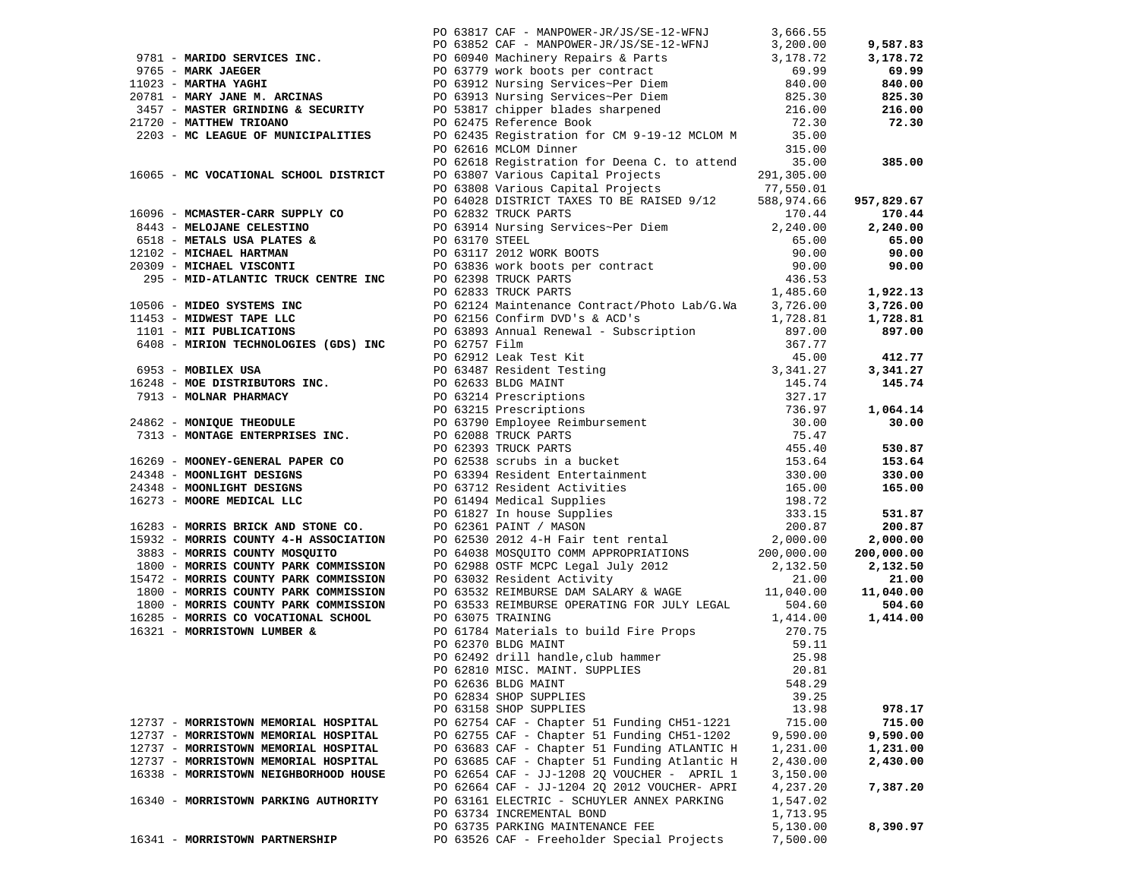|                                       | 9781 - MARIDO SERVICES INC.<br>9781 - MARIDO SERVICES INC.<br>9765 - MARK JAEGER<br>9765 - MARK JAEGER<br>9765 - MARK JAEGER<br>9765 - MARK JAEGER<br>9765 - MARK JAEGER<br>9765 - MARK JAEGER<br>9765 - MARK JAEGER<br>9765 - MARK JAEGER<br>9765 |          |                        |
|---------------------------------------|----------------------------------------------------------------------------------------------------------------------------------------------------------------------------------------------------------------------------------------------------|----------|------------------------|
|                                       |                                                                                                                                                                                                                                                    |          | 9,587.83               |
|                                       |                                                                                                                                                                                                                                                    |          | 3,178.72               |
|                                       |                                                                                                                                                                                                                                                    |          | 69.99                  |
|                                       |                                                                                                                                                                                                                                                    |          | 840.00                 |
|                                       |                                                                                                                                                                                                                                                    |          | 825.30                 |
|                                       |                                                                                                                                                                                                                                                    |          | 216.00                 |
|                                       |                                                                                                                                                                                                                                                    |          | 72.30                  |
|                                       |                                                                                                                                                                                                                                                    |          |                        |
|                                       |                                                                                                                                                                                                                                                    |          |                        |
|                                       | PO 62618 Registration for Deena C. to attend 35.00                                                                                                                                                                                                 |          | 385.00                 |
|                                       |                                                                                                                                                                                                                                                    |          |                        |
|                                       |                                                                                                                                                                                                                                                    |          |                        |
|                                       |                                                                                                                                                                                                                                                    |          | 957,829.67             |
|                                       |                                                                                                                                                                                                                                                    |          | 170.44                 |
|                                       |                                                                                                                                                                                                                                                    |          | 2,240.00               |
|                                       |                                                                                                                                                                                                                                                    |          | 65.00                  |
|                                       |                                                                                                                                                                                                                                                    |          | 90.00                  |
|                                       |                                                                                                                                                                                                                                                    |          | 90.00                  |
|                                       |                                                                                                                                                                                                                                                    |          |                        |
|                                       |                                                                                                                                                                                                                                                    |          | 1,922.13               |
|                                       |                                                                                                                                                                                                                                                    |          | 3,726.00               |
|                                       |                                                                                                                                                                                                                                                    |          | 1,728.81               |
|                                       |                                                                                                                                                                                                                                                    |          | 897.00                 |
|                                       |                                                                                                                                                                                                                                                    |          |                        |
|                                       |                                                                                                                                                                                                                                                    |          | 412.77                 |
|                                       |                                                                                                                                                                                                                                                    |          | 3,341.27               |
|                                       |                                                                                                                                                                                                                                                    |          | 145.74                 |
|                                       |                                                                                                                                                                                                                                                    |          |                        |
|                                       |                                                                                                                                                                                                                                                    |          | 1,064.14               |
|                                       |                                                                                                                                                                                                                                                    |          | 30.00                  |
|                                       |                                                                                                                                                                                                                                                    |          |                        |
|                                       | 2499 Re Mondove of Gould Finding (1992) Various Context (1992) 1991 No. 2013<br>1990 NO CONTINUES CONTRACT DE CONSULTATION CONTRACT DE CONSULTATION (1991) 2013<br>1990 NO CONTRACT DE CONSULTATION (1991) 2013 TO 1991 NOTIFICAT                  |          | 530.87                 |
|                                       |                                                                                                                                                                                                                                                    |          | 153.64                 |
|                                       |                                                                                                                                                                                                                                                    |          | 330.00                 |
|                                       |                                                                                                                                                                                                                                                    |          | 165.00                 |
|                                       |                                                                                                                                                                                                                                                    |          |                        |
|                                       |                                                                                                                                                                                                                                                    |          | 531.87                 |
|                                       |                                                                                                                                                                                                                                                    |          | 200.87                 |
|                                       |                                                                                                                                                                                                                                                    |          | 2,000.00<br>200,000.00 |
|                                       |                                                                                                                                                                                                                                                    |          | 2,132.50               |
|                                       |                                                                                                                                                                                                                                                    |          | 21.00                  |
|                                       |                                                                                                                                                                                                                                                    |          | 11,040.00              |
|                                       |                                                                                                                                                                                                                                                    |          | 504.60                 |
|                                       |                                                                                                                                                                                                                                                    |          | 1,414.00               |
|                                       |                                                                                                                                                                                                                                                    |          |                        |
|                                       |                                                                                                                                                                                                                                                    |          |                        |
|                                       | PO 62370 BLDG MAINT 59.11<br>PO 62492 drill handle, club hammer 25.98<br>PO 62810 MISC. MAINT. SUPPLIES 20.81                                                                                                                                      |          |                        |
|                                       |                                                                                                                                                                                                                                                    |          |                        |
|                                       | PO 62636 BLDG MAINT                                                                                                                                                                                                                                | 548.29   |                        |
|                                       | PO 62834 SHOP SUPPLIES                                                                                                                                                                                                                             | 39.25    |                        |
|                                       | PO 63158 SHOP SUPPLIES                                                                                                                                                                                                                             | 13.98    | 978.17                 |
| 12737 - MORRISTOWN MEMORIAL HOSPITAL  | PO 62754 CAF - Chapter 51 Funding CH51-1221                                                                                                                                                                                                        | 715.00   | 715.00                 |
| 12737 - MORRISTOWN MEMORIAL HOSPITAL  | PO 62755 CAF - Chapter 51 Funding CH51-1202                                                                                                                                                                                                        | 9,590.00 | 9,590.00               |
| 12737 - MORRISTOWN MEMORIAL HOSPITAL  | PO 63683 CAF - Chapter 51 Funding ATLANTIC H                                                                                                                                                                                                       | 1,231.00 | 1,231.00               |
| 12737 - MORRISTOWN MEMORIAL HOSPITAL  | PO 63685 CAF - Chapter 51 Funding Atlantic H                                                                                                                                                                                                       | 2,430.00 | 2,430.00               |
| 16338 - MORRISTOWN NEIGHBORHOOD HOUSE | PO 62654 CAF - JJ-1208 2Q VOUCHER - APRIL 1                                                                                                                                                                                                        | 3,150.00 |                        |
|                                       | PO 62664 CAF - JJ-1204 2Q 2012 VOUCHER- APRI                                                                                                                                                                                                       | 4,237.20 | 7,387.20               |
| 16340 - MORRISTOWN PARKING AUTHORITY  | PO 63161 ELECTRIC - SCHUYLER ANNEX PARKING                                                                                                                                                                                                         | 1,547.02 |                        |
|                                       | PO 63734 INCREMENTAL BOND                                                                                                                                                                                                                          | 1,713.95 |                        |
|                                       | PO 63735 PARKING MAINTENANCE FEE                                                                                                                                                                                                                   | 5,130.00 | 8,390.97               |
| 16341 - MORRISTOWN PARTNERSHIP        | PO 63526 CAF - Freeholder Special Projects                                                                                                                                                                                                         | 7,500.00 |                        |
|                                       |                                                                                                                                                                                                                                                    |          |                        |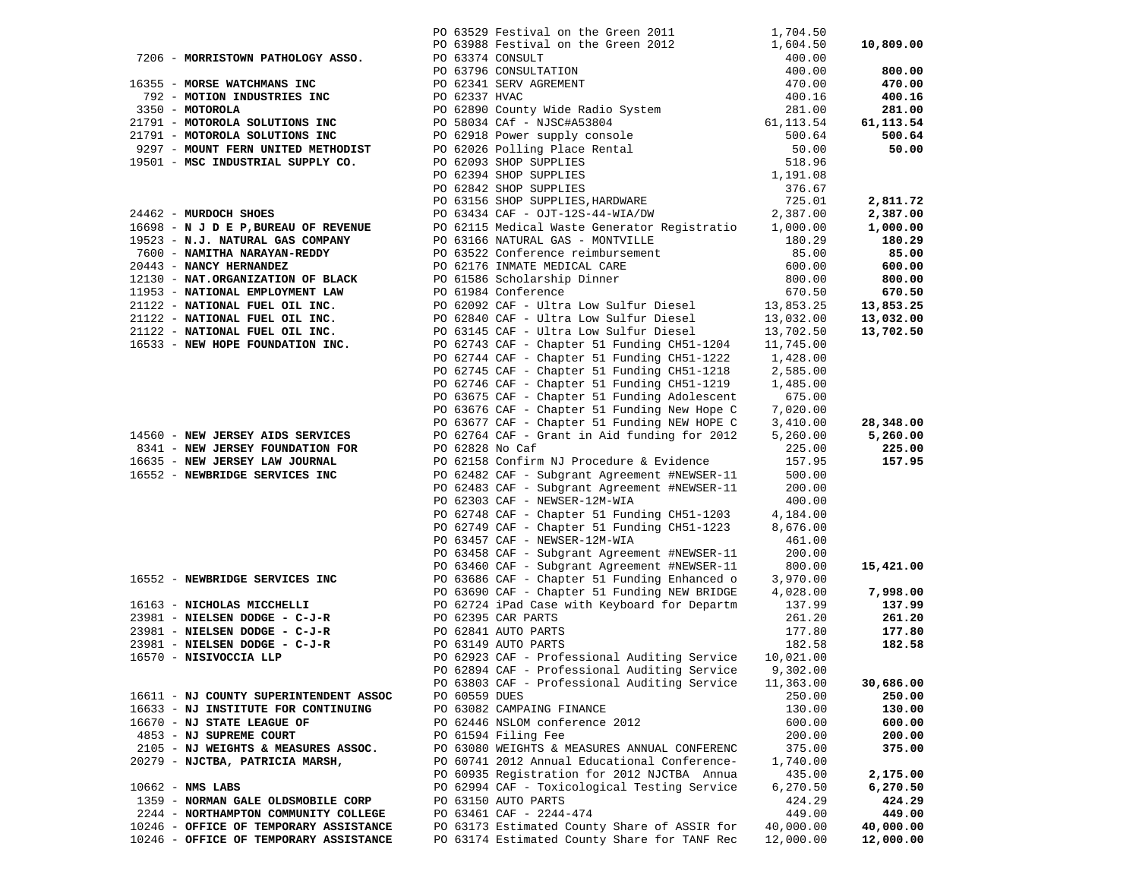|                                                                | PO 63529 Festival on the Green 2011                                                                                                                                                                                                           | 1,704.50            |                  |
|----------------------------------------------------------------|-----------------------------------------------------------------------------------------------------------------------------------------------------------------------------------------------------------------------------------------------|---------------------|------------------|
|                                                                | PO 63988 Festival on the Green 2012<br>PO 63988 Festival on the Green 2012<br>PO 63796 CONSULTATION<br>PO 62341 SERV AGREMENT<br>PO 62890 County Wide Radio System<br>DO 62890 County Wide Radio System                                       | 1,604.50            | 10,809.00        |
| 7206 - MORRISTOWN PATHOLOGY ASSO.                              |                                                                                                                                                                                                                                               | 400.00              |                  |
|                                                                |                                                                                                                                                                                                                                               | 400.00              | 800.00           |
| 16355 - MORSE WATCHMANS INC                                    |                                                                                                                                                                                                                                               | 470.00              | 470.00           |
| 792 - MOTION INDUSTRIES INC                                    |                                                                                                                                                                                                                                               | 400.16              | 400.16           |
| 3350 - MOTOROLA                                                |                                                                                                                                                                                                                                               | 281.00              | 281.00           |
| 21791 - MOTOROLA SOLUTIONS INC                                 | For the NSC Handle Manuscript of the NSC Handle of 50034 CAS CONSIDER PO 62026 Polling Place Rental<br>PO 62026 Polling Place Rental<br>PO 62026 Polling Place Rental<br>PO 62093 SHOP SUPPLIES<br>PO 6342 SHOP SUPPLIES<br>PO 63434 CAF - OJ | 61, 113.54          | 61,113.54        |
| 21791 - MOTOROLA SOLUTIONS INC                                 |                                                                                                                                                                                                                                               | 500.64              | 500.64           |
| 9297 - MOUNT FERN UNITED METHODIST                             |                                                                                                                                                                                                                                               | 50.00               | 50.00            |
| 19501 - MSC INDUSTRIAL SUPPLY CO.                              |                                                                                                                                                                                                                                               | 518.96              |                  |
|                                                                |                                                                                                                                                                                                                                               | 1,191.08            |                  |
|                                                                |                                                                                                                                                                                                                                               | 376.67<br>725.01    | 2,811.72         |
| 24462 - MURDOCH SHOES                                          |                                                                                                                                                                                                                                               | 2,387.00            | 2,387.00         |
| 16698 - N J D E P, BUREAU OF REVENUE                           | PO 62115 Medical Waste Generator Registratio                                                                                                                                                                                                  | 1,000.00            | 1,000.00         |
| 19523 - N.J. NATURAL GAS COMPANY                               | PO 63166 NATURAL GAS - MONTVILLE                                                                                                                                                                                                              | 180.29              | 180.29           |
| 7600 - NAMITHA NARAYAN-REDDY                                   | PO 63522 Conference reimbursement                                                                                                                                                                                                             | 85.00               | 85.00            |
| 20443 - NANCY HERNANDEZ                                        | PO 62176 INMATE MEDICAL CARE                                                                                                                                                                                                                  | 600.00              | 600.00           |
| 12130 - NAT.ORGANIZATION OF BLACK                              | PO 61586 Scholarship Dinner                                                                                                                                                                                                                   | 800.00              | 800.00           |
| 11953 - NATIONAL EMPLOYMENT LAW                                | PO 61984 Conference                                                                                                                                                                                                                           | 670.50              | 670.50           |
| 21122 - NATIONAL FUEL OIL INC.                                 | PO 62092 CAF - Ultra Low Sulfur Diesel                                                                                                                                                                                                        | 13,853.25           | 13,853.25        |
| 21122 - NATIONAL FUEL OIL INC.                                 | PO 62840 CAF - Ultra Low Sulfur Diesel                                                                                                                                                                                                        | 13,032.00           | 13,032.00        |
| 21122 - NATIONAL FUEL OIL INC.                                 | PO 63145 CAF - Ultra Low Sulfur Diesel                                                                                                                                                                                                        | 13,702.50           | 13,702.50        |
| 16533 - NEW HOPE FOUNDATION INC.                               | PO 62743 CAF - Chapter 51 Funding CH51-1204                                                                                                                                                                                                   | 11,745.00           |                  |
|                                                                | PO 62744 CAF - Chapter 51 Funding CH51-1222                                                                                                                                                                                                   | 1,428.00            |                  |
|                                                                | PO 62745 CAF - Chapter 51 Funding CH51-1218                                                                                                                                                                                                   | 2,585.00            |                  |
|                                                                | PO 62746 CAF - Chapter 51 Funding CH51-1219                                                                                                                                                                                                   | 1,485.00            |                  |
|                                                                | PO 63675 CAF - Chapter 51 Funding Adolescent                                                                                                                                                                                                  | 675.00              |                  |
|                                                                | PO 63676 CAF - Chapter 51 Funding New Hope C                                                                                                                                                                                                  | 7,020.00            |                  |
|                                                                | PO 63677 CAF - Chapter 51 Funding NEW HOPE C                                                                                                                                                                                                  | 3,410.00            | 28,348.00        |
| 14560 - NEW JERSEY AIDS SERVICES                               | PO 62764 CAF - Grant in Aid funding for 2012                                                                                                                                                                                                  | 5,260.00            | 5,260.00         |
| 8341 - NEW JERSEY FOUNDATION FOR                               | PO 62828 No Caf                                                                                                                                                                                                                               | 225.00              | 225.00           |
| 16635 - NEW JERSEY LAW JOURNAL                                 | PO 62158 Confirm NJ Procedure & Evidence                                                                                                                                                                                                      | 157.95              | 157.95           |
| 16552 - NEWBRIDGE SERVICES INC                                 | PO 62482 CAF - Subgrant Agreement #NEWSER-11                                                                                                                                                                                                  | 500.00              |                  |
|                                                                | PO 62483 CAF - Subgrant Agreement #NEWSER-11                                                                                                                                                                                                  | 200.00              |                  |
|                                                                | PO 62303 CAF - NEWSER-12M-WIA                                                                                                                                                                                                                 | 400.00              |                  |
|                                                                | PO 62748 CAF - Chapter 51 Funding CH51-1203                                                                                                                                                                                                   | 4,184.00            |                  |
|                                                                | PO 62749 CAF - Chapter 51 Funding CH51-1223                                                                                                                                                                                                   | 8,676.00            |                  |
|                                                                | PO 63457 CAF - NEWSER-12M-WIA                                                                                                                                                                                                                 | 461.00              |                  |
|                                                                | PO 63458 CAF - Subgrant Agreement #NEWSER-11                                                                                                                                                                                                  | 200.00              |                  |
|                                                                | PO 63460 CAF - Subgrant Agreement #NEWSER-11                                                                                                                                                                                                  | 800.00              | 15,421.00        |
| 16552 - NEWBRIDGE SERVICES INC                                 | PO 63686 CAF - Chapter 51 Funding Enhanced o                                                                                                                                                                                                  | 3,970.00            |                  |
|                                                                | PO 63690 CAF - Chapter 51 Funding NEW BRIDGE                                                                                                                                                                                                  | 4,028.00            | 7,998.00         |
| 16163 - NICHOLAS MICCHELLI                                     | PO 62724 iPad Case with Keyboard for Departm                                                                                                                                                                                                  | 137.99              | 137.99           |
| 23981 - NIELSEN DODGE - C-J-R                                  | PO 62395 CAR PARTS                                                                                                                                                                                                                            | 261.20              | 261.20           |
| 23981 - NIELSEN DODGE - C-J-R<br>23981 - NIELSEN DODGE - C-J-R | PO 62841 AUTO PARTS                                                                                                                                                                                                                           | 177.80              | 177.80<br>182.58 |
| 16570 - NISIVOCCIA LLP                                         | PO 63149 AUTO PARTS<br>PO 62923 CAF - Professional Auditing Service                                                                                                                                                                           | 182.58<br>10,021.00 |                  |
|                                                                | PO 62894 CAF - Professional Auditing Service                                                                                                                                                                                                  | 9,302.00            |                  |
|                                                                | PO 63803 CAF - Professional Auditing Service                                                                                                                                                                                                  | 11,363.00           | 30,686.00        |
| 16611 - NJ COUNTY SUPERINTENDENT ASSOC                         | PO 60559 DUES                                                                                                                                                                                                                                 | 250.00              | 250.00           |
| 16633 - NJ INSTITUTE FOR CONTINUING                            | PO 63082 CAMPAING FINANCE                                                                                                                                                                                                                     | 130.00              | 130.00           |
| 16670 - NJ STATE LEAGUE OF                                     | PO 62446 NSLOM conference 2012                                                                                                                                                                                                                | 600.00              | 600.00           |
| 4853 - NJ SUPREME COURT                                        | PO 61594 Filing Fee                                                                                                                                                                                                                           | 200.00              | 200.00           |
| 2105 - NJ WEIGHTS & MEASURES ASSOC.                            | PO 63080 WEIGHTS & MEASURES ANNUAL CONFERENC                                                                                                                                                                                                  | 375.00              | 375.00           |
| 20279 - NJCTBA, PATRICIA MARSH,                                | PO 60741 2012 Annual Educational Conference-                                                                                                                                                                                                  | 1,740.00            |                  |
|                                                                | PO 60935 Registration for 2012 NJCTBA Annua                                                                                                                                                                                                   | 435.00              | 2,175.00         |
| $10662 - NMS$ LABS                                             | PO 62994 CAF - Toxicological Testing Service                                                                                                                                                                                                  | 6,270.50            | 6,270.50         |
| 1359 - NORMAN GALE OLDSMOBILE CORP                             | PO 63150 AUTO PARTS                                                                                                                                                                                                                           | 424.29              | 424.29           |
| 2244 - NORTHAMPTON COMMUNITY COLLEGE                           | PO 63461 CAF - 2244-474                                                                                                                                                                                                                       | 449.00              | 449.00           |
| 10246 - OFFICE OF TEMPORARY ASSISTANCE                         | PO 63173 Estimated County Share of ASSIR for                                                                                                                                                                                                  | 40,000.00           | 40,000.00        |
| 10246 - OFFICE OF TEMPORARY ASSISTANCE                         | PO 63174 Estimated County Share for TANF Rec                                                                                                                                                                                                  | 12,000.00           | 12,000.00        |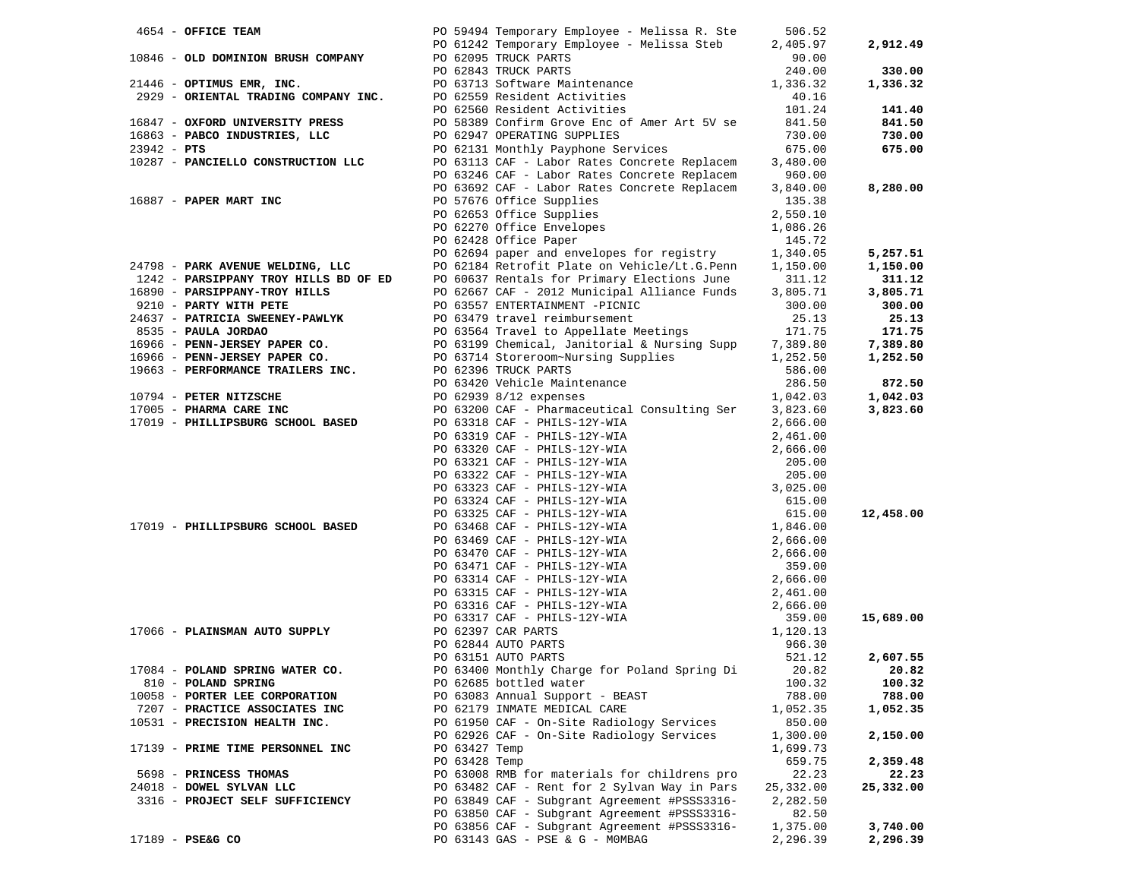| 4654 - OFFICE TEAM                                 |                                    |                                | PO 59494 Temporary Employee - Melissa R. Ste                                                                                                                                                                                                                          | 506.52                |             |
|----------------------------------------------------|------------------------------------|--------------------------------|-----------------------------------------------------------------------------------------------------------------------------------------------------------------------------------------------------------------------------------------------------------------------|-----------------------|-------------|
|                                                    |                                    |                                | PO 61242 Temporary Employee - Melissa Steb                                                                                                                                                                                                                            | 2,405.97              | 2,912.49    |
|                                                    | 10846 - OLD DOMINION BRUSH COMPANY |                                | PO 62095 TRUCK PARTS                                                                                                                                                                                                                                                  | 90.00                 |             |
|                                                    |                                    |                                | PO 62095 TRUCK PARTS<br>PO 62843 TRUCK PARTS<br>PO 63713 Software Maintenance                                                                                                                                                                                         | 240.00                | 330.00      |
|                                                    | 21446 - OPTIMUS EMR, INC.          |                                |                                                                                                                                                                                                                                                                       | 1,336.32              | 1,336.32    |
|                                                    |                                    |                                | ------<br>2929 - ORIENTAL TRADING COMPANY INC. PO 62559 Resident Activities<br>PO 62560 Resident Activities                                                                                                                                                           |                       |             |
|                                                    |                                    |                                | PO 62560 Resident Activities                                                                                                                                                                                                                                          | $40.16$<br>$101.24$   | 141.40      |
|                                                    |                                    |                                |                                                                                                                                                                                                                                                                       | 841.50                | 841.50      |
|                                                    | $16863$ - PABCO INDUSTRIES, LLC    |                                | 16847 - OXFORD UNIVERSITY PRESS PO 58389 Confirm Grove Enc of Amer Art 5V se<br>16863 - PABCO INDUSTRIES, LLC PO 62947 OPERATING SUPPLIES                                                                                                                             | 730.00                | 730.00      |
| $23942 - PTS$                                      |                                    |                                |                                                                                                                                                                                                                                                                       |                       | 675.00      |
|                                                    | 10287 - PANCIELLO CONSTRUCTION LLC |                                | PO 62131 Monthly Payphone Services 675.00<br>PO 63113 CAF - Labor Rates Concrete Replacem 3,480.00                                                                                                                                                                    |                       |             |
|                                                    |                                    |                                | PO 63246 CAF - Labor Rates Concrete Replacem                                                                                                                                                                                                                          | 960.00                |             |
|                                                    |                                    |                                | PO 63692 CAF - Labor Rates Concrete Replacem 3,840.00                                                                                                                                                                                                                 |                       | 8,280.00    |
|                                                    | 16887 - PAPER MART INC             |                                | PO 57676 Office Supplies                                                                                                                                                                                                                                              | 135.38                |             |
|                                                    |                                    |                                | PO 62653 Office Supplies<br>PO 62270 Office Envelopes<br>PO 62428 Office Paper                                                                                                                                                                                        | 2,550.10              |             |
|                                                    |                                    |                                |                                                                                                                                                                                                                                                                       | 1,086.26              |             |
|                                                    |                                    |                                |                                                                                                                                                                                                                                                                       | 145.72                |             |
|                                                    |                                    |                                | PO 62694 paper and envelopes for registry 1,340.05                                                                                                                                                                                                                    |                       | 5,257.51    |
|                                                    |                                    |                                | 24798 - PARK AVENUE WELDING, LLC PO 62184 Retrofit Plate on Vehicle/Lt.G.Penn 1,150.00                                                                                                                                                                                |                       | 1,150.00    |
|                                                    |                                    |                                | 1242 - PARSIPPANY TROY HILLS BD OF ED PO 60637 Rentals for Primary Elections June 311.12                                                                                                                                                                              |                       | 311.12      |
|                                                    |                                    |                                |                                                                                                                                                                                                                                                                       |                       | 3,805.71    |
|                                                    |                                    |                                |                                                                                                                                                                                                                                                                       |                       | 300.00      |
|                                                    |                                    |                                |                                                                                                                                                                                                                                                                       |                       | 25.13       |
|                                                    |                                    |                                |                                                                                                                                                                                                                                                                       |                       | 171.75      |
|                                                    |                                    |                                |                                                                                                                                                                                                                                                                       |                       | 7,389.80    |
|                                                    |                                    |                                |                                                                                                                                                                                                                                                                       |                       | 1,252.50    |
|                                                    |                                    |                                |                                                                                                                                                                                                                                                                       |                       |             |
|                                                    |                                    |                                |                                                                                                                                                                                                                                                                       |                       | 872.50      |
|                                                    |                                    |                                | 1243 - PARSIPPANY TROY HILLS BD OF ED<br>16890 - <b>PARSIPPANY TROY HILLS BD OF ED</b><br>16890 - <b>PARSIPPANY TROY HILLS</b><br>1696 - <b>PARTICIA SWEENEY-PAWLYK</b><br>200.00<br>24637 - <b>PATRICIA SWEENEY-PAWLYK</b><br>200.000<br>24637 - <b>PATRICIA SWE</b> |                       | 1,042.03    |
|                                                    |                                    |                                |                                                                                                                                                                                                                                                                       |                       | 3,823.60    |
|                                                    | 17019 - PHILLIPSBURG SCHOOL BASED  |                                | PO 63318 CAF - PHILS-12Y-WIA<br>PO 63319 CAF - PHILS-12Y-WIA                                                                                                                                                                                                          | 2,666.00              |             |
|                                                    |                                    |                                |                                                                                                                                                                                                                                                                       | 2,461.00              |             |
|                                                    |                                    |                                |                                                                                                                                                                                                                                                                       |                       |             |
|                                                    |                                    |                                |                                                                                                                                                                                                                                                                       |                       |             |
|                                                    |                                    |                                |                                                                                                                                                                                                                                                                       |                       |             |
|                                                    |                                    |                                |                                                                                                                                                                                                                                                                       |                       |             |
|                                                    |                                    |                                |                                                                                                                                                                                                                                                                       |                       |             |
|                                                    |                                    |                                |                                                                                                                                                                                                                                                                       |                       | 12,458.00   |
|                                                    | 17019 - PHILLIPSBURG SCHOOL BASED  |                                |                                                                                                                                                                                                                                                                       |                       |             |
|                                                    |                                    |                                |                                                                                                                                                                                                                                                                       |                       |             |
|                                                    |                                    |                                |                                                                                                                                                                                                                                                                       |                       |             |
|                                                    |                                    |                                |                                                                                                                                                                                                                                                                       |                       |             |
|                                                    |                                    |                                |                                                                                                                                                                                                                                                                       |                       |             |
|                                                    |                                    |                                |                                                                                                                                                                                                                                                                       |                       |             |
|                                                    |                                    |                                |                                                                                                                                                                                                                                                                       |                       |             |
|                                                    |                                    |                                | PO 63320 CAF - PHILS-12Y-WIA 2,461.00<br>PO 63320 CAF - PHILS-12Y-WIA 2,666.00<br>PO 63322 CAF - PHILS-12Y-WIA 205.00<br>PO 63322 CAF - PHILS-12Y-WIA 205.00<br>PO 63322 CAF - PHILS-12Y-WIA 3,025.00<br>PO 63322 CAF - PHILS-12Y-WIA 3,                              |                       | 15,689.00   |
|                                                    | 17066 - PLAINSMAN AUTO SUPPLY      |                                | PO 62397 CAR PARTS                                                                                                                                                                                                                                                    |                       |             |
|                                                    |                                    |                                |                                                                                                                                                                                                                                                                       |                       |             |
|                                                    |                                    |                                |                                                                                                                                                                                                                                                                       |                       | 2,607.55    |
|                                                    | 17084 - POLAND SPRING WATER CO.    |                                | PO 63400 Monthly Charge for Poland Spring Di                                                                                                                                                                                                                          |                       | 20.82 20.82 |
| 810 - POLAND SPRING                                |                                    |                                | PO 62685 bottled water                                                                                                                                                                                                                                                | 100.32                | 100.32      |
|                                                    | 10058 - PORTER LEE CORPORATION     |                                | PO 63083 Annual Support - BEAST                                                                                                                                                                                                                                       | 788.00                | 788.00      |
|                                                    | 7207 - PRACTICE ASSOCIATES INC     |                                | PO 62179 INMATE MEDICAL CARE                                                                                                                                                                                                                                          | 1,052.35              | 1,052.35    |
|                                                    | 10531 - PRECISION HEALTH INC.      |                                | PO 61950 CAF - On-Site Radiology Services<br>PO 62926 CAF - On-Site Radiology Services                                                                                                                                                                                | 850.00                |             |
|                                                    |                                    |                                |                                                                                                                                                                                                                                                                       | 1,300.00              | 2,150.00    |
|                                                    | 17139 - PRIME TIME PERSONNEL INC   | PO 63427 Temp<br>PO 63428 Temp |                                                                                                                                                                                                                                                                       | 1,699.73<br>659.75    | 2,359.48    |
|                                                    |                                    |                                | PO 63008 RMB for materials for childrens pro                                                                                                                                                                                                                          |                       |             |
| 5698 - PRINCESS THOMAS<br>24018 - DOWEL SYLVAN LLC |                                    |                                |                                                                                                                                                                                                                                                                       | 22.23                 | 22.23       |
|                                                    | 3316 - PROJECT SELF SUFFICIENCY    |                                | PO 63482 CAF - Rent for 2 Sylvan Way in Pars<br>PO 63849 CAF - Subgrant Agreement #PSSS3316-                                                                                                                                                                          | 25,332.00<br>2,282.50 | 25,332.00   |
|                                                    |                                    |                                | PO 63850 CAF - Subgrant Agreement #PSSS3316-                                                                                                                                                                                                                          | 82.50                 |             |
|                                                    |                                    |                                | PO 63856 CAF - Subgrant Agreement #PSSS3316-                                                                                                                                                                                                                          | 1,375.00              | 3,740.00    |
| 17189 - PSE&G CO                                   |                                    |                                | PO 63143 GAS - PSE & G - MOMBAG                                                                                                                                                                                                                                       | 2,296.39              | 2,296.39    |
|                                                    |                                    |                                |                                                                                                                                                                                                                                                                       |                       |             |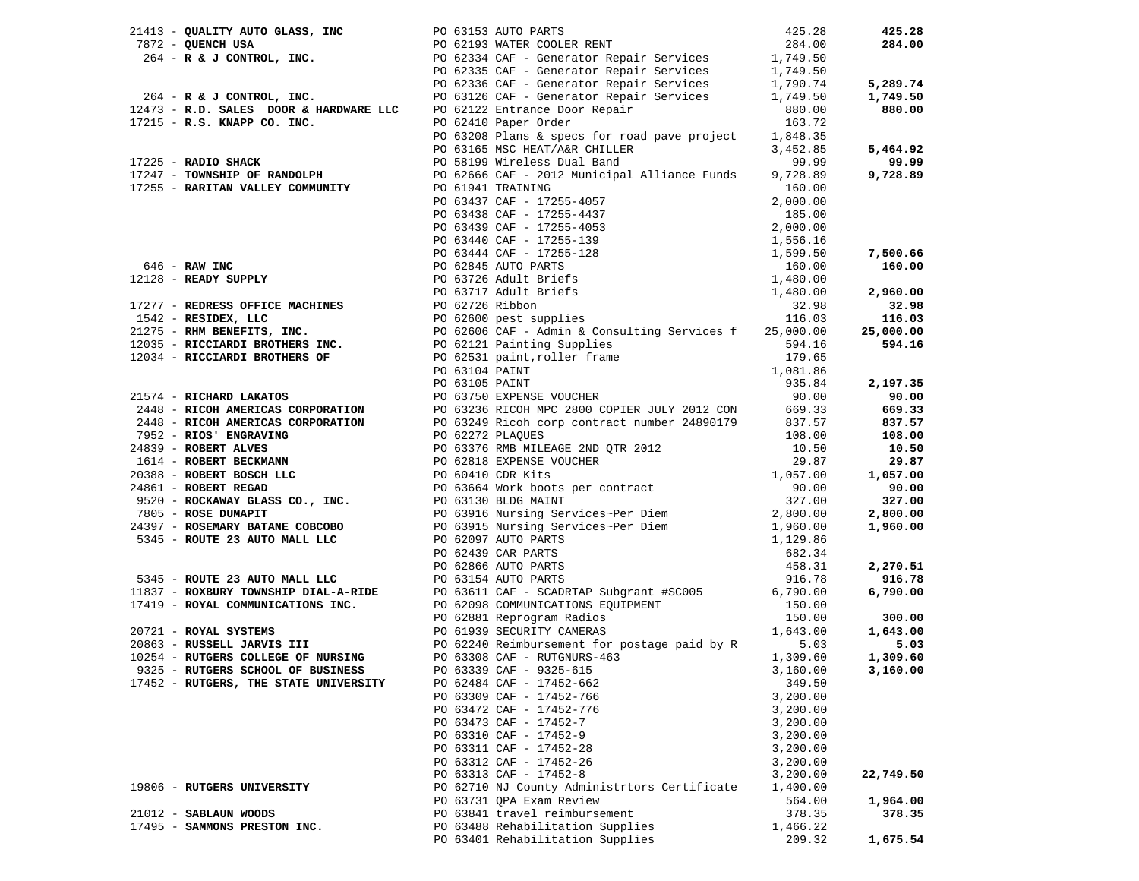| 17452 - RUTGERS, THE STATE UNIVERSITY | PO 62484 CAF - 17452-662                     | 349.50   |           |
|---------------------------------------|----------------------------------------------|----------|-----------|
|                                       | PO 63309 CAF - 17452-766                     | 3,200.00 |           |
|                                       | PO 63472 CAF - 17452-776                     | 3,200.00 |           |
|                                       | PO 63473 CAF - 17452-7                       | 3,200.00 |           |
|                                       | PO 63310 CAF - 17452-9                       | 3,200.00 |           |
|                                       | PO 63311 CAF - 17452-28                      | 3,200.00 |           |
|                                       | PO 63312 CAF - 17452-26                      | 3,200.00 |           |
|                                       | PO 63313 CAF - 17452-8                       | 3,200.00 | 22,749.50 |
| 19806 - RUTGERS UNIVERSITY            | PO 62710 NJ County Administrtors Certificate | 1,400.00 |           |
|                                       | PO 63731 QPA Exam Review                     | 564.00   | 1,964.00  |
| 21012 - SABLAUN WOODS                 | PO 63841 travel reimbursement                | 378.35   | 378.35    |
| 17495 - SAMMONS PRESTON INC.          | PO 63488 Rehabilitation Supplies             | 1,466.22 |           |
|                                       | PO 63401 Rehabilitation Supplies             | 209.32   | 1,675.54  |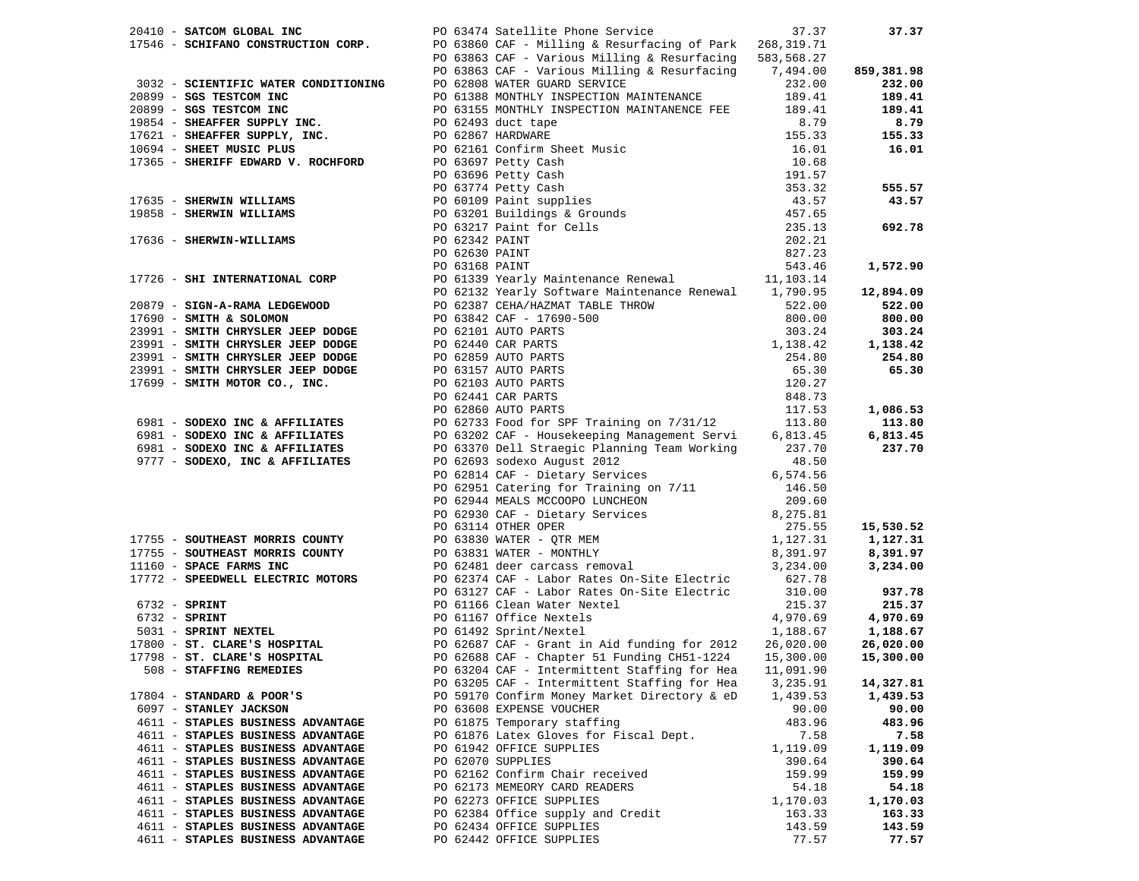| 20410 - SATCOM GLOBAL INC                                         | PO 63474 Satellite Phone Service                                                                                                                                                                                                                                                 | 37.37    | 37.37      |
|-------------------------------------------------------------------|----------------------------------------------------------------------------------------------------------------------------------------------------------------------------------------------------------------------------------------------------------------------------------|----------|------------|
|                                                                   | 17546 - SCHIFANO CONSTRUCTION CORP.<br>PO 63860 CAF - Milling & Resurfacing of Park 268,319.71                                                                                                                                                                                   |          |            |
|                                                                   | PO 63863 CAF - Various Milling & Resurfacing 583,568.27                                                                                                                                                                                                                          |          |            |
|                                                                   | PO 63863 CAF - Various Milling & Resurfacing 7,494.00                                                                                                                                                                                                                            |          | 859,381.98 |
| 3032 - SCIENTIFIC WATER CONDITIONING PO 62808 WATER GUARD SERVICE |                                                                                                                                                                                                                                                                                  | 232.00   | 232.00     |
|                                                                   |                                                                                                                                                                                                                                                                                  |          |            |
|                                                                   |                                                                                                                                                                                                                                                                                  |          |            |
|                                                                   |                                                                                                                                                                                                                                                                                  |          |            |
|                                                                   |                                                                                                                                                                                                                                                                                  |          |            |
|                                                                   |                                                                                                                                                                                                                                                                                  |          |            |
|                                                                   |                                                                                                                                                                                                                                                                                  |          |            |
|                                                                   |                                                                                                                                                                                                                                                                                  |          |            |
|                                                                   |                                                                                                                                                                                                                                                                                  |          |            |
|                                                                   |                                                                                                                                                                                                                                                                                  |          |            |
|                                                                   |                                                                                                                                                                                                                                                                                  |          |            |
|                                                                   |                                                                                                                                                                                                                                                                                  |          |            |
|                                                                   |                                                                                                                                                                                                                                                                                  |          |            |
|                                                                   |                                                                                                                                                                                                                                                                                  |          |            |
|                                                                   |                                                                                                                                                                                                                                                                                  |          |            |
|                                                                   |                                                                                                                                                                                                                                                                                  |          |            |
|                                                                   |                                                                                                                                                                                                                                                                                  |          |            |
|                                                                   |                                                                                                                                                                                                                                                                                  |          |            |
|                                                                   |                                                                                                                                                                                                                                                                                  |          |            |
|                                                                   |                                                                                                                                                                                                                                                                                  |          |            |
|                                                                   |                                                                                                                                                                                                                                                                                  |          |            |
|                                                                   |                                                                                                                                                                                                                                                                                  |          |            |
|                                                                   |                                                                                                                                                                                                                                                                                  |          |            |
|                                                                   |                                                                                                                                                                                                                                                                                  |          |            |
|                                                                   |                                                                                                                                                                                                                                                                                  |          |            |
|                                                                   |                                                                                                                                                                                                                                                                                  |          |            |
|                                                                   |                                                                                                                                                                                                                                                                                  |          |            |
|                                                                   |                                                                                                                                                                                                                                                                                  |          |            |
|                                                                   |                                                                                                                                                                                                                                                                                  |          |            |
|                                                                   |                                                                                                                                                                                                                                                                                  |          |            |
| 9777 - SODEXO, INC & AFFILIATES                                   | PO 62693 sodexo August 2012                                                                                                                                                                                                                                                      | 48.50    |            |
|                                                                   | 3032 - SCIENTIFIC WATER CONDITIONING PO 5863 CAP - Various Milling & MeetuTaching 7,494.00<br>20299 - <b>SOS TESPICON INC</b> - PO 5863 MONTELY IMPRICTION MAINTANEMENT 129, 413, 400<br>20299 - <b>SOS TESPICON INC</b> - PO 51383 MONTELY I<br>PO 62814 CAF - Dietary Services | 6,574.56 |            |
|                                                                   |                                                                                                                                                                                                                                                                                  |          |            |
|                                                                   |                                                                                                                                                                                                                                                                                  |          |            |
|                                                                   |                                                                                                                                                                                                                                                                                  |          |            |
|                                                                   |                                                                                                                                                                                                                                                                                  |          | 15,530.52  |
|                                                                   | VORGIN CONTRET MORRIS COUNTY PO 62951 Catering for Training on 7/11 146.50<br>PO 62951 Catering for Training on 7/11 146.50<br>PO 62930 CAF - Dietary Services 8,275.81<br>PO 63330 WATER - QTR MEM 2755 - SOUTHEAST MORRIS COUNTY P                                             |          | 1,127.31   |
|                                                                   |                                                                                                                                                                                                                                                                                  |          | 8,391.97   |
|                                                                   |                                                                                                                                                                                                                                                                                  |          | 3,234.00   |
|                                                                   | 17772 - SPEEDWELL ELECTRIC MOTORS<br>17772 - SPEEDWELL ELECTRIC MOTORS<br>PO 63127 CAF - Labor Rates On-Site Electric 310.00                                                                                                                                                     |          |            |
|                                                                   |                                                                                                                                                                                                                                                                                  |          | 937.78     |
|                                                                   | 6732 - SPRINT<br>6732 - SPRINT<br>6732 - SPRINT<br>6732 - SPRINT<br>6732 - SPRINT<br>6732 - SPRINT<br>6732 - SPRINT<br>6732 - SPRINT<br>6732 - SPRINT<br>6732 - SPRINT<br>6732 - SPRINT<br>6732 - SPRINT<br>6732 - SPRINT<br>6732 - SPRINT<br>6732 - SPRIN                       |          | 215.37     |
|                                                                   |                                                                                                                                                                                                                                                                                  |          | 4,970.69   |
|                                                                   |                                                                                                                                                                                                                                                                                  |          | 1,188.67   |
|                                                                   |                                                                                                                                                                                                                                                                                  |          | 26,020.00  |
|                                                                   |                                                                                                                                                                                                                                                                                  |          | 15,300.00  |
|                                                                   |                                                                                                                                                                                                                                                                                  |          |            |
|                                                                   | PO 63204 CAF - Intermittent Staffing for Hea 11,091.90                                                                                                                                                                                                                           |          |            |
|                                                                   | PO 63205 CAF - Intermittent Staffing for Hea<br>PO 59170 Confirm Money Market Directory & eD                                                                                                                                                                                     | 3,235.91 | 14,327.81  |
| $17804$ - STANDARD & POOR'S                                       | PO 63608 EXPENSE VOUCHER                                                                                                                                                                                                                                                         | 1,439.53 | 1,439.53   |
| 6097 - STANLEY JACKSON                                            |                                                                                                                                                                                                                                                                                  | 90.00    | 90.00      |
| 4611 - STAPLES BUSINESS ADVANTAGE                                 | PO 61875 Temporary staffing                                                                                                                                                                                                                                                      | 483.96   | 483.96     |
| 4611 - STAPLES BUSINESS ADVANTAGE                                 | PO 61876 Latex Gloves for Fiscal Dept.                                                                                                                                                                                                                                           | 7.58     | 7.58       |
| 4611 - STAPLES BUSINESS ADVANTAGE                                 | PO 61942 OFFICE SUPPLIES                                                                                                                                                                                                                                                         | 1,119.09 | 1,119.09   |
| 4611 - STAPLES BUSINESS ADVANTAGE                                 | PO 62070 SUPPLIES                                                                                                                                                                                                                                                                | 390.64   | 390.64     |
| 4611 - STAPLES BUSINESS ADVANTAGE                                 | PO 62162 Confirm Chair received                                                                                                                                                                                                                                                  | 159.99   | 159.99     |
| 4611 - STAPLES BUSINESS ADVANTAGE                                 | PO 62173 MEMEORY CARD READERS                                                                                                                                                                                                                                                    | 54.18    | 54.18      |
| 4611 - STAPLES BUSINESS ADVANTAGE                                 | PO 62273 OFFICE SUPPLIES                                                                                                                                                                                                                                                         | 1,170.03 | 1,170.03   |
| 4611 - STAPLES BUSINESS ADVANTAGE                                 | PO 62384 Office supply and Credit                                                                                                                                                                                                                                                | 163.33   | 163.33     |
| 4611 - STAPLES BUSINESS ADVANTAGE                                 | PO 62434 OFFICE SUPPLIES                                                                                                                                                                                                                                                         | 143.59   | 143.59     |
| 4611 - STAPLES BUSINESS ADVANTAGE                                 | PO 62442 OFFICE SUPPLIES                                                                                                                                                                                                                                                         | 77.57    | 77.57      |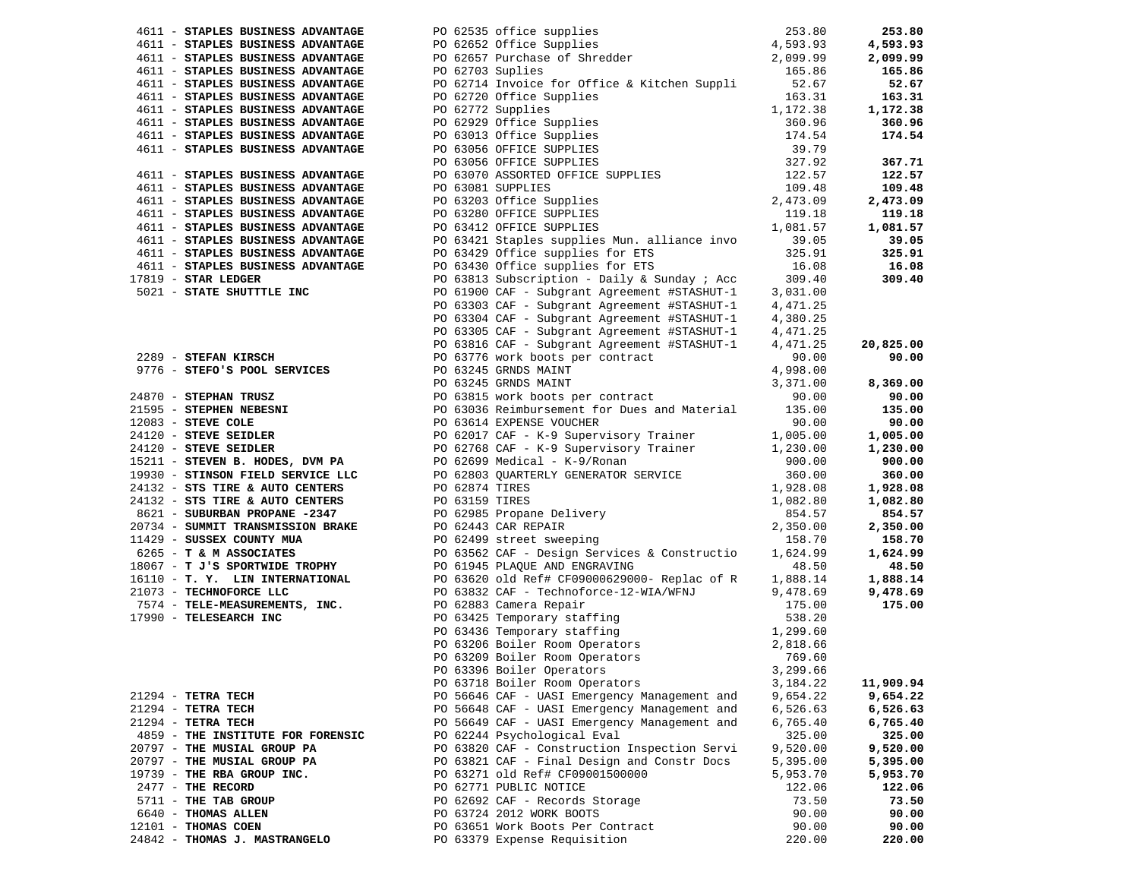|                                                                                     |                                      |                                                                                                                                                                                                                                              |                     | 253.80    |
|-------------------------------------------------------------------------------------|--------------------------------------|----------------------------------------------------------------------------------------------------------------------------------------------------------------------------------------------------------------------------------------------|---------------------|-----------|
|                                                                                     |                                      |                                                                                                                                                                                                                                              |                     | 4,593.93  |
|                                                                                     |                                      |                                                                                                                                                                                                                                              |                     | 2,099.99  |
| 4611 - STAPLES BUSINESS ADVANTAGE                                                   |                                      | 4611 - STAPLES BUSINESS ADVANTAGE PO 62535 office supplies and the control of the control of the control of the control of the control of the control of the control of the control of the control of the control of the contr               | 165.86              | 165.86    |
| 4611 - STAPLES BUSINESS ADVANTAGE                                                   | PO 62703 Suplies<br>PO 62714 Invoice | PO 62714 Invoice for Office & Kitchen Suppli 52.67                                                                                                                                                                                           |                     | 52.67     |
| 4611 - STAPLES BUSINESS ADVANTAGE                                                   |                                      |                                                                                                                                                                                                                                              |                     | 163.31    |
| 4611 - STAPLES BUSINESS ADVANTAGE                                                   |                                      | PO 62714 Invoice for Office & Kitchen Suppli<br>PO 62720 Office Supplies<br>PO 62720 Office Supplies<br>PO 62729 Office Supplies<br>PO 63013 Office Supplies<br>PO 63013 Office Supplies<br>PO 63056 OFFICE SUPPLIES<br>PO 63056 OFFICE SUPP |                     | 1,172.38  |
| 4611 - STAPLES BUSINESS ADVANTAGE                                                   |                                      |                                                                                                                                                                                                                                              |                     | 360.96    |
|                                                                                     |                                      |                                                                                                                                                                                                                                              |                     |           |
| 4611 - STAPLES BUSINESS ADVANTAGE                                                   |                                      |                                                                                                                                                                                                                                              |                     | 174.54    |
| 4611 - STAPLES BUSINESS ADVANTAGE                                                   |                                      |                                                                                                                                                                                                                                              |                     |           |
|                                                                                     |                                      |                                                                                                                                                                                                                                              |                     | 367.71    |
| 4611 - STAPLES BUSINESS ADVANTAGE                                                   |                                      |                                                                                                                                                                                                                                              |                     | 122.57    |
| 4611 - STAPLES BUSINESS ADVANTAGE                                                   |                                      |                                                                                                                                                                                                                                              |                     | 109.48    |
| 4611 - STAPLES BUSINESS ADVANTAGE                                                   |                                      |                                                                                                                                                                                                                                              |                     | 2,473.09  |
| 4611 - STAPLES BUSINESS ADVANTAGE                                                   |                                      |                                                                                                                                                                                                                                              |                     | 119.18    |
| 4611 - STAPLES BUSINESS ADVANTAGE                                                   |                                      |                                                                                                                                                                                                                                              |                     | 1,081.57  |
| 4611 - STAPLES BUSINESS ADVANTAGE                                                   |                                      |                                                                                                                                                                                                                                              |                     | 39.05     |
| 4611 - STAPLES BUSINESS ADVANTAGE                                                   |                                      | PO 63429 Office supplies for ETS                                                                                                                                                                                                             | $325.91$<br>$16.08$ | 325.91    |
| 4611 - STAPLES BUSINESS ADVANTAGE                                                   |                                      | PO 63430 Office supplies for ETS                                                                                                                                                                                                             |                     | 16.08     |
| $17819$ - STAR LEDGER                                                               |                                      |                                                                                                                                                                                                                                              |                     | 309.40    |
| 5021 - STATE SHUTTTLE INC                                                           |                                      | PO 63813 Subscription - Daily & Sunday ; Acc 309.40<br>PO 61900 CAF - Subgrant Agreement #STASHUT-1 3,031.00                                                                                                                                 |                     |           |
|                                                                                     |                                      | PO 63303 CAF - Subgrant Agreement #STASHUT-1                                                                                                                                                                                                 | 4,471.25            |           |
|                                                                                     |                                      | PO 63304 CAF - Subgrant Agreement #STASHUT-1                                                                                                                                                                                                 | 4,380.25            |           |
|                                                                                     |                                      |                                                                                                                                                                                                                                              |                     |           |
|                                                                                     |                                      |                                                                                                                                                                                                                                              |                     |           |
|                                                                                     |                                      |                                                                                                                                                                                                                                              |                     | 20,825.00 |
|                                                                                     |                                      |                                                                                                                                                                                                                                              |                     | 90.00     |
|                                                                                     |                                      |                                                                                                                                                                                                                                              |                     |           |
|                                                                                     |                                      |                                                                                                                                                                                                                                              |                     | 8,369.00  |
|                                                                                     |                                      |                                                                                                                                                                                                                                              |                     | 90.00     |
|                                                                                     |                                      |                                                                                                                                                                                                                                              |                     | 135.00    |
|                                                                                     |                                      |                                                                                                                                                                                                                                              |                     | 90.00     |
|                                                                                     |                                      |                                                                                                                                                                                                                                              |                     | 1,005.00  |
|                                                                                     |                                      |                                                                                                                                                                                                                                              |                     | 1,230.00  |
|                                                                                     |                                      |                                                                                                                                                                                                                                              |                     | 900.00    |
|                                                                                     |                                      |                                                                                                                                                                                                                                              |                     | 360.00    |
|                                                                                     |                                      |                                                                                                                                                                                                                                              |                     | 1,928.08  |
|                                                                                     |                                      |                                                                                                                                                                                                                                              |                     | 1,082.80  |
|                                                                                     |                                      |                                                                                                                                                                                                                                              |                     | 854.57    |
|                                                                                     |                                      |                                                                                                                                                                                                                                              |                     | 2,350.00  |
|                                                                                     |                                      |                                                                                                                                                                                                                                              |                     | 158.70    |
|                                                                                     |                                      |                                                                                                                                                                                                                                              |                     | 1,624.99  |
| 6265 - T & M ASSOCIATES<br>18067 - T J'S SPORTWIDE TROPHY                           |                                      | PO 61945 PLAQUE AND ENGRAVING                                                                                                                                                                                                                | 48.50               | 48.50     |
|                                                                                     |                                      |                                                                                                                                                                                                                                              |                     |           |
|                                                                                     |                                      | 16110 - T. Y. LIN INTERNATIONAL 67620 old Ref# CF09000629000- Replac of R 1,888.14<br>21073 - TECHNOFORCE LLC 63832 CAF - Technoforce-12-WIA/WFNJ 9,478.69                                                                                   |                     | 1,888.14  |
|                                                                                     |                                      |                                                                                                                                                                                                                                              |                     | 9,478.69  |
| 7574 - TELE-MEASUREMENTS, INC.<br>17990 - TELESEARCH INC<br>PO 63425 Temporary stal |                                      | PO 62883 Camera Repair<br>PO 62883 Camera Repair<br>PO 63425 Temporary staffing<br>PO 63425 Temporary staffing<br>PO 63206 Boiler Room Operators<br>PO 63209 Boiler Room Operators<br>PO 63396 Boiler Operators<br>PO 63396 Boiler Operators |                     | 175.00    |
|                                                                                     |                                      |                                                                                                                                                                                                                                              |                     |           |
|                                                                                     |                                      |                                                                                                                                                                                                                                              |                     |           |
|                                                                                     |                                      |                                                                                                                                                                                                                                              |                     |           |
|                                                                                     |                                      |                                                                                                                                                                                                                                              |                     |           |
|                                                                                     |                                      |                                                                                                                                                                                                                                              |                     |           |
|                                                                                     |                                      | PO 63718 Boiler Room Operators                                                                                                                                                                                                               | 3,184.22            | 11,909.94 |
| $21294$ - TETRA TECH                                                                |                                      | PO 56646 CAF - UASI Emergency Management and                                                                                                                                                                                                 | 9,654.22            | 9,654.22  |
| $21294$ - TETRA TECH                                                                |                                      | PO 56648 CAF - UASI Emergency Management and                                                                                                                                                                                                 | 6,526.63            | 6,526.63  |
| $21294$ - TETRA TECH                                                                |                                      | PO 56649 CAF - UASI Emergency Management and                                                                                                                                                                                                 | 6,765.40            | 6,765.40  |
| 4859 - THE INSTITUTE FOR FORENSIC                                                   |                                      | PO 62244 Psychological Eval                                                                                                                                                                                                                  | 325.00              | 325.00    |
| 20797 - THE MUSIAL GROUP PA                                                         |                                      | PO 63820 CAF - Construction Inspection Servi                                                                                                                                                                                                 | 9,520.00            | 9,520.00  |
| 20797 - THE MUSIAL GROUP PA                                                         |                                      | PO 63821 CAF - Final Design and Constr Docs                                                                                                                                                                                                  | 5,395.00            | 5,395.00  |
| 19739 - THE RBA GROUP INC.                                                          |                                      | PO 63271 old Ref# CF09001500000                                                                                                                                                                                                              | 5,953.70            | 5,953.70  |
| $2477$ - THE RECORD                                                                 |                                      | PO 62771 PUBLIC NOTICE                                                                                                                                                                                                                       | 122.06              | 122.06    |
| 5711 - THE TAB GROUP                                                                |                                      | PO 62692 CAF - Records Storage                                                                                                                                                                                                               | 73.50               | 73.50     |
| 6640 - THOMAS ALLEN                                                                 |                                      | PO 63724 2012 WORK BOOTS                                                                                                                                                                                                                     | 90.00               | 90.00     |
|                                                                                     |                                      | PO 63651 Work Boots Per Contract                                                                                                                                                                                                             |                     |           |
| $12101$ - THOMAS COEN                                                               |                                      |                                                                                                                                                                                                                                              | 90.00               | 90.00     |
| 24842 - THOMAS J. MASTRANGELO                                                       |                                      | PO 63379 Expense Requisition                                                                                                                                                                                                                 | 220.00              | 220.00    |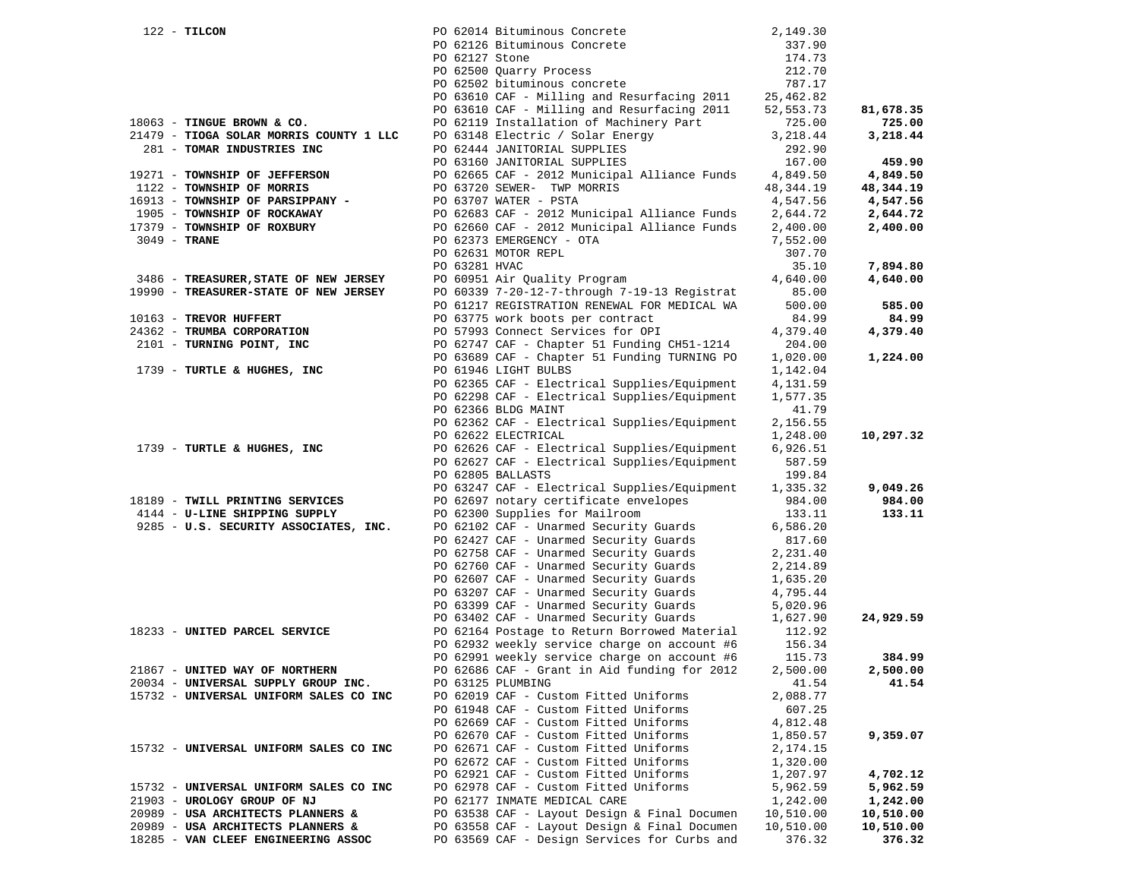| $122$ - TILCON                          |                | PO 62014 Bituminous Concrete                                                   | 2,149.30             |                      |
|-----------------------------------------|----------------|--------------------------------------------------------------------------------|----------------------|----------------------|
|                                         |                | PO 62126 Bituminous Concrete                                                   | 337.90               |                      |
|                                         | PO 62127 Stone |                                                                                | 174.73               |                      |
|                                         |                | PO 62500 Quarry Process                                                        | 212.70               |                      |
|                                         |                | PO 62502 bituminous concrete                                                   | 787.17               |                      |
|                                         |                | PO 63610 CAF - Milling and Resurfacing 2011                                    | 25,462.82            |                      |
|                                         |                | PO 63610 CAF - Milling and Resurfacing 2011                                    | 52, 553. 73          | 81,678.35            |
| 18063 - TINGUE BROWN & CO.              |                | PO 62119 Installation of Machinery Part                                        | 725.00               | 725.00               |
| 21479 - TIOGA SOLAR MORRIS COUNTY 1 LLC |                | PO 63148 Electric / Solar Energy                                               | 3,218.44             | 3,218.44             |
| 281 - TOMAR INDUSTRIES INC              |                | PO 62444 JANITORIAL SUPPLIES                                                   | 292.90               |                      |
|                                         |                | PO 63160 JANITORIAL SUPPLIES                                                   | 167.00               | 459.90               |
| 19271 - TOWNSHIP OF JEFFERSON           |                | PO 62665 CAF - 2012 Municipal Alliance Funds                                   | 4,849.50             | 4,849.50             |
| 1122 - TOWNSHIP OF MORRIS               |                | PO 63720 SEWER- TWP MORRIS                                                     | 48,344.19            | 48,344.19            |
| 16913 - TOWNSHIP OF PARSIPPANY -        |                | PO 63707 WATER - PSTA                                                          | 4,547.56             | 4,547.56             |
| 1905 - TOWNSHIP OF ROCKAWAY             |                | PO 62683 CAF - 2012 Municipal Alliance Funds                                   | 2,644.72             | 2,644.72             |
| 17379 - TOWNSHIP OF ROXBURY             |                | PO 62660 CAF - 2012 Municipal Alliance Funds                                   | 2,400.00             | 2,400.00             |
| $3049$ - TRANE                          |                | PO 62373 EMERGENCY - OTA                                                       | 7,552.00             |                      |
|                                         |                | PO 62631 MOTOR REPL                                                            | 307.70               |                      |
|                                         | PO 63281 HVAC  |                                                                                | 35.10                | 7,894.80             |
| 3486 - TREASURER, STATE OF NEW JERSEY   |                | PO 60951 Air Quality Program                                                   | 4,640.00             | 4,640.00             |
| 19990 - TREASURER-STATE OF NEW JERSEY   |                | PO 60339 7-20-12-7-through 7-19-13 Registrat                                   | 85.00                |                      |
|                                         |                | PO 61217 REGISTRATION RENEWAL FOR MEDICAL WA                                   | 500.00               | 585.00               |
| 10163 - TREVOR HUFFERT                  |                | PO 63775 work boots per contract                                               | 84.99                | 84.99                |
| 24362 - TRUMBA CORPORATION              |                | PO 57993 Connect Services for OPI                                              | 4,379.40             | 4,379.40             |
| 2101 - TURNING POINT, INC               |                | PO 62747 CAF - Chapter 51 Funding CH51-1214                                    | 204.00               |                      |
|                                         |                | PO 63689 CAF - Chapter 51 Funding TURNING PO                                   | 1,020.00             | 1,224.00             |
| 1739 - TURTLE & HUGHES, INC             |                | PO 61946 LIGHT BULBS<br>PO 62365 CAF - Electrical Supplies/Equipment           | 1,142.04             |                      |
|                                         |                |                                                                                | 4,131.59             |                      |
|                                         |                | PO 62298 CAF - Electrical Supplies/Equipment<br>PO 62366 BLDG MAINT            | 1,577.35<br>41.79    |                      |
|                                         |                | PO 62362 CAF - Electrical Supplies/Equipment                                   | 2,156.55             |                      |
|                                         |                | PO 62622 ELECTRICAL                                                            | 1,248.00             | 10,297.32            |
| 1739 - TURTLE & HUGHES, INC             |                | PO 62626 CAF - Electrical Supplies/Equipment                                   | 6,926.51             |                      |
|                                         |                | PO 62627 CAF - Electrical Supplies/Equipment                                   | 587.59               |                      |
|                                         |                | PO 62805 BALLASTS                                                              | 199.84               |                      |
|                                         |                | PO 63247 CAF - Electrical Supplies/Equipment                                   | 1,335.32             | 9,049.26             |
| 18189 - TWILL PRINTING SERVICES         |                | PO 62697 notary certificate envelopes                                          | 984.00               | 984.00               |
| 4144 - U-LINE SHIPPING SUPPLY           |                | PO 62300 Supplies for Mailroom                                                 | 133.11               | 133.11               |
| 9285 - U.S. SECURITY ASSOCIATES, INC.   |                | PO 62102 CAF - Unarmed Security Guards                                         | 6,586.20             |                      |
|                                         |                | PO 62427 CAF - Unarmed Security Guards                                         | 817.60               |                      |
|                                         |                | PO 62758 CAF - Unarmed Security Guards                                         | 2,231.40             |                      |
|                                         |                | PO 62760 CAF - Unarmed Security Guards                                         | 2,214.89             |                      |
|                                         |                | PO 62607 CAF - Unarmed Security Guards                                         | 1,635.20             |                      |
|                                         |                | PO 63207 CAF - Unarmed Security Guards                                         | 4,795.44             |                      |
|                                         |                | PO 63399 CAF - Unarmed Security Guards                                         | 5,020.96             |                      |
|                                         |                | PO 63402 CAF - Unarmed Security Guards                                         | 1,627.90             | 24,929.59            |
| 18233 - UNITED PARCEL SERVICE           |                | PO 62164 Postage to Return Borrowed Material                                   | 112.92               |                      |
|                                         |                | PO 62932 weekly service charge on account #6                                   | 156.34               |                      |
|                                         |                | PO 62991 weekly service charge on account #6                                   | 115.73               | 384.99               |
| 21867 - UNITED WAY OF NORTHERN          |                | PO 62686 CAF - Grant in Aid funding for 2012                                   | 2,500.00             | 2,500.00             |
| 20034 - UNIVERSAL SUPPLY GROUP INC.     |                | PO 63125 PLUMBING                                                              | 41.54                | 41.54                |
| 15732 - UNIVERSAL UNIFORM SALES CO INC  |                | PO 62019 CAF - Custom Fitted Uniforms                                          | 2,088.77             |                      |
|                                         |                | PO 61948 CAF - Custom Fitted Uniforms                                          | 607.25               |                      |
|                                         |                | PO 62669 CAF - Custom Fitted Uniforms                                          | 4,812.48             |                      |
|                                         |                | PO 62670 CAF - Custom Fitted Uniforms                                          | 1,850.57             | 9,359.07             |
| 15732 - UNIVERSAL UNIFORM SALES CO INC  |                | PO 62671 CAF - Custom Fitted Uniforms<br>PO 62672 CAF - Custom Fitted Uniforms | 2,174.15             |                      |
|                                         |                | PO 62921 CAF - Custom Fitted Uniforms                                          | 1,320.00             |                      |
| 15732 - UNIVERSAL UNIFORM SALES CO INC  |                | PO 62978 CAF - Custom Fitted Uniforms                                          | 1,207.97             | 4,702.12<br>5,962.59 |
| 21903 - UROLOGY GROUP OF NJ             |                | PO 62177 INMATE MEDICAL CARE                                                   | 5,962.59<br>1,242.00 | 1,242.00             |
| 20989 - USA ARCHITECTS PLANNERS &       |                | PO 63538 CAF - Layout Design & Final Documen                                   | 10,510.00            | 10,510.00            |
| 20989 - USA ARCHITECTS PLANNERS &       |                | PO 63558 CAF - Layout Design & Final Documen                                   | 10,510.00            | 10,510.00            |
| 18285 - VAN CLEEF ENGINEERING ASSOC     |                | PO 63569 CAF - Design Services for Curbs and                                   | 376.32               | 376.32               |
|                                         |                |                                                                                |                      |                      |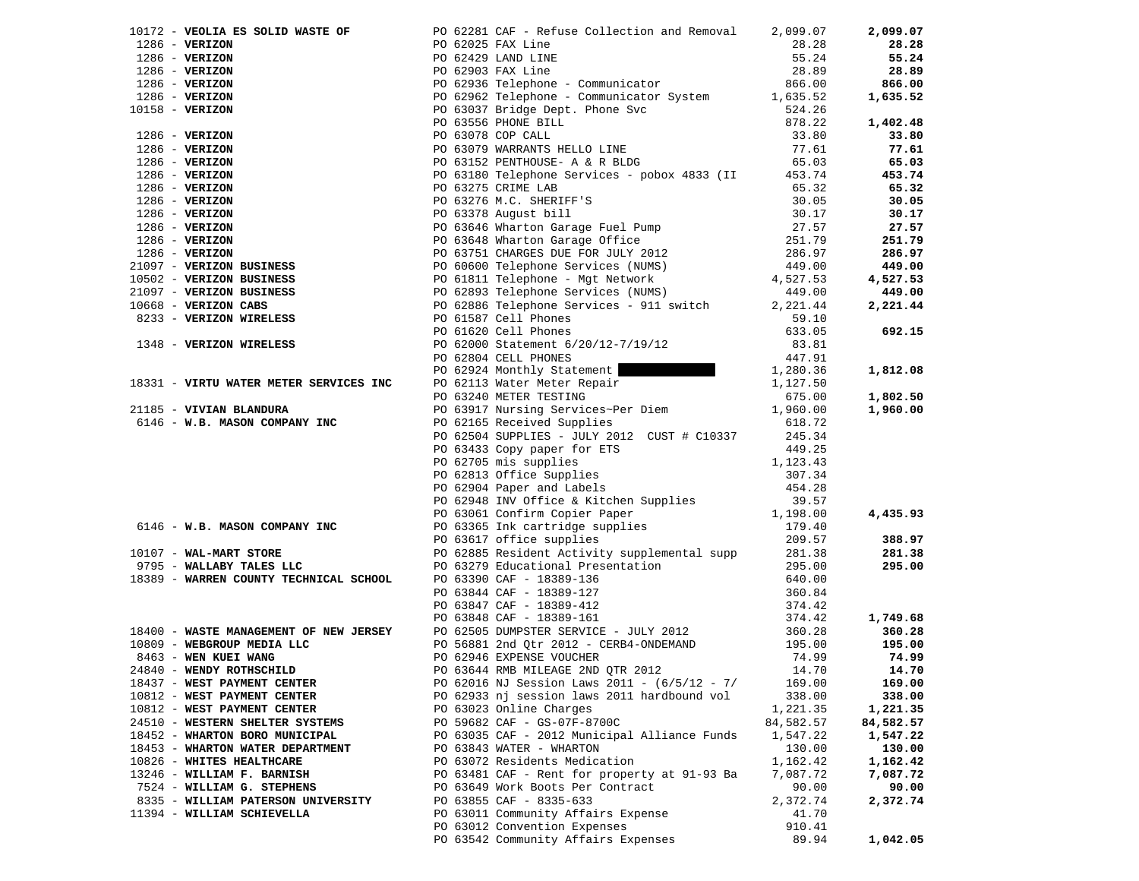|                                    | 10172 - VEOLIA ES SOLID WASTE OF PO 62281 CAF - Refuse Collection and Removal 2,099.07                                                                                                                                                                                                       |           | 2,099.07  |
|------------------------------------|----------------------------------------------------------------------------------------------------------------------------------------------------------------------------------------------------------------------------------------------------------------------------------------------|-----------|-----------|
|                                    |                                                                                                                                                                                                                                                                                              |           | 28.28     |
|                                    |                                                                                                                                                                                                                                                                                              |           | 55.24     |
|                                    |                                                                                                                                                                                                                                                                                              |           | 28.89     |
|                                    |                                                                                                                                                                                                                                                                                              |           | 866.00    |
|                                    |                                                                                                                                                                                                                                                                                              |           | 1,635.52  |
|                                    |                                                                                                                                                                                                                                                                                              |           |           |
|                                    |                                                                                                                                                                                                                                                                                              |           | 1,402.48  |
|                                    |                                                                                                                                                                                                                                                                                              |           | 33.80     |
|                                    |                                                                                                                                                                                                                                                                                              |           | 77.61     |
|                                    |                                                                                                                                                                                                                                                                                              |           | 65.03     |
|                                    |                                                                                                                                                                                                                                                                                              |           | 453.74    |
|                                    |                                                                                                                                                                                                                                                                                              |           | 65.32     |
|                                    |                                                                                                                                                                                                                                                                                              |           | 30.05     |
|                                    |                                                                                                                                                                                                                                                                                              |           | 30.17     |
|                                    |                                                                                                                                                                                                                                                                                              |           | 27.57     |
|                                    |                                                                                                                                                                                                                                                                                              |           | 251.79    |
|                                    |                                                                                                                                                                                                                                                                                              |           |           |
|                                    |                                                                                                                                                                                                                                                                                              |           | 286.97    |
|                                    |                                                                                                                                                                                                                                                                                              |           | 449.00    |
|                                    |                                                                                                                                                                                                                                                                                              |           | 4,527.53  |
|                                    |                                                                                                                                                                                                                                                                                              |           | 449.00    |
|                                    |                                                                                                                                                                                                                                                                                              |           | 2,221.44  |
|                                    |                                                                                                                                                                                                                                                                                              |           |           |
|                                    |                                                                                                                                                                                                                                                                                              |           | 692.15    |
|                                    | 1971 - VENIXON ES SOLID WARTE OF POSSIS PAY LIGE COLLECTION and Removal 2,093,07<br>1986 - VENIXON POSSIS PAY LIGE CONDUITS 2013<br>1986 - VENIXON POSSIS PAY LIGE COMMUNICATION<br>1986 - VENIXON POSSIS PARTICUSE COMMUNICATION<br>                                                        |           |           |
|                                    |                                                                                                                                                                                                                                                                                              |           |           |
|                                    | PO 62924 Monthly Statement 1, 280.36                                                                                                                                                                                                                                                         |           | 1,812.08  |
|                                    |                                                                                                                                                                                                                                                                                              |           |           |
|                                    |                                                                                                                                                                                                                                                                                              |           | 1,802.50  |
|                                    | 18331 - <b>VIRTU WATER METER SERVICES INC</b><br>21185 - <b>VIVIAN BLANDURA</b><br>21185 - <b>VIVIAN BLANDURA</b><br>21185 - <b>VIVIAN BLANDURA</b><br>21185 - <b>VIVIAN BLANDURA</b><br>21185 - <b>VIVIAN BLANDURA</b><br>216 - <b>W.B. MASON COMPANY INC</b><br>216 - <b>W.B. MASON CO</b> |           | 1,960.00  |
|                                    |                                                                                                                                                                                                                                                                                              |           |           |
|                                    | PO 62504 SUPPLIES - JULY 2012 CUST # C10337 245.34                                                                                                                                                                                                                                           |           |           |
|                                    |                                                                                                                                                                                                                                                                                              |           |           |
|                                    |                                                                                                                                                                                                                                                                                              |           |           |
|                                    |                                                                                                                                                                                                                                                                                              |           |           |
|                                    |                                                                                                                                                                                                                                                                                              |           |           |
|                                    |                                                                                                                                                                                                                                                                                              |           |           |
|                                    |                                                                                                                                                                                                                                                                                              |           | 4,435.93  |
|                                    |                                                                                                                                                                                                                                                                                              |           |           |
|                                    |                                                                                                                                                                                                                                                                                              |           | 388.97    |
|                                    |                                                                                                                                                                                                                                                                                              |           | 281.38    |
|                                    |                                                                                                                                                                                                                                                                                              |           | 295.00    |
|                                    |                                                                                                                                                                                                                                                                                              |           |           |
|                                    |                                                                                                                                                                                                                                                                                              |           |           |
|                                    |                                                                                                                                                                                                                                                                                              |           |           |
|                                    |                                                                                                                                                                                                                                                                                              |           | 1,749.68  |
|                                    |                                                                                                                                                                                                                                                                                              |           | 360.28    |
|                                    |                                                                                                                                                                                                                                                                                              |           | 195.00    |
|                                    |                                                                                                                                                                                                                                                                                              |           | 74.99     |
|                                    |                                                                                                                                                                                                                                                                                              |           | 14.70     |
| 18437 - WEST PAYMENT CENTER        | PO 62016 NJ Session Laws 2011 - (6/5/12 - 7/                                                                                                                                                                                                                                                 | 169.00    | 169.00    |
| 10812 - WEST PAYMENT CENTER        | PO 62933 nj session laws 2011 hardbound vol                                                                                                                                                                                                                                                  | 338.00    | 338.00    |
| 10812 - WEST PAYMENT CENTER        | PO 63023 Online Charges                                                                                                                                                                                                                                                                      | 1,221.35  | 1,221.35  |
| 24510 - WESTERN SHELTER SYSTEMS    | PO 59682 CAF - GS-07F-8700C                                                                                                                                                                                                                                                                  | 84,582.57 | 84,582.57 |
|                                    | PO 63035 CAF - 2012 Municipal Alliance Funds                                                                                                                                                                                                                                                 | 1,547.22  |           |
| 18452 - WHARTON BORO MUNICIPAL     | PO 63843 WATER - WHARTON                                                                                                                                                                                                                                                                     |           | 1,547.22  |
| 18453 - WHARTON WATER DEPARTMENT   |                                                                                                                                                                                                                                                                                              | 130.00    | 130.00    |
| 10826 - WHITES HEALTHCARE          | PO 63072 Residents Medication                                                                                                                                                                                                                                                                | 1,162.42  | 1,162.42  |
| 13246 - WILLIAM F. BARNISH         | PO 63481 CAF - Rent for property at 91-93 Ba                                                                                                                                                                                                                                                 | 7,087.72  | 7,087.72  |
| 7524 - WILLIAM G. STEPHENS         | PO 63649 Work Boots Per Contract                                                                                                                                                                                                                                                             | 90.00     | 90.00     |
| 8335 - WILLIAM PATERSON UNIVERSITY | PO 63855 CAF - 8335-633                                                                                                                                                                                                                                                                      | 2,372.74  | 2,372.74  |
| 11394 - WILLIAM SCHIEVELLA         | PO 63011 Community Affairs Expense                                                                                                                                                                                                                                                           | 41.70     |           |
|                                    | PO 63012 Convention Expenses                                                                                                                                                                                                                                                                 | 910.41    |           |
|                                    | PO 63542 Community Affairs Expenses                                                                                                                                                                                                                                                          | 89.94     | 1,042.05  |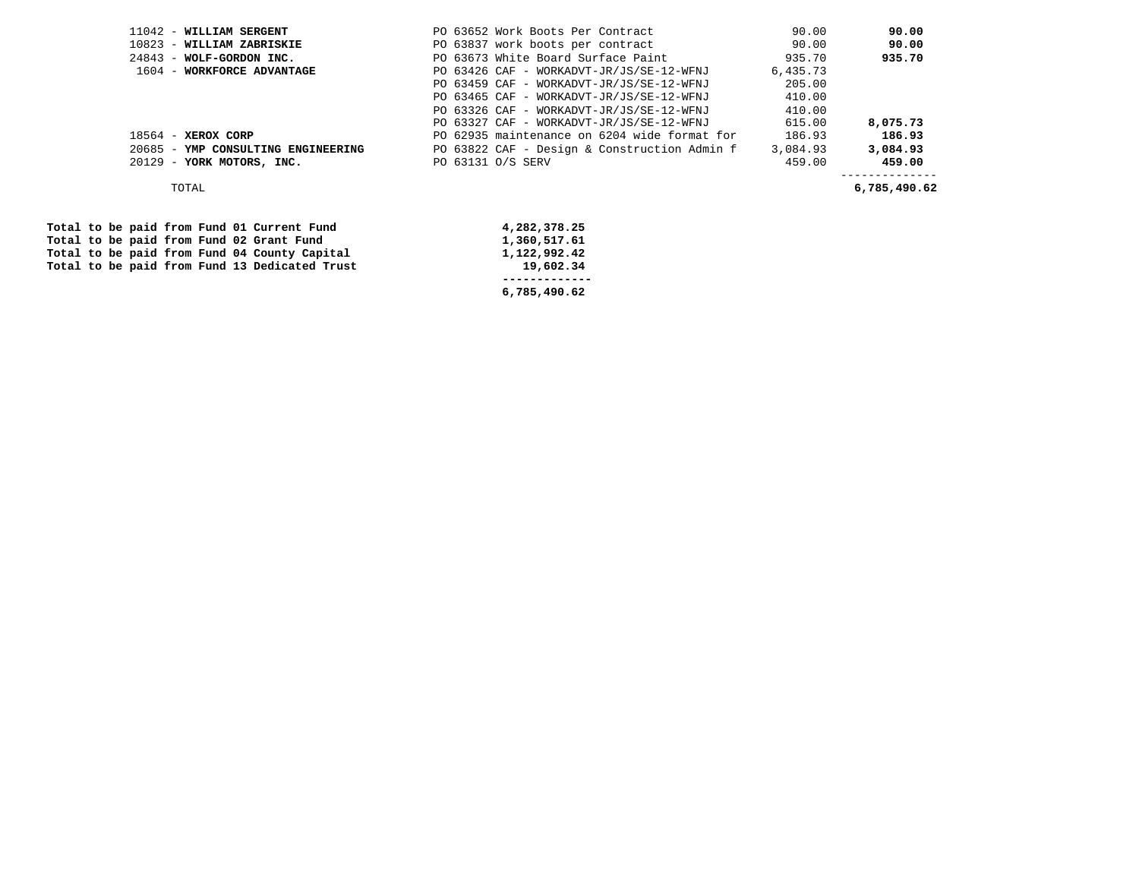| $11042$ - WILLIAM SERGENT          | 90.00<br>PO 63652 Work Boots Per Contract                | 90.00        |
|------------------------------------|----------------------------------------------------------|--------------|
| 10823 - WILLIAM ZABRISKIE          | PO 63837 work boots per contract<br>90.00                | 90.00        |
| $24843$ - WOLF-GORDON INC.         | PO 63673 White Board Surface Paint<br>935.70             | 935.70       |
| 1604 - WORKFORCE ADVANTAGE         | 6,435.73<br>PO 63426 CAF - WORKADVT-JR/JS/SE-12-WFNJ     |              |
|                                    | PO 63459 CAF - WORKADVT-JR/JS/SE-12-WFNJ<br>205.00       |              |
|                                    | 410.00<br>PO 63465 CAF - WORKADVT-JR/JS/SE-12-WFNJ       |              |
|                                    | 410.00<br>PO 63326 CAF - WORKADVT-JR/JS/SE-12-WFNJ       |              |
|                                    | PO 63327 CAF - WORKADVT-JR/JS/SE-12-WFNJ<br>615.00       | 8,075.73     |
| $18564$ - XEROX CORP               | PO 62935 maintenance on 6204 wide format for<br>186.93   | 186.93       |
| 20685 - YMP CONSULTING ENGINEERING | PO 63822 CAF - Design & Construction Admin f<br>3,084.93 | 3,084.93     |
| 20129 - YORK MOTORS, INC.          | PO 63131 O/S SERV<br>459.00                              | 459.00       |
| TOTAL                              |                                                          | 6,785,490.62 |
|                                    |                                                          |              |

Total to be paid from Fund 01 Current Fund 4,282,378.25<br>
Total to be paid from Fund 02 Grant Fund 1,360,517.61 Total to be paid from Fund 02 Grant Fund  **Total to be paid from Fund 04 County Capital 1,122,992.42**  Total to be paid from Fund 13 Dedicated Trust

 **------------- 6,785,490.62**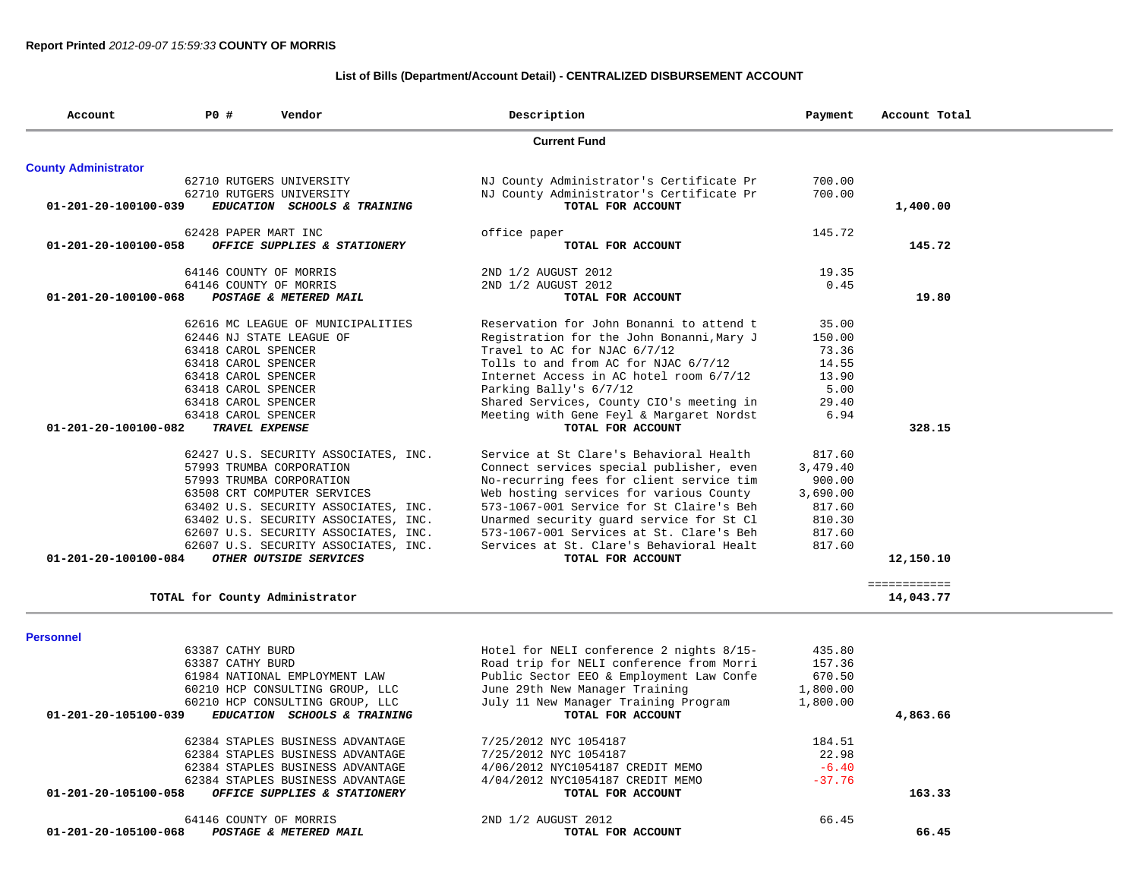|                      |                                      |                                                       | 19.35    |                           |
|----------------------|--------------------------------------|-------------------------------------------------------|----------|---------------------------|
|                      | 64146 COUNTY OF MORRIS               | 2ND 1/2 AUGUST 2012                                   | 0.45     |                           |
| 01-201-20-100100-068 | POSTAGE & METERED MAIL               | TOTAL FOR ACCOUNT                                     |          | 19.80                     |
|                      | 62616 MC LEAGUE OF MUNICIPALITIES    | Reservation for John Bonanni to attend t              | 35.00    |                           |
|                      | 62446 NJ STATE LEAGUE OF             | Registration for the John Bonanni, Mary J             | 150.00   |                           |
|                      | 63418 CAROL SPENCER                  | Travel to AC for NJAC 6/7/12                          | 73.36    |                           |
|                      | 63418 CAROL SPENCER                  | Tolls to and from AC for NJAC 6/7/12                  | 14.55    |                           |
|                      | 63418 CAROL SPENCER                  | Internet Access in AC hotel room 6/7/12               | 13.90    |                           |
|                      | 63418 CAROL SPENCER                  | Parking Bally's 6/7/12                                | 5.00     |                           |
|                      | 63418 CAROL SPENCER                  | Shared Services, County CIO's meeting in              | 29.40    |                           |
|                      | 63418 CAROL SPENCER                  | Meeting with Gene Feyl & Margaret Nordst              | 6.94     |                           |
| 01-201-20-100100-082 | TRAVEL EXPENSE                       | TOTAL FOR ACCOUNT                                     |          | 328.15                    |
|                      | 62427 U.S. SECURITY ASSOCIATES, INC. | Service at St Clare's Behavioral Health               | 817.60   |                           |
|                      | 57993 TRUMBA CORPORATION             | Connect services special publisher, even              | 3,479.40 |                           |
|                      | 57993 TRUMBA CORPORATION             | No-recurring fees for client service tim              | 900.00   |                           |
|                      | 63508 CRT COMPUTER SERVICES          | Web hosting services for various County               | 3,690.00 |                           |
|                      | 63402 U.S. SECURITY ASSOCIATES, INC. | 573-1067-001 Service for St Claire's Beh              | 817.60   |                           |
|                      | 63402 U.S. SECURITY ASSOCIATES, INC. | Unarmed security quard service for St Cl              | 810.30   |                           |
|                      | 62607 U.S. SECURITY ASSOCIATES, INC. | 573-1067-001 Services at St. Clare's Beh              | 817.60   |                           |
|                      |                                      | Services at St. Clare's Behavioral Healt              | 817.60   |                           |
|                      |                                      |                                                       |          |                           |
|                      | 62607 U.S. SECURITY ASSOCIATES, INC. |                                                       |          |                           |
| 01-201-20-100100-084 | OTHER OUTSIDE SERVICES               | TOTAL FOR ACCOUNT                                     |          | 12,150.10                 |
|                      | TOTAL for County Administrator       |                                                       |          | ============<br>14,043.77 |
|                      |                                      |                                                       |          |                           |
| 63387 CATHY BURD     |                                      | Hotel for NELI conference 2 nights 8/15-              | 435.80   |                           |
| 63387 CATHY BURD     |                                      | Road trip for NELI conference from Morri              | 157.36   |                           |
|                      | 61984 NATIONAL EMPLOYMENT LAW        | Public Sector EEO & Employment Law Confe              | 670.50   |                           |
|                      | 60210 HCP CONSULTING GROUP, LLC      | June 29th New Manager Training                        | 1,800.00 |                           |
|                      | 60210 HCP CONSULTING GROUP, LLC      | July 11 New Manager Training Program                  | 1,800.00 |                           |
| 01-201-20-105100-039 | EDUCATION SCHOOLS & TRAINING         | TOTAL FOR ACCOUNT                                     |          | 4,863.66                  |
|                      | 62384 STAPLES BUSINESS ADVANTAGE     | 7/25/2012 NYC 1054187                                 | 184.51   |                           |
|                      | 62384 STAPLES BUSINESS ADVANTAGE     | 7/25/2012 NYC 1054187                                 | 22.98    |                           |
|                      | 62384 STAPLES BUSINESS ADVANTAGE     | 4/06/2012 NYC1054187 CREDIT MEMO                      | $-6.40$  |                           |
|                      | 62384 STAPLES BUSINESS ADVANTAGE     |                                                       | $-37.76$ |                           |
| 01-201-20-105100-058 | OFFICE SUPPLIES & STATIONERY         | 4/04/2012 NYC1054187 CREDIT MEMO<br>TOTAL FOR ACCOUNT |          | 163.33                    |
| <b>Personnel</b>     | 64146 COUNTY OF MORRIS               | 2ND 1/2 AUGUST 2012                                   | 66.45    |                           |

## **List of Bills (Department/Account Detail) - CENTRALIZED DISBURSEMENT ACCOUNT**

**Current Fund** 

 **0FFICE SUPPLIES & STATIONERY TOTAL FOR ACCOUNT 145.72** 

 **Account P0 # Vendor Description Payment Account Total** 

62428 PAPER MART INC<br>
62428 PAPER MART INC office paper<br> **145.72 145.72**<br> **145.72 165.72** 

 62710 RUTGERS UNIVERSITY NJ County Administrator's Certificate Pr 700.00 62710 RUTGERS UNIVERSITY NJ County Administrator's Certificate Pr 700.00  **01-201-20-100100-039** *EDUCATION SCHOOLS & TRAINING* **TOTAL FOR ACCOUNT 1,400.00**

**County Administrator**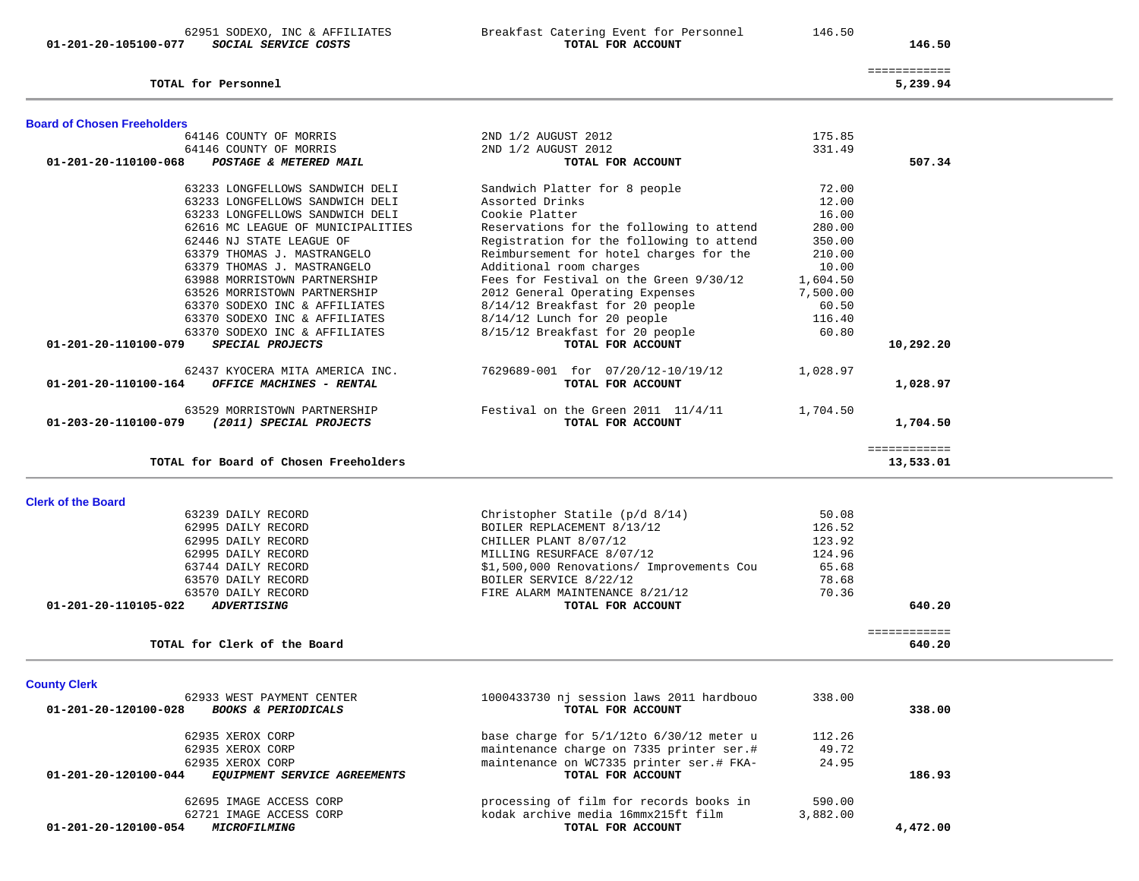**01-201-20-105100-077** *SOCIAL SERVICE COSTS* **TOTAL FOR ACCOUNT 146.50**

**TOTAL for Personnel 5,239.94**

62951 SODEXO, INC & AFFILIATES Breakfast Catering Event for Personnel 146.50

146.50

| <b>Board of Chosen Freeholders</b>                     |                                                                     |                 |                        |
|--------------------------------------------------------|---------------------------------------------------------------------|-----------------|------------------------|
| 64146 COUNTY OF MORRIS                                 | 2ND 1/2 AUGUST 2012                                                 | 175.85          |                        |
| 64146 COUNTY OF MORRIS                                 | 2ND 1/2 AUGUST 2012                                                 | 331.49          |                        |
| 01-201-20-110100-068<br>POSTAGE & METERED MAIL         | TOTAL FOR ACCOUNT                                                   |                 | 507.34                 |
| 63233 LONGFELLOWS SANDWICH DELI                        | Sandwich Platter for 8 people                                       | 72.00           |                        |
| 63233 LONGFELLOWS SANDWICH DELI                        | Assorted Drinks                                                     | 12.00           |                        |
| 63233 LONGFELLOWS SANDWICH DELI                        | Cookie Platter                                                      | 16.00           |                        |
| 62616 MC LEAGUE OF MUNICIPALITIES                      | Reservations for the following to attend                            | 280.00          |                        |
| 62446 NJ STATE LEAGUE OF                               | Registration for the following to attend                            | 350.00          |                        |
| 63379 THOMAS J. MASTRANGELO                            | Reimbursement for hotel charges for the                             | 210.00          |                        |
| 63379 THOMAS J. MASTRANGELO                            | Additional room charges                                             | 10.00           |                        |
| 63988 MORRISTOWN PARTNERSHIP                           | Fees for Festival on the Green 9/30/12                              | 1,604.50        |                        |
| 63526 MORRISTOWN PARTNERSHIP                           | 2012 General Operating Expenses                                     | 7,500.00        |                        |
| 63370 SODEXO INC & AFFILIATES                          | 8/14/12 Breakfast for 20 people                                     | 60.50           |                        |
| 63370 SODEXO INC & AFFILIATES                          | 8/14/12 Lunch for 20 people                                         | 116.40          |                        |
| 63370 SODEXO INC & AFFILIATES                          | 8/15/12 Breakfast for 20 people                                     | 60.80           |                        |
| SPECIAL PROJECTS<br>01-201-20-110100-079               | TOTAL FOR ACCOUNT                                                   |                 | 10,292.20              |
| 62437 KYOCERA MITA AMERICA INC.                        | 7629689-001 for 07/20/12-10/19/12                                   | 1,028.97        |                        |
| OFFICE MACHINES - RENTAL<br>01-201-20-110100-164       | TOTAL FOR ACCOUNT                                                   |                 | 1,028.97               |
| 63529 MORRISTOWN PARTNERSHIP                           | Festival on the Green 2011 11/4/11                                  | 1,704.50        |                        |
| (2011) SPECIAL PROJECTS<br>01-203-20-110100-079        | TOTAL FOR ACCOUNT                                                   |                 | 1,704.50               |
|                                                        |                                                                     |                 | ============           |
| TOTAL for Board of Chosen Freeholders                  |                                                                     |                 | 13,533.01              |
|                                                        |                                                                     |                 |                        |
| <b>Clerk of the Board</b>                              |                                                                     |                 |                        |
| 63239 DAILY RECORD                                     | Christopher Statile $(p/d \ 8/14)$                                  | 50.08<br>126.52 |                        |
| 62995 DAILY RECORD<br>62995 DAILY RECORD               | BOILER REPLACEMENT 8/13/12<br>CHILLER PLANT 8/07/12                 | 123.92          |                        |
|                                                        |                                                                     |                 |                        |
| 62995 DAILY RECORD<br>63744 DAILY RECORD               | MILLING RESURFACE 8/07/12                                           | 124.96<br>65.68 |                        |
| 63570 DAILY RECORD                                     | \$1,500,000 Renovations/ Improvements Cou<br>BOILER SERVICE 8/22/12 | 78.68           |                        |
| 63570 DAILY RECORD                                     | FIRE ALARM MAINTENANCE 8/21/12                                      | 70.36           |                        |
| 01-201-20-110105-022<br><b>ADVERTISING</b>             | TOTAL FOR ACCOUNT                                                   |                 | 640.20                 |
|                                                        |                                                                     |                 |                        |
| TOTAL for Clerk of the Board                           |                                                                     |                 | ============<br>640.20 |
|                                                        |                                                                     |                 |                        |
| <b>County Clerk</b>                                    |                                                                     |                 |                        |
| 62933 WEST PAYMENT CENTER                              | 1000433730 nj session laws 2011 hardbouo                            | 338.00          |                        |
| 01-201-20-120100-028<br><b>BOOKS &amp; PERIODICALS</b> | TOTAL FOR ACCOUNT                                                   |                 | 338.00                 |
|                                                        |                                                                     |                 |                        |
| 62935 XEROX CORP                                       | base charge for $5/1/12$ to $6/30/12$ meter u                       | 112.26          |                        |
| 62935 XEROX CORP                                       | maintenance charge on 7335 printer ser.#                            | 49.72           |                        |
| 62935 XEROX CORP                                       | maintenance on WC7335 printer ser.# FKA-                            | 24.95           |                        |
|                                                        |                                                                     |                 |                        |
| 01-201-20-120100-044<br>EQUIPMENT SERVICE AGREEMENTS   | TOTAL FOR ACCOUNT                                                   |                 | 186.93                 |

62721 IMAGE ACCESS CORP kodak archive media 16mmx215ft film 3,882.00

 **01-201-20-120100-054** *MICROFILMING* **TOTAL FOR ACCOUNT 4,472.00**

 ============ 5,239.94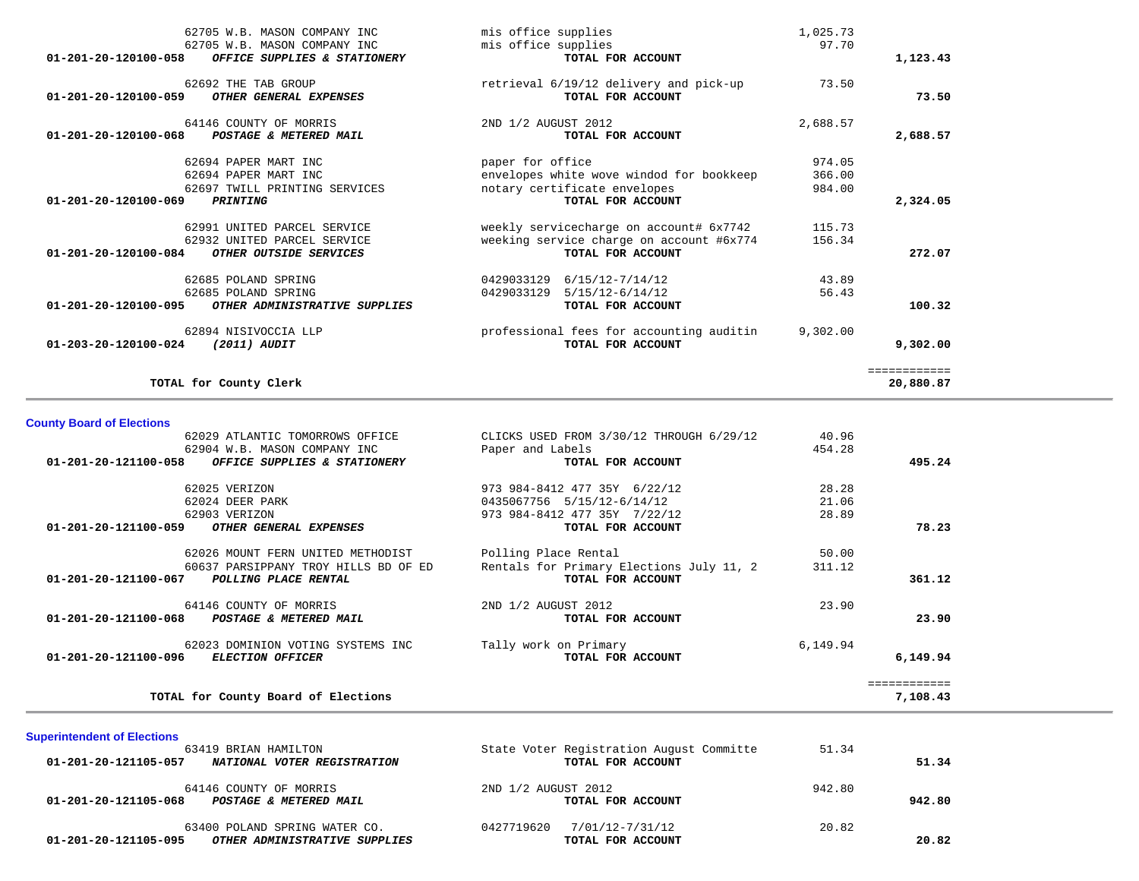| TOTAL for County Clerk                                                                                               |                                                                                                          |                   | ============<br>20,880.87 |
|----------------------------------------------------------------------------------------------------------------------|----------------------------------------------------------------------------------------------------------|-------------------|---------------------------|
| 62894 NISIVOCCIA LLP<br>01-203-20-120100-024<br>(2011) AUDIT                                                         | professional fees for accounting auditin<br>TOTAL FOR ACCOUNT                                            | 9,302.00          | 9,302.00                  |
| 01-201-20-120100-095<br>OTHER ADMINISTRATIVE SUPPLIES                                                                | TOTAL FOR ACCOUNT                                                                                        |                   | 100.32                    |
| 62685 POLAND SPRING<br>62685 POLAND SPRING                                                                           | 0429033129 6/15/12-7/14/12<br>$5/15/12-6/14/12$<br>0429033129                                            | 43.89<br>56.43    |                           |
| 62991 UNITED PARCEL SERVICE<br>62932 UNITED PARCEL SERVICE<br>01-201-20-120100-084<br>OTHER OUTSIDE SERVICES         | weekly servicecharge on account# 6x7742<br>weeking service charge on account #6x774<br>TOTAL FOR ACCOUNT | 115.73<br>156.34  | 272.07                    |
|                                                                                                                      |                                                                                                          |                   |                           |
| 62694 PAPER MART INC<br>62697 TWILL PRINTING SERVICES<br>$01 - 201 - 20 - 120100 - 069$<br><b>PRINTING</b>           | envelopes white wove windod for bookkeep<br>notary certificate envelopes<br>TOTAL FOR ACCOUNT            | 366.00<br>984.00  | 2,324.05                  |
| 62694 PAPER MART INC                                                                                                 | paper for office                                                                                         | 974.05            |                           |
| 64146 COUNTY OF MORRIS<br>01-201-20-120100-068<br>POSTAGE & METERED MAIL                                             | 2ND 1/2 AUGUST 2012<br>TOTAL FOR ACCOUNT                                                                 | 2,688.57          | 2,688.57                  |
| 62692 THE TAB GROUP<br>01-201-20-120100-059<br>OTHER GENERAL EXPENSES                                                | retrieval 6/19/12 delivery and pick-up<br>TOTAL FOR ACCOUNT                                              | 73.50             | 73.50                     |
| 62705 W.B. MASON COMPANY INC<br>62705 W.B. MASON COMPANY INC<br>01-201-20-120100-058<br>OFFICE SUPPLIES & STATIONERY | mis office supplies<br>mis office supplies<br>TOTAL FOR ACCOUNT                                          | 1,025.73<br>97.70 | 1,123.43                  |

| 62029 ATLANTIC TOMORROWS OFFICE                          | CLICKS USED FROM 3/30/12 THROUGH 6/29/12 | 40.96    |          |
|----------------------------------------------------------|------------------------------------------|----------|----------|
| 62904 W.B. MASON COMPANY INC                             | Paper and Labels                         | 454.28   |          |
| 01-201-20-121100-058<br>OFFICE SUPPLIES & STATIONERY     | TOTAL FOR ACCOUNT                        |          | 495.24   |
| 62025 VERIZON                                            | 973 984-8412 477 35Y 6/22/12             | 28.28    |          |
| 62024 DEER PARK                                          | 0435067756 5/15/12-6/14/12               | 21.06    |          |
| 62903 VERIZON                                            | 973 984-8412 477 35Y 7/22/12             | 28.89    |          |
| 01-201-20-121100-059<br>OTHER GENERAL EXPENSES           | TOTAL FOR ACCOUNT                        |          | 78.23    |
| 62026 MOUNT FERN UNITED METHODIST                        | Polling Place Rental                     | 50.00    |          |
| 60637 PARSIPPANY TROY HILLS BD OF ED                     | Rentals for Primary Elections July 11, 2 | 311.12   |          |
| 01-201-20-121100-067<br>POLLING PLACE RENTAL             | TOTAL FOR ACCOUNT                        |          | 361.12   |
| 64146 COUNTY OF MORRIS                                   | 2ND 1/2 AUGUST 2012                      | 23.90    |          |
| $01 - 201 - 20 - 121100 - 068$<br>POSTAGE & METERED MAIL | TOTAL FOR ACCOUNT                        |          | 23.90    |
| 62023 DOMINION VOTING SYSTEMS INC                        | Tally work on Primary                    | 6,149.94 |          |
| 01-201-20-121100-096<br><b>ELECTION OFFICER</b>          | TOTAL FOR ACCOUNT                        |          | 6,149.94 |
|                                                          |                                          |          |          |
| TOTAL for County Board of Elections                      |                                          |          | 7,108.43 |

| <b>Superintendent of Elections</b><br>63419 BRIAN HAMILTON<br>01-201-20-121105-057<br>NATIONAL VOTER REGISTRATION | State Voter Registration August Committe<br>TOTAL FOR ACCOUNT | 51.34  | 51.34  |
|-------------------------------------------------------------------------------------------------------------------|---------------------------------------------------------------|--------|--------|
| 64146 COUNTY OF MORRIS<br>01-201-20-121105-068<br>POSTAGE & METERED MAIL                                          | 2ND 1/2 AUGUST 2012<br>TOTAL FOR ACCOUNT                      | 942.80 | 942.80 |
| 63400 POLAND SPRING WATER CO.<br>01-201-20-121105-095<br>OTHER ADMINISTRATIVE SUPPLIES                            | 7/01/12-7/31/12<br>0427719620<br>TOTAL FOR ACCOUNT            | 20.82  | 20.82  |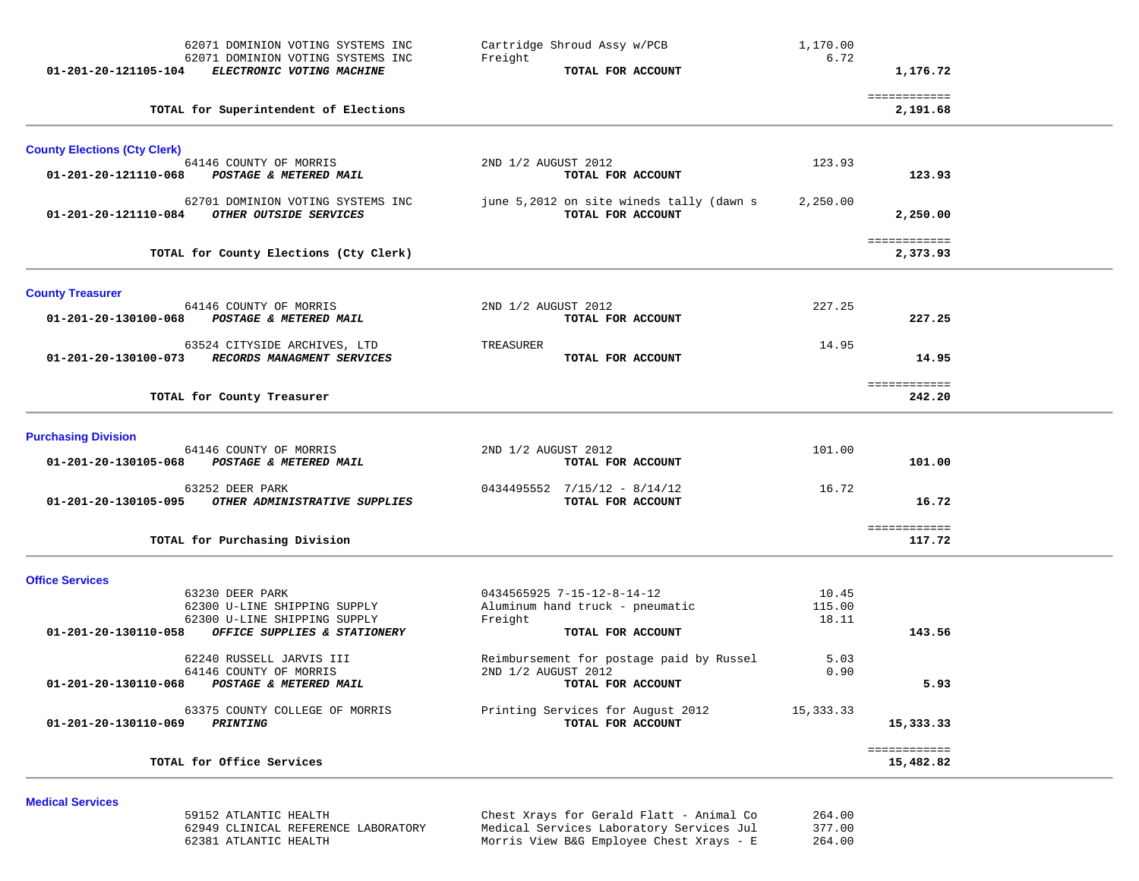|                                     | 62071 DOMINION VOTING SYSTEMS INC<br>62071 DOMINION VOTING SYSTEMS INC<br>ELECTRONIC VOTING MACHINE | Cartridge Shroud Assy w/PCB<br>Freight<br>TOTAL FOR ACCOUNT   | 1,170.00<br>6.72 | 1,176.72                  |  |
|-------------------------------------|-----------------------------------------------------------------------------------------------------|---------------------------------------------------------------|------------------|---------------------------|--|
| 01-201-20-121105-104                |                                                                                                     |                                                               |                  |                           |  |
|                                     | TOTAL for Superintendent of Elections                                                               |                                                               |                  | ============<br>2,191.68  |  |
| <b>County Elections (Cty Clerk)</b> |                                                                                                     |                                                               |                  |                           |  |
| 01-201-20-121110-068                | 64146 COUNTY OF MORRIS<br>POSTAGE & METERED MAIL                                                    | 2ND 1/2 AUGUST 2012<br>TOTAL FOR ACCOUNT                      | 123.93           | 123.93                    |  |
| 01-201-20-121110-084                | 62701 DOMINION VOTING SYSTEMS INC<br>OTHER OUTSIDE SERVICES                                         | june 5,2012 on site wineds tally (dawn s<br>TOTAL FOR ACCOUNT | 2,250.00         | 2,250.00                  |  |
|                                     | TOTAL for County Elections (Cty Clerk)                                                              |                                                               |                  | ============<br>2,373.93  |  |
| <b>County Treasurer</b>             |                                                                                                     |                                                               |                  |                           |  |
| 01-201-20-130100-068                | 64146 COUNTY OF MORRIS<br>POSTAGE & METERED MAIL                                                    | 2ND 1/2 AUGUST 2012<br>TOTAL FOR ACCOUNT                      | 227.25           | 227.25                    |  |
| 01-201-20-130100-073                | 63524 CITYSIDE ARCHIVES, LTD<br>RECORDS MANAGMENT SERVICES                                          | TREASURER<br>TOTAL FOR ACCOUNT                                | 14.95            | 14.95                     |  |
|                                     | TOTAL for County Treasurer                                                                          |                                                               |                  | ============<br>242.20    |  |
| <b>Purchasing Division</b>          |                                                                                                     |                                                               |                  |                           |  |
| 01-201-20-130105-068                | 64146 COUNTY OF MORRIS<br>POSTAGE & METERED MAIL                                                    | 2ND 1/2 AUGUST 2012<br>TOTAL FOR ACCOUNT                      | 101.00           | 101.00                    |  |
| 01-201-20-130105-095                | 63252 DEER PARK<br>OTHER ADMINISTRATIVE SUPPLIES                                                    | $0434495552$ $7/15/12 - 8/14/12$<br>TOTAL FOR ACCOUNT         | 16.72            | 16.72                     |  |
|                                     | TOTAL for Purchasing Division                                                                       |                                                               |                  | ============<br>117.72    |  |
| <b>Office Services</b>              |                                                                                                     |                                                               |                  |                           |  |
|                                     | 63230 DEER PARK<br>62300 U-LINE SHIPPING SUPPLY                                                     | 0434565925 7-15-12-8-14-12<br>Aluminum hand truck - pneumatic | 10.45<br>115.00  |                           |  |
|                                     | 62300 U-LINE SHIPPING SUPPLY                                                                        | Freight                                                       | 18.11            |                           |  |
| 01-201-20-130110-058                | OFFICE SUPPLIES & STATIONERY                                                                        | TOTAL FOR ACCOUNT                                             |                  | 143.56                    |  |
|                                     | 62240 RUSSELL JARVIS III                                                                            | Reimbursement for postage paid by Russel                      | 5.03             |                           |  |
| 01-201-20-130110-068                | 64146 COUNTY OF MORRIS<br>POSTAGE & METERED MAIL                                                    | 2ND 1/2 AUGUST 2012<br>TOTAL FOR ACCOUNT                      | 0.90             | 5.93                      |  |
| 01-201-20-130110-069                | 63375 COUNTY COLLEGE OF MORRIS<br>PRINTING                                                          | Printing Services for August 2012<br>TOTAL FOR ACCOUNT        | 15,333.33        | 15,333.33                 |  |
|                                     | TOTAL for Office Services                                                                           |                                                               |                  | ============<br>15,482.82 |  |

#### **Medical Services**

 59152 ATLANTIC HEALTH Chest Xrays for Gerald Flatt - Animal Co 264.00 62949 CLINICAL REFERENCE LABORATORY Medical Services Laboratory Services Jul 377.00 Morris View B&G Employee Chest Xrays - E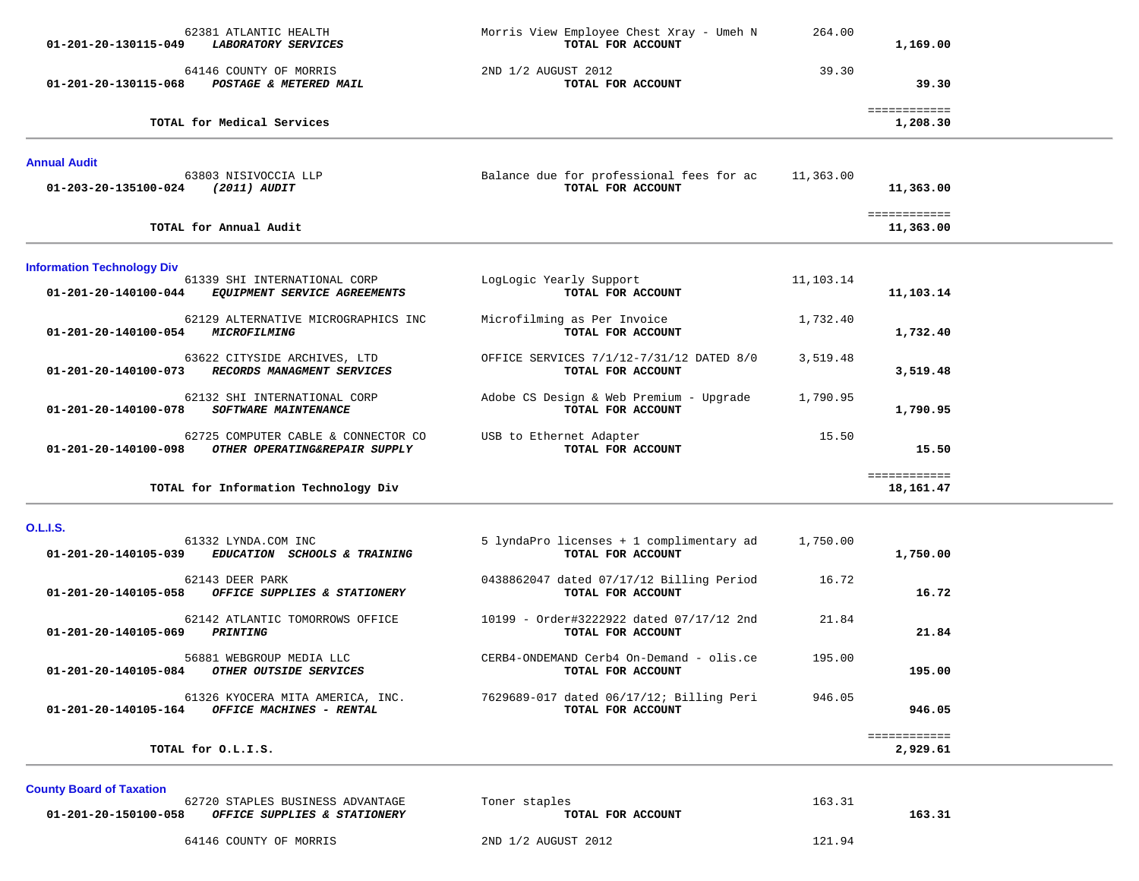| 01-201-20-130115-049                                      | 62381 ATLANTIC HEALTH<br>LABORATORY SERVICES                         | Morris View Employee Chest Xray - Umeh N<br>TOTAL FOR ACCOUNT | 264.00    | 1,169.00                  |  |
|-----------------------------------------------------------|----------------------------------------------------------------------|---------------------------------------------------------------|-----------|---------------------------|--|
| 01-201-20-130115-068                                      | 64146 COUNTY OF MORRIS<br>POSTAGE & METERED MAIL                     | 2ND 1/2 AUGUST 2012<br>TOTAL FOR ACCOUNT                      | 39.30     | 39.30                     |  |
|                                                           | TOTAL for Medical Services                                           |                                                               |           | ============<br>1,208.30  |  |
| <b>Annual Audit</b><br>01-203-20-135100-024               | 63803 NISIVOCCIA LLP<br>(2011) AUDIT                                 | Balance due for professional fees for ac<br>TOTAL FOR ACCOUNT | 11,363.00 | 11,363.00                 |  |
|                                                           | TOTAL for Annual Audit                                               |                                                               |           | ============<br>11,363.00 |  |
| <b>Information Technology Div</b><br>01-201-20-140100-044 | 61339 SHI INTERNATIONAL CORP<br>EQUIPMENT SERVICE AGREEMENTS         | LogLogic Yearly Support<br>TOTAL FOR ACCOUNT                  | 11,103.14 | 11,103.14                 |  |
| 01-201-20-140100-054                                      | 62129 ALTERNATIVE MICROGRAPHICS INC<br><i>MICROFILMING</i>           | Microfilming as Per Invoice<br>TOTAL FOR ACCOUNT              | 1,732.40  | 1,732.40                  |  |
| 01-201-20-140100-073                                      | 63622 CITYSIDE ARCHIVES, LTD<br>RECORDS MANAGMENT SERVICES           | OFFICE SERVICES 7/1/12-7/31/12 DATED 8/0<br>TOTAL FOR ACCOUNT | 3,519.48  | 3,519.48                  |  |
| 01-201-20-140100-078                                      | 62132 SHI INTERNATIONAL CORP<br><b>SOFTWARE MAINTENANCE</b>          | Adobe CS Design & Web Premium - Upgrade<br>TOTAL FOR ACCOUNT  | 1,790.95  | 1,790.95                  |  |
| 01-201-20-140100-098                                      | 62725 COMPUTER CABLE & CONNECTOR CO<br>OTHER OPERATING&REPAIR SUPPLY | USB to Ethernet Adapter<br>TOTAL FOR ACCOUNT                  | 15.50     | 15.50                     |  |
|                                                           | TOTAL for Information Technology Div                                 |                                                               |           | ============<br>18,161.47 |  |

### **O.L.I.S.**

| 61332 LYNDA.COM INC                                                                  | 5 lyndaPro licenses + 1 complimentary ad                        | 1,750.00 |                          |
|--------------------------------------------------------------------------------------|-----------------------------------------------------------------|----------|--------------------------|
| 01-201-20-140105-039<br><i>EDUCATION</i><br><b>SCHOOLS &amp; TRAINING</b>            | TOTAL FOR ACCOUNT                                               |          | 1,750.00                 |
| 62143 DEER PARK<br>01-201-20-140105-058<br>OFFICE SUPPLIES & STATIONERY              | 0438862047 dated 07/17/12 Billing Period<br>TOTAL FOR ACCOUNT   | 16.72    | 16.72                    |
| 62142 ATLANTIC TOMORROWS OFFICE<br>01-201-20-140105-069<br>PRINTING                  | 10199 - Order#3222922 dated 07/17/12 2nd<br>TOTAL FOR ACCOUNT   | 21.84    | 21.84                    |
| 56881 WEBGROUP MEDIA LLC<br>01-201-20-140105-084<br>OTHER OUTSIDE SERVICES           | $CERB4-ONDEMAND Cerb4 On-Demand - Olis.ce$<br>TOTAL FOR ACCOUNT | 195.00   | 195.00                   |
| 61326 KYOCERA MITA AMERICA, INC.<br>01-201-20-140105-164<br>OFFICE MACHINES - RENTAL | 7629689-017 dated 06/17/12; Billing Peri<br>TOTAL FOR ACCOUNT   | 946.05   | 946.05                   |
| TOTAL for O.L.I.S.                                                                   |                                                                 |          | ============<br>2,929.61 |

**County Board of Taxation** 

| 62720 STAPLES BUSINESS ADVANTAGE<br>01-201-20-150100-058<br>OFFICE SUPPLIES & STATIONERY | Toner staples<br>TOTAL FOR ACCOUNT | 163.31<br>163.31 |
|------------------------------------------------------------------------------------------|------------------------------------|------------------|
| 64146 COUNTY OF MORRIS                                                                   | 2ND 1/2 AUGUST 2012                | 121.94           |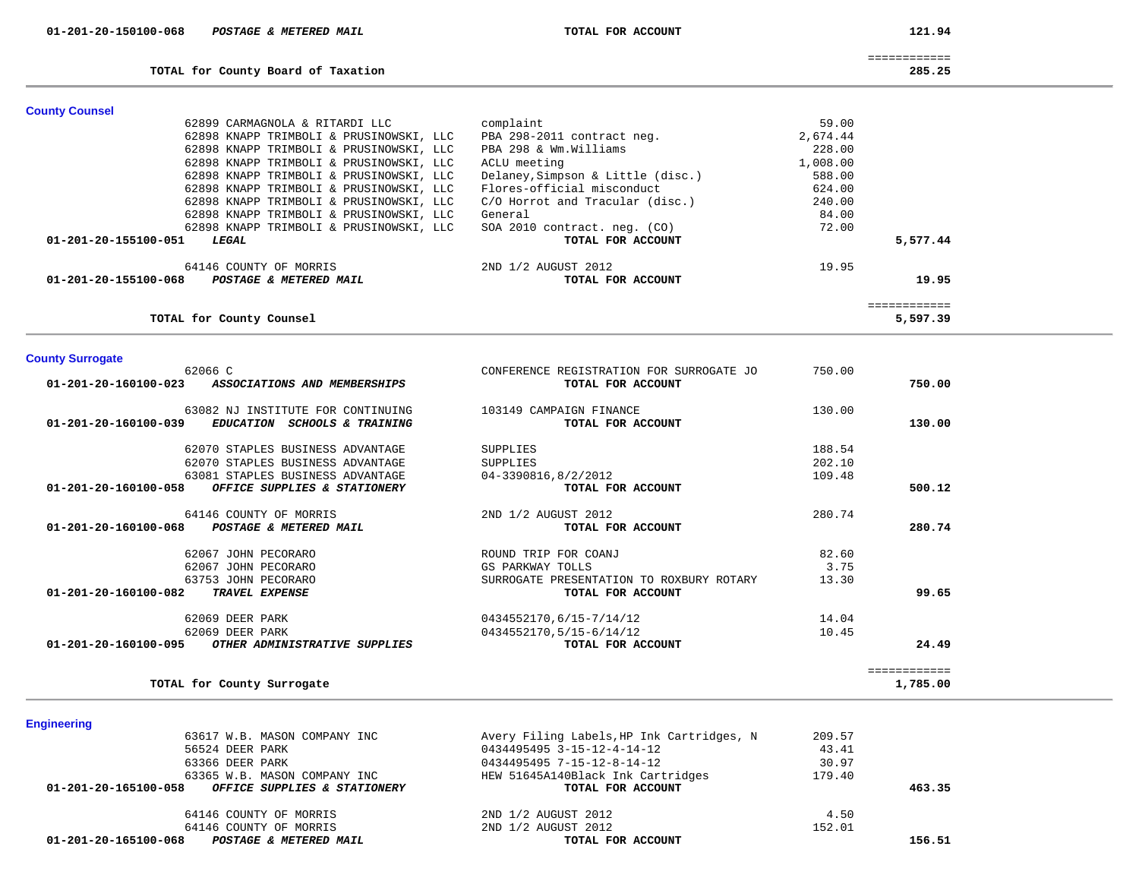| 01-201-20-150100-068 | POSTAGE & METERED MAIL | TOTAL FOR ACCOUNT |
|----------------------|------------------------|-------------------|
|                      |                        |                   |

**TOTAL for County Board of Taxation 285.25**

121.94

============

| ס כ<br>в<br>э<br>o |  |
|--------------------|--|
|                    |  |

5,597.39

| <b>County Counsel</b>                          |                                   |          |              |
|------------------------------------------------|-----------------------------------|----------|--------------|
| 62899 CARMAGNOLA & RITARDI LLC                 | complaint                         | 59.00    |              |
| 62898 KNAPP TRIMBOLI & PRUSINOWSKI, LLC        | PBA 298-2011 contract neg.        | 2,674.44 |              |
| 62898 KNAPP TRIMBOLI & PRUSINOWSKI, LLC        | PBA 298 & Wm.Williams             | 228.00   |              |
| 62898 KNAPP TRIMBOLI & PRUSINOWSKI, LLC        | ACLU meeting                      | 1,008.00 |              |
| 62898 KNAPP TRIMBOLI & PRUSINOWSKI, LLC        | Delaney, Simpson & Little (disc.) | 588.00   |              |
| 62898 KNAPP TRIMBOLI & PRUSINOWSKI, LLC        | Flores-official misconduct        | 624.00   |              |
| 62898 KNAPP TRIMBOLI & PRUSINOWSKI, LLC        | C/O Horrot and Tracular (disc.)   | 240.00   |              |
| 62898 KNAPP TRIMBOLI & PRUSINOWSKI, LLC        | General                           | 84.00    |              |
| 62898 KNAPP TRIMBOLI & PRUSINOWSKI, LLC        | SOA 2010 contract. neg. (CO)      | 72.00    |              |
| 01-201-20-155100-051<br>LEGAL                  | TOTAL FOR ACCOUNT                 |          | 5,577.44     |
| 64146 COUNTY OF MORRIS                         | 2ND 1/2 AUGUST 2012               | 19.95    |              |
| 01-201-20-155100-068<br>POSTAGE & METERED MAIL | TOTAL FOR ACCOUNT                 |          | 19.95        |
|                                                |                                   |          | ============ |

**TOTAL for County Counsel 5,597.39**

**County Surrogate** 

|                                | 62066 C                                           | CONFERENCE REGISTRATION FOR SURROGATE JO | 750.00 |        |
|--------------------------------|---------------------------------------------------|------------------------------------------|--------|--------|
| 01-201-20-160100-023           | ASSOCIATIONS AND MEMBERSHIPS                      | TOTAL FOR ACCOUNT                        |        | 750.00 |
|                                | 63082 NJ INSTITUTE FOR CONTINUING                 | 103149 CAMPAIGN FINANCE                  | 130.00 |        |
| $01 - 201 - 20 - 160100 - 039$ | <b>EDUCATION</b><br><i>SCHOOLS &amp; TRAINING</i> | TOTAL FOR ACCOUNT                        |        | 130.00 |
|                                | 62070 STAPLES BUSINESS ADVANTAGE                  | SUPPLIES                                 | 188.54 |        |
|                                | 62070 STAPLES BUSINESS ADVANTAGE                  | SUPPLIES                                 | 202.10 |        |
|                                | 63081 STAPLES BUSINESS ADVANTAGE                  | 04-3390816,8/2/2012                      | 109.48 |        |
| 01-201-20-160100-058           | OFFICE SUPPLIES & STATIONERY                      | TOTAL FOR ACCOUNT                        |        | 500.12 |
|                                | 64146 COUNTY OF MORRIS                            | 2ND 1/2 AUGUST 2012                      | 280.74 |        |
| 01-201-20-160100-068           | POSTAGE & METERED MAIL                            | TOTAL FOR ACCOUNT                        |        | 280.74 |
|                                | 62067 JOHN PECORARO                               | ROUND TRIP FOR COANJ                     | 82.60  |        |
|                                | 62067 JOHN PECORARO                               | GS PARKWAY TOLLS                         | 3.75   |        |
|                                | 63753 JOHN PECORARO                               | SURROGATE PRESENTATION TO ROXBURY ROTARY | 13.30  |        |
| 01-201-20-160100-082           | TRAVEL EXPENSE                                    | TOTAL FOR ACCOUNT                        |        | 99.65  |
|                                | 62069 DEER PARK                                   | 0434552170,6/15-7/14/12                  | 14.04  |        |
|                                | 62069 DEER PARK                                   | 0434552170,5/15-6/14/12                  | 10.45  |        |
|                                |                                                   | TOTAL FOR ACCOUNT                        |        | 24.49  |

**Engineering** 

| 63617 W.B. MASON COMPANY INC                         | Avery Filing Labels, HP Ink Cartridges, N | 209.57 |        |
|------------------------------------------------------|-------------------------------------------|--------|--------|
| 56524 DEER PARK                                      | 0434495495 3-15-12-4-14-12                | 43.41  |        |
| 63366 DEER PARK                                      | 0434495495 7-15-12-8-14-12                | 30.97  |        |
| 63365 W.B. MASON COMPANY INC                         | HEW 51645A140Black Ink Cartridges         | 179.40 |        |
| 01-201-20-165100-058<br>OFFICE SUPPLIES & STATIONERY | TOTAL FOR ACCOUNT                         |        | 463.35 |
| 64146 COUNTY OF MORRIS                               | 2ND 1/2 AUGUST 2012                       | 4.50   |        |
| 64146 COUNTY OF MORRIS                               | 2ND 1/2 AUGUST 2012                       | 152.01 |        |
| 01-201-20-165100-068<br>POSTAGE & METERED MAIL       | TOTAL FOR ACCOUNT                         |        | 156.51 |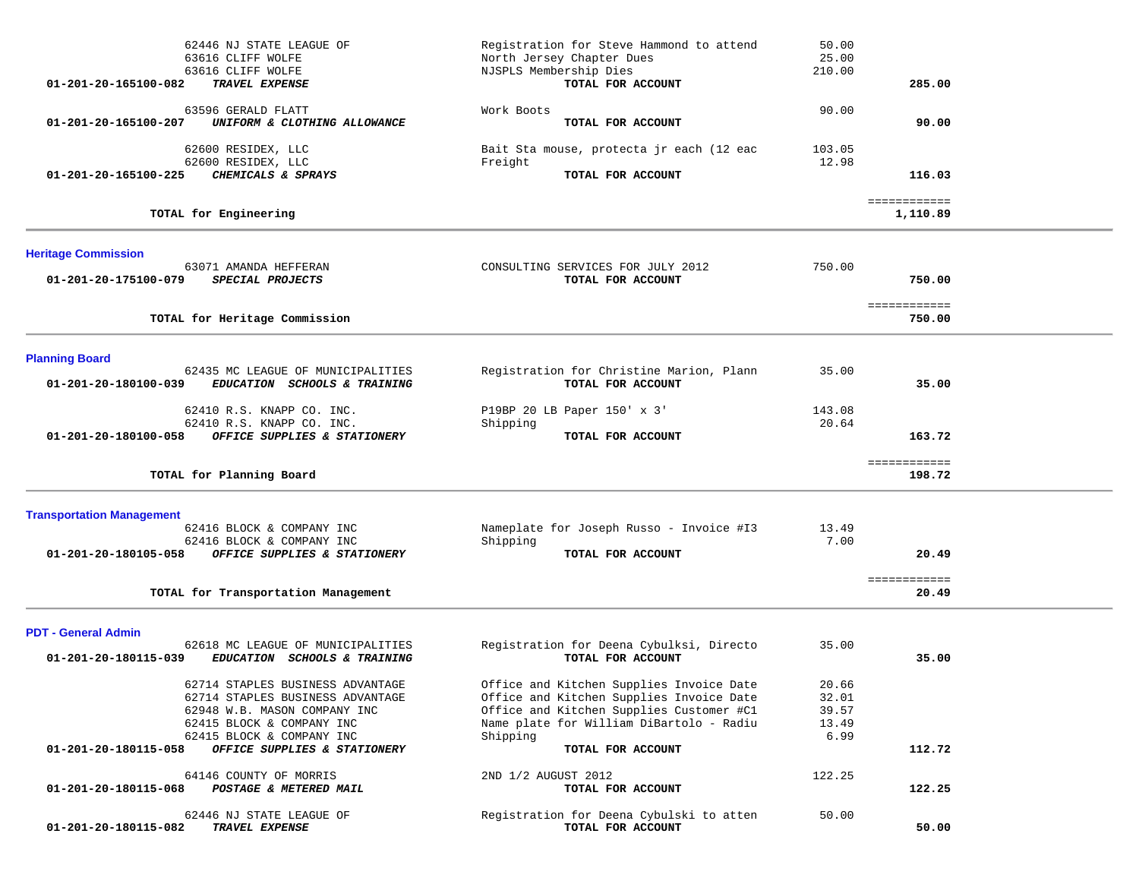| 62446 NJ STATE LEAGUE OF<br>63616 CLIFF WOLFE<br>63616 CLIFF WOLFE                        | Registration for Steve Hammond to attend<br>North Jersey Chapter Dues<br>NJSPLS Membership Dies | 50.00<br>25.00<br>210.00 |                          |  |
|-------------------------------------------------------------------------------------------|-------------------------------------------------------------------------------------------------|--------------------------|--------------------------|--|
| 01-201-20-165100-082<br>TRAVEL EXPENSE                                                    | TOTAL FOR ACCOUNT                                                                               |                          | 285.00                   |  |
| 63596 GERALD FLATT<br>UNIFORM & CLOTHING ALLOWANCE<br>01-201-20-165100-207                | Work Boots<br>TOTAL FOR ACCOUNT                                                                 | 90.00                    | 90.00                    |  |
| 62600 RESIDEX, LLC                                                                        | Bait Sta mouse, protecta jr each (12 eac                                                        | 103.05                   |                          |  |
| 62600 RESIDEX, LLC<br>CHEMICALS & SPRAYS<br>01-201-20-165100-225                          | Freight<br>TOTAL FOR ACCOUNT                                                                    | 12.98                    | 116.03                   |  |
| TOTAL for Engineering                                                                     |                                                                                                 |                          | ============<br>1,110.89 |  |
| <b>Heritage Commission</b>                                                                |                                                                                                 |                          |                          |  |
| 63071 AMANDA HEFFERAN<br>01-201-20-175100-079<br>SPECIAL PROJECTS                         | CONSULTING SERVICES FOR JULY 2012<br>TOTAL FOR ACCOUNT                                          | 750.00                   | 750.00                   |  |
|                                                                                           |                                                                                                 |                          | ============             |  |
| TOTAL for Heritage Commission                                                             |                                                                                                 |                          | 750.00                   |  |
| <b>Planning Board</b>                                                                     |                                                                                                 |                          |                          |  |
| 62435 MC LEAGUE OF MUNICIPALITIES<br>EDUCATION SCHOOLS & TRAINING<br>01-201-20-180100-039 | Registration for Christine Marion, Plann<br>TOTAL FOR ACCOUNT                                   | 35.00                    | 35.00                    |  |
| 62410 R.S. KNAPP CO. INC.                                                                 | P19BP 20 LB Paper 150' x 3'                                                                     | 143.08                   |                          |  |
| 62410 R.S. KNAPP CO. INC.<br>01-201-20-180100-058<br>OFFICE SUPPLIES & STATIONERY         | Shipping<br>TOTAL FOR ACCOUNT                                                                   | 20.64                    | 163.72                   |  |
|                                                                                           |                                                                                                 |                          |                          |  |
| TOTAL for Planning Board                                                                  |                                                                                                 |                          | ============<br>198.72   |  |
|                                                                                           |                                                                                                 |                          |                          |  |
| <b>Transportation Management</b><br>62416 BLOCK & COMPANY INC                             | Nameplate for Joseph Russo - Invoice #13                                                        | 13.49                    |                          |  |
| 62416 BLOCK & COMPANY INC<br>01-201-20-180105-058<br>OFFICE SUPPLIES & STATIONERY         | Shipping<br>TOTAL FOR ACCOUNT                                                                   | 7.00                     | 20.49                    |  |
|                                                                                           |                                                                                                 |                          |                          |  |
| TOTAL for Transportation Management                                                       |                                                                                                 |                          | ============<br>20.49    |  |
| <b>PDT - General Admin</b>                                                                |                                                                                                 |                          |                          |  |
| 62618 MC LEAGUE OF MUNICIPALITIES<br>01-201-20-180115-039<br>EDUCATION SCHOOLS & TRAINING | Registration for Deena Cybulksi, Directo<br>TOTAL FOR ACCOUNT                                   | 35.00                    | 35.00                    |  |
| 62714 STAPLES BUSINESS ADVANTAGE                                                          | Office and Kitchen Supplies Invoice Date                                                        | 20.66                    |                          |  |
| 62714 STAPLES BUSINESS ADVANTAGE<br>62948 W.B. MASON COMPANY INC                          | Office and Kitchen Supplies Invoice Date<br>Office and Kitchen Supplies Customer #C1            | 32.01<br>39.57           |                          |  |
| 62415 BLOCK & COMPANY INC                                                                 | Name plate for William DiBartolo - Radiu                                                        | 13.49                    |                          |  |
| 62415 BLOCK & COMPANY INC                                                                 | Shipping                                                                                        | 6.99                     |                          |  |
| 01-201-20-180115-058<br>OFFICE SUPPLIES & STATIONERY                                      | TOTAL FOR ACCOUNT                                                                               |                          | 112.72                   |  |
| 64146 COUNTY OF MORRIS<br>POSTAGE & METERED MAIL<br>01-201-20-180115-068                  | 2ND 1/2 AUGUST 2012<br>TOTAL FOR ACCOUNT                                                        | 122.25                   | 122.25                   |  |
| 62446 NJ STATE LEAGUE OF<br>01-201-20-180115-082<br>TRAVEL EXPENSE                        | Registration for Deena Cybulski to atten<br>TOTAL FOR ACCOUNT                                   | 50.00                    | 50.00                    |  |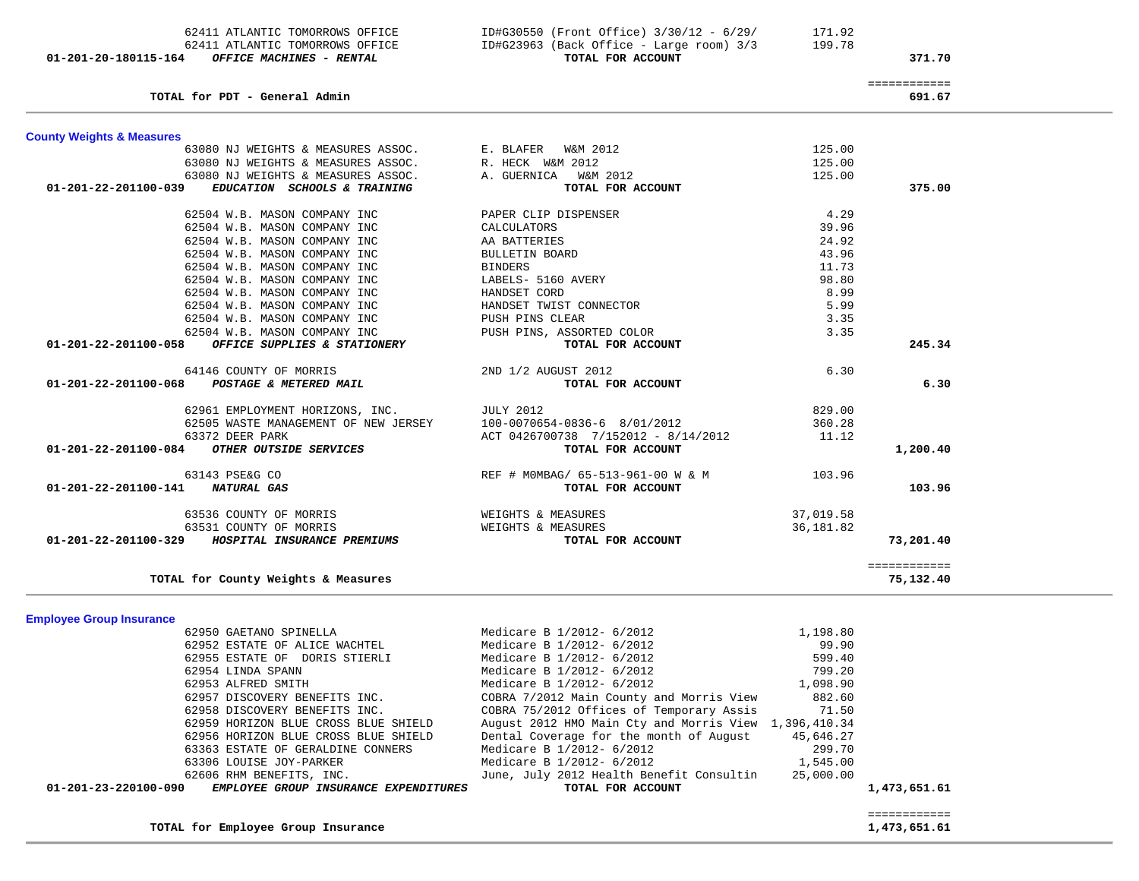| TOTAL for PDT - General Admin                        |                                     |           | ============<br>691.67 |
|------------------------------------------------------|-------------------------------------|-----------|------------------------|
| <b>County Weights &amp; Measures</b>                 |                                     |           |                        |
| 63080 NJ WEIGHTS & MEASURES ASSOC.                   | E. BLAFER<br>W&M 2012               | 125.00    |                        |
| 63080 NJ WEIGHTS & MEASURES ASSOC.                   | R. HECK W&M 2012                    | 125.00    |                        |
| 63080 NJ WEIGHTS & MEASURES ASSOC.                   | A. GUERNICA<br>W&M 2012             | 125.00    |                        |
| 01-201-22-201100-039<br>EDUCATION SCHOOLS & TRAINING | TOTAL FOR ACCOUNT                   |           | 375.00                 |
| 62504 W.B. MASON COMPANY INC                         | PAPER CLIP DISPENSER                | 4.29      |                        |
| 62504 W.B. MASON COMPANY INC                         | CALCULATORS                         | 39.96     |                        |
| 62504 W.B. MASON COMPANY INC                         | AA BATTERIES                        | 24.92     |                        |
| 62504 W.B. MASON COMPANY INC                         | <b>BULLETIN BOARD</b>               | 43.96     |                        |
| 62504 W.B. MASON COMPANY INC                         | <b>BINDERS</b>                      | 11.73     |                        |
| 62504 W.B. MASON COMPANY INC                         | LABELS- 5160 AVERY                  | 98.80     |                        |
| 62504 W.B. MASON COMPANY INC                         | HANDSET CORD                        | 8.99      |                        |
| 62504 W.B. MASON COMPANY INC                         | HANDSET TWIST CONNECTOR             | 5.99      |                        |
| 62504 W.B. MASON COMPANY INC                         | PUSH PINS CLEAR                     | 3.35      |                        |
| 62504 W.B. MASON COMPANY INC                         | PUSH PINS, ASSORTED COLOR           | 3.35      |                        |
| OFFICE SUPPLIES & STATIONERY<br>01-201-22-201100-058 | TOTAL FOR ACCOUNT                   |           | 245.34                 |
| 64146 COUNTY OF MORRIS                               | 2ND 1/2 AUGUST 2012                 | 6.30      |                        |
| 01-201-22-201100-068<br>POSTAGE & METERED MAIL       | TOTAL FOR ACCOUNT                   |           | 6.30                   |
| 62961 EMPLOYMENT HORIZONS, INC.                      | <b>JULY 2012</b>                    | 829.00    |                        |
| 62505 WASTE MANAGEMENT OF NEW JERSEY                 | 100-0070654-0836-6 8/01/2012        | 360.28    |                        |
| 63372 DEER PARK                                      | ACT 0426700738 7/152012 - 8/14/2012 | 11.12     |                        |
| 01-201-22-201100-084<br>OTHER OUTSIDE SERVICES       | TOTAL FOR ACCOUNT                   |           | 1,200.40               |
| 63143 PSE&G CO                                       | REF # MOMBAG/ 65-513-961-00 W & M   | 103.96    |                        |
| 01-201-22-201100-141<br>NATURAL GAS                  | TOTAL FOR ACCOUNT                   |           | 103.96                 |
| 63536 COUNTY OF MORRIS                               | WEIGHTS & MEASURES                  | 37,019.58 |                        |
| 63531 COUNTY OF MORRIS                               | WEIGHTS & MEASURES                  | 36,181.82 |                        |
| 01-201-22-201100-329<br>HOSPITAL INSURANCE PREMIUMS  | TOTAL FOR ACCOUNT                   |           | 73,201.40              |
|                                                      |                                     |           | ============           |

 62411 ATLANTIC TOMORROWS OFFICE ID#G30550 (Front Office) 3/30/12 - 6/29/ 171.92 62411 ATLANTIC TOMORROWS OFFICE ID#G23963 (Back Office - Large room) 3/3 199.78<br> **199.78** TOTAL FOR ACCOUNT

## **Employee Group Insurance**

|                      | 62950 GAETANO SPINELLA                | Medicare B 1/2012- 6/2012                             | 1,198.80  |              |
|----------------------|---------------------------------------|-------------------------------------------------------|-----------|--------------|
|                      | 62952 ESTATE OF ALICE WACHTEL         | Medicare B 1/2012- 6/2012                             | 99.90     |              |
|                      | 62955 ESTATE OF DORIS STIERLI         | Medicare B 1/2012- 6/2012                             | 599.40    |              |
|                      | 62954 LINDA SPANN                     | Medicare B 1/2012- 6/2012                             | 799.20    |              |
|                      | 62953 ALFRED SMITH                    | Medicare B 1/2012- 6/2012                             | 1,098.90  |              |
|                      | 62957 DISCOVERY BENEFITS INC.         | COBRA 7/2012 Main County and Morris View              | 882.60    |              |
|                      | 62958 DISCOVERY BENEFITS INC.         | COBRA 75/2012 Offices of Temporary Assis 71.50        |           |              |
|                      | 62959 HORIZON BLUE CROSS BLUE SHIELD  | August 2012 HMO Main Cty and Morris View 1,396,410.34 |           |              |
|                      | 62956 HORIZON BLUE CROSS BLUE SHIELD  | Dental Coverage for the month of August               | 45,646.27 |              |
|                      | 63363 ESTATE OF GERALDINE CONNERS     | Medicare B 1/2012- 6/2012                             | 299.70    |              |
|                      | 63306 LOUISE JOY-PARKER               | Medicare B 1/2012- 6/2012                             | 1,545.00  |              |
|                      | 62606 RHM BENEFITS, INC.              | June, July 2012 Health Benefit Consultin              | 25,000.00 |              |
| 01-201-23-220100-090 | EMPLOYEE GROUP INSURANCE EXPENDITURES | TOTAL FOR ACCOUNT                                     |           | 1,473,651.61 |
|                      |                                       |                                                       |           |              |

TOTAL for Employee Group Insurance

**TOTAL for County Weights & Measures 75,132.40**

01-201-20-180115-164 OFFICE MACHINES - RENTAL

 ============ ============<br>1,473,651.61

75,132.40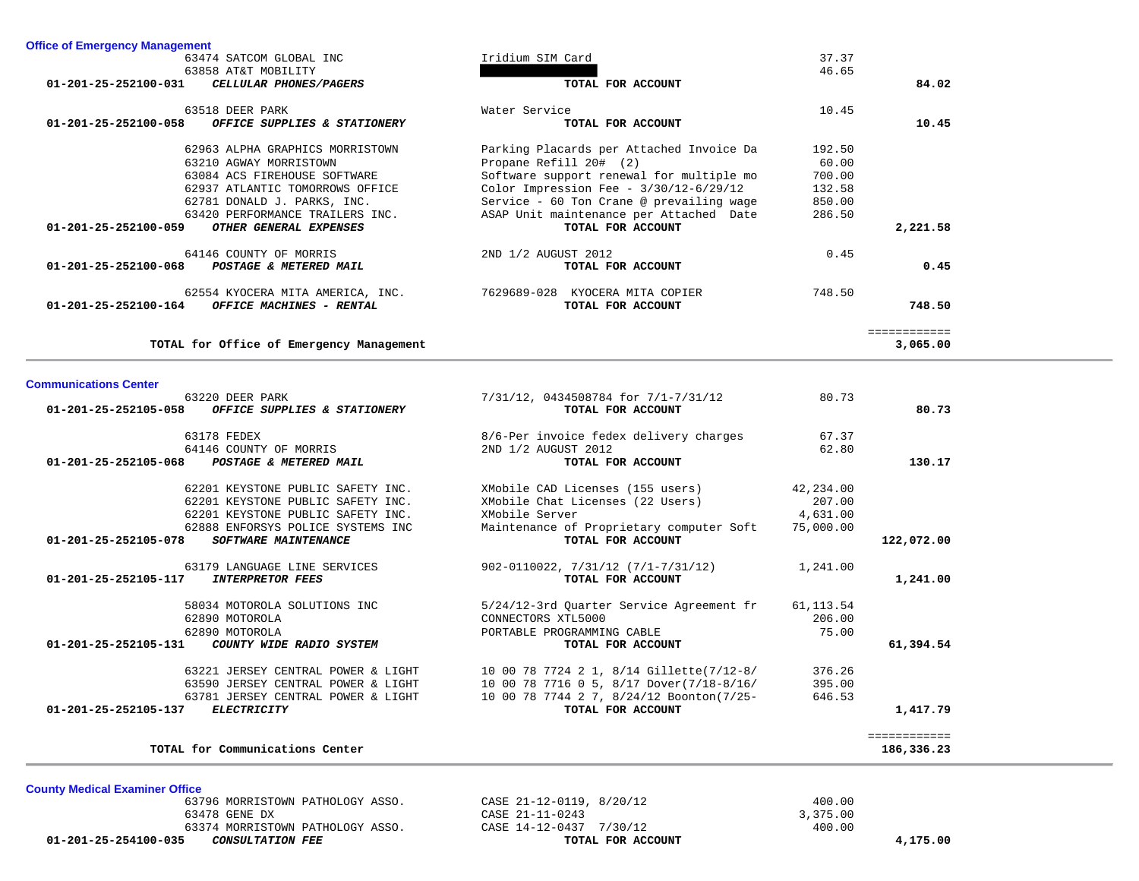| 63858 AT&T MOBILITY                                                              |                                                                                      | 46.65      |              |
|----------------------------------------------------------------------------------|--------------------------------------------------------------------------------------|------------|--------------|
| 01-201-25-252100-031<br>CELLULAR PHONES/PAGERS                                   | TOTAL FOR ACCOUNT                                                                    |            | 84.02        |
| 63518 DEER PARK                                                                  | Water Service                                                                        | 10.45      |              |
| 01-201-25-252100-058<br>OFFICE SUPPLIES & STATIONERY                             | TOTAL FOR ACCOUNT                                                                    |            | 10.45        |
| 62963 ALPHA GRAPHICS MORRISTOWN                                                  | Parking Placards per Attached Invoice Da                                             | 192.50     |              |
| 63210 AGWAY MORRISTOWN                                                           | Propane Refill 20# (2)                                                               | 60.00      |              |
| 63084 ACS FIREHOUSE SOFTWARE                                                     | Software support renewal for multiple mo                                             | 700.00     |              |
| 62937 ATLANTIC TOMORROWS OFFICE                                                  | Color Impression Fee - $3/30/12-6/29/12$                                             | 132.58     |              |
| 62781 DONALD J. PARKS, INC.                                                      | Service - 60 Ton Crane @ prevailing wage                                             | 850.00     |              |
| 63420 PERFORMANCE TRAILERS INC.                                                  | ASAP Unit maintenance per Attached Date                                              | 286.50     |              |
| OTHER GENERAL EXPENSES<br>01-201-25-252100-059                                   | TOTAL FOR ACCOUNT                                                                    |            | 2,221.58     |
|                                                                                  |                                                                                      |            |              |
| 64146 COUNTY OF MORRIS                                                           | 2ND 1/2 AUGUST 2012                                                                  | 0.45       |              |
| POSTAGE & METERED MAIL<br>01-201-25-252100-068                                   | TOTAL FOR ACCOUNT                                                                    |            | 0.45         |
| 62554 KYOCERA MITA AMERICA, INC.                                                 | 7629689-028 KYOCERA MITA COPIER                                                      | 748.50     |              |
| 01-201-25-252100-164<br>OFFICE MACHINES - RENTAL                                 | TOTAL FOR ACCOUNT                                                                    |            | 748.50       |
|                                                                                  |                                                                                      |            | ============ |
| TOTAL for Office of Emergency Management                                         |                                                                                      |            | 3,065.00     |
|                                                                                  |                                                                                      |            |              |
| <b>Communications Center</b>                                                     |                                                                                      |            |              |
| 63220 DEER PARK                                                                  | 7/31/12, 0434508784 for 7/1-7/31/12                                                  | 80.73      |              |
| 01-201-25-252105-058<br>OFFICE SUPPLIES & STATIONERY                             | TOTAL FOR ACCOUNT                                                                    |            | 80.73        |
| 63178 FEDEX                                                                      | 8/6-Per invoice fedex delivery charges                                               | 67.37      |              |
| 64146 COUNTY OF MORRIS                                                           | 2ND 1/2 AUGUST 2012                                                                  | 62.80      |              |
| $01 - 201 - 25 - 252105 - 068$<br>POSTAGE & METERED MAIL                         | TOTAL FOR ACCOUNT                                                                    |            | 130.17       |
| 62201 KEYSTONE PUBLIC SAFETY INC.                                                | XMobile CAD Licenses (155 users)                                                     | 42,234.00  |              |
| 62201 KEYSTONE PUBLIC SAFETY INC.                                                | XMobile Chat Licenses (22 Users)                                                     | 207.00     |              |
| 62201 KEYSTONE PUBLIC SAFETY INC.                                                | XMobile Server                                                                       | 4,631.00   |              |
| 62888 ENFORSYS POLICE SYSTEMS INC                                                | Maintenance of Proprietary computer Soft                                             | 75,000.00  |              |
| <b>SOFTWARE MAINTENANCE</b><br>01-201-25-252105-078                              | TOTAL FOR ACCOUNT                                                                    |            | 122,072.00   |
| 63179 LANGUAGE LINE SERVICES                                                     | $902 - 0110022$ , $7/31/12$ $(7/1 - 7/31/12)$                                        | 1,241.00   |              |
| 01-201-25-252105-117<br><b>INTERPRETOR FEES</b>                                  | TOTAL FOR ACCOUNT                                                                    |            | 1,241.00     |
| 58034 MOTOROLA SOLUTIONS INC                                                     | 5/24/12-3rd Quarter Service Agreement fr                                             | 61, 113.54 |              |
| 62890 MOTOROLA                                                                   | CONNECTORS XTL5000                                                                   | 206.00     |              |
| 62890 MOTOROLA                                                                   | PORTABLE PROGRAMMING CABLE                                                           | 75.00      |              |
| 01-201-25-252105-131<br>COUNTY WIDE RADIO SYSTEM                                 | TOTAL FOR ACCOUNT                                                                    |            | 61,394.54    |
| 63221 JERSEY CENTRAL POWER & LIGHT                                               |                                                                                      | 376.26     |              |
| 63590 JERSEY CENTRAL POWER & LIGHT                                               | 10 00 78 7724 2 1, 8/14 Gillette(7/12-8/<br>10 00 78 7716 0 5, 8/17 Dover(7/18-8/16/ | 395.00     |              |
|                                                                                  |                                                                                      |            |              |
| 63781 JERSEY CENTRAL POWER & LIGHT<br><b>ELECTRICITY</b><br>01-201-25-252105-137 | 10 00 78 7744 2 7, 8/24/12 Boonton(7/25-<br>TOTAL FOR ACCOUNT                        | 646.53     | 1,417.79     |
|                                                                                  |                                                                                      |            |              |
|                                                                                  |                                                                                      |            | ============ |
| TOTAL for Communications Center                                                  |                                                                                      |            | 186,336.23   |

63474 SATCOM GLOBAL INC **Iridium SIM Card** 

**County Medical Examiner Office**

**Office of Emergency Management**

 **01-201-25-254100-035** *CONSULTATION FEE* **TOTAL FOR ACCOUNT 4,175.00**

 63796 MORRISTOWN PATHOLOGY ASSO. CASE 21-12-0119, 8/20/12 400.00 63478 GENE DX CASE 21-11-0243 3,375.00 63374 MORRISTOWN PATHOLOGY ASSO. CASE 14-12-0437 7/30/12 400.00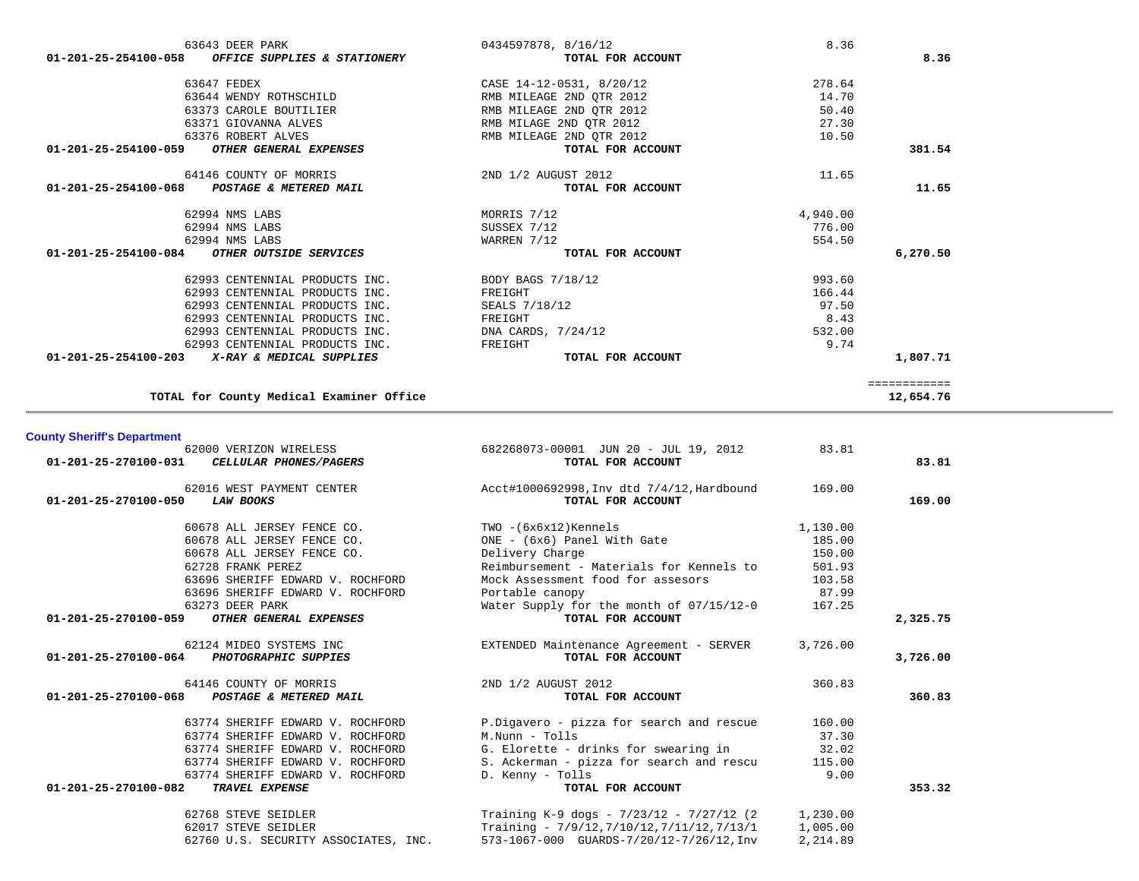|          | 0434597878, 8/16/12      | 63643 DEER PARK                                   |
|----------|--------------------------|---------------------------------------------------|
|          | TOTAL FOR ACCOUNT        | 01-201-25-254100-058 OFFICE SUPPLIES & STATIONERY |
| 278.64   | CASE 14-12-0531, 8/20/12 | 63647 FEDEX                                       |
| 14.70    | RMB MILEAGE 2ND QTR 2012 | 63644 WENDY ROTHSCHILD                            |
| 50.40    | RMB MILEAGE 2ND OTR 2012 | 63373 CAROLE BOUTILIER                            |
| 27.30    | RMB MILAGE 2ND QTR 2012  | 63371 GIOVANNA ALVES                              |
| 10.50    | RMB MILEAGE 2ND OTR 2012 | 63376 ROBERT ALVES                                |
|          | TOTAL FOR ACCOUNT        | 01-201-25-254100-059<br>OTHER GENERAL EXPENSES    |
| 11.65    | 2ND 1/2 AUGUST 2012      | 64146 COUNTY OF MORRIS                            |
|          | TOTAL FOR ACCOUNT        | 01-201-25-254100-068 POSTAGE & METERED MAIL       |
| 4,940.00 | MORRIS 7/12              | 62994 NMS LABS                                    |
| 776.00   | SUSSEX 7/12              | 62994 NMS LABS                                    |
| 554.50   | WARREN 7/12              | 62994 NMS LABS                                    |
|          | TOTAL FOR ACCOUNT        | 01-201-25-254100-084<br>OTHER OUTSIDE SERVICES    |
| 993.60   | BODY BAGS 7/18/12        | 62993 CENTENNIAL PRODUCTS INC.                    |
| 166.44   | FREIGHT                  | 62993 CENTENNIAL PRODUCTS INC.                    |
| 97.50    | SEALS 7/18/12            | 62993 CENTENNIAL PRODUCTS INC.                    |
| 8.43     | FREIGHT                  | 62993 CENTENNIAL PRODUCTS INC.                    |
| 532.00   | DNA CARDS, 7/24/12       | 62993 CENTENNIAL PRODUCTS INC.                    |
| 9.74     | FREIGHT                  | 62993 CENTENNIAL PRODUCTS INC.                    |
|          | TOTAL FOR ACCOUNT        | 01-201-25-254100-203 X-RAY & MEDICAL SUPPLIES     |
|          |                          |                                                   |

# **County Sheriff's Department**

| 01-201-25-270100-031 | 62000 VERIZON WIRELESS<br><i>CELLULAR PHONES/PAGERS</i> | 682268073-00001 JUN 20 - JUL 19, 2012<br>TOTAL FOR ACCOUNT      | 83.81    | 83.81    |
|----------------------|---------------------------------------------------------|-----------------------------------------------------------------|----------|----------|
| 01-201-25-270100-050 | 62016 WEST PAYMENT CENTER<br><b>LAW BOOKS</b>           | Acct#1000692998, Inv dtd 7/4/12, Hardbound<br>TOTAL FOR ACCOUNT | 169.00   | 169.00   |
|                      | 60678 ALL JERSEY FENCE CO.                              | TWO -(6x6x12)Kennels                                            | 1,130.00 |          |
|                      | 60678 ALL JERSEY FENCE CO.                              | ONE - (6x6) Panel With Gate                                     | 185.00   |          |
|                      | 60678 ALL JERSEY FENCE CO.                              | Delivery Charge                                                 | 150.00   |          |
|                      | 62728 FRANK PEREZ                                       | Reimbursement - Materials for Kennels to                        | 501.93   |          |
|                      | 63696 SHERIFF EDWARD V. ROCHFORD                        | Mock Assessment food for assesors                               | 103.58   |          |
|                      | 63696 SHERIFF EDWARD V. ROCHFORD                        | Portable canopy                                                 | 87.99    |          |
|                      | 63273 DEER PARK                                         | Water Supply for the month of 07/15/12-0                        | 167.25   |          |
| 01-201-25-270100-059 | OTHER GENERAL EXPENSES                                  | TOTAL FOR ACCOUNT                                               |          | 2,325.75 |
|                      | 62124 MIDEO SYSTEMS INC                                 | EXTENDED Maintenance Agreement - SERVER                         | 3,726.00 |          |
| 01-201-25-270100-064 | <b>PHOTOGRAPHIC SUPPIES</b>                             | TOTAL FOR ACCOUNT                                               |          | 3,726.00 |
|                      | 64146 COUNTY OF MORRIS                                  | 2ND 1/2 AUGUST 2012                                             | 360.83   |          |
|                      | 01-201-25-270100-068 POSTAGE & METERED MAIL             | TOTAL FOR ACCOUNT                                               |          | 360.83   |
|                      | 63774 SHERIFF EDWARD V. ROCHFORD                        | P.Digavero - pizza for search and rescue                        | 160.00   |          |
|                      | 63774 SHERIFF EDWARD V. ROCHFORD                        | M.Nunn - Tolls                                                  | 37.30    |          |
|                      | 63774 SHERIFF EDWARD V. ROCHFORD                        | G. Elorette - drinks for swearing in                            | 32.02    |          |
|                      | 63774 SHERIFF EDWARD V. ROCHFORD                        | S. Ackerman - pizza for search and rescu                        | 115.00   |          |
|                      | 63774 SHERIFF EDWARD V. ROCHFORD                        | D. Kenny - Tolls                                                | 9.00     |          |
| 01-201-25-270100-082 | TRAVEL EXPENSE                                          | TOTAL FOR ACCOUNT                                               |          | 353.32   |
|                      | 62768 STEVE SEIDLER                                     | Training K-9 dogs - $7/23/12$ - $7/27/12$ (2                    | 1,230.00 |          |
|                      | 62017 STEVE SEIDLER                                     | Training - $7/9/12, 7/10/12, 7/11/12, 7/13/1$                   | 1,005.00 |          |
|                      | 62760 U.S. SECURITY ASSOCIATES, INC.                    | 573-1067-000 GUARDS-7/20/12-7/26/12, Inv                        | 2,214.89 |          |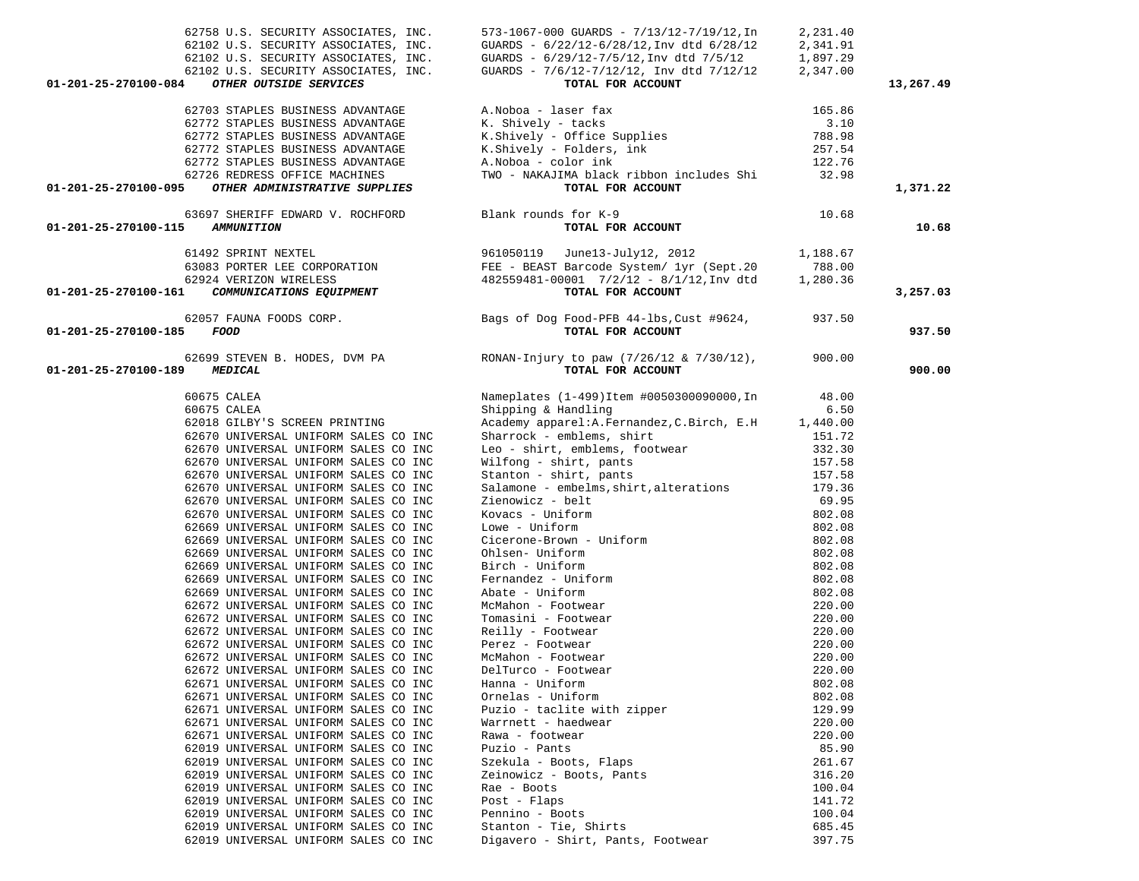| 62758 U.S. SECURITY ASSOCIATES, INC.<br>01-201-25-270100-084<br>OTHER OUTSIDE SERVICES | 573-1067-000 GUARDS - 7/13/12-7/19/12, In<br>GUARDS - 6/22/12-6/28/12, Inv dtd 6/28/12<br>62102 U.S. SECURITY ASSOCIATES, INC. GUARDS - $6/22/12-6/28/12$ , Inv dtd $6/28/12$<br>62102 U.S. SECURITY ASSOCIATES, INC. GUARDS - $6/29/12-7/5/12$ , Inv dtd $7/5/12$<br>62102 U.S. SECURITY ASSOCIATES, INC. GUARDS - $7/6/12-7/1$<br>TOTAL FOR ACCOUNT | 2,231.40<br>2,341.91<br>1,897.29<br>2,347.00 | 13,267.49 |
|----------------------------------------------------------------------------------------|-------------------------------------------------------------------------------------------------------------------------------------------------------------------------------------------------------------------------------------------------------------------------------------------------------------------------------------------------------|----------------------------------------------|-----------|
|                                                                                        |                                                                                                                                                                                                                                                                                                                                                       |                                              |           |
| 62703 STAPLES BUSINESS ADVANTAGE<br>62772 STAPLES BUSINESS ADVANTAGE                   | A.Noboa - laser fax<br>K. Shively - tacks<br>K.Shively - Office Supplies<br>K.Shively - Folders, ink<br>A.Noboa - color ink<br>TWO - NAKAJIMA black ribbon inslues of i                                                                                                                                                                               | 165.86<br>3.10                               |           |
| 62772 STAPLES BUSINESS ADVANTAGE                                                       |                                                                                                                                                                                                                                                                                                                                                       |                                              |           |
| 62772 STAPLES BUSINESS ADVANTAGE                                                       |                                                                                                                                                                                                                                                                                                                                                       | 788.98<br>257.54                             |           |
| 62772 STAPLES BUSINESS ADVANTAGE                                                       |                                                                                                                                                                                                                                                                                                                                                       | 122.76                                       |           |
| 62726 REDRESS OFFICE MACHINES                                                          | TWO - NAKAJIMA black ribbon includes Shi 32.98                                                                                                                                                                                                                                                                                                        |                                              |           |
| OTHER ADMINISTRATIVE SUPPLIES<br>01-201-25-270100-095                                  | TOTAL FOR ACCOUNT                                                                                                                                                                                                                                                                                                                                     |                                              | 1,371.22  |
| 63697 SHERIFF EDWARD V. ROCHFORD Blank rounds for K-9                                  |                                                                                                                                                                                                                                                                                                                                                       | 10.68                                        |           |
| 01-201-25-270100-115 AMMUNITION                                                        | TOTAL FOR ACCOUNT                                                                                                                                                                                                                                                                                                                                     |                                              | 10.68     |
|                                                                                        | 61492 SPRINT NEXTEL (1,188.67)<br>63083 PORTER LEE CORPORATION FEE - BEAST Barcode System / 1yr (Sept.20 788.00<br>62924 VERIZON WIRELESS (482559481-00001 7/2/12 - 8/1/12,Inv dtd 1,280.36<br>1,280.36<br>1,280.36<br>1,280.36                                                                                                                       |                                              |           |
|                                                                                        |                                                                                                                                                                                                                                                                                                                                                       |                                              |           |
|                                                                                        |                                                                                                                                                                                                                                                                                                                                                       |                                              |           |
| 01-201-25-270100-161                                                                   |                                                                                                                                                                                                                                                                                                                                                       |                                              | 3,257.03  |
| 01-201-25-270100-185<br>FOOD                                                           | 62057 FAUNA FOODS CORP. The Sags of Dog Food-PFB 44-1bs, Cust #9624, 937.50<br>TOTAL FOR ACCOUNT                                                                                                                                                                                                                                                      |                                              | 937.50    |
| 01-201-25-270100-189<br><b>MEDICAL</b>                                                 | 62699 STEVEN B. HODES, DVM PA RONAN-Injury to paw $(7/26/12 \& 7/30/12)$ , 900.00<br>TOTAL FOR ACCOUNT                                                                                                                                                                                                                                                |                                              | 900.00    |
| 60675 CALEA                                                                            | Nameplates (1-499)Item #0050300090000, In 48.00                                                                                                                                                                                                                                                                                                       |                                              |           |
| 60675 CALEA                                                                            | Shipping & Handling                                                                                                                                                                                                                                                                                                                                   | 6.50                                         |           |
| 62018 GILBY'S SCREEN PRINTING                                                          | Academy apparel: A. Fernandez, C. Birch, E. H 1,440.00                                                                                                                                                                                                                                                                                                |                                              |           |
| 62670 UNIVERSAL UNIFORM SALES CO INC                                                   | Sharrock - emblems, shirt                                                                                                                                                                                                                                                                                                                             | 151.72                                       |           |
| 62670 UNIVERSAL UNIFORM SALES CO INC<br>62670 UNIVERSAL UNIFORM SALES CO INC           | Leo - shirt, emblems, footwear 332.30                                                                                                                                                                                                                                                                                                                 | 157.58                                       |           |
| 62670 UNIVERSAL UNIFORM SALES CO INC                                                   | Wilfong - shirt, pants<br>Stanton - shirt, pants<br>Salamone - embelms, shirt, alterations                                                                                                                                                                                                                                                            | 157.58                                       |           |
| 62670 UNIVERSAL UNIFORM SALES CO INC                                                   |                                                                                                                                                                                                                                                                                                                                                       | 179.36                                       |           |
| 62670 UNIVERSAL UNIFORM SALES CO INC                                                   | Zienowicz - belt                                                                                                                                                                                                                                                                                                                                      | 69.95                                        |           |
| 62670 UNIVERSAL UNIFORM SALES CO INC                                                   | Kovacs - Uniform                                                                                                                                                                                                                                                                                                                                      | 802.08                                       |           |
| 62669 UNIVERSAL UNIFORM SALES CO INC                                                   | Lowe - Uniform<br>Lowe - Uniform<br>Cicerone-Brown - Uniform<br>Ohlsen- Uniform<br>Birch - Uniform<br>Fernandez - Uniform<br>Abate - Uniform<br>McMahon - Footwear<br>Tomasini - Footwear<br>Reilly - Footwear<br>Perez - Footwear<br>McMahon - Footwear<br>DelTurco - Footwear<br>D                                                                  | 802.08                                       |           |
| 62669 UNIVERSAL UNIFORM SALES CO INC                                                   |                                                                                                                                                                                                                                                                                                                                                       | 802.08                                       |           |
| 62669 UNIVERSAL UNIFORM SALES CO INC                                                   |                                                                                                                                                                                                                                                                                                                                                       | 802.08                                       |           |
| 62669 UNIVERSAL UNIFORM SALES CO INC                                                   |                                                                                                                                                                                                                                                                                                                                                       | 802.08                                       |           |
| 62669 UNIVERSAL UNIFORM SALES CO INC                                                   |                                                                                                                                                                                                                                                                                                                                                       | 802.08                                       |           |
| 62669 UNIVERSAL UNIFORM SALES CO INC<br>62672 UNIVERSAL UNIFORM SALES CO INC           |                                                                                                                                                                                                                                                                                                                                                       | 802.08<br>220.00                             |           |
| 62672 UNIVERSAL UNIFORM SALES CO INC                                                   |                                                                                                                                                                                                                                                                                                                                                       | 220.00                                       |           |
| 62672 UNIVERSAL UNIFORM SALES CO INC                                                   |                                                                                                                                                                                                                                                                                                                                                       | 220.00                                       |           |
| 62672 UNIVERSAL UNIFORM SALES CO INC                                                   |                                                                                                                                                                                                                                                                                                                                                       | 220.00                                       |           |
| 62672 UNIVERSAL UNIFORM SALES CO INC                                                   |                                                                                                                                                                                                                                                                                                                                                       | 220.00                                       |           |
| 62672 UNIVERSAL UNIFORM SALES CO INC                                                   | DelTurco - Footwear                                                                                                                                                                                                                                                                                                                                   | 220.00                                       |           |
| 62671 UNIVERSAL UNIFORM SALES CO INC                                                   | Hanna - Uniform                                                                                                                                                                                                                                                                                                                                       | 802.08                                       |           |
| 62671 UNIVERSAL UNIFORM SALES CO INC                                                   | Ornelas - Uniform                                                                                                                                                                                                                                                                                                                                     | 802.08                                       |           |
| 62671 UNIVERSAL UNIFORM SALES CO INC                                                   | Puzio - taclite with zipper                                                                                                                                                                                                                                                                                                                           | 129.99                                       |           |
| 62671 UNIVERSAL UNIFORM SALES CO INC<br>62671 UNIVERSAL UNIFORM SALES CO INC           | Warrnett - haedwear                                                                                                                                                                                                                                                                                                                                   | 220.00                                       |           |
| 62019 UNIVERSAL UNIFORM SALES CO INC                                                   | Rawa - footwear<br>Puzio - Pants                                                                                                                                                                                                                                                                                                                      | 220.00<br>85.90                              |           |
| 62019 UNIVERSAL UNIFORM SALES CO INC                                                   | Szekula - Boots, Flaps                                                                                                                                                                                                                                                                                                                                | 261.67                                       |           |
| 62019 UNIVERSAL UNIFORM SALES CO INC                                                   | Zeinowicz - Boots, Pants                                                                                                                                                                                                                                                                                                                              | 316.20                                       |           |
| 62019 UNIVERSAL UNIFORM SALES CO INC                                                   | Rae - Boots                                                                                                                                                                                                                                                                                                                                           | 100.04                                       |           |
| 62019 UNIVERSAL UNIFORM SALES CO INC                                                   | Post - Flaps                                                                                                                                                                                                                                                                                                                                          | 141.72                                       |           |
| 62019 UNIVERSAL UNIFORM SALES CO INC                                                   | Pennino - Boots                                                                                                                                                                                                                                                                                                                                       | 100.04                                       |           |
| 62019 UNIVERSAL UNIFORM SALES CO INC                                                   | Stanton - Tie, Shirts                                                                                                                                                                                                                                                                                                                                 | 685.45                                       |           |
| 62019 UNIVERSAL UNIFORM SALES CO INC                                                   | Digavero - Shirt, Pants, Footwear                                                                                                                                                                                                                                                                                                                     | 397.75                                       |           |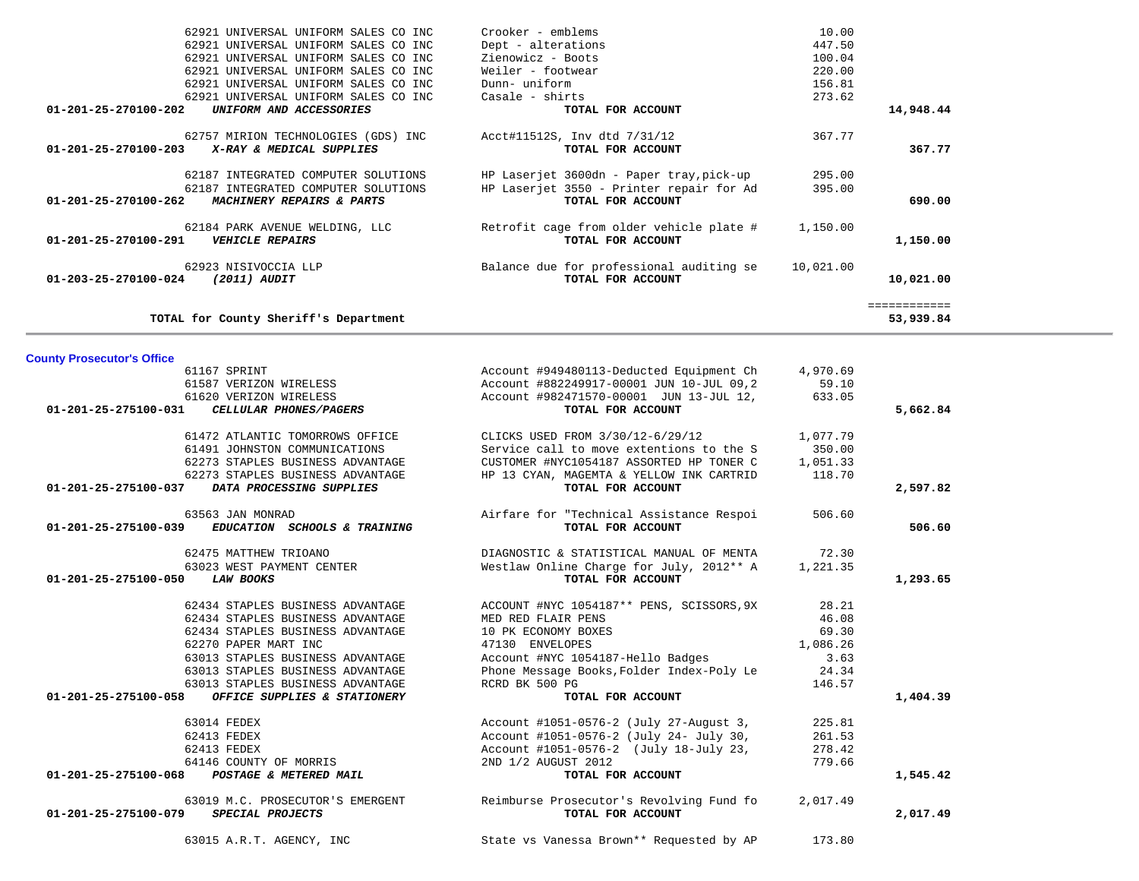| 62187 INTEGRATED COMPUTER SOLUTIONS<br>62187 INTEGRATED COMPUTER SOLUTIONS<br>01-201-25-270100-262<br>MACHINERY REPAIRS & PARTS                                                                                                                                                                      | HP Laserjet 3600dn - Paper tray, pick-up<br>HP Laserjet 3550 - Printer repair for Ad<br>TOTAL FOR ACCOUNT                                                                                                                          | 295.00<br>395.00                                               | 690.00                    |
|------------------------------------------------------------------------------------------------------------------------------------------------------------------------------------------------------------------------------------------------------------------------------------------------------|------------------------------------------------------------------------------------------------------------------------------------------------------------------------------------------------------------------------------------|----------------------------------------------------------------|---------------------------|
| 62184 PARK AVENUE WELDING, LLC<br><b>VEHICLE REPAIRS</b><br>01-201-25-270100-291                                                                                                                                                                                                                     | Retrofit cage from older vehicle plate #<br>TOTAL FOR ACCOUNT                                                                                                                                                                      | 1,150.00                                                       | 1,150.00                  |
| 62923 NISIVOCCIA LLP<br>(2011) AUDIT<br>01-203-25-270100-024                                                                                                                                                                                                                                         | Balance due for professional auditing se<br>TOTAL FOR ACCOUNT                                                                                                                                                                      | 10,021.00                                                      | 10,021.00                 |
| TOTAL for County Sheriff's Department                                                                                                                                                                                                                                                                |                                                                                                                                                                                                                                    |                                                                | ============<br>53,939.84 |
| <b>County Prosecutor's Office</b>                                                                                                                                                                                                                                                                    |                                                                                                                                                                                                                                    |                                                                |                           |
| 61167 SPRINT<br>61587 VERIZON WIRELESS<br>61620 VERIZON WIRELESS                                                                                                                                                                                                                                     | Account #949480113-Deducted Equipment Ch<br>Account #882249917-00001 JUN 10-JUL 09,2<br>Account #982471570-00001 JUN 13-JUL 12,                                                                                                    | 4,970.69<br>59.10<br>633.05                                    |                           |
| CELLULAR PHONES/PAGERS<br>01-201-25-275100-031<br>61472 ATLANTIC TOMORROWS OFFICE<br>61491 JOHNSTON COMMUNICATIONS<br>62273 STAPLES BUSINESS ADVANTAGE<br>62273 STAPLES BUSINESS ADVANTAGE<br>DATA PROCESSING SUPPLIES<br>01-201-25-275100-037                                                       | TOTAL FOR ACCOUNT<br>CLICKS USED FROM 3/30/12-6/29/12<br>Service call to move extentions to the S<br>CUSTOMER #NYC1054187 ASSORTED HP TONER C<br>HP 13 CYAN, MAGEMTA & YELLOW INK CARTRID<br>TOTAL FOR ACCOUNT                     | 1,077.79<br>350.00<br>1,051.33<br>118.70                       | 5,662.84<br>2,597.82      |
| 63563 JAN MONRAD<br>EDUCATION SCHOOLS & TRAINING<br>01-201-25-275100-039                                                                                                                                                                                                                             | Airfare for "Technical Assistance Respoi<br>TOTAL FOR ACCOUNT                                                                                                                                                                      | 506.60                                                         | 506.60                    |
| 62475 MATTHEW TRIOANO<br>63023 WEST PAYMENT CENTER<br>01-201-25-275100-050<br><b>LAW BOOKS</b>                                                                                                                                                                                                       | DIAGNOSTIC & STATISTICAL MANUAL OF MENTA<br>Westlaw Online Charge for July, 2012** A<br>TOTAL FOR ACCOUNT                                                                                                                          | 72.30<br>1,221.35                                              | 1,293.65                  |
| 62434 STAPLES BUSINESS ADVANTAGE<br>62434 STAPLES BUSINESS ADVANTAGE<br>62434 STAPLES BUSINESS ADVANTAGE<br>62270 PAPER MART INC<br>63013 STAPLES BUSINESS ADVANTAGE<br>63013 STAPLES BUSINESS ADVANTAGE<br>63013 STAPLES BUSINESS ADVANTAGE<br>OFFICE SUPPLIES & STATIONERY<br>01-201-25-275100-058 | ACCOUNT #NYC 1054187** PENS, SCISSORS, 9X<br>MED RED FLAIR PENS<br>10 PK ECONOMY BOXES<br>47130 ENVELOPES<br>Account #NYC 1054187-Hello Badges<br>Phone Message Books, Folder Index-Poly Le<br>RCRD BK 500 PG<br>TOTAL FOR ACCOUNT | 28.21<br>46.08<br>69.30<br>1,086.26<br>3.63<br>24.34<br>146.57 | 1,404.39                  |
| 63014 FEDEX<br>62413 FEDEX<br>62413 FEDEX<br>64146 COUNTY OF MORRIS<br>01-201-25-275100-068<br>POSTAGE & METERED MAIL                                                                                                                                                                                | Account #1051-0576-2 (July 27-August 3,<br>Account #1051-0576-2 (July 24- July 30,<br>Account #1051-0576-2 (July 18-July 23,<br>2ND 1/2 AUGUST 2012<br>TOTAL FOR ACCOUNT                                                           | 225.81<br>261.53<br>278.42<br>779.66                           | 1,545.42                  |
| 63019 M.C. PROSECUTOR'S EMERGENT<br>01-201-25-275100-079<br>SPECIAL PROJECTS                                                                                                                                                                                                                         | Reimburse Prosecutor's Revolving Fund fo<br>TOTAL FOR ACCOUNT                                                                                                                                                                      | 2,017.49                                                       | 2,017.49                  |
| 63015 A.R.T. AGENCY, INC                                                                                                                                                                                                                                                                             | State vs Vanessa Brown** Requested by AP                                                                                                                                                                                           | 173.80                                                         |                           |

62921 UNIVERSAL UNIFORM SALES CO INC Crooker - emblems 10.00

62921 UNIVERSAL UNIFORM SALES CO INC Zienowicz - Boots 100.04

62921 UNIVERSAL UNIFORM SALES CO INC Dunn- uniform 156.81

 62757 MIRION TECHNOLOGIES (GDS) INC Acct#11512S, Inv dtd 7/31/12 367.77  **01-201-25-270100-203** *X-RAY & MEDICAL SUPPLIES* **TOTAL FOR ACCOUNT 367.77**

 **01-201-25-270100-202** *UNIFORM AND ACCESSORIES* **TOTAL FOR ACCOUNT 14,948.44**

62921 UNIVERSAL UNIFORM SALES CO INC Dept - alterations 62921 UNIVERSAL UNIFORM SALES CO INC Zienowicz - Boots

62921 UNIVERSAL UNIFORM SALES CO INC Weiler - footwear

62921 UNIVERSAL UNIFORM SALES CO INC Casale - shirts

447.50

220.00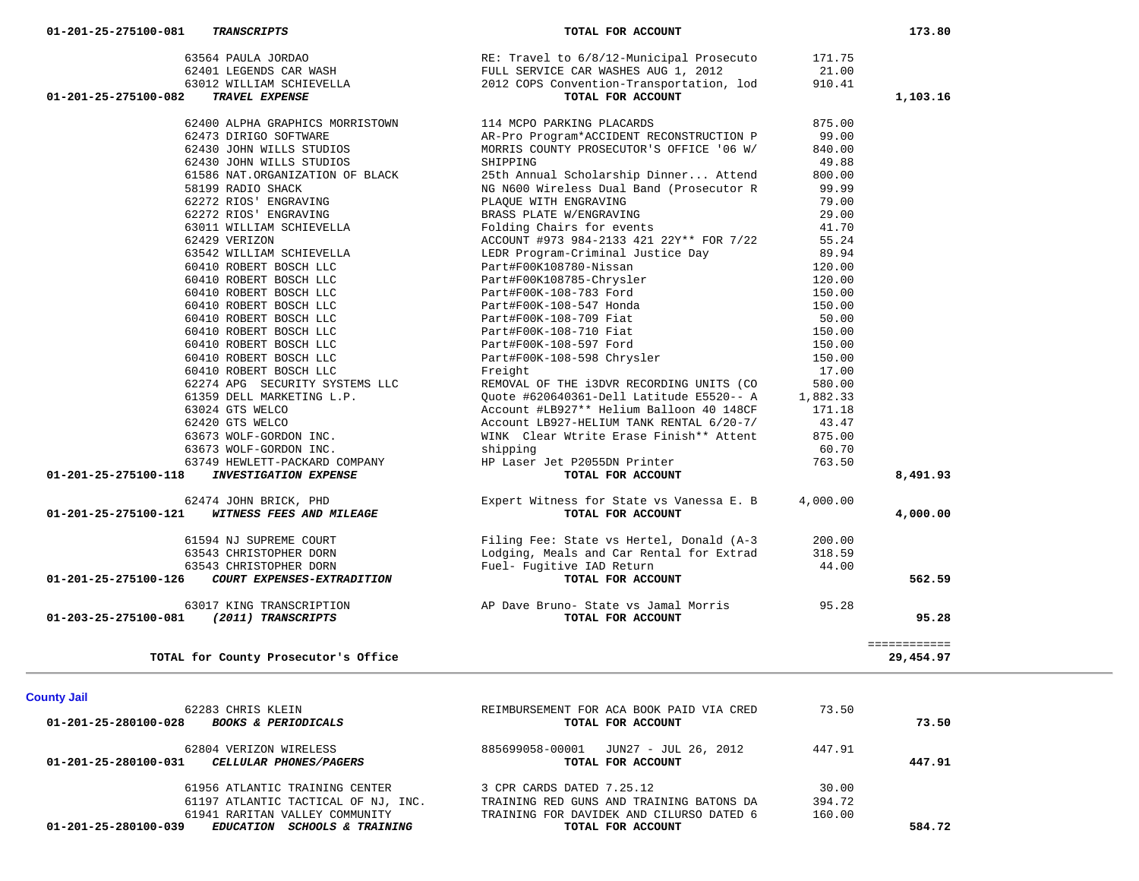| <b>County Jail</b>                                                          |                                                               |        |        |
|-----------------------------------------------------------------------------|---------------------------------------------------------------|--------|--------|
| 62283 CHRIS KLEIN<br>01-201-25-280100-028<br><b>BOOKS &amp; PERIODICALS</b> | REIMBURSEMENT FOR ACA BOOK PAID VIA CRED<br>TOTAL FOR ACCOUNT | 73.50  | 73.50  |
| 62804 VERIZON WIRELESS<br>01-201-25-280100-031<br>CELLULAR PHONES/PAGERS    | 885699058-00001 JUN27 - JUL 26, 2012<br>TOTAL FOR ACCOUNT     | 447.91 | 447.91 |
| 61956 ATLANTIC TRAINING CENTER                                              | 3 CPR CARDS DATED 7.25.12                                     | 30.00  |        |
| 61197 ATLANTIC TACTICAL OF NJ, INC.                                         | TRAINING RED GUNS AND TRAINING BATONS DA                      | 394.72 |        |
| 61941 RARITAN VALLEY COMMUNITY                                              | TRAINING FOR DAVIDEK AND CILURSO DATED 6                      | 160.00 |        |
| 01-201-25-280100-039<br>EDUCATION SCHOOLS & TRAINING                        | TOTAL FOR ACCOUNT                                             |        | 584.72 |

============

TOTAL for County Prosecutor's Office

# 60410 ROBERT BOSCH LLC Part#F00K-108-597 Ford 150.00 60410 ROBERT BOSCH LLC Part#F00K-108-598 Chrysler 150.00 60410 ROBERT BOSCH LLC Freight 17.00 62274 APG SECURITY SYSTEMS LLC REMOVAL OF THE i3DVR RECORDING UNITS (CO 580.00 61359 DELL MARKETING L.P. Quote #620640361-Dell Latitude E5520-- A 1,882.33 63024 GTS WELCO Account #LB927\*\* Helium Balloon 40 148CF 171.18 62420 GTS WELCO Account LB927-HELIUM TANK RENTAL 6/20-7/ 43.47 63673 WOLF-GORDON INC. WINK Clear Wtrite Erase Finish\*\* Attent 875.00 63673 WOLF-GORDON INC. shipping 60.70 63749 HEWLETT-PACKARD COMPANY HP Laser Jet P2055DN Printer 763.50 62474 JOHN BRICK, PHD Expert Witness for State vs Vanessa E. B 4,000.00 61594 NJ SUPREME COURT Filing Fee: State vs Hertel, Donald (A-3 200.00 63543 CHRISTOPHER DORN Lodging, Meals and Car Rental for Extrad 318.59 63543 CHRISTOPHER DORN Fuel- Fugitive IAD Return 44.00

|                                |                                                             | RE: Travel to 6/8/12-Municipal Prosecuto                                                             | 171.75   |          |
|--------------------------------|-------------------------------------------------------------|------------------------------------------------------------------------------------------------------|----------|----------|
|                                |                                                             |                                                                                                      | 21.00    |          |
|                                |                                                             | 2012 COPS Convention-Transportation, lod                                                             | 910.41   |          |
| 01-201-25-275100-082           |                                                             |                                                                                                      |          | 1,103.16 |
|                                |                                                             |                                                                                                      |          |          |
|                                | 62400 ALPHA GRAPHICS MORRISTOWN                             | 114 MCPO PARKING PLACARDS                                                                            | 875.00   |          |
|                                | 62473 DIRIGO SOFTWARE                                       | AR-Pro Program*ACCIDENT RECONSTRUCTION P                                                             | 99.00    |          |
|                                | 62430 JOHN WILLS STUDIOS                                    | MORRIS COUNTY PROSECUTOR'S OFFICE '06 W/                                                             | 840.00   |          |
|                                | 62430 JOHN WILLS STUDIOS                                    | SHIPPING                                                                                             | 49.88    |          |
|                                | 61586 NAT.ORGANIZATION OF BLACK                             | 25th Annual Scholarship Dinner Attend                                                                | 800.00   |          |
|                                | 58199 RADIO SHACK                                           | NG N600 Wireless Dual Band (Prosecutor R                                                             | 99.99    |          |
|                                | 62272 RIOS' ENGRAVING                                       | PLAOUE WITH ENGRAVING                                                                                | 79.00    |          |
|                                | 62272 RIOS' ENGRAVING                                       | BRASS PLATE W/ENGRAVING                                                                              | 29.00    |          |
|                                | 63011 WILLIAM SCHIEVELLA                                    | Folding Chairs for events                                                                            | 41.70    |          |
|                                | 62429 VERIZON                                               | ACCOUNT #973 984-2133 421 22Y** FOR 7/22                                                             | 55.24    |          |
|                                | 63542 WILLIAM SCHIEVELLA                                    | LEDR Program-Criminal Justice Day                                                                    | 89.94    |          |
|                                | 60410 ROBERT BOSCH LLC                                      | Part#F00K108780-Nissan                                                                               | 120.00   |          |
|                                |                                                             |                                                                                                      | 120.00   |          |
|                                | 60410 ROBERT BOSCH LLC<br>60410 ROBERT BOSCH LLC            | Part#F00K108785-Chrysler<br>Part#F00K-108-783 Ford                                                   | 150.00   |          |
|                                | 60410 ROBERT BOSCH LLC                                      | Part#F00K-108-547 Honda                                                                              | 150.00   |          |
|                                | 60410 ROBERT BOSCH LLC<br>60410 ROBERT BOSCH LLC            | Part#F00K-108-709 Fiat<br>Part#F00K-108-710 Fiat                                                     | 50.00    |          |
|                                |                                                             |                                                                                                      | 150.00   |          |
|                                | 60410 ROBERT BOSCH LLC                                      | Part#F00K-108-597 Ford                                                                               | 150.00   |          |
|                                | 60410 ROBERT BOSCH LLC                                      | Part#F00K-108-598 Chrysler                                                                           | 150.00   |          |
|                                | 60410 ROBERT BOSCH LLC                                      | Freight                                                                                              | 17.00    |          |
|                                | 62274 APG SECURITY SYSTEMS LLC                              | REMOVAL OF THE i3DVR RECORDING UNITS (CO                                                             | 580.00   |          |
|                                | 61359 DELL MARKETING L.P.                                   |                                                                                                      |          |          |
|                                | 63024 GTS WELCO                                             | Quote #620640361-Dell Latitude E5520-- A 1,882.33<br>Account #LB927** Helium Balloon 40 148CF 171.18 |          |          |
|                                | 62420 GTS WELCO                                             | Account LB927-HELIUM TANK RENTAL 6/20-7/                                                             | 43.47    |          |
|                                | 63673 WOLF-GORDON INC.                                      | WINK Clear Wtrite Erase Finish** Attent                                                              | 875.00   |          |
|                                | 63673 WOLF-GORDON INC.                                      | shipping                                                                                             | 60.70    |          |
|                                | 63749 HEWLETT-PACKARD COMPANY                               | HP Laser Jet P2055DN Printer                                                                         | 763.50   |          |
| 01-201-25-275100-118           | <b>INVESTIGATION EXPENSE</b>                                | TOTAL FOR ACCOUNT                                                                                    |          | 8,491.93 |
|                                |                                                             |                                                                                                      |          |          |
|                                | 62474 JOHN BRICK, PHD                                       | Expert Witness for State vs Vanessa E. B                                                             | 4,000.00 |          |
| 01-201-25-275100-121           | WITNESS FEES AND MILEAGE                                    | TOTAL FOR ACCOUNT                                                                                    |          | 4,000.00 |
|                                | 61594 NJ SUPREME COURT                                      | Filing Fee: State vs Hertel, Donald (A-3                                                             | 200.00   |          |
|                                | 63543 CHRISTOPHER DORN                                      | Lodging, Meals and Car Rental for Extrad                                                             | 318.59   |          |
|                                |                                                             | Fuel- Fugitive IAD Return                                                                            | 44.00    |          |
| 01-201-25-275100-126           | 63543 CHRISTOPHER DORN<br><i>COURT EXPENSES-EXTRADITION</i> | ive IAD Return<br><b>TOTAL FOR ACCOUNT</b>                                                           |          | 562.59   |
|                                |                                                             |                                                                                                      |          |          |
|                                | 63017 KING TRANSCRIPTION                                    | AP Dave Bruno- State vs Jamal Morris<br>TOTAL FOR ACCOUNT                                            | 95.28    |          |
| $01 - 203 - 25 - 275100 - 081$ | (2011) TRANSCRIPTS                                          |                                                                                                      |          | 95.28    |
|                                |                                                             |                                                                                                      |          |          |

============<br>29,454.97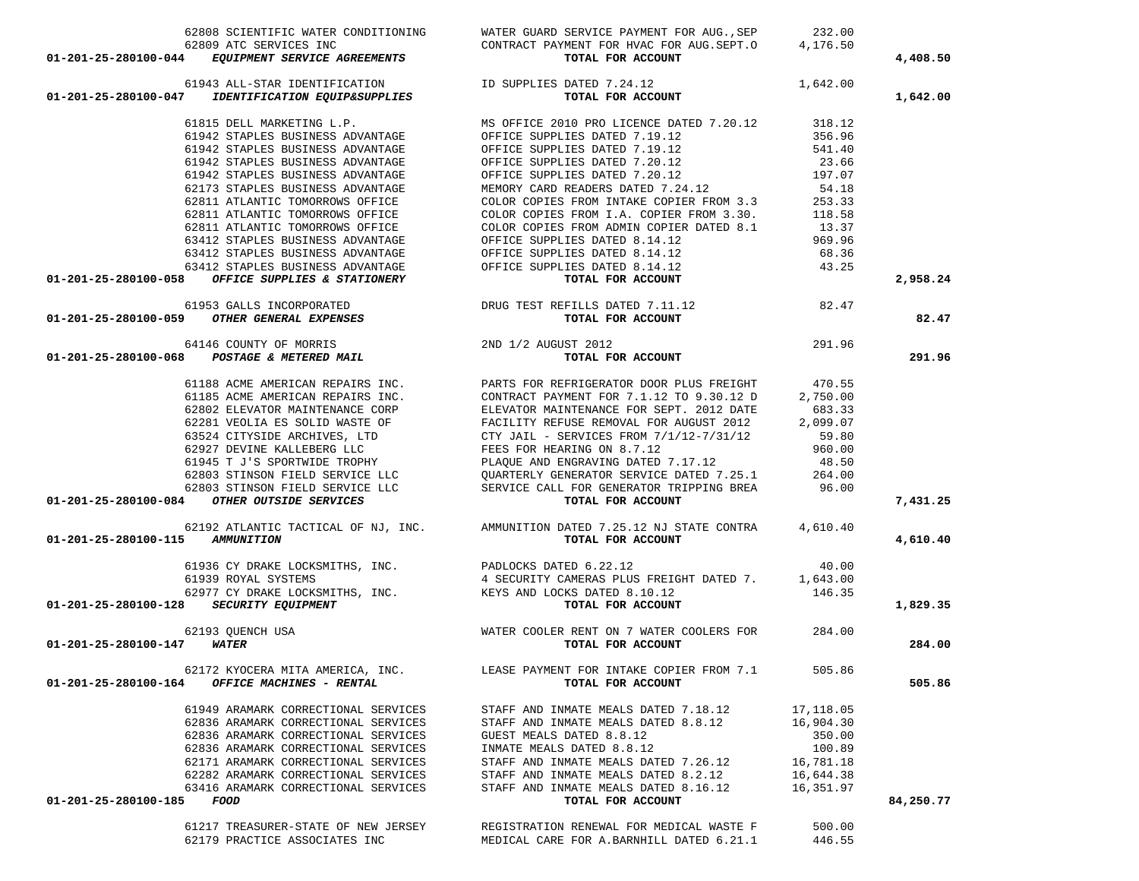| $\begin{tabular}{lllllllllll} \multicolumn{4}{c }{62808 SCIENTIFIC WATER CONDITIONING} & \multicolumn{4}{c }{WATER GUARD SERVICE PAYMENT FOR AUG., SEP} & \multicolumn{4}{c }{232.00} \\ \multicolumn{4}{c }{62809 ATC SERVICES INC} & \multicolumn{4}{c }{CONTRACT PAYMENT FOR HVAC FOR AUG.SEPT.0 & \multicolumn{4}{c }{4,176.50} \\ \multicolumn{4}{c }{62809 ATC SERVICES INC} & \multicolumn{4}{c }{CONTRACT PAYMENT FOR HVAC FOR AUG.SEPT.0 & \multicolumn{4}{c }{$ |                                                                                  |           | 4,408.50  |
|---------------------------------------------------------------------------------------------------------------------------------------------------------------------------------------------------------------------------------------------------------------------------------------------------------------------------------------------------------------------------------------------------------------------------------------------------------------------------|----------------------------------------------------------------------------------|-----------|-----------|
|                                                                                                                                                                                                                                                                                                                                                                                                                                                                           |                                                                                  |           |           |
|                                                                                                                                                                                                                                                                                                                                                                                                                                                                           |                                                                                  |           | 1,642.00  |
|                                                                                                                                                                                                                                                                                                                                                                                                                                                                           |                                                                                  |           |           |
|                                                                                                                                                                                                                                                                                                                                                                                                                                                                           |                                                                                  |           |           |
|                                                                                                                                                                                                                                                                                                                                                                                                                                                                           |                                                                                  |           |           |
|                                                                                                                                                                                                                                                                                                                                                                                                                                                                           |                                                                                  |           |           |
|                                                                                                                                                                                                                                                                                                                                                                                                                                                                           |                                                                                  |           |           |
|                                                                                                                                                                                                                                                                                                                                                                                                                                                                           |                                                                                  |           |           |
|                                                                                                                                                                                                                                                                                                                                                                                                                                                                           |                                                                                  |           |           |
|                                                                                                                                                                                                                                                                                                                                                                                                                                                                           |                                                                                  |           |           |
|                                                                                                                                                                                                                                                                                                                                                                                                                                                                           |                                                                                  |           |           |
|                                                                                                                                                                                                                                                                                                                                                                                                                                                                           |                                                                                  |           |           |
|                                                                                                                                                                                                                                                                                                                                                                                                                                                                           |                                                                                  |           |           |
|                                                                                                                                                                                                                                                                                                                                                                                                                                                                           |                                                                                  |           |           |
|                                                                                                                                                                                                                                                                                                                                                                                                                                                                           |                                                                                  |           | 2,958.24  |
|                                                                                                                                                                                                                                                                                                                                                                                                                                                                           |                                                                                  |           |           |
| 01-201-25-260100-04<br>61815 DELL MARKETING L.P.<br>61815 DELL MARKETING L.P.<br>61942 STAPLES BUSINESS ADVANTAGE OPTICE SUPPLIES DATED 7.19.12<br>61942 STAPLES BUSINESS ADVANTAGE OPTICE SUPPLIES DATED 7.19.12<br>61942 STAPLES BUSI                                                                                                                                                                                                                                   |                                                                                  |           | 82.47     |
|                                                                                                                                                                                                                                                                                                                                                                                                                                                                           |                                                                                  |           |           |
|                                                                                                                                                                                                                                                                                                                                                                                                                                                                           |                                                                                  |           | 291.96    |
|                                                                                                                                                                                                                                                                                                                                                                                                                                                                           |                                                                                  |           |           |
|                                                                                                                                                                                                                                                                                                                                                                                                                                                                           |                                                                                  |           |           |
|                                                                                                                                                                                                                                                                                                                                                                                                                                                                           |                                                                                  |           |           |
|                                                                                                                                                                                                                                                                                                                                                                                                                                                                           |                                                                                  |           |           |
|                                                                                                                                                                                                                                                                                                                                                                                                                                                                           |                                                                                  |           |           |
|                                                                                                                                                                                                                                                                                                                                                                                                                                                                           |                                                                                  |           |           |
|                                                                                                                                                                                                                                                                                                                                                                                                                                                                           |                                                                                  |           |           |
|                                                                                                                                                                                                                                                                                                                                                                                                                                                                           |                                                                                  |           |           |
|                                                                                                                                                                                                                                                                                                                                                                                                                                                                           |                                                                                  |           |           |
| 19 19 19 19 2018 ACME AMERICAN REPAIRS INC.<br>61188 ACME AMERICAN REPAIRS INC.<br>62802 ELEVATOR MAINTENANCE CORP<br>62802 ELEVATOR MAINTENANCE CORP<br>6281 VEOLIA ES SOLID WASTE OF PEACILITY REFUSE REMOVAL FOR AUGUST 2012 DATE<br>                                                                                                                                                                                                                                  |                                                                                  |           | 7,431.25  |
|                                                                                                                                                                                                                                                                                                                                                                                                                                                                           |                                                                                  |           |           |
| VALUE ON TRIE CONTRA (4,610.40<br>VALUE ON TRIE CONTRA (4,610.40<br>SI936 CY DRAKE LOCKSMITHS, INC.<br>ELECTRITY CAMERAS PLUS FREIGHT DATED 7. 40.00<br>62977 CY DRAKE LOCKSMITHS, INC.<br>62977 CY DRAKE LOCKSMITHS, INC.<br>62977 CY DRA                                                                                                                                                                                                                                |                                                                                  |           | 4,610.40  |
|                                                                                                                                                                                                                                                                                                                                                                                                                                                                           |                                                                                  |           |           |
|                                                                                                                                                                                                                                                                                                                                                                                                                                                                           |                                                                                  |           |           |
|                                                                                                                                                                                                                                                                                                                                                                                                                                                                           |                                                                                  |           |           |
|                                                                                                                                                                                                                                                                                                                                                                                                                                                                           |                                                                                  |           | 1,829.35  |
|                                                                                                                                                                                                                                                                                                                                                                                                                                                                           |                                                                                  |           |           |
|                                                                                                                                                                                                                                                                                                                                                                                                                                                                           |                                                                                  |           | 284.00    |
|                                                                                                                                                                                                                                                                                                                                                                                                                                                                           | 62172 KYOCERA MITA AMERICA, INC. LEASE PAYMENT FOR INTAKE COPIER FROM 7.1 505.86 |           |           |
| OFFICE MACHINES - RENTAL<br>01-201-25-280100-164                                                                                                                                                                                                                                                                                                                                                                                                                          | TOTAL FOR ACCOUNT                                                                |           | 505.86    |
| 61949 ARAMARK CORRECTIONAL SERVICES                                                                                                                                                                                                                                                                                                                                                                                                                                       | STAFF AND INMATE MEALS DATED 7.18.12                                             | 17,118.05 |           |
| 62836 ARAMARK CORRECTIONAL SERVICES                                                                                                                                                                                                                                                                                                                                                                                                                                       | STAFF AND INMATE MEALS DATED 8.8.12                                              | 16,904.30 |           |
| 62836 ARAMARK CORRECTIONAL SERVICES                                                                                                                                                                                                                                                                                                                                                                                                                                       | GUEST MEALS DATED 8.8.12                                                         | 350.00    |           |
| 62836 ARAMARK CORRECTIONAL SERVICES                                                                                                                                                                                                                                                                                                                                                                                                                                       | INMATE MEALS DATED 8.8.12                                                        | 100.89    |           |
| 62171 ARAMARK CORRECTIONAL SERVICES                                                                                                                                                                                                                                                                                                                                                                                                                                       | STAFF AND INMATE MEALS DATED 7.26.12                                             | 16,781.18 |           |
| 62282 ARAMARK CORRECTIONAL SERVICES                                                                                                                                                                                                                                                                                                                                                                                                                                       | STAFF AND INMATE MEALS DATED 8.2.12                                              | 16,644.38 |           |
| 63416 ARAMARK CORRECTIONAL SERVICES                                                                                                                                                                                                                                                                                                                                                                                                                                       | STAFF AND INMATE MEALS DATED 8.16.12                                             | 16,351.97 |           |
| 01-201-25-280100-185 FOOD                                                                                                                                                                                                                                                                                                                                                                                                                                                 | TOTAL FOR ACCOUNT                                                                |           | 84,250.77 |
| 61217 TREASURER-STATE OF NEW JERSEY                                                                                                                                                                                                                                                                                                                                                                                                                                       | REGISTRATION RENEWAL FOR MEDICAL WASTE F                                         | 500.00    |           |
| 62179 PRACTICE ASSOCIATES INC                                                                                                                                                                                                                                                                                                                                                                                                                                             | MEDICAL CARE FOR A.BARNHILL DATED 6.21.1                                         | 446.55    |           |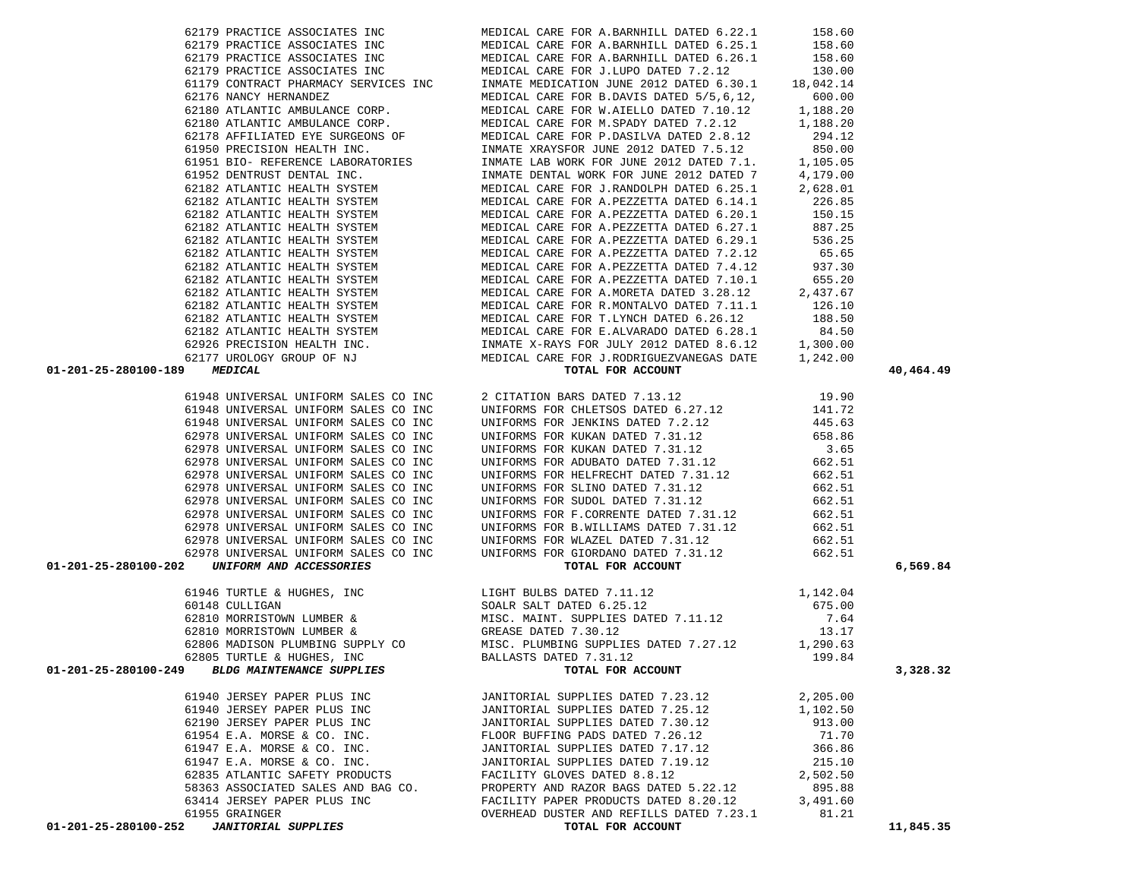| 01-201-25-280100-189 MEDICAL                                                                                                                                                                                                                                                                                                                                                                | MEDICAL CARE FOR J.RODRIGUEZVANEGAS DATE<br>TOTAL FOR ACCOUNT<br>2 CITATION BARS DATED 7.13.12<br>19.90<br>2 CITATION BARS DATED 7.13.12<br>UNIFORMS FOR CHLETSOS DATED 6.27.12<br>141.72<br>UNIFORMS FOR JENKINS DATED 7.2.12<br>445.63<br>UNIF | 40,464.49 |
|---------------------------------------------------------------------------------------------------------------------------------------------------------------------------------------------------------------------------------------------------------------------------------------------------------------------------------------------------------------------------------------------|--------------------------------------------------------------------------------------------------------------------------------------------------------------------------------------------------------------------------------------------------|-----------|
| 61948 UNIVERSAL UNIFORM SALES CO INC                                                                                                                                                                                                                                                                                                                                                        |                                                                                                                                                                                                                                                  |           |
| 61948 UNIVERSAL UNIFORM SALES CO INC                                                                                                                                                                                                                                                                                                                                                        |                                                                                                                                                                                                                                                  |           |
| 61948 UNIVERSAL UNIFORM SALES CO INC                                                                                                                                                                                                                                                                                                                                                        |                                                                                                                                                                                                                                                  |           |
| 62978 UNIVERSAL UNIFORM SALES CO INC                                                                                                                                                                                                                                                                                                                                                        |                                                                                                                                                                                                                                                  |           |
| 62978 UNIVERSAL UNIFORM SALES CO INC                                                                                                                                                                                                                                                                                                                                                        |                                                                                                                                                                                                                                                  |           |
| 62978 UNIVERSAL UNIFORM SALES CO INC                                                                                                                                                                                                                                                                                                                                                        |                                                                                                                                                                                                                                                  |           |
| 62978 UNIVERSAL UNIFORM SALES CO INC                                                                                                                                                                                                                                                                                                                                                        |                                                                                                                                                                                                                                                  |           |
| 62978 UNIVERSAL UNIFORM SALES CO INC                                                                                                                                                                                                                                                                                                                                                        |                                                                                                                                                                                                                                                  |           |
| 62978 UNIVERSAL UNIFORM SALES CO INC                                                                                                                                                                                                                                                                                                                                                        |                                                                                                                                                                                                                                                  |           |
| 62978 UNIVERSAL UNIFORM SALES CO INC                                                                                                                                                                                                                                                                                                                                                        |                                                                                                                                                                                                                                                  |           |
|                                                                                                                                                                                                                                                                                                                                                                                             |                                                                                                                                                                                                                                                  |           |
|                                                                                                                                                                                                                                                                                                                                                                                             |                                                                                                                                                                                                                                                  |           |
|                                                                                                                                                                                                                                                                                                                                                                                             |                                                                                                                                                                                                                                                  |           |
| 62978 UNIVERSAL UNIFORM SALES CO INC<br>62978 UNIVERSAL UNIFORM SALES CO INC<br>62978 UNIVERSAL UNIFORM SALES CO INC<br>62978 UNIVERSAL UNIFORM SALES CO INC<br>62978 UNIVERSAL UNIFORM SALES CO INC<br>662.51<br>662.51<br>01-201-25-280100                                                                                                                                                |                                                                                                                                                                                                                                                  | 6,569.84  |
|                                                                                                                                                                                                                                                                                                                                                                                             |                                                                                                                                                                                                                                                  |           |
|                                                                                                                                                                                                                                                                                                                                                                                             |                                                                                                                                                                                                                                                  |           |
|                                                                                                                                                                                                                                                                                                                                                                                             |                                                                                                                                                                                                                                                  |           |
|                                                                                                                                                                                                                                                                                                                                                                                             |                                                                                                                                                                                                                                                  |           |
|                                                                                                                                                                                                                                                                                                                                                                                             |                                                                                                                                                                                                                                                  |           |
|                                                                                                                                                                                                                                                                                                                                                                                             |                                                                                                                                                                                                                                                  |           |
| $\begin{tabular}{lllllllllllllllllllll} \multicolumn{4}{c }{\text{\small 61946 TURTLE & HUGHES, INC}} & & & & & & & & & & & & 1,142.04\\ \hline 60148 \text{ CULTLIGAN} & & & & & & & & & & & 1,142.04\\ 60148 \text{ CULTLIGAN} & & & & & & & & & & 1,142.04\\ 62810 \text{ MORRISTOM IUMBER & & & & & & & & & & 158.0\\ 62810 \text{ MORRISTOM IUMBER} & & & & & & & & & 158.0\\ 62810 \$ |                                                                                                                                                                                                                                                  | 3,328.32  |
|                                                                                                                                                                                                                                                                                                                                                                                             |                                                                                                                                                                                                                                                  |           |
|                                                                                                                                                                                                                                                                                                                                                                                             |                                                                                                                                                                                                                                                  |           |
|                                                                                                                                                                                                                                                                                                                                                                                             |                                                                                                                                                                                                                                                  |           |
|                                                                                                                                                                                                                                                                                                                                                                                             |                                                                                                                                                                                                                                                  |           |
|                                                                                                                                                                                                                                                                                                                                                                                             |                                                                                                                                                                                                                                                  |           |
|                                                                                                                                                                                                                                                                                                                                                                                             |                                                                                                                                                                                                                                                  |           |
|                                                                                                                                                                                                                                                                                                                                                                                             |                                                                                                                                                                                                                                                  |           |
|                                                                                                                                                                                                                                                                                                                                                                                             |                                                                                                                                                                                                                                                  |           |
|                                                                                                                                                                                                                                                                                                                                                                                             |                                                                                                                                                                                                                                                  |           |
|                                                                                                                                                                                                                                                                                                                                                                                             |                                                                                                                                                                                                                                                  |           |
|                                                                                                                                                                                                                                                                                                                                                                                             |                                                                                                                                                                                                                                                  | 11,845.35 |
|                                                                                                                                                                                                                                                                                                                                                                                             |                                                                                                                                                                                                                                                  |           |

62179 PRACTICE ASSOCIATES INC MEDICAL CARE FOR A.BARNHILL DATED 6.22.1 158.60

62179 PRACTICE ASSOCIATES INC 62179 MEDICAL CARE FOR J.LUPO DATED 7.2.12 130.00 61179 CONTRACT PHARMACY SERVICES INC INMATE MEDICATION JUNE 2012 DATED 6.30.1 18,042.14 62176 NANCY HERNANDEZ MEDICAL CARE FOR B.DAVIS DATED 5/5,6,12, 600.00 62180 ATLANTIC AMBULANCE CORP. MEDICAL CARE FOR W.AIELLO DATED 7.10.12 1,188.20 62180 ATLANTIC AMBULANCE CORP. MEDICAL CARE FOR M.SPADY DATED 7.2.12 1,188.20

 61950 PRECISION HEALTH INC. INMATE XRAYSFOR JUNE 2012 DATED 7.5.12 850.00 61951 BIO- REFERENCE LABORATORIES INMATE LAB WORK FOR JUNE 2012 DATED 7.1. 105.05

62179 PRACTICE ASSOCIATES INC MEDICAL CARE FOR A.BARNHILL DATED 6.25.1

62179 PRACTICE ASSOCIATES INC MEDICAL CARE FOR A.BARNHILL DATED 6.26.1

62178 AFFILIATED EYE SURGEONS OF MEDICAL CARE FOR P.DASILVA DATED 2.8.12

158.60

158.60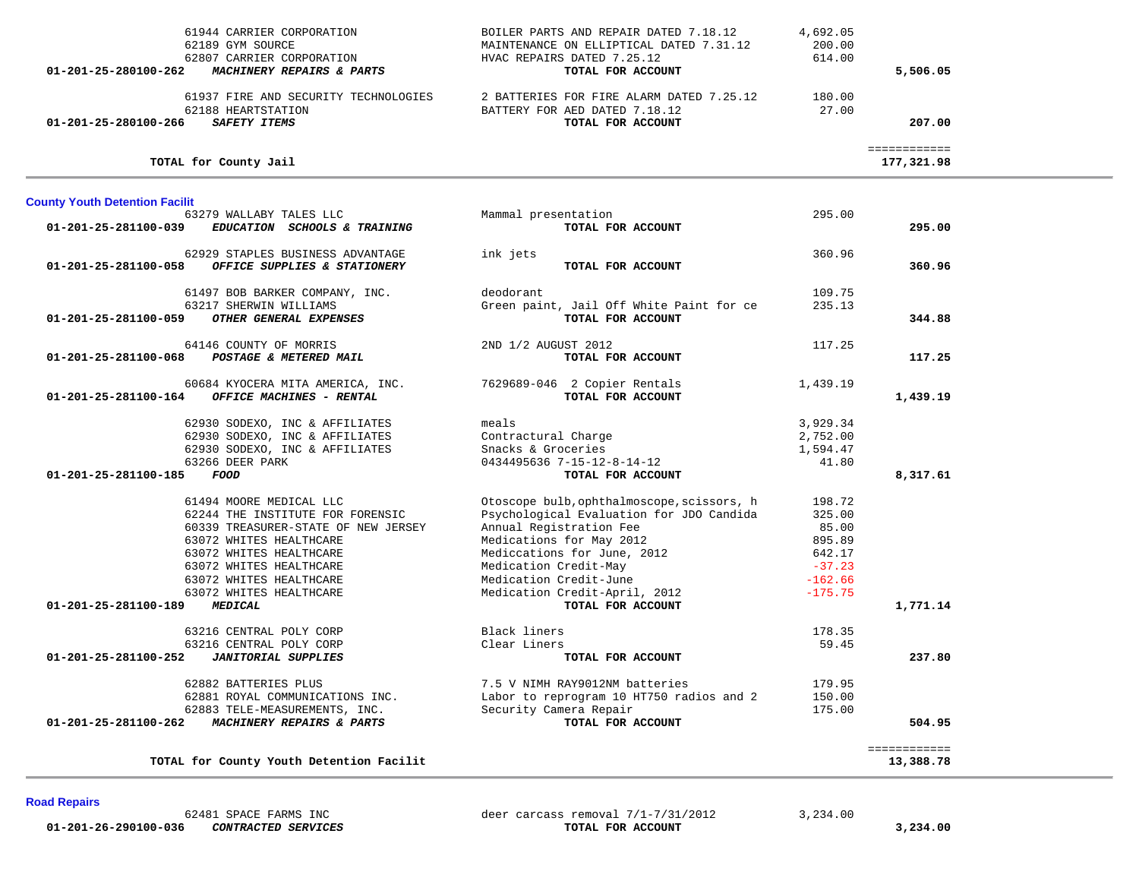| TOTAL for County Youth Detention Facilit                         |                                                                                        |                  | 13,388.78                  |  |
|------------------------------------------------------------------|----------------------------------------------------------------------------------------|------------------|----------------------------|--|
|                                                                  |                                                                                        |                  | ============               |  |
| MACHINERY REPAIRS & PARTS<br>01-201-25-281100-262                | TOTAL FOR ACCOUNT                                                                      |                  | 504.95                     |  |
| 62883 TELE-MEASUREMENTS, INC.                                    | Security Camera Repair                                                                 | 175.00           |                            |  |
| 62882 BATTERIES PLUS<br>62881 ROYAL COMMUNICATIONS INC.          | 7.5 V NIMH RAY9012NM batteries<br>Labor to reprogram 10 HT750 radios and 2             | 179.95<br>150.00 |                            |  |
|                                                                  |                                                                                        |                  |                            |  |
| 01-201-25-281100-252<br><b>JANITORIAL SUPPLIES</b>               | TOTAL FOR ACCOUNT                                                                      |                  | 237.80                     |  |
| 63216 CENTRAL POLY CORP                                          | Clear Liners                                                                           | 59.45            |                            |  |
| 63216 CENTRAL POLY CORP                                          | Black liners                                                                           | 178.35           |                            |  |
| 01-201-25-281100-189<br><b>MEDICAL</b>                           | TOTAL FOR ACCOUNT                                                                      |                  | 1,771.14                   |  |
| 63072 WHITES HEALTHCARE                                          | Medication Credit-April, 2012                                                          | $-175.75$        |                            |  |
| 63072 WHITES HEALTHCARE                                          | Medication Credit-June                                                                 | $-162.66$        |                            |  |
| 63072 WHITES HEALTHCARE                                          | Medication Credit-May                                                                  | $-37.23$         |                            |  |
| 63072 WHITES HEALTHCARE                                          | Mediccations for June, 2012                                                            | 642.17           |                            |  |
| 63072 WHITES HEALTHCARE                                          | Medications for May 2012                                                               | 895.89           |                            |  |
| 60339 TREASURER-STATE OF NEW JERSEY                              | Annual Registration Fee                                                                | 85.00            |                            |  |
| 61494 MOORE MEDICAL LLC<br>62244 THE INSTITUTE FOR FORENSIC      | Otoscope bulb, ophthalmoscope, scissors, h<br>Psychological Evaluation for JDO Candida | 198.72<br>325.00 |                            |  |
|                                                                  |                                                                                        |                  |                            |  |
| $01 - 201 - 25 - 281100 - 185$<br>FOOD                           | TOTAL FOR ACCOUNT                                                                      |                  | 8,317.61                   |  |
| 63266 DEER PARK                                                  | 0434495636 7-15-12-8-14-12                                                             | 41.80            |                            |  |
| 62930 SODEXO, INC & AFFILIATES                                   | Snacks & Groceries                                                                     | 1,594.47         |                            |  |
| 62930 SODEXO, INC & AFFILIATES                                   | Contractural Charge                                                                    | 2,752.00         |                            |  |
| 62930 SODEXO, INC & AFFILIATES                                   | meals                                                                                  | 3,929.34         |                            |  |
| OFFICE MACHINES - RENTAL<br>01-201-25-281100-164                 | TOTAL FOR ACCOUNT                                                                      |                  | 1,439.19                   |  |
| 60684 KYOCERA MITA AMERICA, INC.                                 | 7629689-046 2 Copier Rentals                                                           | 1,439.19         |                            |  |
|                                                                  |                                                                                        |                  |                            |  |
| 01-201-25-281100-068<br>POSTAGE & METERED MAIL                   | TOTAL FOR ACCOUNT                                                                      |                  | 117.25                     |  |
| 64146 COUNTY OF MORRIS                                           | 2ND 1/2 AUGUST 2012                                                                    | 117.25           |                            |  |
|                                                                  |                                                                                        |                  |                            |  |
| OTHER GENERAL EXPENSES<br>01-201-25-281100-059                   | TOTAL FOR ACCOUNT                                                                      |                  | 344.88                     |  |
| 61497 BOB BARKER COMPANY, INC.<br>63217 SHERWIN WILLIAMS         | deodorant<br>Green paint, Jail Off White Paint for ce                                  | 109.75<br>235.13 |                            |  |
|                                                                  |                                                                                        |                  |                            |  |
| OFFICE SUPPLIES & STATIONERY<br>01-201-25-281100-058             | TOTAL FOR ACCOUNT                                                                      |                  | 360.96                     |  |
| 62929 STAPLES BUSINESS ADVANTAGE                                 | ink jets                                                                               | 360.96           |                            |  |
|                                                                  |                                                                                        |                  |                            |  |
| 01-201-25-281100-039<br>EDUCATION SCHOOLS & TRAINING             | Mammal presentation<br>TOTAL FOR ACCOUNT                                               |                  | 295.00                     |  |
| <b>County Youth Detention Facilit</b><br>63279 WALLABY TALES LLC |                                                                                        | 295.00           |                            |  |
|                                                                  |                                                                                        |                  |                            |  |
|                                                                  |                                                                                        |                  |                            |  |
| TOTAL for County Jail                                            |                                                                                        |                  | ============<br>177,321.98 |  |
|                                                                  |                                                                                        |                  |                            |  |
| <b>SAFETY ITEMS</b><br>01-201-25-280100-266                      | TOTAL FOR ACCOUNT                                                                      |                  | 207.00                     |  |
| 62188 HEARTSTATION                                               | BATTERY FOR AED DATED 7.18.12                                                          | 27.00            |                            |  |
| 61937 FIRE AND SECURITY TECHNOLOGIES                             | 2 BATTERIES FOR FIRE ALARM DATED 7.25.12                                               | 180.00           |                            |  |
| 01-201-25-280100-262<br>MACHINERY REPAIRS & PARTS                | TOTAL FOR ACCOUNT                                                                      |                  | 5,506.05                   |  |
| 62807 CARRIER CORPORATION                                        | HVAC REPAIRS DATED 7.25.12                                                             | 614.00           |                            |  |
| 62189 GYM SOURCE                                                 | MAINTENANCE ON ELLIPTICAL DATED 7.31.12                                                | 200.00           |                            |  |

61944 CARRIER CORPORATION BOILER PARTS AND REPAIR DATED 7.18.12 4,692.05

**Road Repairs** 

 **01-201-26-290100-036** *CONTRACTED SERVICES* **TOTAL FOR ACCOUNT 3,234.00**

62481 SPACE FARMS INC<br> **62481 SPACE FARMS INC**<br> **62481 SPACE FARMS INC**<br> **62481 SPACE FARMS INC**<br> **62481 SPACE FARMS INC**<br> **62481 SPACE FARMS INCLUSION SPACE TOTAL FOR ACCOUNT**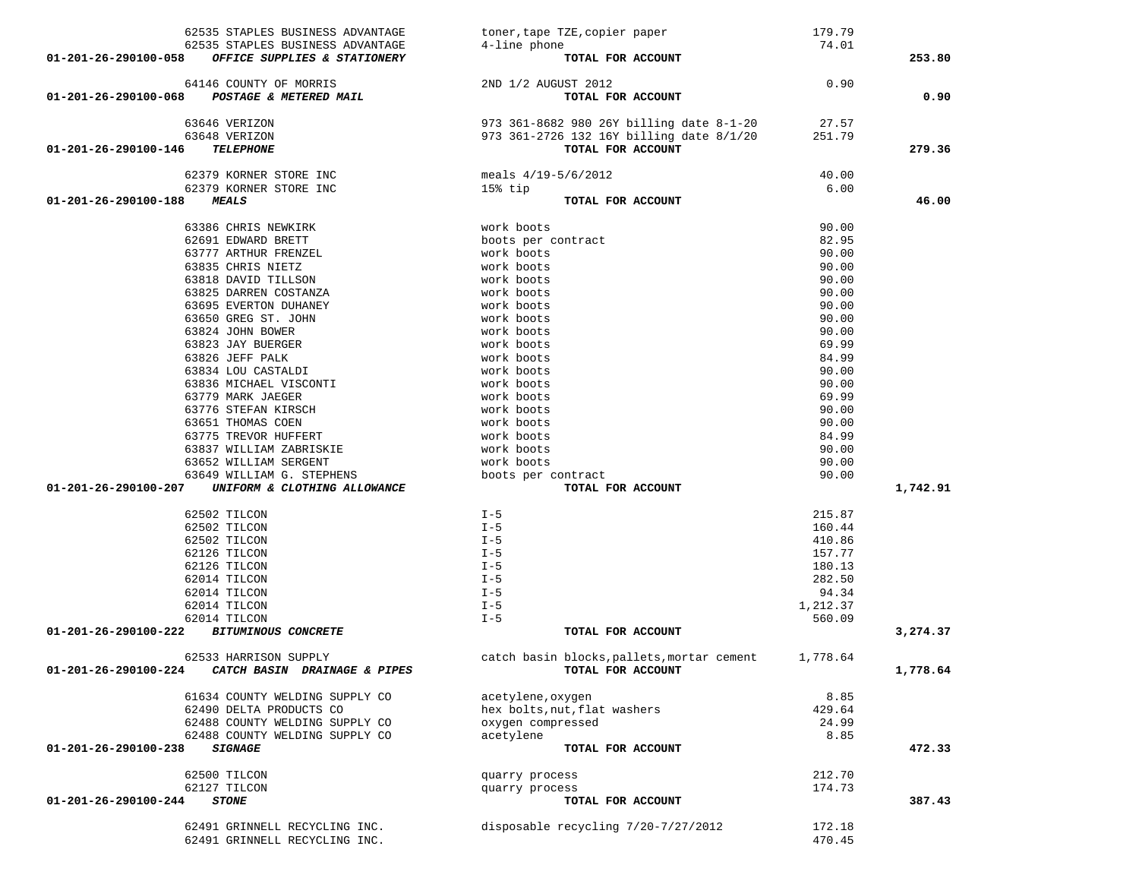|                      | 62535 STAPLES BUSINESS ADVANTAGE                 | toner, tape TZE, copier paper                       | 179.79   |          |
|----------------------|--------------------------------------------------|-----------------------------------------------------|----------|----------|
|                      | 62535 STAPLES BUSINESS ADVANTAGE                 | 4-line phone                                        | 74.01    |          |
| 01-201-26-290100-058 | OFFICE SUPPLIES & STATIONERY                     | TOTAL FOR ACCOUNT                                   |          | 253.80   |
|                      |                                                  |                                                     |          |          |
| 01-201-26-290100-068 | 64146 COUNTY OF MORRIS<br>POSTAGE & METERED MAIL | 2ND 1/2 AUGUST 2012<br>TOTAL FOR ACCOUNT            | 0.90     | 0.90     |
|                      |                                                  |                                                     |          |          |
|                      | 63646 VERIZON                                    | 973 361-8682 980 26Y billing date 8-1-20 27.57      |          |          |
|                      | 63648 VERIZON                                    | 973 361-2726 132 16Y billing date 8/1/20            | 251.79   |          |
| 01-201-26-290100-146 | <b>TELEPHONE</b>                                 | TOTAL FOR ACCOUNT                                   |          | 279.36   |
|                      | 62379 KORNER STORE INC                           | meals 4/19-5/6/2012                                 | 40.00    |          |
|                      | 62379 KORNER STORE INC                           | 15% tip                                             | 6.00     |          |
| 01-201-26-290100-188 | <b>MEALS</b>                                     | TOTAL FOR ACCOUNT                                   |          | 46.00    |
|                      |                                                  |                                                     |          |          |
|                      | 63386 CHRIS NEWKIRK                              | work boots                                          | 90.00    |          |
|                      | 62691 EDWARD BRETT                               | boots per contract                                  | 82.95    |          |
|                      | 63777 ARTHUR FRENZEL                             | work boots                                          | 90.00    |          |
|                      | 63835 CHRIS NIETZ                                | work boots                                          | 90.00    |          |
|                      | 63818 DAVID TILLSON                              | work boots                                          | 90.00    |          |
|                      | 63825 DARREN COSTANZA                            | work boots                                          | 90.00    |          |
|                      | 63695 EVERTON DUHANEY                            | work boots                                          | 90.00    |          |
|                      | 63650 GREG ST. JOHN                              | work boots                                          | 90.00    |          |
|                      | 63824 JOHN BOWER                                 | work boots                                          | 90.00    |          |
|                      | 63823 JAY BUERGER                                | work boots                                          | 69.99    |          |
|                      | 63826 JEFF PALK                                  | work boots                                          | 84.99    |          |
|                      | 63834 LOU CASTALDI                               | work boots                                          | 90.00    |          |
|                      | 63836 MICHAEL VISCONTI                           | work boots                                          | 90.00    |          |
|                      | 63779 MARK JAEGER                                | work boots                                          | 69.99    |          |
|                      | 63776 STEFAN KIRSCH                              | work boots                                          | 90.00    |          |
|                      | 63651 THOMAS COEN                                | work boots                                          | 90.00    |          |
|                      | 63775 TREVOR HUFFERT                             | work boots                                          | 84.99    |          |
|                      | 63837 WILLIAM ZABRISKIE                          | work boots                                          | 90.00    |          |
|                      | 63652 WILLIAM SERGENT                            | work boots                                          | 90.00    |          |
|                      | 63649 WILLIAM G. STEPHENS                        | boots per contract                                  | 90.00    |          |
| 01-201-26-290100-207 | UNIFORM & CLOTHING ALLOWANCE                     | TOTAL FOR ACCOUNT                                   |          | 1,742.91 |
|                      | 62502 TILCON                                     | $I - 5$                                             | 215.87   |          |
|                      | 62502 TILCON                                     | $I - 5$                                             | 160.44   |          |
|                      | 62502 TILCON                                     | $I - 5$                                             | 410.86   |          |
|                      | 62126 TILCON                                     | $I - 5$                                             | 157.77   |          |
|                      | 62126 TILCON                                     | $I - 5$                                             | 180.13   |          |
|                      | 62014 TILCON                                     | $I - 5$                                             | 282.50   |          |
|                      | 62014 TILCON                                     | $I - 5$                                             | 94.34    |          |
|                      | 62014 TILCON                                     | $I - 5$                                             | 1,212.37 |          |
|                      | 62014 TILCON                                     | $I - 5$                                             | 560.09   |          |
| 01-201-26-290100-222 | <b>BITUMINOUS CONCRETE</b>                       | TOTAL FOR ACCOUNT                                   |          | 3,274.37 |
|                      |                                                  |                                                     |          |          |
|                      | 62533 HARRISON SUPPLY                            | catch basin blocks, pallets, mortar cement 1,778.64 |          |          |
| 01-201-26-290100-224 | CATCH BASIN DRAINAGE & PIPES                     | TOTAL FOR ACCOUNT                                   |          | 1,778.64 |
|                      | 61634 COUNTY WELDING SUPPLY CO                   | acetylene, oxygen                                   | 8.85     |          |
|                      | 62490 DELTA PRODUCTS CO                          | hex bolts, nut, flat washers                        | 429.64   |          |
|                      | 62488 COUNTY WELDING SUPPLY CO                   | oxygen compressed                                   | 24.99    |          |
|                      | 62488 COUNTY WELDING SUPPLY CO                   | acetylene                                           | 8.85     |          |
| 01-201-26-290100-238 | <b>SIGNAGE</b>                                   | TOTAL FOR ACCOUNT                                   |          | 472.33   |
|                      |                                                  |                                                     |          |          |
|                      | 62500 TILCON                                     | quarry process                                      | 212.70   |          |
|                      | 62127 TILCON                                     | quarry process                                      | 174.73   |          |
| 01-201-26-290100-244 | <b>STONE</b>                                     | TOTAL FOR ACCOUNT                                   |          | 387.43   |
|                      | 62491 GRINNELL RECYCLING INC.                    | disposable recycling 7/20-7/27/2012                 | 172.18   |          |
|                      | 62491 GRINNELL RECYCLING INC.                    |                                                     | 470.45   |          |
|                      |                                                  |                                                     |          |          |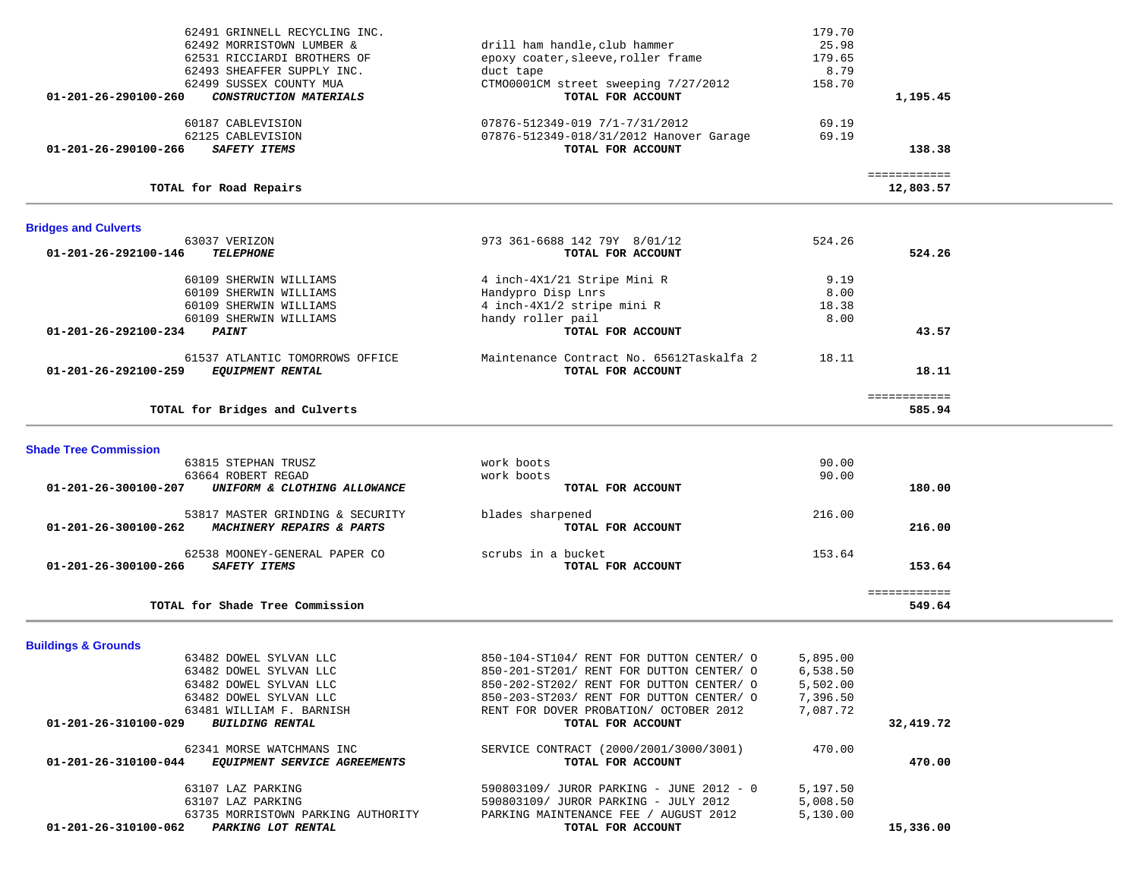| 60187 CABLEVISION                                                | 07876-512349-019 7/1-7/31/2012                               | 69.19    |                           |  |
|------------------------------------------------------------------|--------------------------------------------------------------|----------|---------------------------|--|
| 62125 CABLEVISION<br><b>SAFETY ITEMS</b><br>01-201-26-290100-266 | 07876-512349-018/31/2012 Hanover Garage<br>TOTAL FOR ACCOUNT | 69.19    | 138.38                    |  |
|                                                                  |                                                              |          |                           |  |
| TOTAL for Road Repairs                                           |                                                              |          | ============<br>12,803.57 |  |
|                                                                  |                                                              |          |                           |  |
| <b>Bridges and Culverts</b>                                      |                                                              |          |                           |  |
| 63037 VERIZON                                                    | 973 361-6688 142 79Y 8/01/12                                 | 524.26   |                           |  |
| 01-201-26-292100-146<br><b>TELEPHONE</b>                         | TOTAL FOR ACCOUNT                                            |          | 524.26                    |  |
| 60109 SHERWIN WILLIAMS                                           | 4 inch-4X1/21 Stripe Mini R                                  | 9.19     |                           |  |
| 60109 SHERWIN WILLIAMS                                           | Handypro Disp Lnrs                                           | 8.00     |                           |  |
| 60109 SHERWIN WILLIAMS                                           | 4 inch-4X1/2 stripe mini R                                   | 18.38    |                           |  |
| 60109 SHERWIN WILLIAMS                                           | handy roller pail                                            | 8.00     |                           |  |
| 01-201-26-292100-234<br><i><b>PAINT</b></i>                      | TOTAL FOR ACCOUNT                                            |          | 43.57                     |  |
| 61537 ATLANTIC TOMORROWS OFFICE                                  | Maintenance Contract No. 65612Taskalfa 2                     | 18.11    |                           |  |
| <b>EQUIPMENT RENTAL</b><br>01-201-26-292100-259                  | TOTAL FOR ACCOUNT                                            |          | 18.11                     |  |
|                                                                  |                                                              |          | ============              |  |
| TOTAL for Bridges and Culverts                                   |                                                              |          | 585.94                    |  |
|                                                                  |                                                              |          |                           |  |
| <b>Shade Tree Commission</b>                                     |                                                              |          |                           |  |
| 63815 STEPHAN TRUSZ                                              | work boots                                                   | 90.00    |                           |  |
| 63664 ROBERT REGAD                                               | work boots                                                   | 90.00    |                           |  |
| 01-201-26-300100-207<br>UNIFORM & CLOTHING ALLOWANCE             | TOTAL FOR ACCOUNT                                            |          | 180.00                    |  |
| 53817 MASTER GRINDING & SECURITY                                 | blades sharpened                                             | 216.00   |                           |  |
| MACHINERY REPAIRS & PARTS<br>01-201-26-300100-262                | TOTAL FOR ACCOUNT                                            |          | 216.00                    |  |
| 62538 MOONEY-GENERAL PAPER CO                                    | scrubs in a bucket                                           | 153.64   |                           |  |
| SAFETY ITEMS<br>01-201-26-300100-266                             | TOTAL FOR ACCOUNT                                            |          | 153.64                    |  |
|                                                                  |                                                              |          | ============              |  |
| TOTAL for Shade Tree Commission                                  |                                                              |          | 549.64                    |  |
| <b>Buildings &amp; Grounds</b>                                   |                                                              |          |                           |  |
| 63482 DOWEL SYLVAN LLC                                           | 850-104-ST104/ RENT FOR DUTTON CENTER/ O                     | 5,895.00 |                           |  |
| 63482 DOWEL SYLVAN LLC                                           | 850-201-ST201/ RENT FOR DUTTON CENTER/ O                     | 6,538.50 |                           |  |
| 63482 DOWEL SYLVAN LLC                                           | 850-202-ST202/ RENT FOR DUTTON CENTER/ O                     | 5,502.00 |                           |  |
| 63482 DOWEL SYLVAN LLC                                           | 850-203-ST203/ RENT FOR DUTTON CENTER/ O                     | 7,396.50 |                           |  |
| 63481 WILLIAM F. BARNISH                                         | RENT FOR DOVER PROBATION/ OCTOBER 2012                       | 7,087.72 |                           |  |
| 01-201-26-310100-029<br><b>BUILDING RENTAL</b>                   | TOTAL FOR ACCOUNT                                            |          | 32,419.72                 |  |
| 62341 MORSE WATCHMANS INC                                        | SERVICE CONTRACT (2000/2001/3000/3001)                       | 470.00   |                           |  |
| 01-201-26-310100-044 EQUIPMENT SERVICE AGREEMENTS                | TOTAL FOR ACCOUNT                                            |          | 470.00                    |  |
| 63107 LAZ PARKING                                                | 590803109/ JUROR PARKING - JUNE 2012 - 0                     | 5,197.50 |                           |  |
| 63107 LAZ PARKING                                                | 590803109/ JUROR PARKING - JULY 2012                         | 5,008.50 |                           |  |
| 63735 MORRISTOWN PARKING AUTHORITY                               | PARKING MAINTENANCE FEE / AUGUST 2012                        | 5,130.00 |                           |  |
| 01-201-26-310100-062<br>PARKING LOT RENTAL                       | TOTAL FOR ACCOUNT                                            |          | 15,336.00                 |  |
|                                                                  |                                                              |          |                           |  |
|                                                                  |                                                              |          |                           |  |
|                                                                  |                                                              |          |                           |  |

62491 GRINNELL RECYCLING INC. 179.70

 62492 MORRISTOWN LUMBER & drill ham handle,club hammer 25.98 62531 RICCIARDI BROTHERS OF epoxy coater, sleeve, roller frame 179.65<br>62493 SHEAFFER SUPPLY INC. duct tape duct tape 62493 SHEAFFER SUPPLY INC. duct tape 8.79

 **01-201-26-290100-260** *CONSTRUCTION MATERIALS* **TOTAL FOR ACCOUNT 1,195.45**

62499 SUSSEX COUNTY MUA<br>
CTMO0001CM street sweeping 7/27/2012<br> **CONSTRUCTION MATERIALS**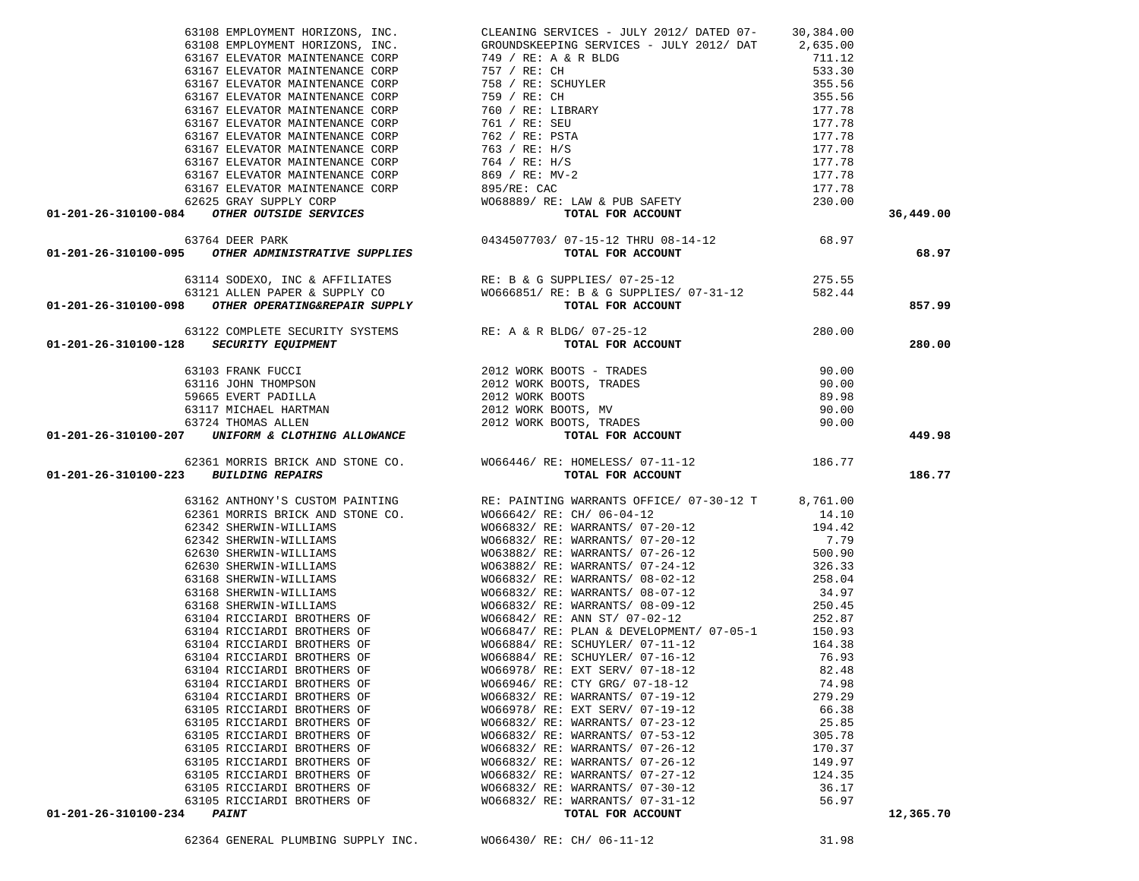|                                                                                                                                                                         |        | 36,449.00 |
|-------------------------------------------------------------------------------------------------------------------------------------------------------------------------|--------|-----------|
|                                                                                                                                                                         |        |           |
|                                                                                                                                                                         |        |           |
|                                                                                                                                                                         |        | 68.97     |
|                                                                                                                                                                         |        |           |
| 63114 SODEXO, INC & AFFILIATES<br>63121 ALLEN PAPER & SUPPLY CO<br><b>01-201-26-310100-098</b> OTHER OPERATING&REPAIR SUPPLY<br>70TAL FOR ACCOUNT<br>TOR ACCOUNT        | 275.55 |           |
|                                                                                                                                                                         |        |           |
|                                                                                                                                                                         |        |           |
|                                                                                                                                                                         |        | 857.99    |
|                                                                                                                                                                         |        |           |
|                                                                                                                                                                         |        | 280.00    |
| 63122 COMPLETE SECURITY SYSTEMS RE: A & R BLDG/ 07-25-12<br><b>01-201-26-310100-128</b> SECURITY EQUIPMENT SYSTEMS RE: A & R BLDG/ 07-25-12<br><b>TOTAL FOR ACCOUNT</b> |        |           |
|                                                                                                                                                                         |        |           |
|                                                                                                                                                                         |        |           |
|                                                                                                                                                                         |        |           |
|                                                                                                                                                                         |        |           |
|                                                                                                                                                                         |        |           |
|                                                                                                                                                                         |        | 449.98    |
|                                                                                                                                                                         |        |           |
|                                                                                                                                                                         |        |           |
|                                                                                                                                                                         |        |           |
|                                                                                                                                                                         |        |           |
|                                                                                                                                                                         |        | 186.77    |
|                                                                                                                                                                         |        |           |
|                                                                                                                                                                         |        |           |
|                                                                                                                                                                         |        |           |
|                                                                                                                                                                         |        |           |
|                                                                                                                                                                         |        |           |
|                                                                                                                                                                         |        |           |
|                                                                                                                                                                         |        |           |
|                                                                                                                                                                         |        |           |
|                                                                                                                                                                         |        |           |
|                                                                                                                                                                         |        |           |
|                                                                                                                                                                         |        |           |
|                                                                                                                                                                         |        |           |
|                                                                                                                                                                         |        |           |
|                                                                                                                                                                         |        |           |
|                                                                                                                                                                         |        |           |
|                                                                                                                                                                         |        |           |
|                                                                                                                                                                         |        |           |
|                                                                                                                                                                         |        |           |
|                                                                                                                                                                         |        |           |
|                                                                                                                                                                         |        |           |
|                                                                                                                                                                         |        |           |
|                                                                                                                                                                         |        |           |
|                                                                                                                                                                         |        |           |
|                                                                                                                                                                         |        |           |
|                                                                                                                                                                         |        |           |
|                                                                                                                                                                         |        | 12,365.70 |

 63108 EMPLOYMENT HORIZONS, INC. CLEANING SERVICES - JULY 2012/ DATED 07- 30,384.00 63108 EMPLOYMENT HORIZONS, INC. GROUNDSKEEPING SERVICES - JULY 2012/ DAT 2,635.00 63167 ELEVATOR MAINTENANCE CORP 749 / RE: A & R BLDG 711.12 711.12 733.30 63167 ELEVATOR MAINTENANCE CORP 757 / RE: CH 533.30

 63167 ELEVATOR MAINTENANCE CORP 758 / RE: SCHUYLER 355.56 63167 ELEVATOR MAINTENANCE CORP 759 / RE: CH 355.56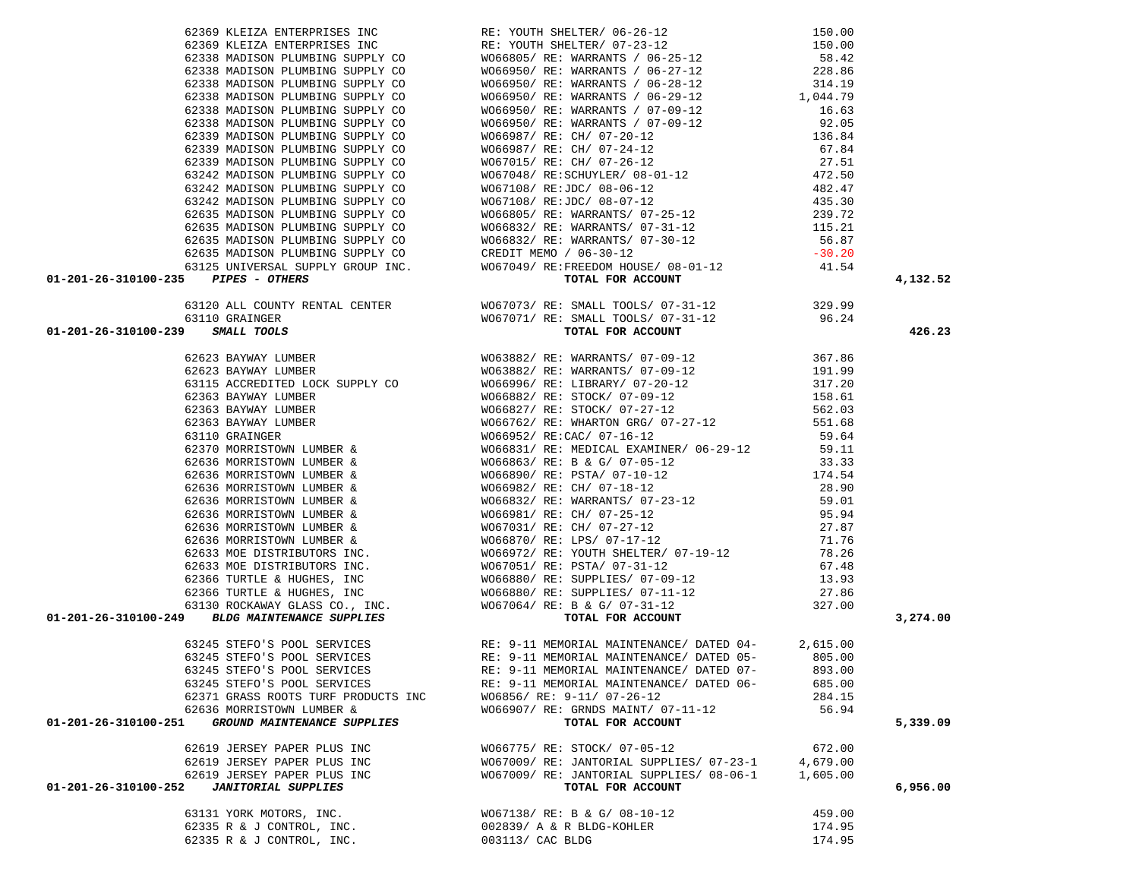|                                                                                                                                                                                                                              |                                                                                                                                                                   |          | 4,132.52 |
|------------------------------------------------------------------------------------------------------------------------------------------------------------------------------------------------------------------------------|-------------------------------------------------------------------------------------------------------------------------------------------------------------------|----------|----------|
| 621510 cm 20110 and protos (i.e) one control and the state of the 1911 cm 2012 cm 20121 and 2012 cm 20121 and 2012 cm 2012 cm 2012 cm 2012 cm 2012 cm 2012 cm 2012 cm 2012 cm 2012 cm 2012 cm 2012 cm 2012 cm 2012 cm 2012 c |                                                                                                                                                                   |          |          |
|                                                                                                                                                                                                                              |                                                                                                                                                                   |          |          |
|                                                                                                                                                                                                                              |                                                                                                                                                                   |          | 426.23   |
|                                                                                                                                                                                                                              |                                                                                                                                                                   |          |          |
|                                                                                                                                                                                                                              |                                                                                                                                                                   |          |          |
|                                                                                                                                                                                                                              |                                                                                                                                                                   |          |          |
|                                                                                                                                                                                                                              |                                                                                                                                                                   |          |          |
|                                                                                                                                                                                                                              |                                                                                                                                                                   |          |          |
|                                                                                                                                                                                                                              |                                                                                                                                                                   |          |          |
|                                                                                                                                                                                                                              |                                                                                                                                                                   |          |          |
|                                                                                                                                                                                                                              |                                                                                                                                                                   |          |          |
|                                                                                                                                                                                                                              |                                                                                                                                                                   |          |          |
|                                                                                                                                                                                                                              |                                                                                                                                                                   |          |          |
|                                                                                                                                                                                                                              |                                                                                                                                                                   |          |          |
|                                                                                                                                                                                                                              |                                                                                                                                                                   |          |          |
|                                                                                                                                                                                                                              |                                                                                                                                                                   |          |          |
|                                                                                                                                                                                                                              |                                                                                                                                                                   |          |          |
|                                                                                                                                                                                                                              |                                                                                                                                                                   |          |          |
|                                                                                                                                                                                                                              |                                                                                                                                                                   |          |          |
|                                                                                                                                                                                                                              |                                                                                                                                                                   |          |          |
|                                                                                                                                                                                                                              |                                                                                                                                                                   |          |          |
|                                                                                                                                                                                                                              |                                                                                                                                                                   |          |          |
|                                                                                                                                                                                                                              |                                                                                                                                                                   |          |          |
|                                                                                                                                                                                                                              |                                                                                                                                                                   |          |          |
|                                                                                                                                                                                                                              |                                                                                                                                                                   |          |          |
|                                                                                                                                                                                                                              |                                                                                                                                                                   |          |          |
|                                                                                                                                                                                                                              |                                                                                                                                                                   |          | 3,274.00 |
|                                                                                                                                                                                                                              | 63245 STEFO'S POOL SERVICES<br>63245 STEFO'S POOL SERVICES RE: 9-11 MEMORIAL MAINTENANCE/ DATED 04-<br>63245 STEFO'S POOL SERVICES<br>63245 STEFO'S POOL SERVICES |          |          |
|                                                                                                                                                                                                                              |                                                                                                                                                                   |          |          |
|                                                                                                                                                                                                                              |                                                                                                                                                                   |          |          |
|                                                                                                                                                                                                                              | 63245 STEFO'S POOL SERVICES RE: 9-11 MEMORIAL MAINTENANCE/ DATED 07-                                                                                              | 893.00   |          |
| 63245 STEFO'S POOL SERVICES                                                                                                                                                                                                  | RE: 9-11 MEMORIAL MAINTENANCE/ DATED 06-                                                                                                                          | 685.00   |          |
| 62371 GRASS ROOTS TURF PRODUCTS INC                                                                                                                                                                                          | W06856/ RE: 9-11/ 07-26-12                                                                                                                                        | 284.15   |          |
| 62636 MORRISTOWN LUMBER &                                                                                                                                                                                                    | W066907/ RE: GRNDS MAINT/ 07-11-12                                                                                                                                | 56.94    |          |
| GROUND MAINTENANCE SUPPLIES<br>01-201-26-310100-251                                                                                                                                                                          | TOTAL FOR ACCOUNT                                                                                                                                                 |          | 5,339.09 |
|                                                                                                                                                                                                                              |                                                                                                                                                                   |          |          |
| 62619 JERSEY PAPER PLUS INC                                                                                                                                                                                                  | W066775/ RE: STOCK/ 07-05-12                                                                                                                                      | 672.00   |          |
| 62619 JERSEY PAPER PLUS INC                                                                                                                                                                                                  | WO67009/RE: JANTORIAL SUPPLIES/07-23-1                                                                                                                            | 4,679.00 |          |
| 62619 JERSEY PAPER PLUS INC                                                                                                                                                                                                  | WO67009/RE: JANTORIAL SUPPLIES/08-06-1                                                                                                                            | 1,605.00 |          |
| <b>JANITORIAL SUPPLIES</b><br>01-201-26-310100-252                                                                                                                                                                           | TOTAL FOR ACCOUNT                                                                                                                                                 |          | 6,956.00 |
|                                                                                                                                                                                                                              |                                                                                                                                                                   |          |          |
| 63131 YORK MOTORS, INC.                                                                                                                                                                                                      | WO67138/ RE: B & G/ 08-10-12                                                                                                                                      | 459.00   |          |
| 62335 R & J CONTROL, INC.                                                                                                                                                                                                    | 002839/ A & R BLDG-KOHLER                                                                                                                                         | 174.95   |          |

62335 R & J CONTROL, INC.  $003113/$  CAC BLDG 174.95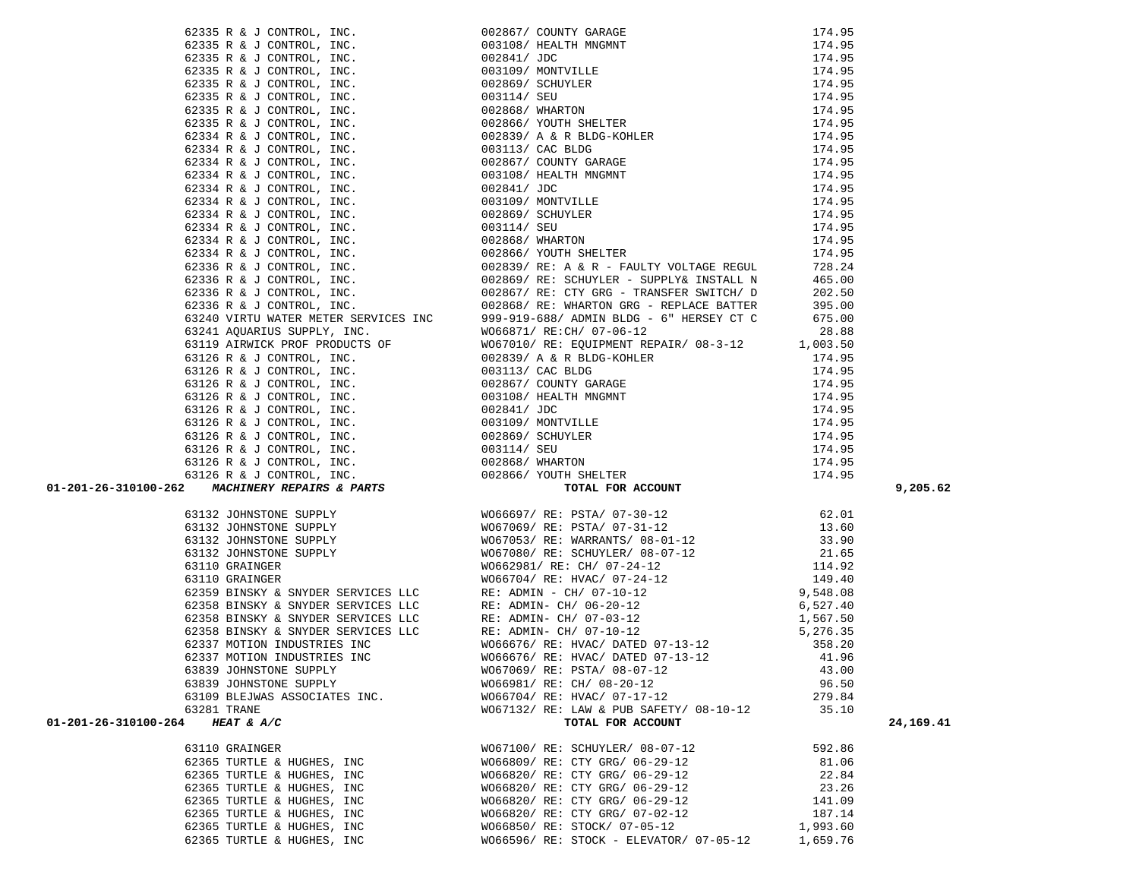| 01-201-26-310100-264<br>HEAT & A/C | TOTAL FOR ACCOUNT                       |          | 24, 169. 41 |
|------------------------------------|-----------------------------------------|----------|-------------|
| 63110 GRAINGER                     | W067100/ RE: SCHUYLER/ 08-07-12         | 592.86   |             |
| 62365 TURTLE & HUGHES, INC         | W066809/ RE: CTY GRG/ 06-29-12          | 81.06    |             |
| 62365 TURTLE & HUGHES, INC         | W066820/ RE: CTY GRG/ 06-29-12          | 22.84    |             |
| 62365 TURTLE & HUGHES, INC         | W066820/ RE: CTY GRG/ 06-29-12          | 23.26    |             |
| 62365 TURTLE & HUGHES, INC         | W066820/ RE: CTY GRG/ 06-29-12          | 141.09   |             |
| 62365 TURTLE & HUGHES, INC         | W066820/ RE: CTY GRG/ 07-02-12          | 187.14   |             |
| 62365 TURTLE & HUGHES, INC         | W066850/ RE: STOCK/ 07-05-12            | 1,993.60 |             |
| 62365 TURTLE & HUGHES, INC         | W066596/ RE: STOCK - ELEVATOR/ 07-05-12 | 1,659.76 |             |
|                                    |                                         |          |             |

62335 R & J CONTROL, INC.  $174.95$  62335 R & J CONTROL, INC. 003108/ HEALTH MNGMNT 174.95 62335 R & J CONTROL, INC. 002841/ JDC 174.95 62335 R & J CONTROL, INC. 003109/ MONTVILLE 174.95 62335 R & J CONTROL, INC.<br>62335 R & J CONTROL, INC.  $002869 /$  SCHUYLER  $174.95$ <br>62335 R & J CONTROL, INC. 62335 R & J CONTROL,  $INC.$  $62335$  R & J CONTROL, INC.  $00$  $62335$  R & J CONTROL, INC.  $0($  $62334$  R & J CONTROL, INC.  $0($  $62334$  R & J CONTROL, INC.  $0($ 62334 R & J CONTROL, INC. 00  $62334$  R & J CONTROL, INC.  $0<sup>1</sup>$  $62334$  R & J CONTROL, INC.  $0<sup>1</sup>$  $62334$  R & J CONTROL, INC.  $0<sup>1</sup>$  $62334$  R & J CONTROL, INC.  $0$  $62334$  R & J CONTROL, INC.  $0<sup>1</sup>$  $62334$  R & J CONTROL, INC.  $0$  $62334$  R & J CONTROL, INC.  $0$  $62336$  R  $\&$  J CONTROL, INC.  $0$ 62336 R & J CONTROL, INC. 00 62336 R & J CONTROL, INC. 00 62336 R & J CONTROL, INC. 00 63240 VIRTU WATER METER SERVICES INC 9 63241 AQUARIUS SUPPLY, INC. WORG WORKER 63119 AIRWICK PROF PRODUCTS OF WORLD  $63126$  R & J CONTROL, INC.  $0$  $63126$  R  $\&$  J CONTROL, INC.  $0$ 63126 R & J CONTROL, INC. 00  $63126$  R  $\&$  J CONTROL, INC.  $0$ 63126 R & J CONTROL, INC. 00 63126 R & J CONTROL, INC. 00 63126 R & J CONTROL, INC. 00 63126 R & J CONTROL, INC.  $0<sup>1</sup>$ 63126 R & J CONTROL, INC.  $0<sup>0</sup>$  $63126$  R & J CONTROL, INC.  $0$ 

|  | 2013 A $\frac{1}{2}$ C. F. C. F. C. F. C. F. C. F. C. F. C. F. C. F. C. F. C. F. C. F. C. F. C. F. C. F. C. F. C. F. C. F. C. F. C. F. C. F. C. F. C. F. C. F. C. F. C. F. C. F. C. F. C. F. C. F. C. F. C. F. C. F. C. F. C. F. | 9,205.62 |
|--|----------------------------------------------------------------------------------------------------------------------------------------------------------------------------------------------------------------------------------|----------|
|  |                                                                                                                                                                                                                                  |          |
|  |                                                                                                                                                                                                                                  |          |
|  |                                                                                                                                                                                                                                  |          |
|  |                                                                                                                                                                                                                                  |          |
|  |                                                                                                                                                                                                                                  |          |
|  |                                                                                                                                                                                                                                  |          |
|  |                                                                                                                                                                                                                                  |          |
|  |                                                                                                                                                                                                                                  |          |
|  |                                                                                                                                                                                                                                  |          |
|  |                                                                                                                                                                                                                                  |          |
|  |                                                                                                                                                                                                                                  |          |
|  |                                                                                                                                                                                                                                  |          |
|  |                                                                                                                                                                                                                                  |          |
|  |                                                                                                                                                                                                                                  |          |
|  |                                                                                                                                                                                                                                  |          |
|  |                                                                                                                                                                                                                                  |          |
|  |                                                                                                                                                                                                                                  |          |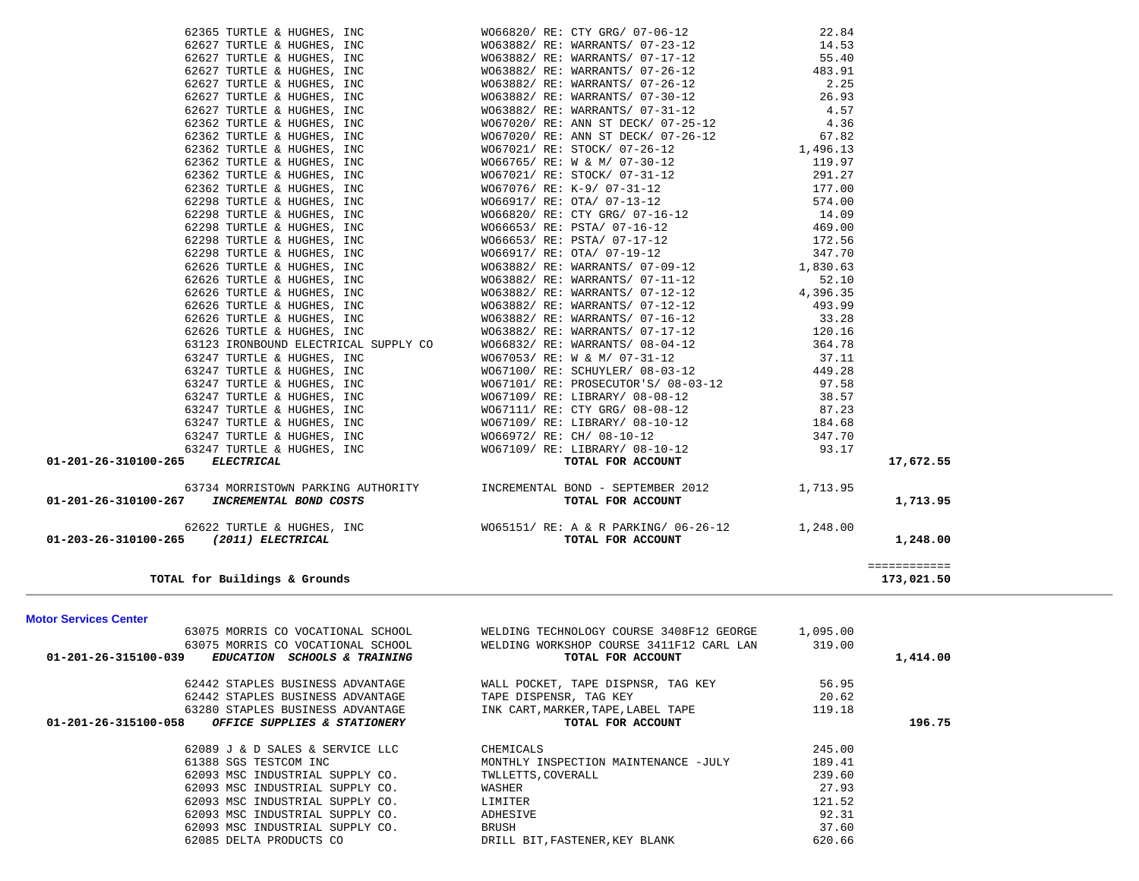| 62627 TURTLE & HUGHES, INC                                                                | W063882/ RE: WARRANTS/ 07-23-12                                                                                                                                                                                                                                                                                                                                                                                                              | 14.53  |              |  |
|-------------------------------------------------------------------------------------------|----------------------------------------------------------------------------------------------------------------------------------------------------------------------------------------------------------------------------------------------------------------------------------------------------------------------------------------------------------------------------------------------------------------------------------------------|--------|--------------|--|
| 62627 TURTLE & HUGHES, INC                                                                | WO63882/RE: WARRANTS/07-17-12<br>WO63882/RE: WARRANTS/07-26-12<br>WO63882/RE: WARRANTS/07-26-12<br>WO63882/RE: WARRANTS/07-30-12                                                                                                                                                                                                                                                                                                             | 55.40  |              |  |
| 62627 TURTLE & HUGHES, INC                                                                |                                                                                                                                                                                                                                                                                                                                                                                                                                              | 483.91 |              |  |
| 62627 TURTLE & HUGHES, INC                                                                |                                                                                                                                                                                                                                                                                                                                                                                                                                              |        |              |  |
| 62627 TURTLE & HUGHES, INC                                                                |                                                                                                                                                                                                                                                                                                                                                                                                                                              |        |              |  |
| 62627 TURTLE & HUGHES, INC                                                                | WO63882/RE: WARRANTS/07-26-12<br>WO63882/RE: WARRANTS/07-30-12<br>WO63882/RE: WARRANTS/07-30-12<br>WO63882/RE: WARRANTS/07-31-12<br>4.57<br>WO67020/RE: ANN ST DECK/07-25-12<br>4.36                                                                                                                                                                                                                                                         |        |              |  |
| 62362 TURTLE & HUGHES, INC                                                                |                                                                                                                                                                                                                                                                                                                                                                                                                                              |        |              |  |
| 62362 TURTLE & HUGHES, INC                                                                | WO67020/RE: ANN ST DECK/07-26-12 67.82<br>WO67021/RE: STOCK/07-26-12 1,496.13                                                                                                                                                                                                                                                                                                                                                                |        |              |  |
| 62362 TURTLE & HUGHES, INC                                                                |                                                                                                                                                                                                                                                                                                                                                                                                                                              |        |              |  |
|                                                                                           |                                                                                                                                                                                                                                                                                                                                                                                                                                              |        |              |  |
|                                                                                           |                                                                                                                                                                                                                                                                                                                                                                                                                                              |        |              |  |
|                                                                                           |                                                                                                                                                                                                                                                                                                                                                                                                                                              |        |              |  |
|                                                                                           |                                                                                                                                                                                                                                                                                                                                                                                                                                              |        |              |  |
|                                                                                           |                                                                                                                                                                                                                                                                                                                                                                                                                                              |        |              |  |
|                                                                                           |                                                                                                                                                                                                                                                                                                                                                                                                                                              |        |              |  |
|                                                                                           |                                                                                                                                                                                                                                                                                                                                                                                                                                              |        |              |  |
|                                                                                           |                                                                                                                                                                                                                                                                                                                                                                                                                                              |        |              |  |
|                                                                                           |                                                                                                                                                                                                                                                                                                                                                                                                                                              |        |              |  |
|                                                                                           |                                                                                                                                                                                                                                                                                                                                                                                                                                              |        |              |  |
|                                                                                           |                                                                                                                                                                                                                                                                                                                                                                                                                                              |        |              |  |
|                                                                                           |                                                                                                                                                                                                                                                                                                                                                                                                                                              |        |              |  |
|                                                                                           |                                                                                                                                                                                                                                                                                                                                                                                                                                              |        |              |  |
|                                                                                           |                                                                                                                                                                                                                                                                                                                                                                                                                                              |        |              |  |
|                                                                                           |                                                                                                                                                                                                                                                                                                                                                                                                                                              |        |              |  |
|                                                                                           |                                                                                                                                                                                                                                                                                                                                                                                                                                              |        |              |  |
|                                                                                           |                                                                                                                                                                                                                                                                                                                                                                                                                                              |        |              |  |
|                                                                                           |                                                                                                                                                                                                                                                                                                                                                                                                                                              |        |              |  |
|                                                                                           |                                                                                                                                                                                                                                                                                                                                                                                                                                              |        |              |  |
|                                                                                           |                                                                                                                                                                                                                                                                                                                                                                                                                                              |        |              |  |
|                                                                                           |                                                                                                                                                                                                                                                                                                                                                                                                                                              |        |              |  |
|                                                                                           |                                                                                                                                                                                                                                                                                                                                                                                                                                              |        |              |  |
|                                                                                           |                                                                                                                                                                                                                                                                                                                                                                                                                                              |        |              |  |
| 01-201-26-310100-265 ELECTRICAL                                                           | 62362 TURTLE & HUGHES, INC (1992) NE: ARR STUCK 1992, 1992, 1992, 1992, 1993, 2012<br>62362 TURTLE & HUGHES, INC (1992) NE: TOCK (1992) 211-12<br>62362 TURTLE & HUGHES, INC (1993) 97<br>62362 TURTLE & HUGHES, INC (1993) 97<br>622                                                                                                                                                                                                        |        | 17,672.55    |  |
|                                                                                           | $\begin{minipage}[c]{0.9cm} \begin{minipage}[c]{0.9cm} \begin{minipage}[c]{0.9cm} \begin{minipage}[c]{0.9cm} \begin{minipage}[c]{0.9cm} \begin{minipage}[c]{0.9cm} \begin{minipage}[c]{0.9cm} \begin{minipage}[c]{0.9cm} \begin{minipage}[c]{0.9cm} \begin{minipage}[c]{0.9cm} \begin{minipage}[c]{0.9cm} \begin{minipage}[c]{0.9cm} \begin{minipage}[c]{0.9cm} \begin{minipage}[c]{0.9cm} \begin{minipage}[c]{0.9cm} \begin{minipage}[c]{0$ |        |              |  |
| 01-201-26-310100-267 INCREMENTAL BOND COSTS                                               |                                                                                                                                                                                                                                                                                                                                                                                                                                              |        | 1,713.95     |  |
|                                                                                           |                                                                                                                                                                                                                                                                                                                                                                                                                                              |        |              |  |
| 62622 TURTLE & HUGHES, INC<br>01-203-26-310100-265 (2011) ELECTRICAL<br>TOTAL FOR ACCOUNT |                                                                                                                                                                                                                                                                                                                                                                                                                                              |        |              |  |
|                                                                                           |                                                                                                                                                                                                                                                                                                                                                                                                                                              |        | 1,248.00     |  |
|                                                                                           |                                                                                                                                                                                                                                                                                                                                                                                                                                              |        | ============ |  |
| TOTAL for Buildings & Grounds                                                             |                                                                                                                                                                                                                                                                                                                                                                                                                                              |        | 173,021.50   |  |
| <b>Motor Services Center</b>                                                              |                                                                                                                                                                                                                                                                                                                                                                                                                                              |        |              |  |
|                                                                                           | 63075 MORRIS CO VOCATIONAL SCHOOL WELDING TECHNOLOGY COURSE 3408F12 GEORGE 1,095.00                                                                                                                                                                                                                                                                                                                                                          |        |              |  |
|                                                                                           |                                                                                                                                                                                                                                                                                                                                                                                                                                              | 319.00 |              |  |
| $01-201-26-315100-039$ EDUCATION SCHOOLS & TRAINING                                       | 63075 MORRIS CO VOCATIONAL SCHOOL WELDING WORKSHOP COURSE 3411F12 CARL LAN<br>TOTAL FOR ACCOUNT                                                                                                                                                                                                                                                                                                                                              |        | 1,414.00     |  |
|                                                                                           |                                                                                                                                                                                                                                                                                                                                                                                                                                              |        |              |  |
| 62442 STAPLES BUSINESS ADVANTAGE                                                          | WALL POCKET, TAPE DISPNSR, TAG KEY                                                                                                                                                                                                                                                                                                                                                                                                           | 56.95  |              |  |
| 62442 STAPLES BUSINESS ADVANTAGE                                                          | TAPE DISPENSR, TAG KEY                                                                                                                                                                                                                                                                                                                                                                                                                       | 20.62  |              |  |
| 63280 STAPLES BUSINESS ADVANTAGE                                                          | INK CART, MARKER, TAPE, LABEL TAPE                                                                                                                                                                                                                                                                                                                                                                                                           | 119.18 |              |  |
| 01-201-26-315100-058<br>OFFICE SUPPLIES & STATIONERY                                      | TOTAL FOR ACCOUNT                                                                                                                                                                                                                                                                                                                                                                                                                            |        | 196.75       |  |
| 62089 J & D SALES & SERVICE LLC                                                           | CHEMICALS                                                                                                                                                                                                                                                                                                                                                                                                                                    | 245.00 |              |  |
| 61388 SGS TESTCOM INC                                                                     | MONTHLY INSPECTION MAINTENANCE -JULY                                                                                                                                                                                                                                                                                                                                                                                                         | 189.41 |              |  |
| 62093 MSC INDUSTRIAL SUPPLY CO.                                                           | TWLLETTS, COVERALL                                                                                                                                                                                                                                                                                                                                                                                                                           | 239.60 |              |  |
| 62093 MSC INDUSTRIAL SUPPLY CO.                                                           | WASHER                                                                                                                                                                                                                                                                                                                                                                                                                                       | 27.93  |              |  |
| 62093 MSC INDUSTRIAL SUPPLY CO.                                                           | LIMITER                                                                                                                                                                                                                                                                                                                                                                                                                                      | 121.52 |              |  |
| 62093 MSC INDUSTRIAL SUPPLY CO.                                                           | ADHESIVE                                                                                                                                                                                                                                                                                                                                                                                                                                     | 92.31  |              |  |
| 62093 MSC INDUSTRIAL SUPPLY CO.                                                           | <b>BRUSH</b>                                                                                                                                                                                                                                                                                                                                                                                                                                 | 37.60  |              |  |

62085 DELTA PRODUCTS CO **DRILL BIT, FASTENER, KEY BLANK** 

620.66

62365 TURTLE & HUGHES, INC WO66820/ RE: CTY GRG/ 07-06-12 22.84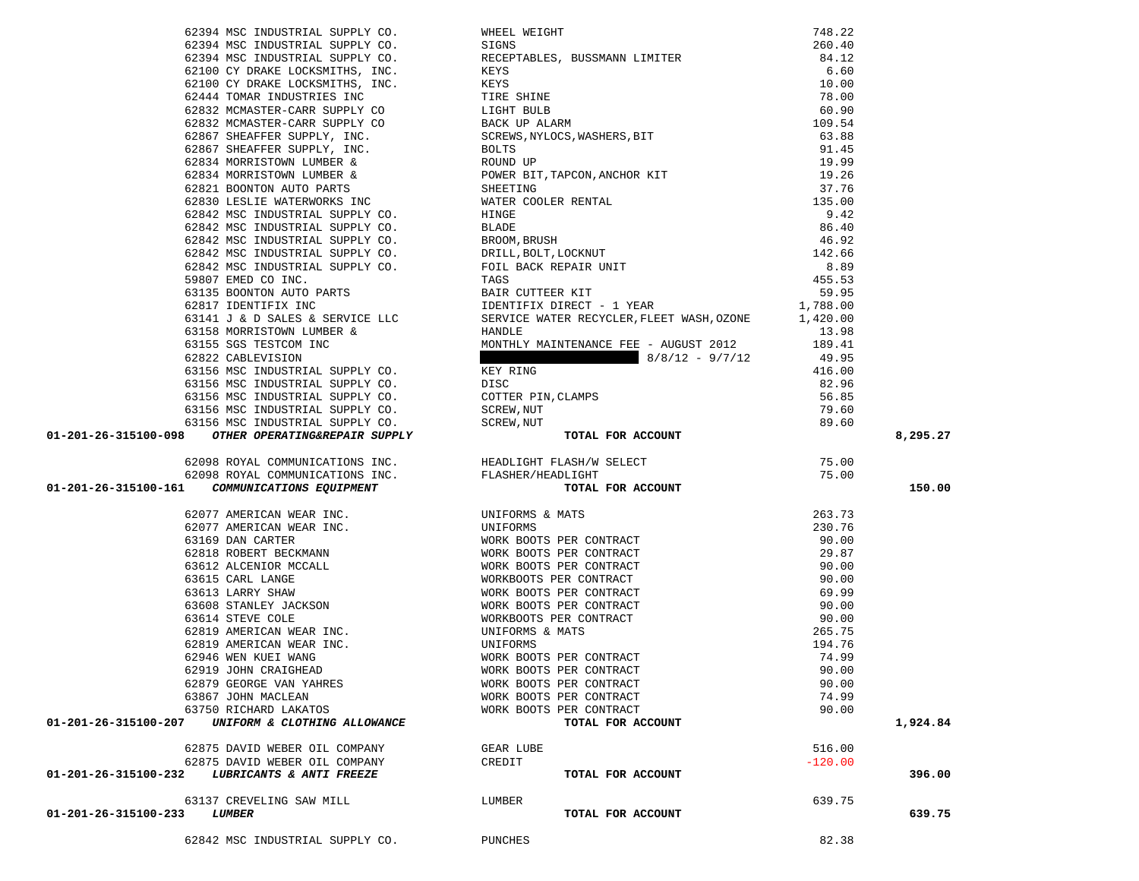|                                                                                                                                                                                                                                     |                         |           | 8,295.27 |
|-------------------------------------------------------------------------------------------------------------------------------------------------------------------------------------------------------------------------------------|-------------------------|-----------|----------|
|                                                                                                                                                                                                                                     |                         |           |          |
|                                                                                                                                                                                                                                     |                         |           |          |
| 623/94 NOC INDUSTRIAL GUPPAY CO. WITE, WISCONSIN INTERFERENCE (2013)<br>623/94 NOC INDUSTRIAL GUPPAY CO. RECUPRENCE, SUSSENGE ILITERE 246, 12<br>623/94 NOC INDUSTRIAL GUPPAY CO. RECUPRENCE, SUSSENGE ILITERE 246, 12<br>623/94 NO |                         |           |          |
|                                                                                                                                                                                                                                     |                         |           | 150.00   |
|                                                                                                                                                                                                                                     |                         |           |          |
|                                                                                                                                                                                                                                     |                         |           |          |
|                                                                                                                                                                                                                                     |                         |           |          |
|                                                                                                                                                                                                                                     |                         |           |          |
|                                                                                                                                                                                                                                     |                         |           |          |
|                                                                                                                                                                                                                                     |                         |           |          |
|                                                                                                                                                                                                                                     |                         |           |          |
|                                                                                                                                                                                                                                     |                         |           |          |
|                                                                                                                                                                                                                                     |                         |           |          |
|                                                                                                                                                                                                                                     |                         |           |          |
|                                                                                                                                                                                                                                     |                         |           |          |
|                                                                                                                                                                                                                                     |                         |           |          |
|                                                                                                                                                                                                                                     |                         |           |          |
| 62919 JOHN CRAIGHEAD                                                                                                                                                                                                                | WORK BOOTS PER CONTRACT | 90.00     |          |
|                                                                                                                                                                                                                                     |                         |           |          |
| 62879 GEORGE VAN YAHRES                                                                                                                                                                                                             | WORK BOOTS PER CONTRACT | 90.00     |          |
| 63867 JOHN MACLEAN                                                                                                                                                                                                                  | WORK BOOTS PER CONTRACT | 74.99     |          |
| 63750 RICHARD LAKATOS<br>01-201-26-315100-207                                                                                                                                                                                       | WORK BOOTS PER CONTRACT | 90.00     |          |
| UNIFORM & CLOTHING ALLOWANCE                                                                                                                                                                                                        | TOTAL FOR ACCOUNT       |           | 1,924.84 |
|                                                                                                                                                                                                                                     |                         |           |          |
| 62875 DAVID WEBER OIL COMPANY                                                                                                                                                                                                       | GEAR LUBE               | 516.00    |          |
| 62875 DAVID WEBER OIL COMPANY                                                                                                                                                                                                       | CREDIT                  | $-120.00$ |          |
| 01-201-26-315100-232<br>LUBRICANTS & ANTI FREEZE                                                                                                                                                                                    | TOTAL FOR ACCOUNT       |           | 396.00   |
|                                                                                                                                                                                                                                     |                         |           |          |
| 63137 CREVELING SAW MILL                                                                                                                                                                                                            | LUMBER                  | 639.75    |          |
| 01-201-26-315100-233<br><i><b>LUMBER</b></i>                                                                                                                                                                                        | TOTAL FOR ACCOUNT       |           | 639.75   |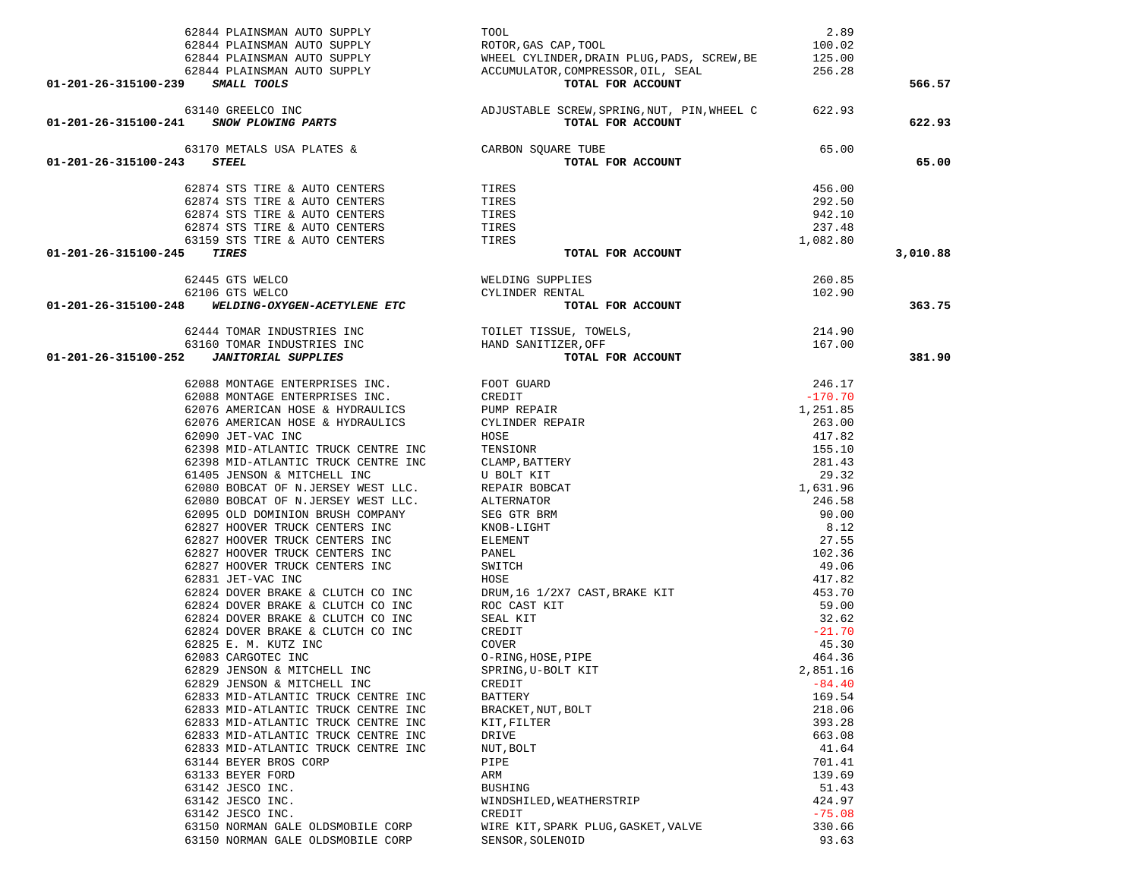| 62844 PLAINSMAN AUTO SUPPLY                                                                                                                                                  | TOOL                                                                                                                                                                                                                               | 2.89             |          |
|------------------------------------------------------------------------------------------------------------------------------------------------------------------------------|------------------------------------------------------------------------------------------------------------------------------------------------------------------------------------------------------------------------------------|------------------|----------|
|                                                                                                                                                                              |                                                                                                                                                                                                                                    |                  |          |
|                                                                                                                                                                              |                                                                                                                                                                                                                                    |                  |          |
|                                                                                                                                                                              |                                                                                                                                                                                                                                    |                  |          |
|                                                                                                                                                                              |                                                                                                                                                                                                                                    |                  | 566.57   |
|                                                                                                                                                                              |                                                                                                                                                                                                                                    |                  |          |
|                                                                                                                                                                              |                                                                                                                                                                                                                                    |                  | 622.93   |
|                                                                                                                                                                              | $65.00$ איזוו $\Gamma$                                                                                                                                                                                                             |                  |          |
| 63170 METALS USA PLATES & CARBON SQUARE TUBE 3 STEEL TOTAL P<br>01-201-26-315100-243 STEEL                                                                                   | TOTAL FOR ACCOUNT                                                                                                                                                                                                                  |                  | 65.00    |
|                                                                                                                                                                              |                                                                                                                                                                                                                                    |                  |          |
| 62874 STS TIRE & AUTO CENTERS                                                                                                                                                | TIRES                                                                                                                                                                                                                              | 456.00           |          |
|                                                                                                                                                                              |                                                                                                                                                                                                                                    | 292.50           |          |
|                                                                                                                                                                              |                                                                                                                                                                                                                                    | 942.10           |          |
|                                                                                                                                                                              |                                                                                                                                                                                                                                    | 237.48           |          |
| 62874 STS TIRE & AUTO CENTERS<br>62874 STS TIRE & AUTO CENTERS<br>62874 STS TIRE & AUTO CENTERS<br>62874 STS TIRE & AUTO CENTERS<br>63159 STS TIRE & AUTO CENTERS<br>5 TIRES |                                                                                                                                                                                                                                    | 1,082.80         |          |
| 01-201-26-315100-245 TIRES                                                                                                                                                   | TOTAL FOR ACCOUNT                                                                                                                                                                                                                  |                  | 3,010.88 |
|                                                                                                                                                                              |                                                                                                                                                                                                                                    |                  |          |
|                                                                                                                                                                              |                                                                                                                                                                                                                                    |                  |          |
|                                                                                                                                                                              |                                                                                                                                                                                                                                    |                  | 363.75   |
|                                                                                                                                                                              |                                                                                                                                                                                                                                    |                  |          |
|                                                                                                                                                                              |                                                                                                                                                                                                                                    |                  |          |
|                                                                                                                                                                              |                                                                                                                                                                                                                                    |                  | 381.90   |
|                                                                                                                                                                              | <b>FORM SUPPLIES TOTAL FOR ACCOUNT THE SECTION OF A SUPPLIES (SORE MOTAL FOR ACCOUNT 6.2018 MONTAGE ENTERPRIESE INC.</b> (SEEDIT 6.2016 AMERICAN HOSE & HYDRAULICS PUMP REPAIR 6.2019 JET-VAC INC (SEEDIT 6.239 MID-ATLANTIC TRUCK |                  |          |
|                                                                                                                                                                              |                                                                                                                                                                                                                                    | 246.17           |          |
|                                                                                                                                                                              |                                                                                                                                                                                                                                    | $-170.70$        |          |
|                                                                                                                                                                              |                                                                                                                                                                                                                                    | 1,251.85         |          |
|                                                                                                                                                                              |                                                                                                                                                                                                                                    | 263.00           |          |
|                                                                                                                                                                              |                                                                                                                                                                                                                                    | 417.82           |          |
|                                                                                                                                                                              |                                                                                                                                                                                                                                    | 155.10           |          |
|                                                                                                                                                                              |                                                                                                                                                                                                                                    | 281.43           |          |
|                                                                                                                                                                              |                                                                                                                                                                                                                                    | 29.32            |          |
|                                                                                                                                                                              |                                                                                                                                                                                                                                    | 1,631.96         |          |
|                                                                                                                                                                              |                                                                                                                                                                                                                                    | 246.58           |          |
|                                                                                                                                                                              |                                                                                                                                                                                                                                    | 90.00            |          |
|                                                                                                                                                                              |                                                                                                                                                                                                                                    | 8.12             |          |
|                                                                                                                                                                              |                                                                                                                                                                                                                                    | 27.55            |          |
|                                                                                                                                                                              |                                                                                                                                                                                                                                    | 102.36           |          |
|                                                                                                                                                                              |                                                                                                                                                                                                                                    | 49.06            |          |
|                                                                                                                                                                              |                                                                                                                                                                                                                                    | 417.82<br>453.70 |          |
|                                                                                                                                                                              |                                                                                                                                                                                                                                    | 59.00            |          |
|                                                                                                                                                                              |                                                                                                                                                                                                                                    | 32.62            |          |
|                                                                                                                                                                              |                                                                                                                                                                                                                                    | $-21.70$         |          |
|                                                                                                                                                                              |                                                                                                                                                                                                                                    | 45.30            |          |
|                                                                                                                                                                              |                                                                                                                                                                                                                                    | 464.36           |          |
| 62829 JENSON & MITCHELL INC                                                                                                                                                  | SPRING, U-BOLT KIT                                                                                                                                                                                                                 | 2,851.16         |          |
| 62829 JENSON & MITCHELL INC                                                                                                                                                  | CREDIT                                                                                                                                                                                                                             | $-84.40$         |          |
| 62833 MID-ATLANTIC TRUCK CENTRE INC                                                                                                                                          | <b>BATTERY</b>                                                                                                                                                                                                                     | 169.54           |          |
| 62833 MID-ATLANTIC TRUCK CENTRE INC                                                                                                                                          | BRACKET, NUT, BOLT                                                                                                                                                                                                                 | 218.06           |          |
| 62833 MID-ATLANTIC TRUCK CENTRE INC                                                                                                                                          | KIT, FILTER                                                                                                                                                                                                                        | 393.28           |          |
| 62833 MID-ATLANTIC TRUCK CENTRE INC                                                                                                                                          | DRIVE                                                                                                                                                                                                                              | 663.08           |          |
| 62833 MID-ATLANTIC TRUCK CENTRE INC                                                                                                                                          | NUT, BOLT                                                                                                                                                                                                                          | 41.64            |          |
| 63144 BEYER BROS CORP                                                                                                                                                        | PIPE                                                                                                                                                                                                                               | 701.41           |          |
| 63133 BEYER FORD                                                                                                                                                             | ARM                                                                                                                                                                                                                                | 139.69           |          |
| 63142 JESCO INC.                                                                                                                                                             | <b>BUSHING</b>                                                                                                                                                                                                                     | 51.43            |          |
| 63142 JESCO INC.                                                                                                                                                             | WINDSHILED, WEATHERSTRIP                                                                                                                                                                                                           | 424.97           |          |
| 63142 JESCO INC.                                                                                                                                                             | CREDIT                                                                                                                                                                                                                             | $-75.08$         |          |
| 63150 NORMAN GALE OLDSMOBILE CORP                                                                                                                                            | WIRE KIT, SPARK PLUG, GASKET, VALVE                                                                                                                                                                                                | 330.66           |          |
| 63150 NORMAN GALE OLDSMOBILE CORP                                                                                                                                            | SENSOR, SOLENOID                                                                                                                                                                                                                   | 93.63            |          |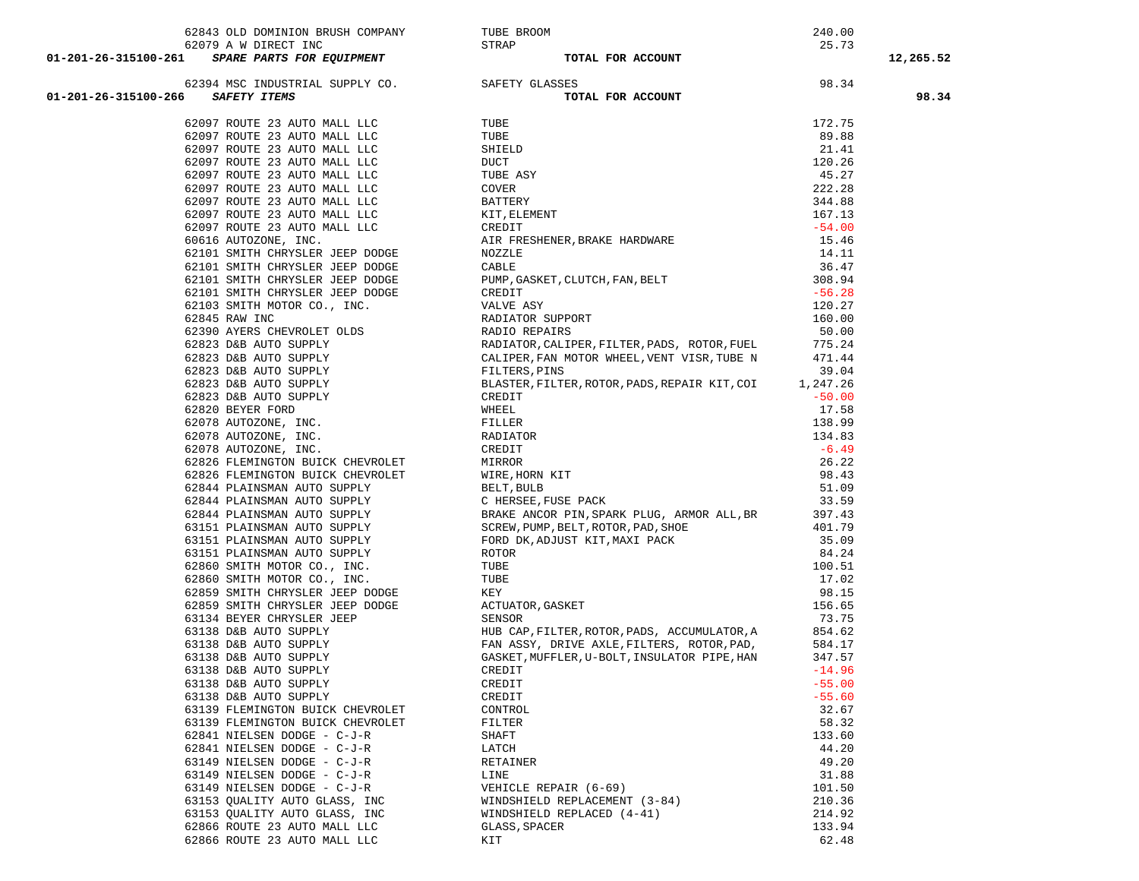| 62843 OLD DOMINION BRUSH COMPANY                                                                                                                                                                                                                          |                                                                                                                                                                                     |          |           |
|-----------------------------------------------------------------------------------------------------------------------------------------------------------------------------------------------------------------------------------------------------------|-------------------------------------------------------------------------------------------------------------------------------------------------------------------------------------|----------|-----------|
|                                                                                                                                                                                                                                                           |                                                                                                                                                                                     |          |           |
| 01-201-26-315100-261 SPARE PARTS FOR EQUIPMENT<br>62079 A W DIRECT INC<br>62079 A W DIRECT INC<br>62394 MSC INDUSTRIAL SUPPLY CO.<br>8AFETY GLASSES<br>01-201-26-315100-266 SAFETY TEMS<br>62097 ROUTE 23 AUTO MALL LLC<br>62097 ROUTE 23 A               |                                                                                                                                                                                     |          | 12,265.52 |
|                                                                                                                                                                                                                                                           |                                                                                                                                                                                     |          |           |
|                                                                                                                                                                                                                                                           |                                                                                                                                                                                     |          | 98.34     |
|                                                                                                                                                                                                                                                           |                                                                                                                                                                                     |          |           |
|                                                                                                                                                                                                                                                           |                                                                                                                                                                                     |          |           |
|                                                                                                                                                                                                                                                           |                                                                                                                                                                                     |          |           |
|                                                                                                                                                                                                                                                           |                                                                                                                                                                                     |          |           |
|                                                                                                                                                                                                                                                           |                                                                                                                                                                                     |          |           |
| 62097 ROUTE 23 AUTO MALL LLC<br>62097 ROUTE 23 AUTO MALL LLC                                                                                                                                                                                              |                                                                                                                                                                                     |          |           |
|                                                                                                                                                                                                                                                           |                                                                                                                                                                                     |          |           |
| 62097 ROUTE 23 AUTO MALL LLC<br>62097 ROUTE 23 AUTO MALL LLC                                                                                                                                                                                              |                                                                                                                                                                                     |          |           |
|                                                                                                                                                                                                                                                           |                                                                                                                                                                                     |          |           |
| 62097 ROUTE 23 AUTO MALL LLC<br>60616 AUTOZONE, INC.<br>60616 AUTOZONE, INC.                                                                                                                                                                              |                                                                                                                                                                                     |          |           |
|                                                                                                                                                                                                                                                           |                                                                                                                                                                                     |          |           |
| 62101 SMITH CHRYSLER JEEP DODGE<br>62101 SMITH CHRYSLER JEEP DODGE                                                                                                                                                                                        |                                                                                                                                                                                     |          |           |
| 62101 SMITH CHRYSLER JEEP DODGE                                                                                                                                                                                                                           |                                                                                                                                                                                     |          |           |
| 62101 SMITH CHRYSLER JEEP DODGE                                                                                                                                                                                                                           |                                                                                                                                                                                     |          |           |
|                                                                                                                                                                                                                                                           |                                                                                                                                                                                     |          |           |
|                                                                                                                                                                                                                                                           |                                                                                                                                                                                     |          |           |
|                                                                                                                                                                                                                                                           |                                                                                                                                                                                     |          |           |
|                                                                                                                                                                                                                                                           | RADIATOR, CALIPER, FILTER, PADS, ROTOR, FUEL                                                                                                                                        | 775.24   |           |
|                                                                                                                                                                                                                                                           | CALIPER, FAN MOTOR WHEEL, VENT VISR, TUBE N 471.44                                                                                                                                  |          |           |
|                                                                                                                                                                                                                                                           | FILTERS, PINS                                                                                                                                                                       | 39.04    |           |
| 62101 SMITH CHRYSLER JEEP DODGE<br>62103 SMITH MOTOR CO., INC.<br>62845 RAW INC<br>62823 D&B AUTO SUPPLY<br>62823 D&B AUTO SUPPLY<br>62823 D&B AUTO SUPPLY<br>62823 D&B AUTO SUPPLY<br>62823 D&B AUTO SUPPLY<br>62823 D&B AUTO SUPPLY<br>62820 BEYER FORD | BLASTER, FILTER, ROTOR, PADS, REPAIR KIT, COI                                                                                                                                       | 1,247.26 |           |
|                                                                                                                                                                                                                                                           | CREDIT                                                                                                                                                                              | $-50.00$ |           |
|                                                                                                                                                                                                                                                           | CREDIT<br>WHEEL<br>FILLER<br>RADIATOR<br>CREDIT<br>MIRROR<br>WIRE, HORN KIT<br>BELT, BULB<br>C HERSEE, FUSE PACK                                                                    | 17.58    |           |
|                                                                                                                                                                                                                                                           |                                                                                                                                                                                     | 138.99   |           |
|                                                                                                                                                                                                                                                           |                                                                                                                                                                                     | 134.83   |           |
|                                                                                                                                                                                                                                                           |                                                                                                                                                                                     | $-6.49$  |           |
| 62826 FLEMINGTON BUICK CHEVROLET                                                                                                                                                                                                                          |                                                                                                                                                                                     | 26.22    |           |
|                                                                                                                                                                                                                                                           |                                                                                                                                                                                     | 98.43    |           |
| 62826 FLEMINGTON BUICK CHEVROLET<br>62844 PLAINSMAN AUTO SUPPLY<br>62844 PLAINSMAN AUTO SUPPLY<br>62844 PLAINSMAN AUTO SUPPLY<br>63151 PLAINSMAN AUTO SUPPLY<br>63151 PLAINSMAN AUTO SUPPLY<br>83151 PLAINSMAN AUTO SUPPLY                                |                                                                                                                                                                                     | 51.09    |           |
|                                                                                                                                                                                                                                                           |                                                                                                                                                                                     | 33.59    |           |
|                                                                                                                                                                                                                                                           | BRAKE ANCOR PIN, SPARK PLUG, ARMOR ALL, BR                                                                                                                                          | 397.43   |           |
|                                                                                                                                                                                                                                                           |                                                                                                                                                                                     | 401.79   |           |
|                                                                                                                                                                                                                                                           |                                                                                                                                                                                     | 35.09    |           |
| 63151 PLAINSMAN AUTO SUPPLY                                                                                                                                                                                                                               |                                                                                                                                                                                     | 84.24    |           |
| 62860 SMITH MOTOR CO., INC.                                                                                                                                                                                                                               |                                                                                                                                                                                     | 100.51   |           |
| 62860 SMITH MOTOR CO., INC.                                                                                                                                                                                                                               |                                                                                                                                                                                     | 17.02    |           |
| 62859 SMITH CHRYSLER JEEP DODGE                                                                                                                                                                                                                           |                                                                                                                                                                                     | 98.15    |           |
| 62859 SMITH CHRYSLER JEEP DODGE                                                                                                                                                                                                                           |                                                                                                                                                                                     | 156.65   |           |
| 63134 BEYER CHRYSLER JEEP                                                                                                                                                                                                                                 | BRAKE ANCOR PIN, SPARK PLOG, ARNOR ALL, BR<br>SCREW, PUMP, BELT, ROTOR, PAD, SHOE<br>FORD DK, ADJUST KIT, MAXI PACK<br>NOTOR<br>TUBE<br>KEY<br>ACTUATOR, GASKET<br>SENSOR<br>SENSOR | 73.75    |           |
|                                                                                                                                                                                                                                                           | HUB CAP, FILTER, ROTOR, PADS, ACCUMULATOR, A                                                                                                                                        | 854.62   |           |
| 53138 D&B AUTO SUPPLY<br>63138 D&B AUTO SUPPLY<br>63138 D&B AUTO SUPPLY<br>63138 D&B AUTO SUPPLY<br>63138 D&B AUTO SUPPLY                                                                                                                                 | FAN ASSY, DRIVE AXLE, FILTERS, ROTOR, PAD,                                                                                                                                          | 584.17   |           |
|                                                                                                                                                                                                                                                           | GASKET, MUFFLER, U-BOLT, INSULATOR PIPE, HAN                                                                                                                                        | 347.57   |           |
|                                                                                                                                                                                                                                                           | CREDIT                                                                                                                                                                              | $-14.96$ |           |
| 63138 D&B AUTO SUPPLY                                                                                                                                                                                                                                     | CREDIT                                                                                                                                                                              | $-55.00$ |           |
| 63138 D&B AUTO SUPPLY                                                                                                                                                                                                                                     | CREDIT                                                                                                                                                                              | $-55.60$ |           |
| 63139 FLEMINGTON BUICK CHEVROLET                                                                                                                                                                                                                          | CONTROL                                                                                                                                                                             | 32.67    |           |
| 63139 FLEMINGTON BUICK CHEVROLET                                                                                                                                                                                                                          | FILTER                                                                                                                                                                              | 58.32    |           |
| 62841 NIELSEN DODGE - C-J-R                                                                                                                                                                                                                               | SHAFT                                                                                                                                                                               | 133.60   |           |
| 62841 NIELSEN DODGE - C-J-R                                                                                                                                                                                                                               | LATCH                                                                                                                                                                               | 44.20    |           |
| 63149 NIELSEN DODGE - C-J-R                                                                                                                                                                                                                               | RETAINER                                                                                                                                                                            | 49.20    |           |
| 63149 NIELSEN DODGE - C-J-R                                                                                                                                                                                                                               | LINE                                                                                                                                                                                | 31.88    |           |
| 63149 NIELSEN DODGE - C-J-R                                                                                                                                                                                                                               | VEHICLE REPAIR (6-69)                                                                                                                                                               | 101.50   |           |
| 63153 QUALITY AUTO GLASS, INC                                                                                                                                                                                                                             | WINDSHIELD REPLACEMENT (3-84)                                                                                                                                                       | 210.36   |           |
| 63153 QUALITY AUTO GLASS, INC                                                                                                                                                                                                                             | WINDSHIELD REPLACED (4-41)                                                                                                                                                          | 214.92   |           |
| 62866 ROUTE 23 AUTO MALL LLC                                                                                                                                                                                                                              | GLASS, SPACER                                                                                                                                                                       | 133.94   |           |
| 62866 ROUTE 23 AUTO MALL LLC                                                                                                                                                                                                                              | KIT                                                                                                                                                                                 | 62.48    |           |
|                                                                                                                                                                                                                                                           |                                                                                                                                                                                     |          |           |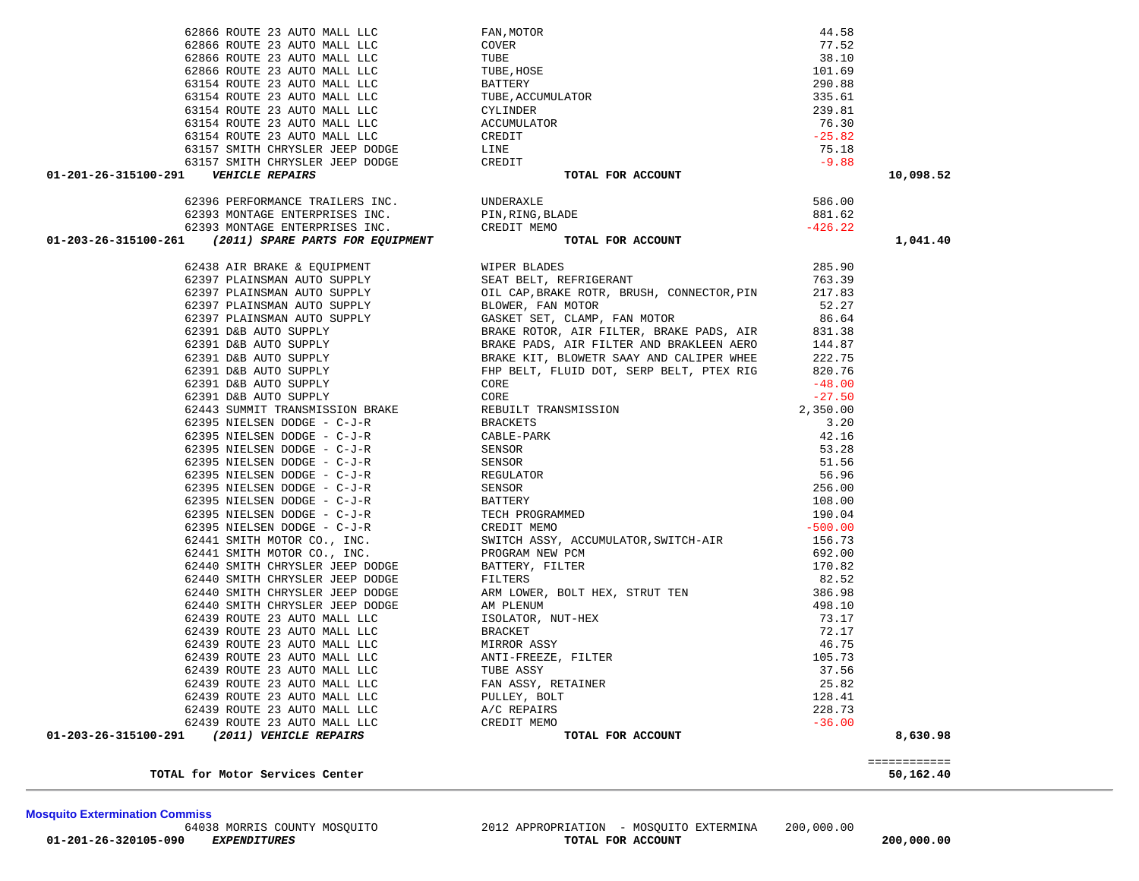TOTAL for Motor Services Center

|  |  |  | 50,162.40 |  |  |  |
|--|--|--|-----------|--|--|--|

| 62393 MONTAGE ENTERPRISES INC.                        | CREDIT MEMO       | $-426.22$ |              |
|-------------------------------------------------------|-------------------|-----------|--------------|
| 01-203-26-315100-261 (2011) SPARE PARTS FOR EQUIPMENT | TOTAL FOR ACCOUNT |           | 1,041.40     |
|                                                       |                   |           |              |
|                                                       |                   |           |              |
|                                                       |                   |           |              |
|                                                       |                   |           |              |
|                                                       |                   |           |              |
|                                                       |                   |           |              |
|                                                       |                   |           |              |
|                                                       |                   |           |              |
|                                                       |                   |           |              |
|                                                       |                   |           |              |
|                                                       |                   |           |              |
|                                                       |                   |           |              |
|                                                       |                   |           |              |
|                                                       |                   |           |              |
|                                                       |                   |           |              |
|                                                       |                   |           |              |
|                                                       |                   |           |              |
|                                                       |                   |           |              |
|                                                       |                   |           |              |
|                                                       |                   |           |              |
|                                                       |                   |           |              |
|                                                       |                   |           |              |
|                                                       |                   |           |              |
|                                                       |                   |           |              |
|                                                       |                   |           |              |
|                                                       |                   |           |              |
|                                                       |                   |           |              |
|                                                       |                   |           |              |
|                                                       |                   |           |              |
|                                                       |                   |           |              |
|                                                       |                   |           |              |
|                                                       |                   |           |              |
|                                                       |                   |           |              |
|                                                       |                   |           |              |
|                                                       |                   |           |              |
|                                                       |                   |           |              |
| 01-203-26-315100-291                                  |                   |           | 8,630.98     |
|                                                       |                   |           |              |
|                                                       |                   |           | ============ |

| 63157 SMITH CHRYSLER JEEP DODGE                          | CREDIT            | $-9.88$   |
|----------------------------------------------------------|-------------------|-----------|
| 01-201-26-315100-291<br><b>VEHICLE REPAIRS</b>           | TOTAL FOR ACCOUNT |           |
| 62396 PERFORMANCE TRAILERS INC.                          | <b>IJNDERAXLE</b> | 586.00    |
| 62393 MONTAGE ENTERPRISES INC.                           | PIN, RING, BLADE  | 881.62    |
| 62393 MONTAGE ENTERPRISES INC.                           | CREDIT MEMO       | $-426.22$ |
| (2011) SPARE PARTS FOR EOUIPMENT<br>01-203-26-315100-261 | TOTAL FOR ACCOUNT |           |

| 62866 ROUTE 23 AUTO MALL LLC                                                                     | FAN, MOTOR                                 | 44.58                           |           |
|--------------------------------------------------------------------------------------------------|--------------------------------------------|---------------------------------|-----------|
| 62866 ROUTE 23 AUTO MALL LLC                                                                     | COVER                                      | 77.52                           |           |
| 62866 ROUTE 23 AUTO MALL LLC                                                                     | TUBE                                       | 38.10                           |           |
| 62866 ROUTE 23 AUTO MALL LLC                                                                     | TUBE, HOSE                                 | 101.69                          |           |
| 63154 ROUTE 23 AUTO MALL LLC                                                                     | BATTERY                                    | 290.88                          |           |
| 63154 ROUTE 23 AUTO MALL LLC                                                                     | TUBE, ACCUMULATOR                          | 335.61                          |           |
| 63154 ROUTE 23 AUTO MALL LLC                                                                     | CYLINDER                                   | 239.81                          |           |
| 63154 ROUTE 23 AUTO MALL LLC                                                                     | ACCUMULATOR                                | 76.30                           |           |
| 63154 ROUTE 23 AUTO MALL LLC                                                                     | CREDIT                                     | $-25.82$                        |           |
| 63157 SMITH CHRYSLER JEEP DODGE                                                                  | LINE                                       | 75.18                           |           |
| 63157 SMITH CHRYSLER JEEP DODGE CREDIT                                                           |                                            | $-9.88$                         |           |
| 01-201-26-315100-291    VEHICLE REPAIRS                                                          | TOTAL FOR ACCOUNT                          |                                 | 10,098.52 |
|                                                                                                  |                                            | 586.00                          |           |
| 62393 MONTAGE ENTERPRISES INC. PIN, RING, BLADE                                                  |                                            | 881.62                          |           |
|                                                                                                  |                                            | $-426.22$                       |           |
| 62393 MONTAGE ENTERPRISES INC. CREDIT MEMO 01-203-26-315100-261 (2011) SPARE PARTS FOR EQUIPMENT | TOTAL FOR ACCOUNT                          |                                 | 1,041.40  |
| 62438 AIR BRAKE & EQUIPMENT WIPER BLADES                                                         |                                            | 285.90                          |           |
| 62397 PLAINSMAN AUTO SUPPLY                                                                      | SEAT BELT, REFRIGERANT                     | 763.39                          |           |
| 62397 PLAINSMAN AUTO SUPPLY                                                                      | OIL CAP, BRAKE ROTR, BRUSH, CONNECTOR, PIN | 217.83                          |           |
| 62397 PLAINSMAN AUTO SUPPLY                                                                      | BLOWER, FAN MOTOR                          | 52.27                           |           |
| 62397 PLAINSMAN AUTO SUPPLY                                                                      | GASKET SET, CLAMP, FAN MOTOR 66.64         |                                 |           |
| 62391 D&B AUTO SUPPLY                                                                            | BRAKE ROTOR, AIR FILTER, BRAKE PADS, AIR   | 831.38                          |           |
| 62391 D&B AUTO SUPPLY                                                                            | BRAKE PADS, AIR FILTER AND BRAKLEEN AERO   | 144.87                          |           |
| 62391 D&B AUTO SUPPLY                                                                            | BRAKE KIT, BLOWETR SAAY AND CALIPER WHEE   | 222.75                          |           |
| 62391 D&B AUTO SUPPLY                                                                            | FHP BELT, FLUID DOT, SERP BELT, PTEX RIG   | 820.76                          |           |
| $62201$ Bep $\lambda$ Hmo $\alpha$ HDDLY                                                         | $\bigcap_{n\geq 0}$                        | $\overline{10}$ $\overline{00}$ |           |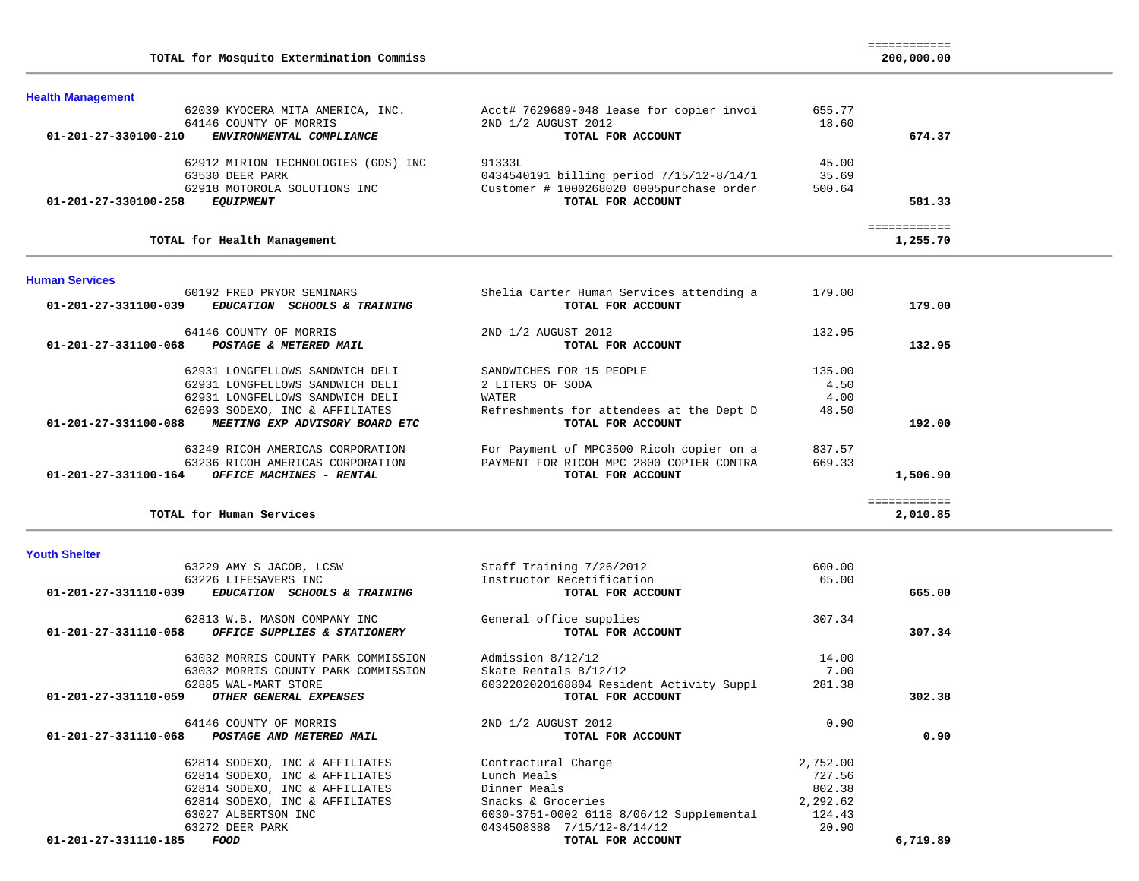| TOTAL for Mosquito Extermination Commiss                   |                                          |              | 200,000.00 |
|------------------------------------------------------------|------------------------------------------|--------------|------------|
| <b>Health Management</b>                                   |                                          |              |            |
| 62039 KYOCERA MITA AMERICA, INC.                           | Acct# 7629689-048 lease for copier invoi | 655.77       |            |
| 64146 COUNTY OF MORRIS                                     | 2ND 1/2 AUGUST 2012                      | 18.60        |            |
| $01 - 201 - 27 - 330100 - 210$<br>ENVIRONMENTAL COMPLIANCE | TOTAL FOR ACCOUNT                        |              | 674.37     |
| 62912 MIRION TECHNOLOGIES (GDS) INC                        | 91333L                                   | 45.00        |            |
| 63530 DEER PARK                                            | 0434540191 billing period 7/15/12-8/14/1 | 35.69        |            |
| 62918 MOTOROLA SOLUTIONS INC                               | Customer # 1000268020 0005purchase order | 500.64       |            |
| 01-201-27-330100-258<br><b>EQUIPMENT</b>                   | TOTAL FOR ACCOUNT                        |              | 581.33     |
|                                                            |                                          | ============ |            |
| TOTAL for Health Management                                |                                          |              | 1,255.70   |
| <b>Human Services</b>                                      |                                          |              |            |
| 60192 FRED PRYOR SEMINARS                                  | Shelia Carter Human Services attending a | 179.00       |            |
| EDUCATION SCHOOLS & TRAINING<br>01-201-27-331100-039       | TOTAL FOR ACCOUNT                        |              | 179.00     |
| 64146 COUNTY OF MORRIS                                     | 2ND 1/2 AUGUST 2012                      | 132.95       |            |
| 01-201-27-331100-068<br>POSTAGE & METERED MAIL             | TOTAL FOR ACCOUNT                        |              | 132.95     |
| 62931 LONGFELLOWS SANDWICH DELI                            | SANDWICHES FOR 15 PEOPLE                 | 135.00       |            |
| 62931 LONGFELLOWS SANDWICH DELI                            | 2 LITERS OF SODA                         | 4.50         |            |
| 62931 LONGFELLOWS SANDWICH DELI                            | WATER                                    | 4.00         |            |
| 62693 SODEXO, INC & AFFILIATES                             | Refreshments for attendees at the Dept D | 48.50        |            |
| 01-201-27-331100-088<br>MEETING EXP ADVISORY BOARD ETC     | TOTAL FOR ACCOUNT                        |              | 192.00     |
| 63249 RICOH AMERICAS CORPORATION                           | For Payment of MPC3500 Ricoh copier on a | 837.57       |            |
| 63236 RICOH AMERICAS CORPORATION                           | PAYMENT FOR RICOH MPC 2800 COPIER CONTRA | 669.33       |            |
| $01 - 201 - 27 - 331100 - 164$<br>OFFICE MACHINES - RENTAL | TOTAL FOR ACCOUNT                        |              | 1,506.90   |

============

**TOTAL for Human Services 2,010.85**

**Youth Shelter** 

2,010.85

| 63229 AMY S JACOB, LCSW                                    | Staff Training 7/26/2012                 | 600.00   |          |
|------------------------------------------------------------|------------------------------------------|----------|----------|
| 63226 LIFESAVERS INC                                       | Instructor Recetification                | 65.00    |          |
| 01-201-27-331110-039<br>EDUCATION SCHOOLS & TRAINING       | TOTAL FOR ACCOUNT                        |          | 665.00   |
| 62813 W.B. MASON COMPANY INC                               | General office supplies                  | 307.34   |          |
| 01-201-27-331110-058<br>OFFICE SUPPLIES & STATIONERY       | TOTAL FOR ACCOUNT                        |          | 307.34   |
| 63032 MORRIS COUNTY PARK COMMISSION                        | Admission 8/12/12                        | 14.00    |          |
| 63032 MORRIS COUNTY PARK COMMISSION                        | Skate Rentals 8/12/12                    | 7.00     |          |
| 62885 WAL-MART STORE                                       | 6032202020168804 Resident Activity Suppl | 281.38   |          |
| 01-201-27-331110-059<br>OTHER GENERAL EXPENSES             | TOTAL FOR ACCOUNT                        |          | 302.38   |
| 64146 COUNTY OF MORRIS                                     | 2ND 1/2 AUGUST 2012                      | 0.90     |          |
| $01 - 201 - 27 - 331110 - 068$<br>POSTAGE AND METERED MAIL | TOTAL FOR ACCOUNT                        |          | 0.90     |
| 62814 SODEXO, INC & AFFILIATES                             | Contractural Charge                      | 2,752.00 |          |
| 62814 SODEXO, INC & AFFILIATES                             | Lunch Meals                              | 727.56   |          |
| 62814 SODEXO, INC & AFFILIATES                             | Dinner Meals                             | 802.38   |          |
| 62814 SODEXO, INC & AFFILIATES                             | Snacks & Groceries                       | 2,292.62 |          |
| 63027 ALBERTSON INC                                        | 6030-3751-0002 6118 8/06/12 Supplemental | 124.43   |          |
| 63272 DEER PARK                                            | 0434508388 7/15/12-8/14/12               | 20.90    |          |
| 01-201-27-331110-185<br><i>FOOD</i>                        | TOTAL FOR ACCOUNT                        |          | 6,719.89 |

============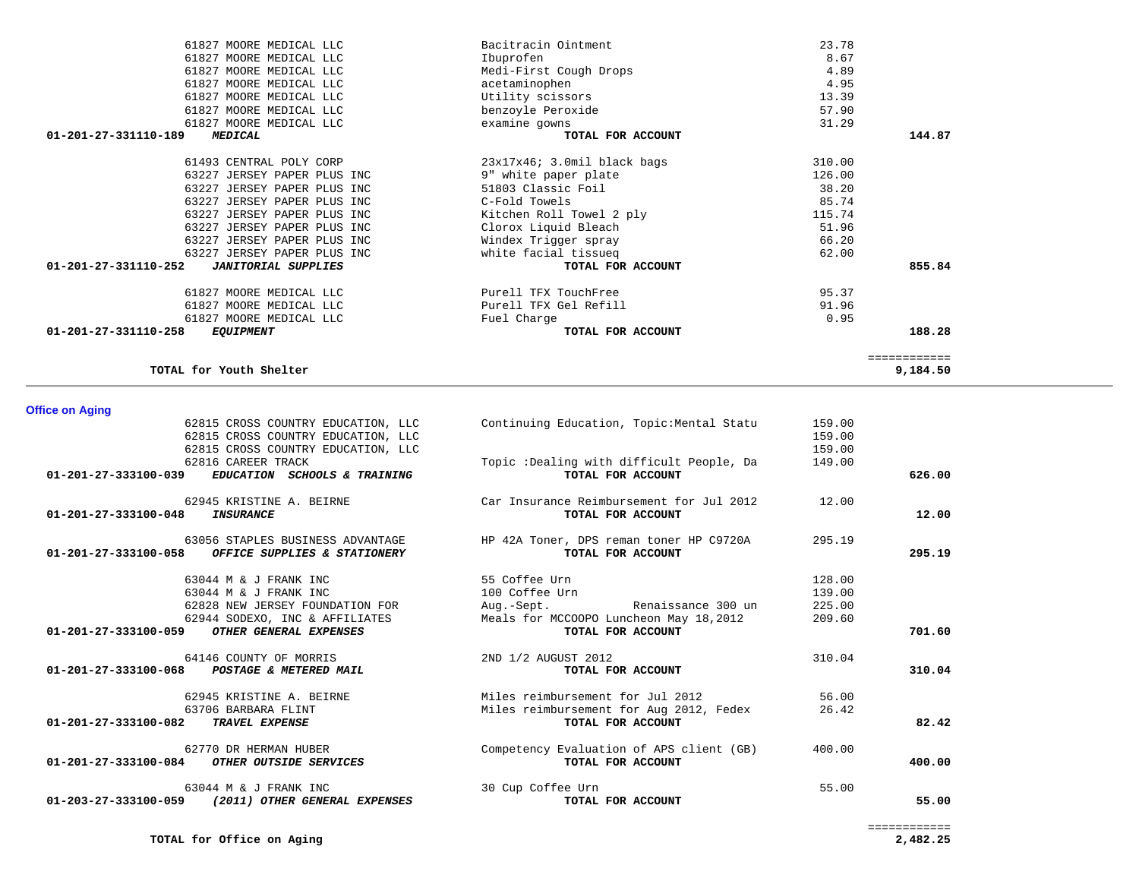9,184.50

TOTAL for Youth Shelter

62815 CROSS COUNTRY EDUCATION, LLC

|                                | 01-201-27-333100-039 EDUCATION SCHOOLS & TRAINING                                                                   | TOTAL FOR ACCOUNT                                                                                             |                                      | 626.00 |
|--------------------------------|---------------------------------------------------------------------------------------------------------------------|---------------------------------------------------------------------------------------------------------------|--------------------------------------|--------|
| 01-201-27-333100-048           | 62945 KRISTINE A. BEIRNE<br>INSURANCE                                                                               | Car Insurance Reimbursement for Jul 2012<br>TOTAL FOR ACCOUNT                                                 | 12.00                                | 12.00  |
| 01-201-27-333100-058           | 63056 STAPLES BUSINESS ADVANTAGE<br>OFFICE SUPPLIES & STATIONERY                                                    | HP 42A Toner, DPS reman toner HP C9720A<br>TOTAL FOR ACCOUNT                                                  | 295.19                               | 295.19 |
|                                | 63044 M & J FRANK INC<br>63044 M & J FRANK INC<br>62828 NEW JERSEY FOUNDATION FOR<br>62944 SODEXO, INC & AFFILIATES | 55 Coffee Urn<br>100 Coffee Urn<br>Aug.-Sept.<br>Renaissance 300 un<br>Meals for MCCOOPO Luncheon May 18,2012 | 128.00<br>139.00<br>225.00<br>209.60 |        |
| 01-201-27-333100-059           | OTHER GENERAL EXPENSES                                                                                              | TOTAL FOR ACCOUNT                                                                                             |                                      | 701.60 |
|                                | 64146 COUNTY OF MORRIS<br>01-201-27-333100-068 POSTAGE & METERED MAIL                                               | 2ND 1/2 AUGUST 2012<br>TOTAL FOR ACCOUNT                                                                      | 310.04                               | 310.04 |
| $01 - 201 - 27 - 333100 - 082$ | 62945 KRISTINE A. BEIRNE<br>63706 BARBARA FLINT<br><b>TRAVEL EXPENSE</b>                                            | Miles reimbursement for Jul 2012<br>Miles reimbursement for Aug 2012, Fedex<br>TOTAL FOR ACCOUNT              | 56.00<br>26.42                       | 82.42  |
| 01-201-27-333100-084           | 62770 DR HERMAN HUBER<br>OTHER OUTSIDE SERVICES                                                                     | Competency Evaluation of APS client (GB)<br>TOTAL FOR ACCOUNT                                                 | 400.00                               | 400.00 |
| 01-203-27-333100-059           | 63044 M & J FRANK INC<br>(2011) OTHER GENERAL EXPENSES                                                              | 30 Cup Coffee Urn<br>TOTAL FOR ACCOUNT                                                                        | 55.00                                | 55.00  |

# **Office on Aging**

| 61827 MOORE MEDICAL LLC                            | Bacitracin Ointment              | 23.78  |              |
|----------------------------------------------------|----------------------------------|--------|--------------|
| 61827 MOORE MEDICAL LLC                            | Ibuprofen                        | 8.67   |              |
| 61827 MOORE MEDICAL LLC                            | Medi-First Cough Drops           | 4.89   |              |
| 61827 MOORE MEDICAL LLC                            | acetaminophen                    | 4.95   |              |
| 61827 MOORE MEDICAL LLC                            | Utility scissors                 | 13.39  |              |
| 61827 MOORE MEDICAL LLC                            | benzoyle Peroxide                | 57.90  |              |
| 61827 MOORE MEDICAL LLC                            | examine gowns                    | 31.29  |              |
| 01-201-27-331110-189<br><i><b>MEDICAL</b></i>      | TOTAL FOR ACCOUNT                |        | 144.87       |
| 61493 CENTRAL POLY CORP                            | $23x17x46$ ; $3.0m11$ black bags | 310.00 |              |
| 63227 JERSEY PAPER PLUS INC                        | 9" white paper plate             | 126.00 |              |
| 63227 JERSEY PAPER PLUS INC                        | 51803 Classic Foil               | 38.20  |              |
| 63227 JERSEY PAPER PLUS INC                        | C-Fold Towels                    | 85.74  |              |
| 63227 JERSEY PAPER PLUS INC                        | Kitchen Roll Towel 2 ply         | 115.74 |              |
| 63227 JERSEY PAPER PLUS INC                        | Clorox Liquid Bleach             | 51.96  |              |
| 63227 JERSEY PAPER PLUS INC                        | Windex Trigger spray             | 66.20  |              |
| 63227 JERSEY PAPER PLUS INC                        | white facial tissueq             | 62.00  |              |
| 01-201-27-331110-252<br><b>JANITORIAL SUPPLIES</b> | TOTAL FOR ACCOUNT                |        | 855.84       |
| 61827 MOORE MEDICAL LLC                            | Purell TFX TouchFree             | 95.37  |              |
| 61827 MOORE MEDICAL LLC                            | Purell TFX Gel Refill            | 91.96  |              |
| 61827 MOORE MEDICAL LLC                            | Fuel Charge                      | 0.95   |              |
| 01-201-27-331110-258<br><i>EQUIPMENT</i>           | TOTAL FOR ACCOUNT                |        | 188.28       |
|                                                    |                                  |        | ============ |

62815 CROSS COUNTRY EDUCATION, LLC Continuing Education, Topic:Mental Statu 159.00

62815 CROSS COUNTRY EDUCATION, LLC<br>62816 CAREER TRACK 149.00

Topic :Dealing with difficult People, Da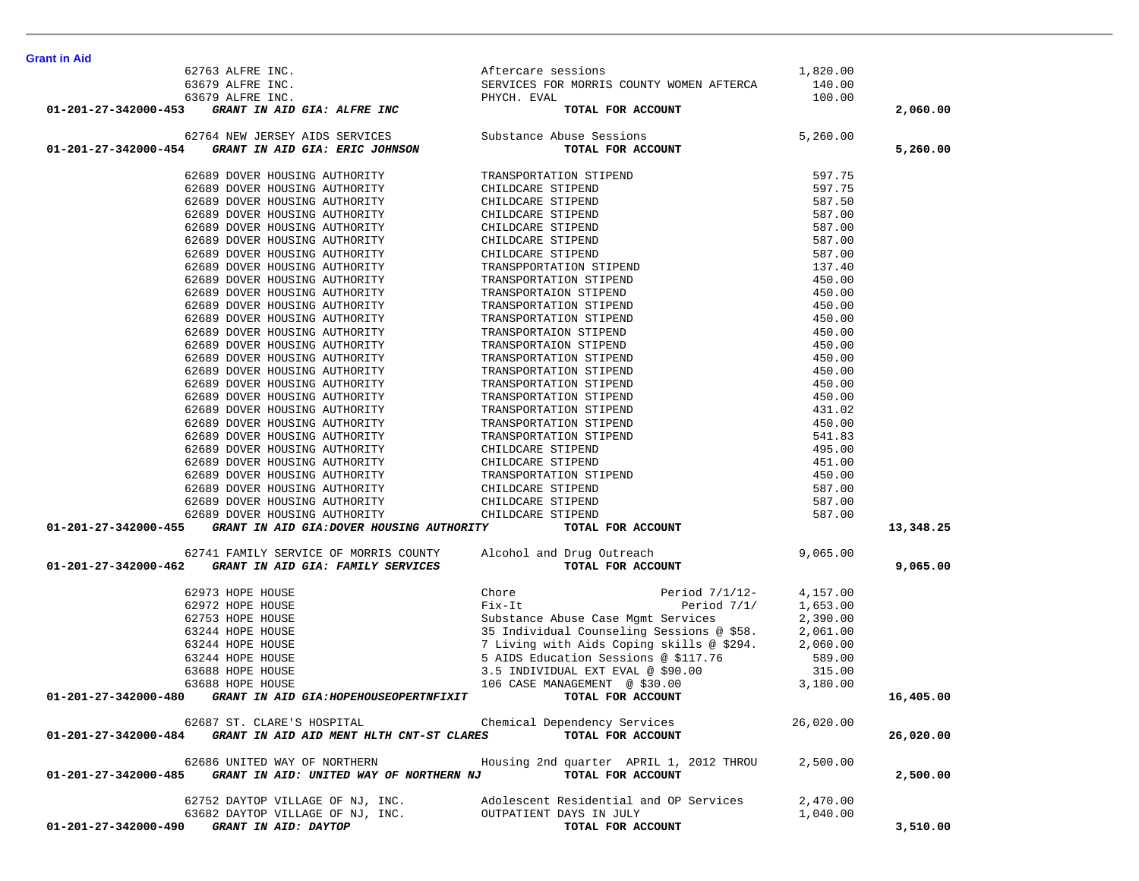| Grant in Aid                                                                                                                                                                                                                                          |                                                                                                                                                                                                                                            |           |           |
|-------------------------------------------------------------------------------------------------------------------------------------------------------------------------------------------------------------------------------------------------------|--------------------------------------------------------------------------------------------------------------------------------------------------------------------------------------------------------------------------------------------|-----------|-----------|
|                                                                                                                                                                                                                                                       |                                                                                                                                                                                                                                            |           |           |
|                                                                                                                                                                                                                                                       |                                                                                                                                                                                                                                            |           |           |
|                                                                                                                                                                                                                                                       |                                                                                                                                                                                                                                            |           |           |
| ant in Aid<br>62763 ALFRE INC.<br>63679 ALFRE INC.<br>63679 ALFRE INC.<br>63679 ALFRE INC.<br>63679 ALFRE INC.<br>63679 ALFRE INC.<br>63679 ALFRE INC.<br>63679 ALFRE INC.<br>63679 ALFRE INC.<br>63679 ALFRE INC.<br>63679 ALFRE INC.<br>63679 ALFRE |                                                                                                                                                                                                                                            |           | 2,060.00  |
| 62764 NEW JERSEY AIDS SERVICES Substance Abuse Sessions                                                                                                                                                                                               | $5,260.00$<br>COUNT                                                                                                                                                                                                                        |           |           |
| 01-201-27-342000-454 GRANT IN AID GIA: ERIC JOHNSON                                                                                                                                                                                                   | TOTAL FOR ACCOUNT                                                                                                                                                                                                                          |           | 5,260.00  |
|                                                                                                                                                                                                                                                       |                                                                                                                                                                                                                                            |           |           |
|                                                                                                                                                                                                                                                       |                                                                                                                                                                                                                                            |           |           |
|                                                                                                                                                                                                                                                       |                                                                                                                                                                                                                                            |           |           |
|                                                                                                                                                                                                                                                       |                                                                                                                                                                                                                                            |           |           |
|                                                                                                                                                                                                                                                       |                                                                                                                                                                                                                                            |           |           |
|                                                                                                                                                                                                                                                       |                                                                                                                                                                                                                                            |           |           |
|                                                                                                                                                                                                                                                       |                                                                                                                                                                                                                                            |           |           |
|                                                                                                                                                                                                                                                       |                                                                                                                                                                                                                                            |           |           |
|                                                                                                                                                                                                                                                       |                                                                                                                                                                                                                                            |           |           |
|                                                                                                                                                                                                                                                       |                                                                                                                                                                                                                                            |           |           |
|                                                                                                                                                                                                                                                       |                                                                                                                                                                                                                                            |           |           |
|                                                                                                                                                                                                                                                       |                                                                                                                                                                                                                                            |           |           |
|                                                                                                                                                                                                                                                       |                                                                                                                                                                                                                                            |           |           |
|                                                                                                                                                                                                                                                       |                                                                                                                                                                                                                                            |           |           |
|                                                                                                                                                                                                                                                       |                                                                                                                                                                                                                                            |           |           |
|                                                                                                                                                                                                                                                       |                                                                                                                                                                                                                                            |           |           |
|                                                                                                                                                                                                                                                       |                                                                                                                                                                                                                                            |           |           |
|                                                                                                                                                                                                                                                       |                                                                                                                                                                                                                                            |           |           |
|                                                                                                                                                                                                                                                       |                                                                                                                                                                                                                                            |           |           |
|                                                                                                                                                                                                                                                       |                                                                                                                                                                                                                                            |           |           |
|                                                                                                                                                                                                                                                       |                                                                                                                                                                                                                                            |           |           |
|                                                                                                                                                                                                                                                       |                                                                                                                                                                                                                                            |           |           |
|                                                                                                                                                                                                                                                       |                                                                                                                                                                                                                                            |           |           |
|                                                                                                                                                                                                                                                       |                                                                                                                                                                                                                                            |           |           |
|                                                                                                                                                                                                                                                       |                                                                                                                                                                                                                                            |           |           |
|                                                                                                                                                                                                                                                       |                                                                                                                                                                                                                                            |           |           |
| 01-201-27-342000-455 GRANT IN AID GIA:DOVER HOUSING AUTHORITY                                                                                                                                                                                         |                                                                                                                                                                                                                                            |           | 13,348.25 |
|                                                                                                                                                                                                                                                       | 54 GRANT TAXID GEAL EXEC JOBISON TOTAL FOR ACCOUNT (1999) 7.5<br>62689 DOVER HOUSING AUTHOLITY (ILLIANE STITERD) 597.75<br>62689 DOVER HOUSING AUTHORITY (ILLIANE STITERD) 597.75<br>62689 DOVER HOUSING AUTHORITY (ILLIANE STIPRD)        |           |           |
| 62741 FAMILY SERVICE OF MORRIS COUNTY Alcohol and Drug Outreach                                                                                                                                                                                       |                                                                                                                                                                                                                                            | 9,065.00  |           |
| 01-201-27-342000-462 GRANT IN AID GIA: FAMILY SERVICES                                                                                                                                                                                                | TOTAL FOR ACCOUNT                                                                                                                                                                                                                          |           | 9,065.00  |
| 62973 HOPE HOUSE                                                                                                                                                                                                                                      | Chore Period 7/1/12- 4,157.00<br>Fix-It Period 7/1/ 1,653.00<br>Substance Abuse Case Mgmt Services 2,390.00<br>35 Individual Counseling Sessions @ \$58. 2,061.00<br>7 Living with Aids Coping skills @ \$294. 2,060.00<br>5 AIDS Educatio |           |           |
| 62972 HOPE HOUSE                                                                                                                                                                                                                                      |                                                                                                                                                                                                                                            |           |           |
| 62753 HOPE HOUSE                                                                                                                                                                                                                                      |                                                                                                                                                                                                                                            |           |           |
| 63244 HOPE HOUSE                                                                                                                                                                                                                                      |                                                                                                                                                                                                                                            |           |           |
| 63244 HOPE HOUSE                                                                                                                                                                                                                                      |                                                                                                                                                                                                                                            |           |           |
| 63244 HOPE HOUSE                                                                                                                                                                                                                                      |                                                                                                                                                                                                                                            |           |           |
| 63688 HOPE HOUSE                                                                                                                                                                                                                                      |                                                                                                                                                                                                                                            |           |           |
| 63688 HOPE HOUSE                                                                                                                                                                                                                                      | 106 CASE MANAGEMENT $\circ$ \$30.00 3,180.00<br><b>TOTAL FOR ACCOUNT</b>                                                                                                                                                                   |           |           |
| GRANT IN AID GIA: HOPEHOUSEOPERTNFIXIT<br>01-201-27-342000-480                                                                                                                                                                                        | TOTAL FOR ACCOUNT                                                                                                                                                                                                                          |           | 16,405.00 |
| 62687 ST. CLARE'S HOSPITAL                                                                                                                                                                                                                            | Chemical Dependency Services                                                                                                                                                                                                               | 26,020.00 |           |
| 01-201-27-342000-484 GRANT IN AID AID MENT HLTH CNT-ST CLARES                                                                                                                                                                                         | TOTAL FOR ACCOUNT                                                                                                                                                                                                                          |           | 26,020.00 |
| 62686 UNITED WAY OF NORTHERN                                                                                                                                                                                                                          | Housing 2nd quarter APRIL 1, 2012 THROU                                                                                                                                                                                                    | 2,500.00  |           |
| GRANT IN AID: UNITED WAY OF NORTHERN NJ<br>01-201-27-342000-485                                                                                                                                                                                       | TOTAL FOR ACCOUNT                                                                                                                                                                                                                          |           | 2,500.00  |
| 62752 DAYTOP VILLAGE OF NJ, INC.                                                                                                                                                                                                                      | Adolescent Residential and OP Services                                                                                                                                                                                                     | 2,470.00  |           |
| 63682 DAYTOP VILLAGE OF NJ, INC.                                                                                                                                                                                                                      | OUTPATIENT DAYS IN JULY                                                                                                                                                                                                                    | 1,040.00  |           |
| GRANT IN AID: DAYTOP<br>01-201-27-342000-490                                                                                                                                                                                                          | TOTAL FOR ACCOUNT                                                                                                                                                                                                                          |           | 3,510.00  |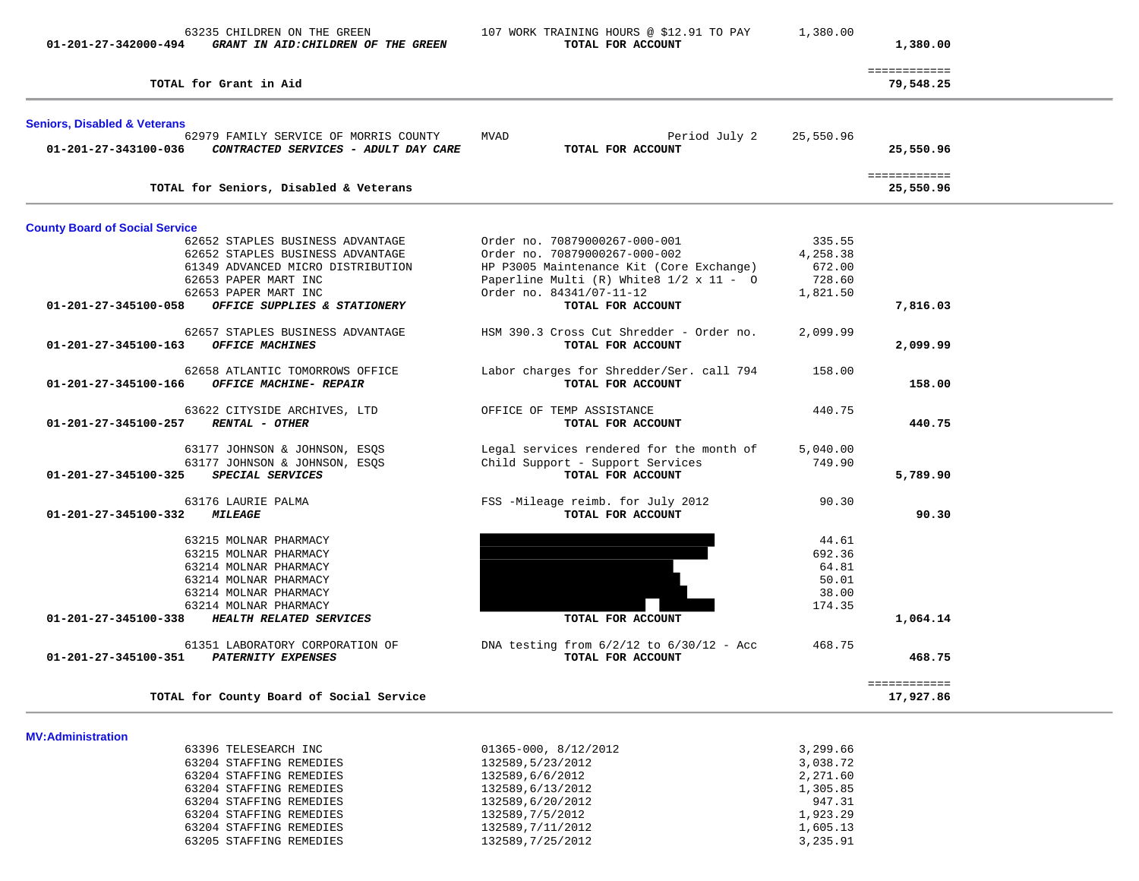| 01-201-27-342000-494                    | 63235 CHILDREN ON THE GREEN<br>GRANT IN AID: CHILDREN OF THE GREEN            | 107 WORK TRAINING HOURS @ \$12.91 TO PAY<br>TOTAL FOR ACCOUNT     | 1,380.00  | 1,380.00                  |
|-----------------------------------------|-------------------------------------------------------------------------------|-------------------------------------------------------------------|-----------|---------------------------|
|                                         | TOTAL for Grant in Aid                                                        |                                                                   |           | ============<br>79,548.25 |
| <b>Seniors, Disabled &amp; Veterans</b> |                                                                               |                                                                   |           |                           |
| 01-201-27-343100-036                    | 62979 FAMILY SERVICE OF MORRIS COUNTY<br>CONTRACTED SERVICES - ADULT DAY CARE | <b>MVAD</b><br>Period July 2<br>TOTAL FOR ACCOUNT                 | 25,550.96 | 25,550.96                 |
|                                         | TOTAL for Seniors, Disabled & Veterans                                        |                                                                   |           | ============<br>25,550.96 |
| <b>County Board of Social Service</b>   |                                                                               |                                                                   |           |                           |
|                                         | 62652 STAPLES BUSINESS ADVANTAGE                                              | Order no. 70879000267-000-001                                     | 335.55    |                           |
|                                         | 62652 STAPLES BUSINESS ADVANTAGE                                              | Order no. 70879000267-000-002                                     | 4,258.38  |                           |
|                                         | 61349 ADVANCED MICRO DISTRIBUTION                                             | HP P3005 Maintenance Kit (Core Exchange)                          | 672.00    |                           |
|                                         | 62653 PAPER MART INC                                                          | Paperline Multi $(R)$ White $8 \frac{1}{2} \times 11 - 0$         | 728.60    |                           |
|                                         | 62653 PAPER MART INC                                                          | Order no. 84341/07-11-12                                          | 1,821.50  |                           |
| 01-201-27-345100-058                    | OFFICE SUPPLIES & STATIONERY                                                  | TOTAL FOR ACCOUNT                                                 |           | 7,816.03                  |
|                                         | 62657 STAPLES BUSINESS ADVANTAGE                                              | HSM 390.3 Cross Cut Shredder - Order no.                          | 2,099.99  |                           |
| 01-201-27-345100-163                    | <b>OFFICE MACHINES</b>                                                        | TOTAL FOR ACCOUNT                                                 |           | 2,099.99                  |
|                                         |                                                                               |                                                                   |           |                           |
|                                         | 62658 ATLANTIC TOMORROWS OFFICE                                               | Labor charges for Shredder/Ser. call 794                          | 158.00    |                           |
| 01-201-27-345100-166                    | <b>OFFICE MACHINE- REPAIR</b>                                                 | TOTAL FOR ACCOUNT                                                 |           | 158.00                    |
|                                         |                                                                               |                                                                   |           |                           |
| 01-201-27-345100-257 RENTAL - OTHER     | 63622 CITYSIDE ARCHIVES, LTD                                                  | OFFICE OF TEMP ASSISTANCE<br>TOTAL FOR ACCOUNT                    | 440.75    | 440.75                    |
|                                         |                                                                               |                                                                   |           |                           |
|                                         | 63177 JOHNSON & JOHNSON, ESQS                                                 | Legal services rendered for the month of                          | 5,040.00  |                           |
|                                         | 63177 JOHNSON & JOHNSON, ESQS                                                 | Child Support - Support Services                                  | 749.90    |                           |
| 01-201-27-345100-325                    | SPECIAL SERVICES                                                              | TOTAL FOR ACCOUNT                                                 |           | 5,789.90                  |
|                                         |                                                                               |                                                                   |           |                           |
|                                         | 63176 LAURIE PALMA                                                            | FSS -Mileage reimb. for July 2012                                 | 90.30     |                           |
| 01-201-27-345100-332                    | <i><b>MILEAGE</b></i>                                                         | TOTAL FOR ACCOUNT                                                 |           | 90.30                     |
|                                         | 63215 MOLNAR PHARMACY                                                         |                                                                   | 44.61     |                           |
|                                         | 63215 MOLNAR PHARMACY                                                         |                                                                   | 692.36    |                           |
|                                         | 63214 MOLNAR PHARMACY                                                         |                                                                   | 64.81     |                           |
|                                         | 63214 MOLNAR PHARMACY                                                         |                                                                   | 50.01     |                           |
|                                         | 63214 MOLNAR PHARMACY                                                         |                                                                   | 38.00     |                           |
|                                         | 63214 MOLNAR PHARMACY                                                         |                                                                   | 174.35    |                           |
| 01-201-27-345100-338                    | HEALTH RELATED SERVICES                                                       | TOTAL FOR ACCOUNT                                                 |           | 1,064.14                  |
|                                         |                                                                               |                                                                   |           |                           |
| 01-201-27-345100-351                    | 61351 LABORATORY CORPORATION OF<br><b>PATERNITY EXPENSES</b>                  | DNA testing from $6/2/12$ to $6/30/12$ - Acc<br>TOTAL FOR ACCOUNT | 468.75    | 468.75                    |
|                                         |                                                                               |                                                                   |           |                           |
|                                         |                                                                               |                                                                   |           | ============              |
|                                         | TOTAL for County Board of Social Service                                      |                                                                   |           | 17,927.86                 |
|                                         |                                                                               |                                                                   |           |                           |
| <b>MV:Administration</b>                |                                                                               |                                                                   |           |                           |
|                                         | 63396 TELESEARCH INC                                                          | $01365 - 000, 8/12/2012$                                          | 3,299.66  |                           |
|                                         | 63204 STAFFING REMEDIES                                                       | 132589,5/23/2012                                                  | 3,038.72  |                           |
|                                         | 63204 STAFFING REMEDIES                                                       | 132589,6/6/2012                                                   | 2,271.60  |                           |
|                                         | 63204 STAFFING REMEDIES                                                       | 132589,6/13/2012                                                  | 1,305.85  |                           |

63204 STAFFING REMEDIES 132589,6/20/2012 132589,6/2012<br>63204 STAFFING REMEDIES 132589,7/5/2012 1,923.29<br>63204 STAFFING REMEDIES 132589,7/11/2012 1,605.13

63205 STAFFING REMEDIES 132589,7/25/2012 3,235.91

63204 STAFFING REMEDIES 132589,7/5/2012<br>63204 STAFFING REMEDIES 132589,7/11/2012 63204 STAFFING REMEDIES 132589,7/11/2012<br>63205 STAFFING REMEDIES 132589,7/25/2012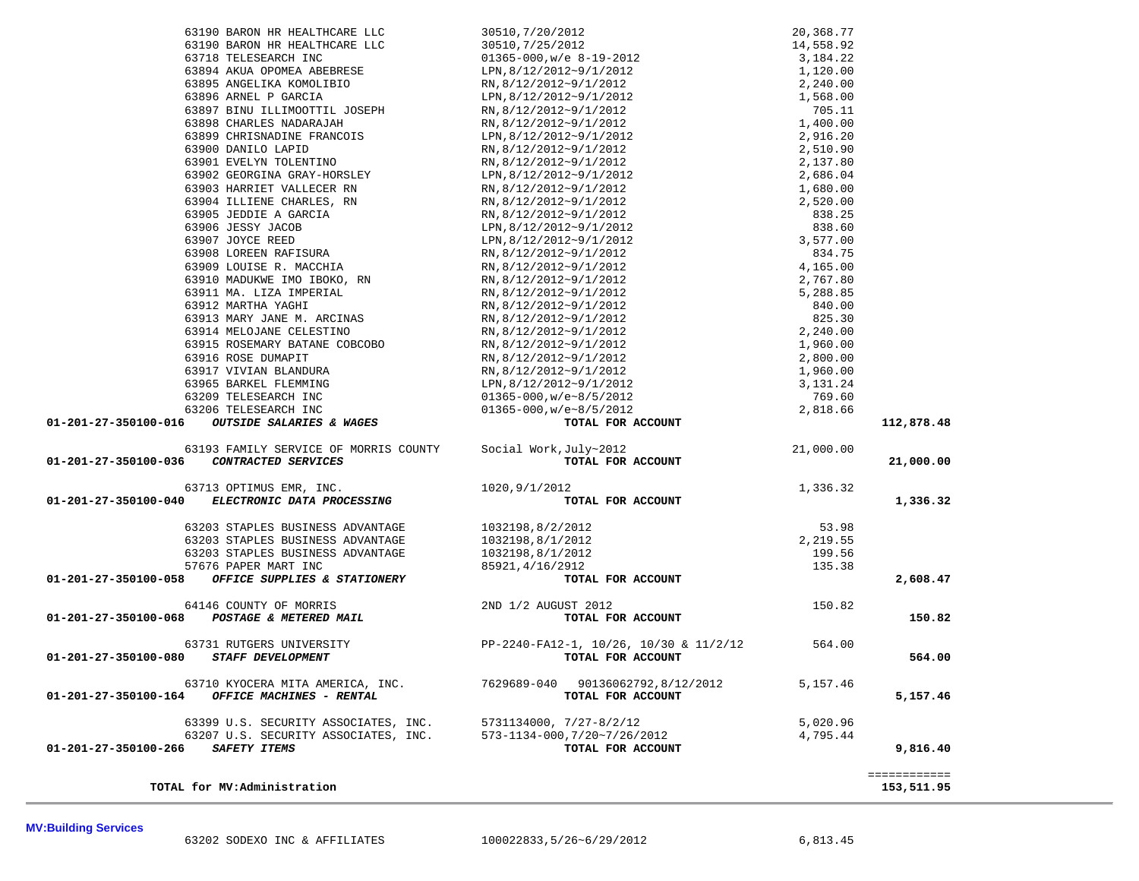| 63190 BARON HR HEALTHCARE LLC                                                                                                                                                                                                                                                |                                                                 |           |              |
|------------------------------------------------------------------------------------------------------------------------------------------------------------------------------------------------------------------------------------------------------------------------------|-----------------------------------------------------------------|-----------|--------------|
| 63190 BARON HR HEALTHCARE LLC                                                                                                                                                                                                                                                |                                                                 |           |              |
| 63718 TELESEARCH INC                                                                                                                                                                                                                                                         |                                                                 |           |              |
| 63894 AKUA OPOMEA ABEBRESE                                                                                                                                                                                                                                                   |                                                                 |           |              |
| 63895 ANGELIKA KOMOLIBIO                                                                                                                                                                                                                                                     |                                                                 |           |              |
| 63896 ARNEL P GARCIA                                                                                                                                                                                                                                                         |                                                                 |           |              |
| 63897 BINU ILLIMOOTTIL JOSEPH                                                                                                                                                                                                                                                |                                                                 |           |              |
| 63898 CHARLES NADARAJAH                                                                                                                                                                                                                                                      |                                                                 |           |              |
| 63899 CHRISNADINE FRANCOIS                                                                                                                                                                                                                                                   |                                                                 |           |              |
| 63900 DANILO LAPID                                                                                                                                                                                                                                                           |                                                                 |           |              |
| 63901 EVELYN TOLENTINO                                                                                                                                                                                                                                                       |                                                                 |           |              |
|                                                                                                                                                                                                                                                                              |                                                                 |           |              |
|                                                                                                                                                                                                                                                                              |                                                                 |           |              |
|                                                                                                                                                                                                                                                                              |                                                                 |           |              |
|                                                                                                                                                                                                                                                                              |                                                                 |           |              |
|                                                                                                                                                                                                                                                                              |                                                                 |           |              |
|                                                                                                                                                                                                                                                                              |                                                                 |           |              |
|                                                                                                                                                                                                                                                                              |                                                                 |           |              |
|                                                                                                                                                                                                                                                                              |                                                                 |           |              |
|                                                                                                                                                                                                                                                                              |                                                                 |           |              |
|                                                                                                                                                                                                                                                                              |                                                                 |           |              |
|                                                                                                                                                                                                                                                                              |                                                                 |           |              |
|                                                                                                                                                                                                                                                                              |                                                                 |           |              |
|                                                                                                                                                                                                                                                                              |                                                                 |           |              |
|                                                                                                                                                                                                                                                                              |                                                                 |           |              |
|                                                                                                                                                                                                                                                                              |                                                                 |           |              |
|                                                                                                                                                                                                                                                                              |                                                                 |           |              |
|                                                                                                                                                                                                                                                                              |                                                                 |           |              |
|                                                                                                                                                                                                                                                                              |                                                                 |           |              |
|                                                                                                                                                                                                                                                                              |                                                                 |           |              |
|                                                                                                                                                                                                                                                                              |                                                                 |           |              |
|                                                                                                                                                                                                                                                                              |                                                                 |           | 112,878.48   |
|                                                                                                                                                                                                                                                                              |                                                                 |           |              |
| 63193 FAMILY SERVICE OF MORRIS COUNTY Social Work, July~2012                                                                                                                                                                                                                 |                                                                 | 21,000.00 |              |
| 01-201-27-350100-036 CONTRACTED SERVICES                                                                                                                                                                                                                                     | TOTAL FOR ACCOUNT                                               |           | 21,000.00    |
| $63713 \text{ OPTIMUS EMR}, \text{INC}.\\ \textbf{01-201-27-350100-040} \text{ ELECTRONIC DATA PROCESSING}$                                                                                                                                                                  | 1020,9/1/2012                                                   | 1,336.32  |              |
|                                                                                                                                                                                                                                                                              | TOTAL FOR ACCOUNT                                               |           | 1,336.32     |
| 63203 STAPLES BUSINESS ADVANTAGE                                                                                                                                                                                                                                             | 1032198,8/2/2012                                                | 53.98     |              |
| 63203 STAPLES BUSINESS ADVANTAGE                                                                                                                                                                                                                                             | 1032198,8/1/2012                                                | 2,219.55  |              |
| 63203 STAPLES BUSINESS ADVANTAGE                                                                                                                                                                                                                                             | 1032198,8/1/2012                                                | 199.56    |              |
| 57676 PAPER MART INC                                                                                                                                                                                                                                                         | 85921,4/16/2912                                                 | 135.38    |              |
| 01-201-27-350100-058 OFFICE SUPPLIES & STATIONERY                                                                                                                                                                                                                            | TOTAL FOR ACCOUNT                                               |           | 2,608.47     |
|                                                                                                                                                                                                                                                                              |                                                                 |           |              |
|                                                                                                                                                                                                                                                                              |                                                                 | 150.82    |              |
| $64146 \text{ COUNTY OF MORRIS} \begin{array}{lll} & 64146 \text{ COUNTY OF MORRIS} & \text{2ND 1/2 AUGUST 2012} \\ & 01\texttt{-}201\texttt{-}27\texttt{-}350100\texttt{-}068 & \textbf{POSTAGE & \textbf{MSTERED MAIL} \\ & \textbf{TOTAL} & \textbf{FCAL} \\ \end{array}$ | TOTAL FOR ACCOUNT                                               |           | 150.82       |
|                                                                                                                                                                                                                                                                              | 63731 RUTGERS UNIVERSITY PP-2240-FA12-1, 10/26, 10/30 & 11/2/12 | 564.00    |              |
| 01-201-27-350100-080 STAFF DEVELOPMENT                                                                                                                                                                                                                                       | TOTAL FOR ACCOUNT                                               |           | 564.00       |
| 63710 KYOCERA MITA AMERICA, INC.                                                                                                                                                                                                                                             | 7629689-040 90136062792,8/12/2012                               | 5,157.46  |              |
| OFFICE MACHINES - RENTAL<br>01-201-27-350100-164                                                                                                                                                                                                                             | TOTAL FOR ACCOUNT                                               |           | 5,157.46     |
| 63399 U.S. SECURITY ASSOCIATES, INC.                                                                                                                                                                                                                                         | 5731134000, 7/27-8/2/12                                         | 5,020.96  |              |
| 63207 U.S. SECURITY ASSOCIATES, INC.                                                                                                                                                                                                                                         | 573-1134-000, 7/20~7/26/2012                                    | 4,795.44  |              |
| SAFETY ITEMS<br>01-201-27-350100-266                                                                                                                                                                                                                                         | TOTAL FOR ACCOUNT                                               |           | 9,816.40     |
|                                                                                                                                                                                                                                                                              |                                                                 |           | ============ |
| TOTAL for MV:Administration                                                                                                                                                                                                                                                  |                                                                 |           | 153,511.95   |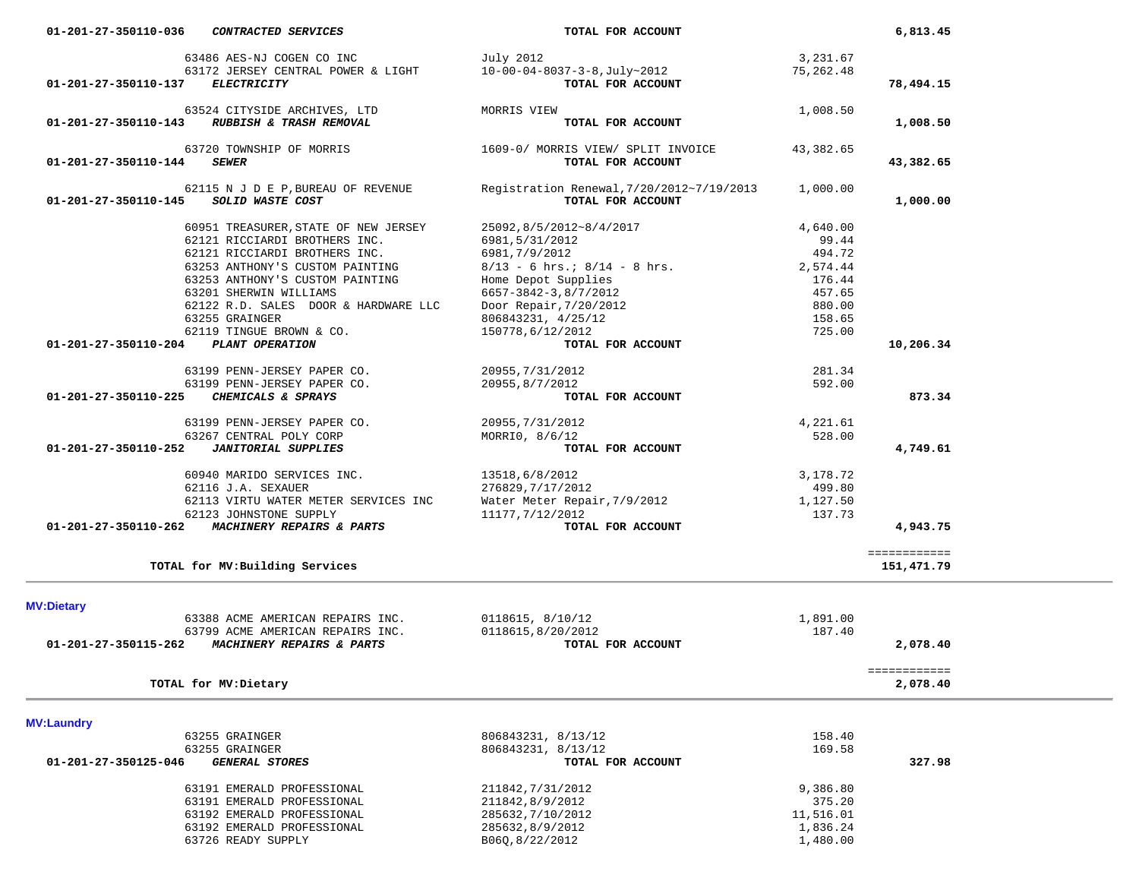|                      | 63524 CITYSIDE ARCHIVES, LTD                                   | MORRIS VIEW                                                    | 1,008.50         |                          |
|----------------------|----------------------------------------------------------------|----------------------------------------------------------------|------------------|--------------------------|
| 01-201-27-350110-143 | RUBBISH & TRASH REMOVAL                                        | TOTAL FOR ACCOUNT                                              |                  | 1,008.50                 |
| 01-201-27-350110-144 | 63720 TOWNSHIP OF MORRIS<br><i><b>SEWER</b></i>                | 1609-0/ MORRIS VIEW/ SPLIT INVOICE<br>TOTAL FOR ACCOUNT        | 43,382.65        | 43,382.65                |
| 01-201-27-350110-145 | 62115 N J D E P, BUREAU OF REVENUE<br>SOLID WASTE COST         | Registration Renewal, 7/20/2012~7/19/2013<br>TOTAL FOR ACCOUNT | 1,000.00         | 1,000.00                 |
|                      | 60951 TREASURER, STATE OF NEW JERSEY                           | 25092,8/5/2012~8/4/2017                                        | 4,640.00         |                          |
|                      | 62121 RICCIARDI BROTHERS INC.                                  | 6981,5/31/2012                                                 | 99.44            |                          |
|                      | 62121 RICCIARDI BROTHERS INC.                                  | 6981,7/9/2012                                                  | 494.72           |                          |
|                      | 63253 ANTHONY'S CUSTOM PAINTING                                | $8/13 - 6$ hrs.; $8/14 - 8$ hrs.                               | 2,574.44         |                          |
|                      | 63253 ANTHONY'S CUSTOM PAINTING                                | Home Depot Supplies                                            | 176.44           |                          |
|                      | 63201 SHERWIN WILLIAMS<br>62122 R.D. SALES DOOR & HARDWARE LLC | 6657-3842-3,8/7/2012                                           | 457.65<br>880.00 |                          |
|                      | 63255 GRAINGER                                                 | Door Repair, 7/20/2012<br>806843231, 4/25/12                   | 158.65           |                          |
|                      | 62119 TINGUE BROWN & CO.                                       | 150778,6/12/2012                                               | 725.00           |                          |
| 01-201-27-350110-204 | <b>PLANT OPERATION</b>                                         | TOTAL FOR ACCOUNT                                              |                  | 10,206.34                |
|                      |                                                                |                                                                |                  |                          |
|                      | 63199 PENN-JERSEY PAPER CO.                                    | 20955, 7/31/2012                                               | 281.34           |                          |
|                      | 63199 PENN-JERSEY PAPER CO.                                    | 20955,8/7/2012                                                 | 592.00           |                          |
| 01-201-27-350110-225 | CHEMICALS & SPRAYS                                             | TOTAL FOR ACCOUNT                                              |                  | 873.34                   |
|                      | 63199 PENN-JERSEY PAPER CO.                                    | 20955, 7/31/2012                                               | 4,221.61         |                          |
|                      | 63267 CENTRAL POLY CORP                                        | MORRIO, 8/6/12                                                 | 528.00           |                          |
| 01-201-27-350110-252 | <b>JANITORIAL SUPPLIES</b>                                     | TOTAL FOR ACCOUNT                                              |                  | 4,749.61                 |
|                      | 60940 MARIDO SERVICES INC.                                     | 13518,6/8/2012                                                 | 3,178.72         |                          |
|                      | 62116 J.A. SEXAUER                                             | 276829, 7/17/2012                                              | 499.80           |                          |
|                      | 62113 VIRTU WATER METER SERVICES INC                           | Water Meter Repair, 7/9/2012                                   | 1,127.50         |                          |
|                      | 62123 JOHNSTONE SUPPLY                                         | 11177, 7/12/2012                                               | 137.73           |                          |
| 01-201-27-350110-262 | <b>MACHINERY REPAIRS &amp; PARTS</b>                           | TOTAL FOR ACCOUNT                                              |                  | 4,943.75                 |
|                      |                                                                |                                                                |                  | ============             |
|                      | TOTAL for MV: Building Services                                |                                                                |                  | 151,471.79               |
|                      |                                                                |                                                                |                  |                          |
| <b>MV:Dietary</b>    | 63388 ACME AMERICAN REPAIRS INC.                               | 0118615, 8/10/12                                               | 1,891.00         |                          |
|                      | 63799 ACME AMERICAN REPAIRS INC.                               | 0118615,8/20/2012                                              | 187.40           |                          |
|                      | 01-201-27-350115-262 MACHINERY REPAIRS & PARTS                 | TOTAL FOR ACCOUNT                                              |                  | 2,078.40                 |
|                      |                                                                |                                                                |                  |                          |
|                      | TOTAL for MV: Dietary                                          |                                                                |                  | ============<br>2,078.40 |
|                      |                                                                |                                                                |                  |                          |
| <b>MV:Laundry</b>    |                                                                |                                                                |                  |                          |
|                      | 63255 GRAINGER                                                 | 806843231, 8/13/12                                             | 158.40           |                          |
|                      | 63255 GRAINGER                                                 | 806843231, 8/13/12                                             | 169.58           |                          |
| 01-201-27-350125-046 | <b>GENERAL STORES</b>                                          | TOTAL FOR ACCOUNT                                              |                  | 327.98                   |
|                      | 63191 EMERALD PROFESSIONAL                                     | 211842, 7/31/2012                                              | 9,386.80         |                          |
|                      | 63191 EMERALD PROFESSIONAL                                     | 211842,8/9/2012                                                | 375.20           |                          |
|                      | 63192 EMERALD PROFESSIONAL                                     | 285632, 7/10/2012                                              | 11,516.01        |                          |
|                      | 63192 EMERALD PROFESSIONAL                                     | 285632,8/9/2012                                                | 1,836.24         |                          |
|                      | 63726 READY SUPPLY                                             | B06Q, 8/22/2012                                                | 1,480.00         |                          |
|                      |                                                                |                                                                |                  |                          |

 **01-201-27-350110-036** *CONTRACTED SERVICES* **TOTAL FOR ACCOUNT 6,813.45**

 **01-201-27-350110-137** *ELECTRICITY* **TOTAL FOR ACCOUNT 78,494.15**

 63486 AES-NJ COGEN CO INC July 2012 3,231.67 63172 JERSEY CENTRAL POWER & LIGHT 10-00-04-8037-3-8,July~2012 75,262.48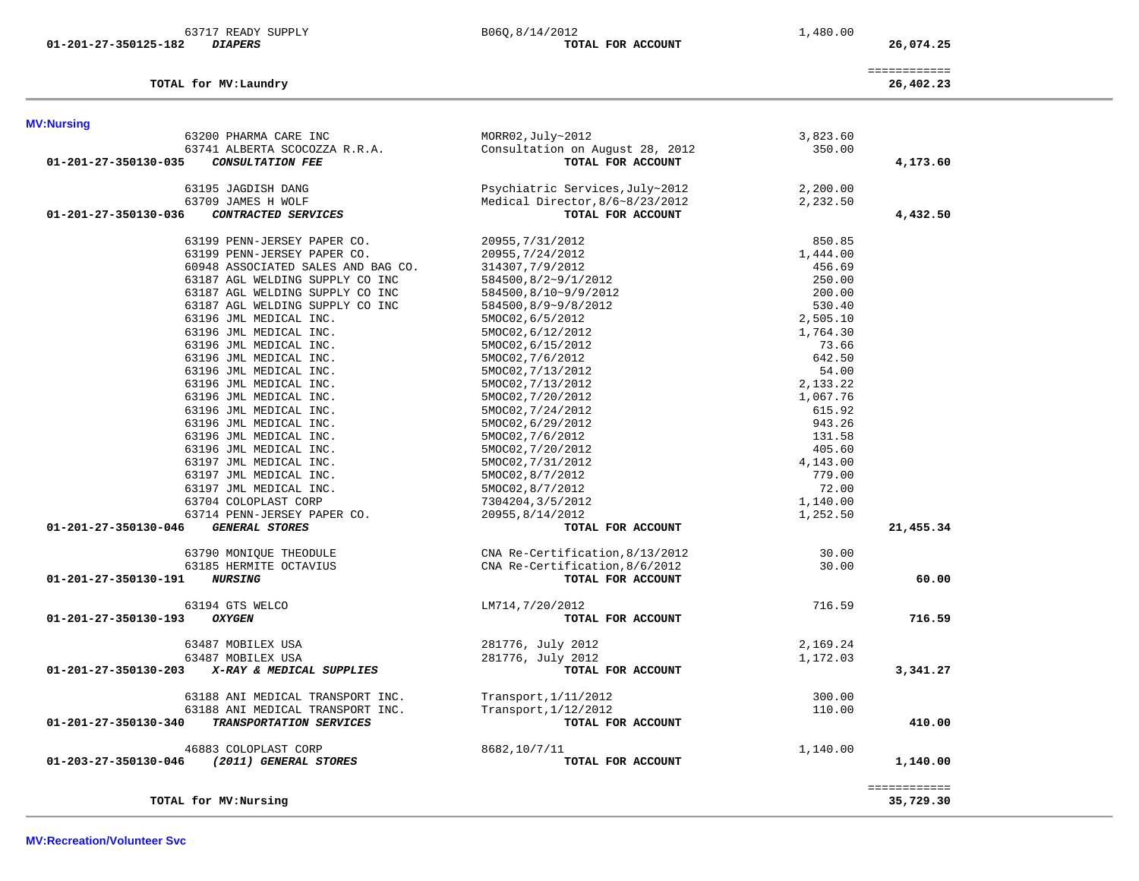| 63717 READY SUPPLY                              | B06Q, 8/14/2012                 | 1,480.00 |                           |
|-------------------------------------------------|---------------------------------|----------|---------------------------|
| <i><b>DIAPERS</b></i><br>01-201-27-350125-182   | TOTAL FOR ACCOUNT               |          | 26,074.25                 |
| TOTAL for MV: Laundry                           |                                 |          | ============<br>26,402.23 |
| <b>MV:Nursing</b>                               |                                 |          |                           |
| 63200 PHARMA CARE INC                           | MORR02, July~2012               | 3,823.60 |                           |
| 63741 ALBERTA SCOCOZZA R.R.A.                   | Consultation on August 28, 2012 | 350.00   |                           |
| 01-201-27-350130-035<br><b>CONSULTATION FEE</b> | TOTAL FOR ACCOUNT               |          | 4,173.60                  |
| 63195 JAGDISH DANG                              | Psychiatric Services, July~2012 | 2,200.00 |                           |
| 63709 JAMES H WOLF                              | Medical Director, 8/6~8/23/2012 | 2,232.50 |                           |
| 01-201-27-350130-036<br>CONTRACTED SERVICES     | TOTAL FOR ACCOUNT               |          | 4,432.50                  |
| 63199 PENN-JERSEY PAPER CO.                     | 20955, 7/31/2012                | 850.85   |                           |
| 63199 PENN-JERSEY PAPER CO.                     | 20955, 7/24/2012                | 1,444.00 |                           |
| 60948 ASSOCIATED SALES AND BAG CO.              | 314307, 7/9/2012                | 456.69   |                           |
| 63187 AGL WELDING SUPPLY CO INC                 | 584500,8/2~9/1/2012             | 250.00   |                           |
| 63187 AGL WELDING SUPPLY CO INC                 | 584500,8/10~9/9/2012            | 200.00   |                           |
| 63187 AGL WELDING SUPPLY CO INC                 | 584500,8/9~9/8/2012             | 530.40   |                           |
| 63196 JML MEDICAL INC.                          | 5MOC02,6/5/2012                 | 2,505.10 |                           |
| 63196 JML MEDICAL INC.                          | 5MOC02, 6/12/2012               | 1,764.30 |                           |
| 63196 JML MEDICAL INC.                          | 5MOC02, 6/15/2012               | 73.66    |                           |
| 63196 JML MEDICAL INC.                          | 5MOC02, 7/6/2012                | 642.50   |                           |
| 63196 JML MEDICAL INC.                          | 5MOC02, 7/13/2012               | 54.00    |                           |
| 63196 JML MEDICAL INC.                          | 5MOC02, 7/13/2012               | 2,133.22 |                           |
| 63196 JML MEDICAL INC.                          | 5MOC02, 7/20/2012               | 1,067.76 |                           |
| 63196 JML MEDICAL INC.                          | 5MOC02, 7/24/2012               | 615.92   |                           |
| 63196 JML MEDICAL INC.                          | 5MOC02, 6/29/2012               | 943.26   |                           |
| 63196 JML MEDICAL INC.                          | 5MOC02, 7/6/2012                | 131.58   |                           |
| 63196 JML MEDICAL INC.                          | 5MOC02, 7/20/2012               | 405.60   |                           |
| 63197 JML MEDICAL INC.                          | 5MOC02, 7/31/2012               | 4,143.00 |                           |
| 63197 JML MEDICAL INC.                          | 5MOC02,8/7/2012                 | 779.00   |                           |
| 63197 JML MEDICAL INC.                          | 5MOC02,8/7/2012                 | 72.00    |                           |
| 63704 COLOPLAST CORP                            | 7304204,3/5/2012                | 1,140.00 |                           |
| 63714 PENN-JERSEY PAPER CO.                     | 20955,8/14/2012                 | 1,252.50 |                           |
| 01-201-27-350130-046<br><b>GENERAL STORES</b>   | TOTAL FOR ACCOUNT               |          | 21,455.34                 |
| 63790 MONIQUE THEODULE                          | CNA Re-Certification, 8/13/2012 | 30.00    |                           |
| 63185 HERMITE OCTAVIUS                          | CNA Re-Certification, 8/6/2012  | 30.00    |                           |
| 01-201-27-350130-191<br><i><b>NURSING</b></i>   | TOTAL FOR ACCOUNT               |          | 60.00                     |
| 63194 GTS WELCO                                 | LM714,7/20/2012                 | 716.59   |                           |
| 01-201-27-350130-193<br><b>OXYGEN</b>           | TOTAL FOR ACCOUNT               |          | 716.59                    |
| 63487 MOBILEX USA                               | 281776, July 2012               | 2,169.24 |                           |
| 63487 MOBILEX USA                               | 281776, July 2012               | 1,172.03 |                           |
| 01-201-27-350130-203 X-RAY & MEDICAL SUPPLIES   | TOTAL FOR ACCOUNT               |          | 3,341.27                  |
|                                                 |                                 |          |                           |
| 63188 ANI MEDICAL TRANSPORT INC.                | Transport, 1/11/2012            | 300.00   |                           |
| 63188 ANI MEDICAL TRANSPORT INC.                | Transport, 1/12/2012            | 110.00   |                           |
| TRANSPORTATION SERVICES<br>01-201-27-350130-340 | TOTAL FOR ACCOUNT               |          | 410.00                    |
| 46883 COLOPLAST CORP                            | 8682,10/7/11                    | 1,140.00 |                           |
| (2011) GENERAL STORES<br>01-203-27-350130-046   | TOTAL FOR ACCOUNT               |          | 1,140.00                  |
|                                                 |                                 |          | ============              |
| TOTAL for MV: Nursing                           |                                 |          | 35,729.30                 |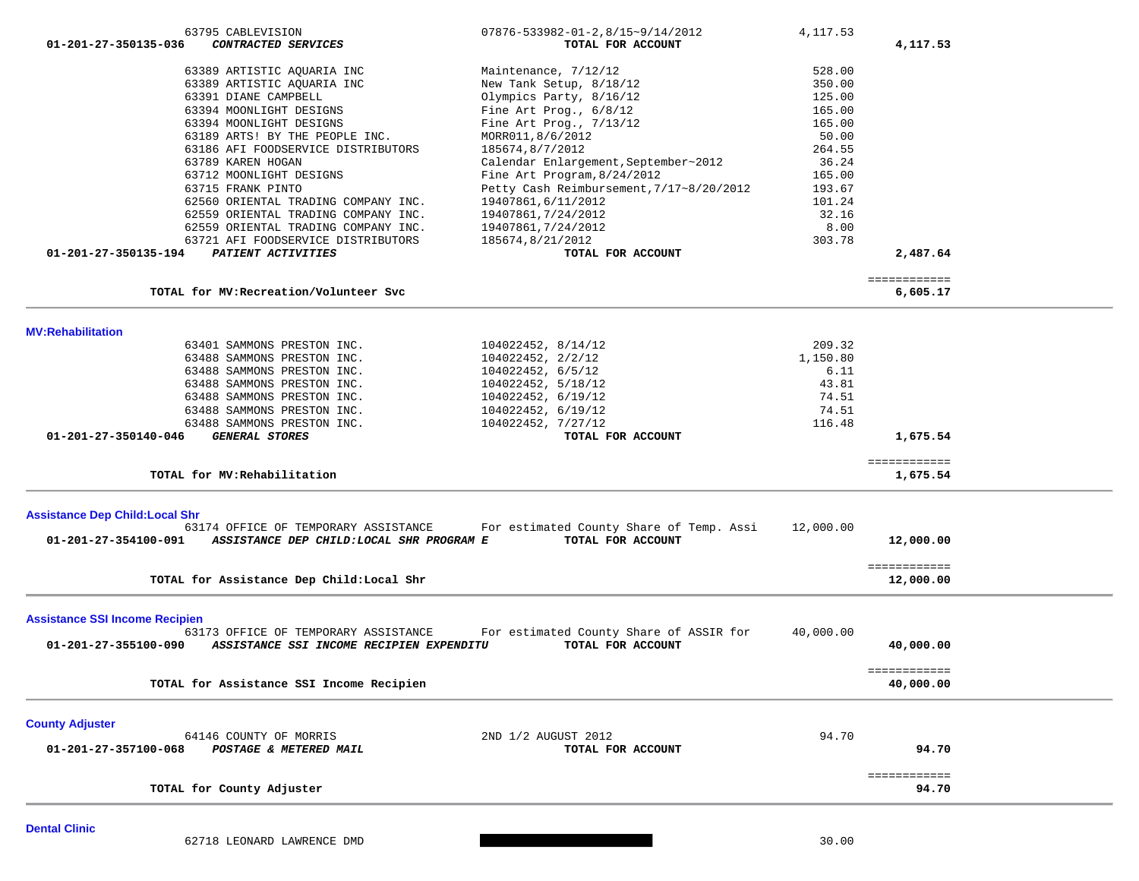| 63795 CABLEVISION                                                | $07876 - 533982 - 01 - 2, 8/15 \sim 9/14/2012$ | 4, 117.53 |              |  |
|------------------------------------------------------------------|------------------------------------------------|-----------|--------------|--|
| 01-201-27-350135-036<br>CONTRACTED SERVICES                      | TOTAL FOR ACCOUNT                              |           | 4,117.53     |  |
| 63389 ARTISTIC AQUARIA INC                                       | Maintenance, 7/12/12                           | 528.00    |              |  |
| 63389 ARTISTIC AQUARIA INC                                       | New Tank Setup, 8/18/12                        | 350.00    |              |  |
| 63391 DIANE CAMPBELL                                             | Olympics Party, 8/16/12                        | 125.00    |              |  |
| 63394 MOONLIGHT DESIGNS                                          | Fine Art Prog., $6/8/12$                       | 165.00    |              |  |
| 63394 MOONLIGHT DESIGNS                                          | Fine Art Prog., $7/13/12$                      | 165.00    |              |  |
| 63189 ARTS! BY THE PEOPLE INC.                                   | MORR011,8/6/2012                               | 50.00     |              |  |
| 63186 AFI FOODSERVICE DISTRIBUTORS                               | 185674,8/7/2012                                | 264.55    |              |  |
| 63789 KAREN HOGAN                                                | Calendar Enlargement, September~2012           | 36.24     |              |  |
| 63712 MOONLIGHT DESIGNS                                          | Fine Art Program, 8/24/2012                    | 165.00    |              |  |
| 63715 FRANK PINTO                                                | Petty Cash Reimbursement, 7/17~8/20/2012       | 193.67    |              |  |
| 62560 ORIENTAL TRADING COMPANY INC.                              | 19407861,6/11/2012                             | 101.24    |              |  |
| 62559 ORIENTAL TRADING COMPANY INC.                              | 19407861, 7/24/2012                            | 32.16     |              |  |
| 62559 ORIENTAL TRADING COMPANY INC.                              | 19407861,7/24/2012                             | 8.00      |              |  |
| 63721 AFI FOODSERVICE DISTRIBUTORS                               | 185674,8/21/2012                               | 303.78    |              |  |
| 01-201-27-350135-194<br>PATIENT ACTIVITIES                       | TOTAL FOR ACCOUNT                              |           | 2,487.64     |  |
|                                                                  |                                                |           |              |  |
|                                                                  |                                                |           | ============ |  |
| TOTAL for MV: Recreation/Volunteer Svc                           |                                                |           | 6,605.17     |  |
|                                                                  |                                                |           |              |  |
| <b>MV:Rehabilitation</b>                                         |                                                |           |              |  |
| 63401 SAMMONS PRESTON INC.                                       | 104022452, 8/14/12                             | 209.32    |              |  |
| 63488 SAMMONS PRESTON INC.                                       | 104022452, 2/2/12                              | 1,150.80  |              |  |
| 63488 SAMMONS PRESTON INC.                                       | 104022452, 6/5/12                              | 6.11      |              |  |
| 63488 SAMMONS PRESTON INC.                                       | 104022452, 5/18/12                             | 43.81     |              |  |
| 63488 SAMMONS PRESTON INC.                                       | 104022452, 6/19/12                             | 74.51     |              |  |
| 63488 SAMMONS PRESTON INC.                                       | 104022452, 6/19/12                             | 74.51     |              |  |
| 63488 SAMMONS PRESTON INC.                                       | 104022452, 7/27/12                             | 116.48    |              |  |
| 01-201-27-350140-046<br><b>GENERAL STORES</b>                    | TOTAL FOR ACCOUNT                              |           | 1,675.54     |  |
|                                                                  |                                                |           | ============ |  |
| TOTAL for MV: Rehabilitation                                     |                                                |           | 1,675.54     |  |
| <b>Assistance Dep Child: Local Shr</b>                           |                                                |           |              |  |
| 63174 OFFICE OF TEMPORARY ASSISTANCE                             | For estimated County Share of Temp. Assi       | 12,000.00 |              |  |
| 01-201-27-354100-091<br>ASSISTANCE DEP CHILD:LOCAL SHR PROGRAM E | TOTAL FOR ACCOUNT                              |           | 12,000.00    |  |
|                                                                  |                                                |           |              |  |
|                                                                  |                                                |           | ============ |  |
| TOTAL for Assistance Dep Child:Local Shr                         |                                                |           | 12,000.00    |  |
|                                                                  |                                                |           |              |  |
| <b>Assistance SSI Income Recipien</b>                            |                                                |           |              |  |
| 63173 OFFICE OF TEMPORARY ASSISTANCE                             | For estimated County Share of ASSIR for        | 40,000.00 |              |  |
| 01-201-27-355100-090<br>ASSISTANCE SSI INCOME RECIPIEN EXPENDITU | TOTAL FOR ACCOUNT                              |           | 40,000.00    |  |
|                                                                  |                                                |           | ============ |  |
| TOTAL for Assistance SSI Income Recipien                         |                                                |           | 40,000.00    |  |
|                                                                  |                                                |           |              |  |
| <b>County Adjuster</b>                                           |                                                |           |              |  |
| 64146 COUNTY OF MORRIS                                           | 2ND 1/2 AUGUST 2012                            | 94.70     |              |  |
| 01-201-27-357100-068<br>POSTAGE & METERED MAIL                   | TOTAL FOR ACCOUNT                              |           | 94.70        |  |
|                                                                  |                                                |           | ============ |  |
| TOTAL for County Adjuster                                        |                                                |           | 94.70        |  |
|                                                                  |                                                |           |              |  |
|                                                                  |                                                |           |              |  |

**Dental Clinic** 

62718 LEONARD LAWRENCE DMD 30.00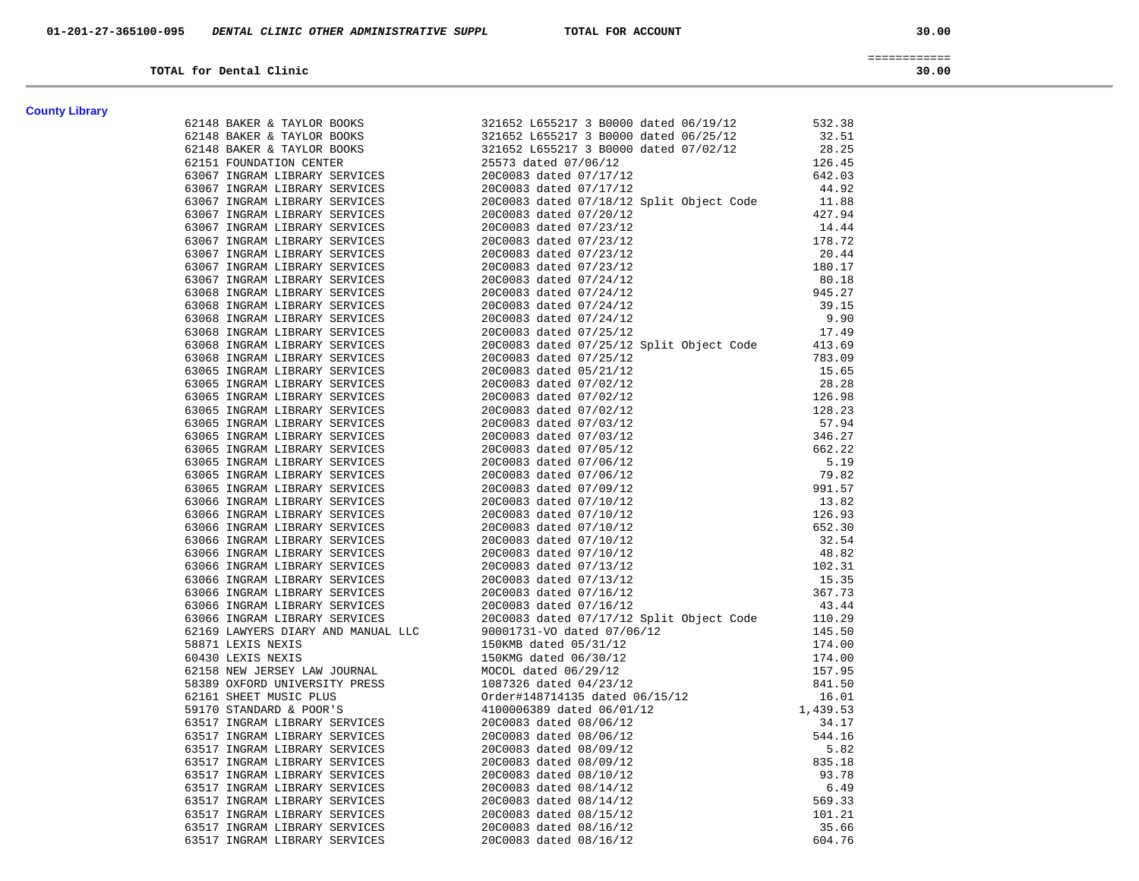30.00

============

| TOTAL for Dental Clinic | 30.00 |  |  |
|-------------------------|-------|--|--|
|-------------------------|-------|--|--|

| <b>County Library</b> |  |
|-----------------------|--|
|-----------------------|--|

| <b>County Library</b> |                                                                                                                                                                                                                                                                                                                                                                      |  |
|-----------------------|----------------------------------------------------------------------------------------------------------------------------------------------------------------------------------------------------------------------------------------------------------------------------------------------------------------------------------------------------------------------|--|
|                       |                                                                                                                                                                                                                                                                                                                                                                      |  |
|                       |                                                                                                                                                                                                                                                                                                                                                                      |  |
|                       |                                                                                                                                                                                                                                                                                                                                                                      |  |
|                       |                                                                                                                                                                                                                                                                                                                                                                      |  |
|                       |                                                                                                                                                                                                                                                                                                                                                                      |  |
|                       |                                                                                                                                                                                                                                                                                                                                                                      |  |
|                       |                                                                                                                                                                                                                                                                                                                                                                      |  |
|                       |                                                                                                                                                                                                                                                                                                                                                                      |  |
|                       |                                                                                                                                                                                                                                                                                                                                                                      |  |
|                       |                                                                                                                                                                                                                                                                                                                                                                      |  |
|                       |                                                                                                                                                                                                                                                                                                                                                                      |  |
|                       |                                                                                                                                                                                                                                                                                                                                                                      |  |
|                       |                                                                                                                                                                                                                                                                                                                                                                      |  |
|                       |                                                                                                                                                                                                                                                                                                                                                                      |  |
|                       |                                                                                                                                                                                                                                                                                                                                                                      |  |
|                       |                                                                                                                                                                                                                                                                                                                                                                      |  |
|                       |                                                                                                                                                                                                                                                                                                                                                                      |  |
|                       |                                                                                                                                                                                                                                                                                                                                                                      |  |
|                       |                                                                                                                                                                                                                                                                                                                                                                      |  |
|                       |                                                                                                                                                                                                                                                                                                                                                                      |  |
|                       |                                                                                                                                                                                                                                                                                                                                                                      |  |
|                       |                                                                                                                                                                                                                                                                                                                                                                      |  |
|                       |                                                                                                                                                                                                                                                                                                                                                                      |  |
|                       |                                                                                                                                                                                                                                                                                                                                                                      |  |
|                       |                                                                                                                                                                                                                                                                                                                                                                      |  |
|                       |                                                                                                                                                                                                                                                                                                                                                                      |  |
|                       |                                                                                                                                                                                                                                                                                                                                                                      |  |
|                       |                                                                                                                                                                                                                                                                                                                                                                      |  |
|                       |                                                                                                                                                                                                                                                                                                                                                                      |  |
|                       |                                                                                                                                                                                                                                                                                                                                                                      |  |
|                       |                                                                                                                                                                                                                                                                                                                                                                      |  |
|                       |                                                                                                                                                                                                                                                                                                                                                                      |  |
|                       |                                                                                                                                                                                                                                                                                                                                                                      |  |
|                       |                                                                                                                                                                                                                                                                                                                                                                      |  |
|                       |                                                                                                                                                                                                                                                                                                                                                                      |  |
|                       |                                                                                                                                                                                                                                                                                                                                                                      |  |
|                       |                                                                                                                                                                                                                                                                                                                                                                      |  |
|                       |                                                                                                                                                                                                                                                                                                                                                                      |  |
|                       |                                                                                                                                                                                                                                                                                                                                                                      |  |
|                       |                                                                                                                                                                                                                                                                                                                                                                      |  |
|                       |                                                                                                                                                                                                                                                                                                                                                                      |  |
|                       |                                                                                                                                                                                                                                                                                                                                                                      |  |
|                       |                                                                                                                                                                                                                                                                                                                                                                      |  |
|                       |                                                                                                                                                                                                                                                                                                                                                                      |  |
|                       |                                                                                                                                                                                                                                                                                                                                                                      |  |
|                       |                                                                                                                                                                                                                                                                                                                                                                      |  |
|                       |                                                                                                                                                                                                                                                                                                                                                                      |  |
|                       |                                                                                                                                                                                                                                                                                                                                                                      |  |
|                       |                                                                                                                                                                                                                                                                                                                                                                      |  |
|                       |                                                                                                                                                                                                                                                                                                                                                                      |  |
|                       |                                                                                                                                                                                                                                                                                                                                                                      |  |
|                       |                                                                                                                                                                                                                                                                                                                                                                      |  |
|                       |                                                                                                                                                                                                                                                                                                                                                                      |  |
|                       |                                                                                                                                                                                                                                                                                                                                                                      |  |
|                       | $\begin{tabular}{cccccccc} \textbf{0.143} & \textbf{0.144} & \textbf{0.145} & \textbf{0.145} & \textbf{0.145} & \textbf{0.145} & \textbf{0.145} & \textbf{0.145} & \textbf{0.145} & \textbf{0.145} & \textbf{0.145} & \textbf{0.145} & \textbf{0.145} & \textbf{0.145} & \textbf{0.145} & \textbf{0.145} & \textbf{0.145} & \textbf{0.145} & \textbf{0.145} & \text$ |  |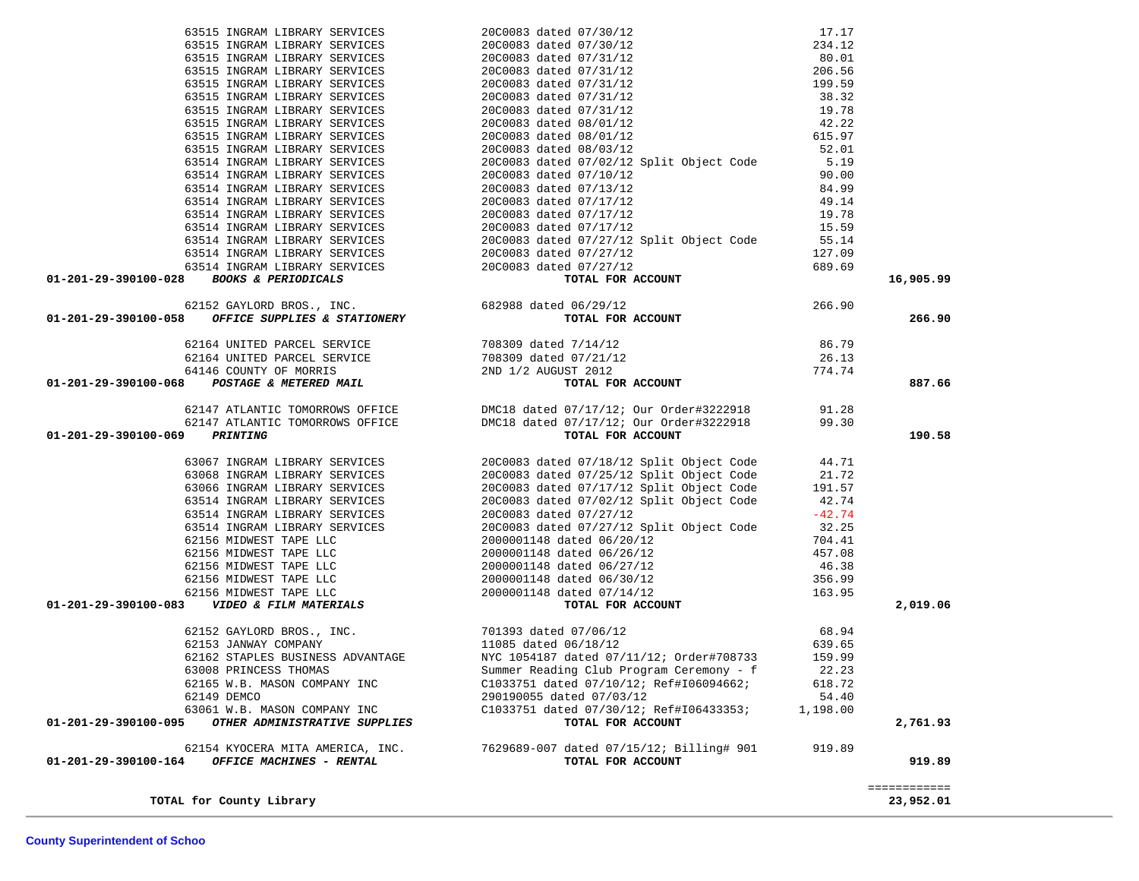| OTHER ADMINISTRATIVE SUPPLIES<br>01-201-29-390100-095                                                                                                                                                                                       | TOTAL FOR ACCOUNT                                                                                                                                                                                          |                   | 2,761.93  |
|---------------------------------------------------------------------------------------------------------------------------------------------------------------------------------------------------------------------------------------------|------------------------------------------------------------------------------------------------------------------------------------------------------------------------------------------------------------|-------------------|-----------|
| 62149 DEMCO<br>63061 W.B. MASON COMPANY INC                                                                                                                                                                                                 | 290190055 dated 07/03/12<br>C1033751 dated 07/30/12; Ref#I06433353;                                                                                                                                        | 54.40<br>1,198.00 |           |
| 62165 W.B. MASON COMPANY INC                                                                                                                                                                                                                | C1033751 dated 07/10/12; Ref#I06094662;                                                                                                                                                                    | 618.72            |           |
|                                                                                                                                                                                                                                             |                                                                                                                                                                                                            |                   |           |
|                                                                                                                                                                                                                                             |                                                                                                                                                                                                            |                   |           |
|                                                                                                                                                                                                                                             |                                                                                                                                                                                                            |                   |           |
|                                                                                                                                                                                                                                             |                                                                                                                                                                                                            |                   |           |
|                                                                                                                                                                                                                                             |                                                                                                                                                                                                            |                   | 2,019.06  |
|                                                                                                                                                                                                                                             |                                                                                                                                                                                                            |                   |           |
|                                                                                                                                                                                                                                             |                                                                                                                                                                                                            |                   |           |
|                                                                                                                                                                                                                                             |                                                                                                                                                                                                            |                   |           |
|                                                                                                                                                                                                                                             |                                                                                                                                                                                                            |                   |           |
|                                                                                                                                                                                                                                             |                                                                                                                                                                                                            |                   |           |
|                                                                                                                                                                                                                                             |                                                                                                                                                                                                            |                   |           |
|                                                                                                                                                                                                                                             |                                                                                                                                                                                                            |                   |           |
|                                                                                                                                                                                                                                             |                                                                                                                                                                                                            |                   |           |
|                                                                                                                                                                                                                                             |                                                                                                                                                                                                            |                   |           |
|                                                                                                                                                                                                                                             |                                                                                                                                                                                                            |                   |           |
|                                                                                                                                                                                                                                             |                                                                                                                                                                                                            |                   |           |
|                                                                                                                                                                                                                                             |                                                                                                                                                                                                            |                   |           |
| 01-201-29-390100-069                                                                                                                                                                                                                        |                                                                                                                                                                                                            |                   | 190.58    |
|                                                                                                                                                                                                                                             |                                                                                                                                                                                                            |                   |           |
| 63515 INGRAM LIBRARY SERVICES<br>20100081 dated 07/10/12<br>63515 INGRAM LIBRARY SERVICES<br>20100081 dated 07/10/12<br>63515 INGRAM LIBRARY SERVICES<br>63515 INGRAM LIBRARY SERVICES<br>63515 INGRAM LIBRARY SERVICES<br>63515 INGRAM LIB | 62147 ATLANTIC TOMORROWS OFFICE<br>62147 ATLANTIC TOMORROWS OFFICE DMC18 dated 07/17/12; Our Order#3222918 99.30<br><b>DICLE DMC18</b> dated 07/17/12; Our Order#3222918 99.30<br><b>TOTAL FOR ACCOUNT</b> |                   |           |
|                                                                                                                                                                                                                                             |                                                                                                                                                                                                            |                   | 887.66    |
|                                                                                                                                                                                                                                             |                                                                                                                                                                                                            |                   |           |
|                                                                                                                                                                                                                                             |                                                                                                                                                                                                            |                   |           |
|                                                                                                                                                                                                                                             |                                                                                                                                                                                                            |                   |           |
|                                                                                                                                                                                                                                             |                                                                                                                                                                                                            |                   | 266.90    |
|                                                                                                                                                                                                                                             |                                                                                                                                                                                                            |                   |           |
|                                                                                                                                                                                                                                             |                                                                                                                                                                                                            |                   | 16,905.99 |
|                                                                                                                                                                                                                                             |                                                                                                                                                                                                            |                   |           |
|                                                                                                                                                                                                                                             |                                                                                                                                                                                                            |                   |           |
|                                                                                                                                                                                                                                             |                                                                                                                                                                                                            |                   |           |
|                                                                                                                                                                                                                                             |                                                                                                                                                                                                            |                   |           |
|                                                                                                                                                                                                                                             |                                                                                                                                                                                                            |                   |           |
|                                                                                                                                                                                                                                             |                                                                                                                                                                                                            |                   |           |
|                                                                                                                                                                                                                                             |                                                                                                                                                                                                            |                   |           |
|                                                                                                                                                                                                                                             |                                                                                                                                                                                                            |                   |           |
|                                                                                                                                                                                                                                             |                                                                                                                                                                                                            |                   |           |
|                                                                                                                                                                                                                                             |                                                                                                                                                                                                            |                   |           |
|                                                                                                                                                                                                                                             |                                                                                                                                                                                                            |                   |           |
|                                                                                                                                                                                                                                             |                                                                                                                                                                                                            |                   |           |
|                                                                                                                                                                                                                                             |                                                                                                                                                                                                            |                   |           |
|                                                                                                                                                                                                                                             |                                                                                                                                                                                                            |                   |           |
|                                                                                                                                                                                                                                             |                                                                                                                                                                                                            |                   |           |
|                                                                                                                                                                                                                                             |                                                                                                                                                                                                            |                   |           |
|                                                                                                                                                                                                                                             |                                                                                                                                                                                                            |                   |           |
|                                                                                                                                                                                                                                             |                                                                                                                                                                                                            |                   |           |
|                                                                                                                                                                                                                                             |                                                                                                                                                                                                            |                   |           |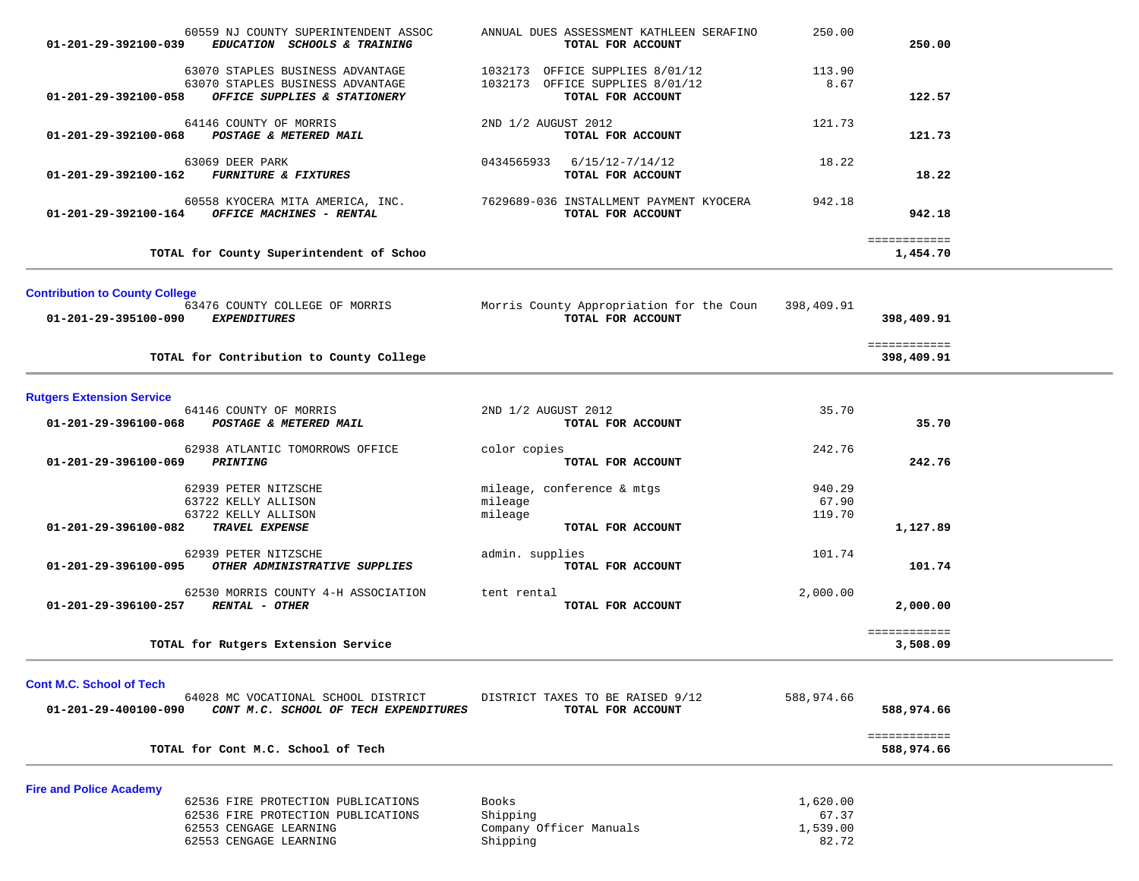| 01-201-29-392100-039                                    | 60559 NJ COUNTY SUPERINTENDENT ASSOC<br>EDUCATION SCHOOLS & TRAINING                                                         | ANNUAL DUES ASSESSMENT KATHLEEN SERAFINO<br>TOTAL FOR ACCOUNT                                | 250.00                                 | 250.00                     |  |
|---------------------------------------------------------|------------------------------------------------------------------------------------------------------------------------------|----------------------------------------------------------------------------------------------|----------------------------------------|----------------------------|--|
| 01-201-29-392100-058                                    | 63070 STAPLES BUSINESS ADVANTAGE<br>63070 STAPLES BUSINESS ADVANTAGE<br>OFFICE SUPPLIES & STATIONERY                         | 1032173 OFFICE SUPPLIES 8/01/12<br>1032173 OFFICE SUPPLIES 8/01/12<br>TOTAL FOR ACCOUNT      | 113.90<br>8.67                         | 122.57                     |  |
| 01-201-29-392100-068                                    | 64146 COUNTY OF MORRIS<br>POSTAGE & METERED MAIL                                                                             | 2ND 1/2 AUGUST 2012<br>TOTAL FOR ACCOUNT                                                     | 121.73                                 | 121.73                     |  |
| 01-201-29-392100-162                                    | 63069 DEER PARK<br><b>FURNITURE &amp; FIXTURES</b>                                                                           | 6/15/12-7/14/12<br>0434565933<br>TOTAL FOR ACCOUNT                                           | 18.22                                  | 18.22                      |  |
|                                                         | 60558 KYOCERA MITA AMERICA, INC.<br>$01-201-29-392100-164$ OFFICE MACHINES - RENTAL                                          | 7629689-036 INSTALLMENT PAYMENT KYOCERA<br>TOTAL FOR ACCOUNT                                 | 942.18                                 | 942.18                     |  |
|                                                         | TOTAL for County Superintendent of Schoo                                                                                     |                                                                                              |                                        | ============<br>1,454.70   |  |
| <b>Contribution to County College</b>                   |                                                                                                                              |                                                                                              |                                        |                            |  |
| 01-201-29-395100-090                                    | <i>EXPENDITURES</i>                                                                                                          | 63476 COUNTY COLLEGE OF MORRIS Morris County Appropriation for the Coun<br>TOTAL FOR ACCOUNT | 398,409.91                             | 398,409.91                 |  |
|                                                         | TOTAL for Contribution to County College                                                                                     |                                                                                              |                                        | ============<br>398,409.91 |  |
| <b>Rutgers Extension Service</b>                        |                                                                                                                              |                                                                                              |                                        |                            |  |
| 01-201-29-396100-068                                    | 64146 COUNTY OF MORRIS<br>POSTAGE & METERED MAIL                                                                             | 2ND 1/2 AUGUST 2012<br>TOTAL FOR ACCOUNT                                                     | 35.70                                  | 35.70                      |  |
| 01-201-29-396100-069                                    | 62938 ATLANTIC TOMORROWS OFFICE<br>PRINTING                                                                                  | color copies<br>TOTAL FOR ACCOUNT                                                            | 242.76                                 | 242.76                     |  |
| 01-201-29-396100-082                                    | 62939 PETER NITZSCHE<br>63722 KELLY ALLISON<br>63722 KELLY ALLISON<br>TRAVEL EXPENSE                                         | mileage, conference & mtgs<br>mileage<br>mileage<br>TOTAL FOR ACCOUNT                        | 940.29<br>67.90<br>119.70              | 1,127.89                   |  |
| 01-201-29-396100-095                                    | 62939 PETER NITZSCHE<br>OTHER ADMINISTRATIVE SUPPLIES                                                                        | admin. supplies<br>TOTAL FOR ACCOUNT                                                         | 101.74                                 | 101.74                     |  |
| 01-201-29-396100-257                                    | 62530 MORRIS COUNTY 4-H ASSOCIATION<br><b>RENTAL - OTHER</b>                                                                 | tent rental<br>TOTAL FOR ACCOUNT                                                             | 2,000.00                               | 2,000.00                   |  |
|                                                         | TOTAL for Rutgers Extension Service                                                                                          |                                                                                              |                                        | ============<br>3,508.09   |  |
| <b>Cont M.C. School of Tech</b><br>01-201-29-400100-090 | 64028 MC VOCATIONAL SCHOOL DISTRICT<br>CONT M.C. SCHOOL OF TECH EXPENDITURES                                                 | DISTRICT TAXES TO BE RAISED 9/12<br>TOTAL FOR ACCOUNT                                        | 588,974.66                             | 588,974.66                 |  |
|                                                         | TOTAL for Cont M.C. School of Tech                                                                                           |                                                                                              |                                        | ============<br>588,974.66 |  |
| <b>Fire and Police Academy</b>                          |                                                                                                                              |                                                                                              |                                        |                            |  |
|                                                         | 62536 FIRE PROTECTION PUBLICATIONS<br>62536 FIRE PROTECTION PUBLICATIONS<br>62553 CENGAGE LEARNING<br>62553 CENGAGE LEARNING | Books<br>Shipping<br>Company Officer Manuals<br>Shipping                                     | 1,620.00<br>67.37<br>1,539.00<br>82.72 |                            |  |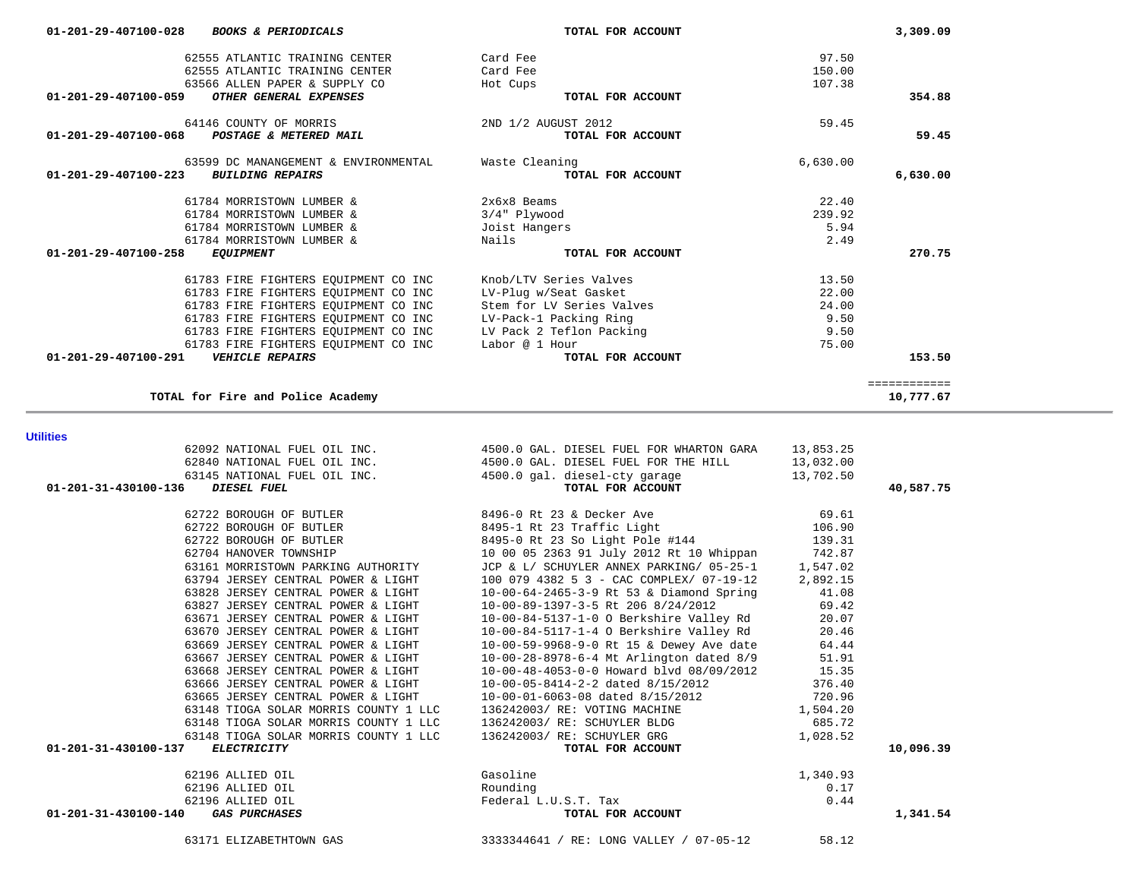63171 ELIZABETHTOWN GAS 3333344641 / RE: LONG VALLEY / 07-05-12 58.12

| 63148 TIOGA SOLAR MORRIS COUNTY I LLC<br>01-201-31-430100-137<br><i>ELECTRICITY</i> | 136242003/ RE: SCHUYLER GRG<br>TOTAL FOR ACCOUNT | 1,028.52<br>10,096.39 |
|-------------------------------------------------------------------------------------|--------------------------------------------------|-----------------------|
| 62196 ALLIED OIL                                                                    | Gasoline                                         | 1,340.93              |
| 62196 ALLIED OIL                                                                    | Rounding                                         | 0.17                  |
| 62196 ALLIED OIL                                                                    | Federal L.U.S.T. Tax                             | 0.44                  |
| 01-201-31-430100-140<br><i>GAS PURCHASES</i>                                        | TOTAL FOR ACCOUNT                                | 1,341.54              |
|                                                                                     |                                                  |                       |

| 62196 ALLIED OTL                      | Gasoline                                 | 134093   |           |
|---------------------------------------|------------------------------------------|----------|-----------|
| 01-201-31-430100-137<br>ELECTRICITY   | TOTAL FOR ACCOUNT                        |          | 10,096.39 |
| 63148 TIOGA SOLAR MORRIS COUNTY 1 LLC | 136242003/ RE: SCHUYLER GRG              | 1,028.52 |           |
| 63148 TIOGA SOLAR MORRIS COUNTY 1 LLC | 136242003/ RE: SCHUYLER BLDG             | 685.72   |           |
| 63148 TIOGA SOLAR MORRIS COUNTY 1 LLC | 136242003/ RE: VOTING MACHINE            | 1,504.20 |           |
| 63665 JERSEY CENTRAL POWER & LIGHT    | 10-00-01-6063-08 dated 8/15/2012         | 720.96   |           |
| 63666 JERSEY CENTRAL POWER & LIGHT    | 10-00-05-8414-2-2 dated 8/15/2012        | 376.40   |           |
| 63668 JERSEY CENTRAL POWER & LIGHT    | 10-00-48-4053-0-0 Howard blvd 08/09/2012 | 15.35    |           |
| 63667 JERSEY CENTRAL POWER & LIGHT    | 10-00-28-8978-6-4 Mt Arlington dated 8/9 | 51.91    |           |
| 63669 JERSEY CENTRAL POWER & LIGHT    | 10-00-59-9968-9-0 Rt 15 & Dewey Ave date | 64.44    |           |
| 63670 JERSEY CENTRAL POWER & LIGHT    | 10-00-84-5117-1-4 O Berkshire Valley Rd  | 20.46    |           |
| 63671 JERSEY CENTRAL POWER & LIGHT    | 10-00-84-5137-1-0 O Berkshire Valley Rd  | 20.07    |           |
| 63827 JERSEY CENTRAL POWER & LIGHT    | 10-00-89-1397-3-5 Rt 206 8/24/2012       | 69.42    |           |
| 63828 JERSEY CENTRAL POWER & LIGHT    | 10-00-64-2465-3-9 Rt 53 & Diamond Spring | 41.08    |           |
| 63794 JERSEY CENTRAL POWER & LIGHT    | 100 079 4382 5 3 - CAC COMPLEX/ 07-19-12 | 2,892.15 |           |
| 63161 MORRISTOWN PARKING AUTHORITY    | JCP & L/ SCHUYLER ANNEX PARKING/ 05-25-1 | 1,547.02 |           |
| 62704 HANOVER TOWNSHIP                | 10 00 05 2363 91 July 2012 Rt 10 Whippan | 742.87   |           |
| 62722 BOROUGH OF BUTLER               | 8495-0 Rt 23 So Light Pole #144          | 139.31   |           |
| 62722 BOROUGH OF BUTLER               | 8495-1 Rt 23 Traffic Light               | 106.90   |           |
| 62722 BOROUGH OF BUTLER               | 8496-0 Rt 23 & Decker Ave                | 69.61    |           |
|                                       |                                          |          |           |

62092 NATIONAL FUEL OIL INC. 4500.0 GAL. DIESEL FUEL FOR WHARTON GARA 13,853.25

 63145 NATIONAL FUEL OIL INC. 4500.0 gal. diesel-cty garage 13,702.50  **01-201-31-430100-136** *DIESEL FUEL* **TOTAL FOR ACCOUNT 40,587.75**

62840 NATIONAL FUEL OIL INC. 4500.0 GAL. DIESEL FUEL FOR THE HILL

**Utilities** 

| 62555 ATLANTIC TRAINING CENTER<br>62555 ATLANTIC TRAINING CENTER                          | Card Fee<br>Card Fee          | 97.50<br>150.00 |              |
|-------------------------------------------------------------------------------------------|-------------------------------|-----------------|--------------|
| 63566 ALLEN PAPER & SUPPLY CO<br>$01 - 201 - 29 - 407100 - 059$<br>OTHER GENERAL EXPENSES | Hot Cups<br>TOTAL FOR ACCOUNT | 107.38          | 354.88       |
| 64146 COUNTY OF MORRIS                                                                    | 2ND 1/2 AUGUST 2012           | 59.45           |              |
| 01-201-29-407100-068<br>POSTAGE & METERED MAIL                                            | TOTAL FOR ACCOUNT             |                 | 59.45        |
| 63599 DC MANANGEMENT & ENVIRONMENTAL                                                      | Waste Cleaning                | 6,630.00        |              |
| 01-201-29-407100-223<br><b>BUILDING REPAIRS</b>                                           | TOTAL FOR ACCOUNT             |                 | 6,630.00     |
| 61784 MORRISTOWN LUMBER &                                                                 | $2x6x8$ Beams                 | 22.40           |              |
| 61784 MORRISTOWN LUMBER &                                                                 | 3/4" Plywood                  | 239.92          |              |
| 61784 MORRISTOWN LUMBER &                                                                 | Joist Hangers                 | 5.94            |              |
| 61784 MORRISTOWN LUMBER &                                                                 | Nails                         | 2.49            |              |
| $01 - 201 - 29 - 407100 - 258$<br><b>EQUIPMENT</b>                                        | TOTAL FOR ACCOUNT             |                 | 270.75       |
| 61783 FIRE FIGHTERS EQUIPMENT CO INC                                                      | Knob/LTV Series Valves        | 13.50           |              |
| 61783 FIRE FIGHTERS EQUIPMENT CO INC                                                      | LV-Plug w/Seat Gasket         | 22.00           |              |
| 61783 FIRE FIGHTERS EQUIPMENT CO INC                                                      | Stem for LV Series Valves     | 24.00           |              |
| 61783 FIRE FIGHTERS EQUIPMENT CO INC                                                      | LV-Pack-1 Packing Ring        | 9.50            |              |
| 61783 FIRE FIGHTERS EQUIPMENT CO INC                                                      | LV Pack 2 Teflon Packing      | 9.50            |              |
| 61783 FIRE FIGHTERS EQUIPMENT CO INC                                                      | Labor @ 1 Hour                | 75.00           |              |
| $01 - 201 - 29 - 407100 - 291$<br><b>VEHICLE REPAIRS</b>                                  | TOTAL FOR ACCOUNT             |                 | 153.50       |
|                                                                                           |                               |                 | ============ |
| TOTAL for Fire and Police Academy                                                         |                               |                 | 10,777.67    |

 **01-201-29-407100-028** *BOOKS & PERIODICALS* **TOTAL FOR ACCOUNT 3,309.09**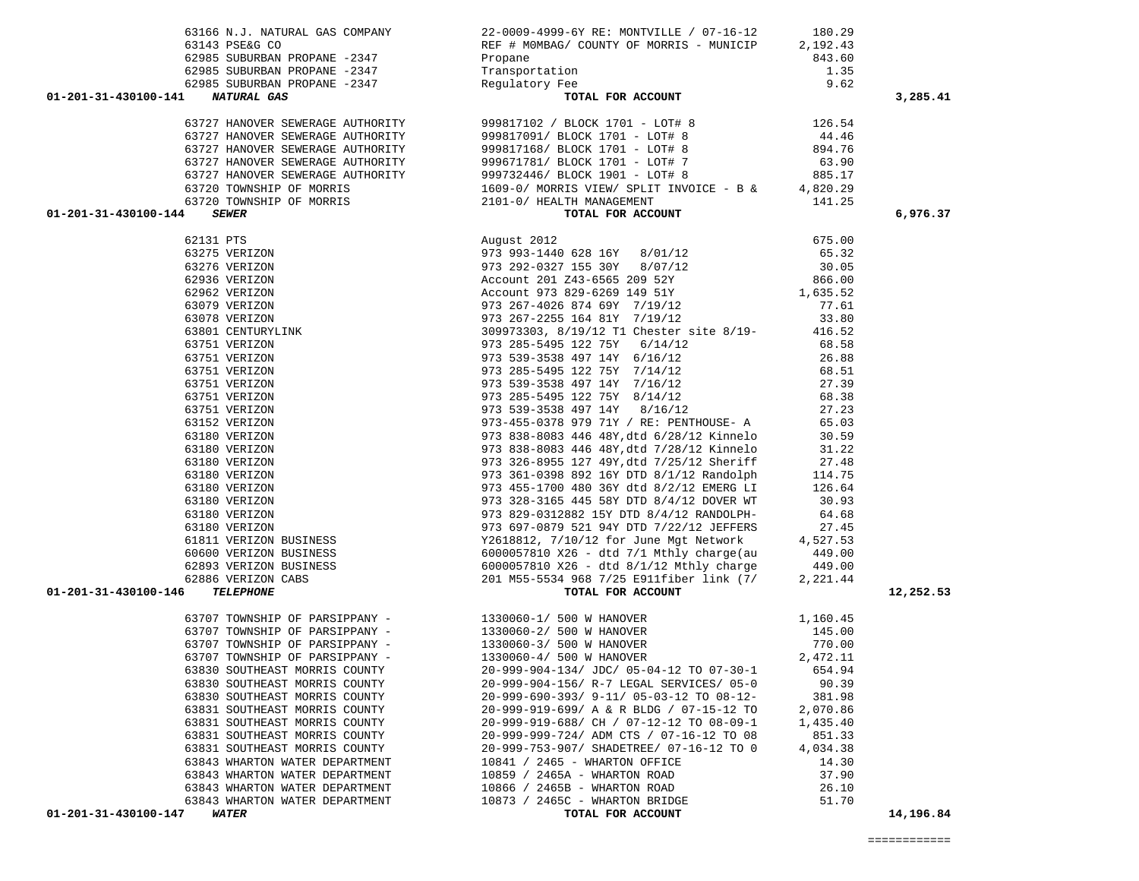|                                | 63143 PSE&G CO                                                                                                                                                        | REF # MOMBAG/ COUNTY OF MORRIS - MUNICIP                                                                                                                                                                                                  | 2,192.43 |           |
|--------------------------------|-----------------------------------------------------------------------------------------------------------------------------------------------------------------------|-------------------------------------------------------------------------------------------------------------------------------------------------------------------------------------------------------------------------------------------|----------|-----------|
|                                |                                                                                                                                                                       |                                                                                                                                                                                                                                           |          |           |
|                                |                                                                                                                                                                       |                                                                                                                                                                                                                                           |          |           |
|                                |                                                                                                                                                                       |                                                                                                                                                                                                                                           |          |           |
|                                | 02985 SUBURBAN PROPANE -2347<br>62985 SUBURBAN PROPANE -2347<br>62985 SUBURBAN PROPANE -2347<br><b>1 NATURAL GAS</b> COPANE -2347<br>01-201-31-430100-141 NATURAL GAS | 843.60<br>ion 1.35<br>Fee 9.62<br>TOTAL FOR ACCOUNT                                                                                                                                                                                       |          | 3,285.41  |
|                                |                                                                                                                                                                       |                                                                                                                                                                                                                                           |          |           |
|                                |                                                                                                                                                                       |                                                                                                                                                                                                                                           |          |           |
|                                |                                                                                                                                                                       |                                                                                                                                                                                                                                           |          |           |
|                                |                                                                                                                                                                       |                                                                                                                                                                                                                                           |          |           |
|                                |                                                                                                                                                                       |                                                                                                                                                                                                                                           |          |           |
|                                |                                                                                                                                                                       |                                                                                                                                                                                                                                           |          |           |
|                                |                                                                                                                                                                       |                                                                                                                                                                                                                                           |          |           |
| 01-201-31-430100-144           |                                                                                                                                                                       |                                                                                                                                                                                                                                           |          | 6,976.37  |
|                                |                                                                                                                                                                       |                                                                                                                                                                                                                                           |          |           |
|                                |                                                                                                                                                                       |                                                                                                                                                                                                                                           |          |           |
|                                |                                                                                                                                                                       |                                                                                                                                                                                                                                           |          |           |
|                                |                                                                                                                                                                       |                                                                                                                                                                                                                                           |          |           |
|                                |                                                                                                                                                                       |                                                                                                                                                                                                                                           |          |           |
|                                |                                                                                                                                                                       |                                                                                                                                                                                                                                           |          |           |
|                                |                                                                                                                                                                       |                                                                                                                                                                                                                                           |          |           |
|                                |                                                                                                                                                                       |                                                                                                                                                                                                                                           |          |           |
|                                |                                                                                                                                                                       |                                                                                                                                                                                                                                           |          |           |
|                                |                                                                                                                                                                       |                                                                                                                                                                                                                                           |          |           |
|                                |                                                                                                                                                                       |                                                                                                                                                                                                                                           |          |           |
|                                |                                                                                                                                                                       |                                                                                                                                                                                                                                           |          |           |
|                                |                                                                                                                                                                       |                                                                                                                                                                                                                                           |          |           |
|                                |                                                                                                                                                                       |                                                                                                                                                                                                                                           |          |           |
|                                |                                                                                                                                                                       |                                                                                                                                                                                                                                           |          |           |
|                                |                                                                                                                                                                       |                                                                                                                                                                                                                                           |          |           |
|                                |                                                                                                                                                                       |                                                                                                                                                                                                                                           |          |           |
|                                |                                                                                                                                                                       |                                                                                                                                                                                                                                           |          |           |
|                                |                                                                                                                                                                       |                                                                                                                                                                                                                                           |          |           |
|                                |                                                                                                                                                                       |                                                                                                                                                                                                                                           |          |           |
|                                |                                                                                                                                                                       |                                                                                                                                                                                                                                           |          |           |
|                                |                                                                                                                                                                       |                                                                                                                                                                                                                                           |          |           |
|                                |                                                                                                                                                                       |                                                                                                                                                                                                                                           |          |           |
|                                |                                                                                                                                                                       |                                                                                                                                                                                                                                           |          |           |
|                                |                                                                                                                                                                       |                                                                                                                                                                                                                                           |          |           |
|                                |                                                                                                                                                                       |                                                                                                                                                                                                                                           |          |           |
|                                |                                                                                                                                                                       |                                                                                                                                                                                                                                           |          |           |
| 01-201-31-430100-146 TELEPHONE |                                                                                                                                                                       |                                                                                                                                                                                                                                           |          | 12,252.53 |
|                                |                                                                                                                                                                       |                                                                                                                                                                                                                                           |          |           |
|                                |                                                                                                                                                                       |                                                                                                                                                                                                                                           |          |           |
|                                |                                                                                                                                                                       | 63707 TOWNSHIP OF PARSIPPANY -<br>63707 TOWNSHIP OF PARSIPPANY -<br>63707 TOWNSHIP OF PARSIPPANY -<br>63707 TOWNSHIP OF PARSIPPANY -<br>63707 TOWNSHIP OF PARSIPPANY -<br>63707 TOWNSHIP OF PARSIPPANY -<br>63830 SOUTHEAST MORRIS COUNTY |          |           |
|                                |                                                                                                                                                                       |                                                                                                                                                                                                                                           |          |           |
|                                |                                                                                                                                                                       |                                                                                                                                                                                                                                           |          |           |
|                                |                                                                                                                                                                       |                                                                                                                                                                                                                                           |          |           |
|                                |                                                                                                                                                                       | 63830 SOUTHEAST MORRIS COUNTY 20-999-904-156/ R-7 LEGAL SERVICES/ 05-0                                                                                                                                                                    | 90.39    |           |
|                                | 63830 SOUTHEAST MORRIS COUNTY                                                                                                                                         | 20-999-690-393/ 9-11/ 05-03-12 TO 08-12-                                                                                                                                                                                                  | 381.98   |           |
|                                | 63831 SOUTHEAST MORRIS COUNTY                                                                                                                                         | 20-999-919-699/ A & R BLDG / 07-15-12 TO                                                                                                                                                                                                  | 2,070.86 |           |
|                                | 63831 SOUTHEAST MORRIS COUNTY                                                                                                                                         | 20-999-919-688/ CH / 07-12-12 TO 08-09-1                                                                                                                                                                                                  | 1,435.40 |           |
|                                | 63831 SOUTHEAST MORRIS COUNTY                                                                                                                                         | 20-999-999-724/ ADM CTS / 07-16-12 TO 08                                                                                                                                                                                                  | 851.33   |           |
|                                | 63831 SOUTHEAST MORRIS COUNTY                                                                                                                                         | 20-999-753-907/ SHADETREE/ 07-16-12 TO 0                                                                                                                                                                                                  | 4,034.38 |           |
|                                | 63843 WHARTON WATER DEPARTMENT                                                                                                                                        | 10841 / 2465 - WHARTON OFFICE                                                                                                                                                                                                             | 14.30    |           |
|                                | 63843 WHARTON WATER DEPARTMENT                                                                                                                                        | 10859 / 2465A - WHARTON ROAD                                                                                                                                                                                                              | 37.90    |           |
|                                | 63843 WHARTON WATER DEPARTMENT                                                                                                                                        | 10866 / 2465B - WHARTON ROAD                                                                                                                                                                                                              | 26.10    |           |
|                                | 63843 WHARTON WATER DEPARTMENT                                                                                                                                        | 10873 / 2465C - WHARTON BRIDGE                                                                                                                                                                                                            | 51.70    |           |

| 63727 HANOVER SEWERAGE AUTHORITY | 126.54<br>999817102 / BLOCK 1701 - LOT# 8                                                                                                                                                                                                  |           |
|----------------------------------|--------------------------------------------------------------------------------------------------------------------------------------------------------------------------------------------------------------------------------------------|-----------|
|                                  |                                                                                                                                                                                                                                            |           |
|                                  |                                                                                                                                                                                                                                            |           |
|                                  |                                                                                                                                                                                                                                            |           |
|                                  |                                                                                                                                                                                                                                            |           |
|                                  |                                                                                                                                                                                                                                            |           |
|                                  |                                                                                                                                                                                                                                            |           |
| 01-201-31-430100-144             |                                                                                                                                                                                                                                            | 6,976.37  |
|                                  | 3727 HANOVER SEWERAGE AUTHORITY<br>63727 HANOVER SEWERAGE AUTHORITY<br>63727 HANOVER SEWERAGE AUTHORITY<br>63727 HANOVER SEWERAGE AUTHORITY<br>63727 HANOVER SEWERAGE AUTHORITY<br>63727 HANOVER SEWERAGE AUTHORITY<br>63721 HANOVER SEWER |           |
|                                  |                                                                                                                                                                                                                                            |           |
|                                  |                                                                                                                                                                                                                                            |           |
|                                  |                                                                                                                                                                                                                                            |           |
|                                  |                                                                                                                                                                                                                                            |           |
|                                  |                                                                                                                                                                                                                                            |           |
|                                  |                                                                                                                                                                                                                                            |           |
|                                  |                                                                                                                                                                                                                                            |           |
|                                  |                                                                                                                                                                                                                                            |           |
|                                  |                                                                                                                                                                                                                                            |           |
|                                  |                                                                                                                                                                                                                                            |           |
|                                  |                                                                                                                                                                                                                                            |           |
|                                  |                                                                                                                                                                                                                                            |           |
|                                  |                                                                                                                                                                                                                                            |           |
|                                  |                                                                                                                                                                                                                                            |           |
|                                  |                                                                                                                                                                                                                                            |           |
|                                  |                                                                                                                                                                                                                                            |           |
|                                  |                                                                                                                                                                                                                                            |           |
|                                  |                                                                                                                                                                                                                                            |           |
|                                  |                                                                                                                                                                                                                                            |           |
|                                  |                                                                                                                                                                                                                                            |           |
|                                  |                                                                                                                                                                                                                                            |           |
|                                  |                                                                                                                                                                                                                                            |           |
|                                  |                                                                                                                                                                                                                                            |           |
|                                  |                                                                                                                                                                                                                                            |           |
|                                  |                                                                                                                                                                                                                                            |           |
|                                  |                                                                                                                                                                                                                                            |           |
|                                  |                                                                                                                                                                                                                                            |           |
|                                  |                                                                                                                                                                                                                                            |           |
| 01-201-31-430100-146             | 14 SEWER TOTAL FOR ACCOUNT TOTAL FOR ACCOUNT 19978 2011 PTS<br>63275 VERTICON 973 993-1440 628 16Y 8/01/12 65.32<br>63275 VERTICON 973 993-1440 628 16Y 8/01/12 65.32<br>62375 VERTICON 87978 293-1540 620 19973 121-5655 209 527 8        | 12,252.53 |
|                                  |                                                                                                                                                                                                                                            |           |
|                                  |                                                                                                                                                                                                                                            |           |
|                                  |                                                                                                                                                                                                                                            |           |
|                                  |                                                                                                                                                                                                                                            |           |
|                                  |                                                                                                                                                                                                                                            |           |
|                                  |                                                                                                                                                                                                                                            |           |
|                                  |                                                                                                                                                                                                                                            |           |
|                                  |                                                                                                                                                                                                                                            |           |
|                                  |                                                                                                                                                                                                                                            |           |
|                                  |                                                                                                                                                                                                                                            |           |
|                                  |                                                                                                                                                                                                                                            |           |
|                                  |                                                                                                                                                                                                                                            |           |
|                                  |                                                                                                                                                                                                                                            |           |
|                                  |                                                                                                                                                                                                                                            |           |
|                                  |                                                                                                                                                                                                                                            |           |
| 01-201-31-430100-147             |                                                                                                                                                                                                                                            | 14,196.84 |
|                                  |                                                                                                                                                                                                                                            |           |

63166 N.J. NATURAL GAS COMPANY 22-0009-4999-6Y RE: MONTVILLE / 07-16-12 180.29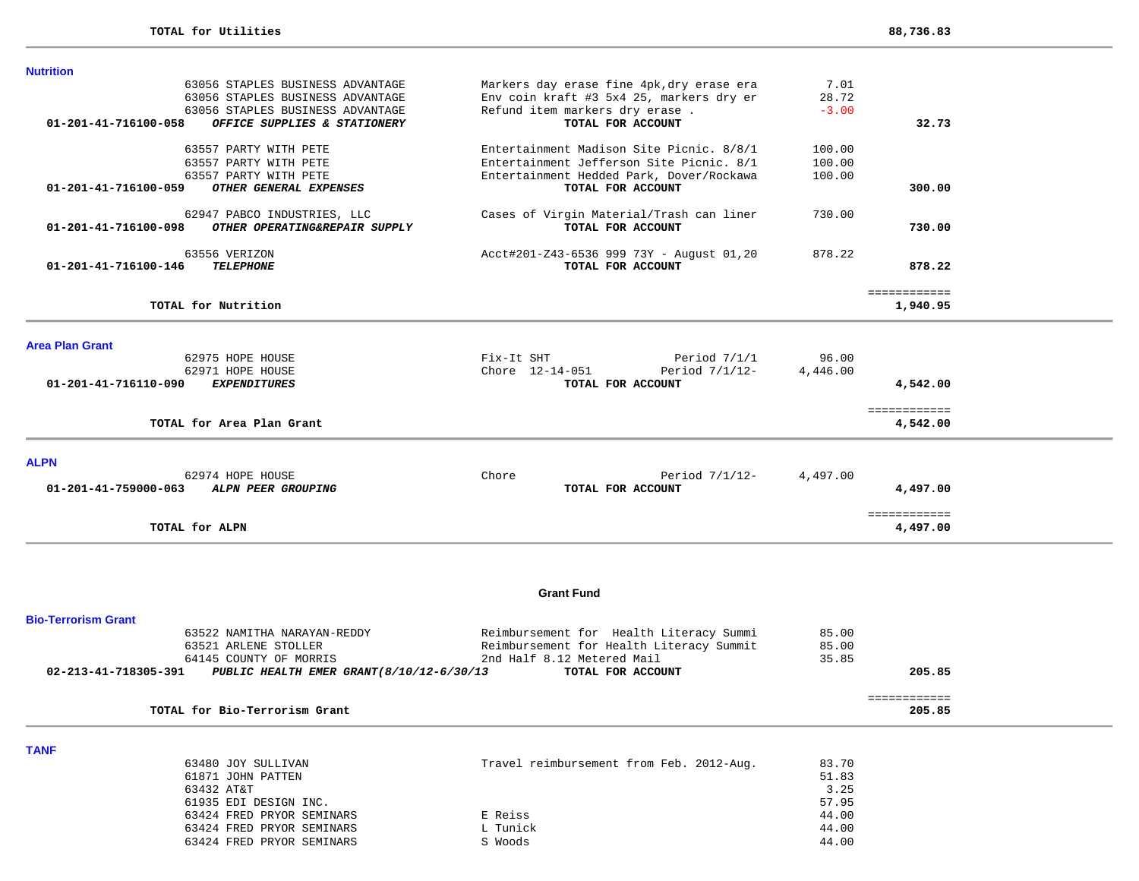| Markers day erase fine 4pk, dry erase era | 7.01                                                                                                                                                                                                                                                     |                                      |                                                                             |
|-------------------------------------------|----------------------------------------------------------------------------------------------------------------------------------------------------------------------------------------------------------------------------------------------------------|--------------------------------------|-----------------------------------------------------------------------------|
|                                           |                                                                                                                                                                                                                                                          |                                      |                                                                             |
|                                           |                                                                                                                                                                                                                                                          |                                      |                                                                             |
|                                           |                                                                                                                                                                                                                                                          |                                      |                                                                             |
| Entertainment Madison Site Picnic. 8/8/1  | 100.00                                                                                                                                                                                                                                                   |                                      |                                                                             |
|                                           |                                                                                                                                                                                                                                                          |                                      |                                                                             |
|                                           |                                                                                                                                                                                                                                                          |                                      |                                                                             |
|                                           |                                                                                                                                                                                                                                                          |                                      |                                                                             |
| Cases of Virgin Material/Trash can liner  | 730.00                                                                                                                                                                                                                                                   |                                      |                                                                             |
| TOTAL FOR ACCOUNT                         |                                                                                                                                                                                                                                                          | 730.00                               |                                                                             |
|                                           | 878.22                                                                                                                                                                                                                                                   |                                      |                                                                             |
| TOTAL FOR ACCOUNT                         |                                                                                                                                                                                                                                                          | 878.22                               |                                                                             |
|                                           |                                                                                                                                                                                                                                                          |                                      |                                                                             |
|                                           |                                                                                                                                                                                                                                                          | 1,940.95                             |                                                                             |
|                                           |                                                                                                                                                                                                                                                          |                                      |                                                                             |
| Fix-It SHT<br>Period 7/1/1                | 96.00                                                                                                                                                                                                                                                    |                                      |                                                                             |
| Chore 12-14-051<br>Period 7/1/12-         | 4,446.00                                                                                                                                                                                                                                                 |                                      |                                                                             |
| TOTAL FOR ACCOUNT                         |                                                                                                                                                                                                                                                          | 4,542.00                             |                                                                             |
|                                           |                                                                                                                                                                                                                                                          |                                      |                                                                             |
|                                           |                                                                                                                                                                                                                                                          |                                      |                                                                             |
|                                           |                                                                                                                                                                                                                                                          |                                      |                                                                             |
| Chore<br>Period $7/1/12$ -                | 4,497.00                                                                                                                                                                                                                                                 |                                      |                                                                             |
| TOTAL FOR ACCOUNT                         |                                                                                                                                                                                                                                                          | 4,497.00                             |                                                                             |
|                                           |                                                                                                                                                                                                                                                          | 4,497.00                             |                                                                             |
|                                           | Env coin kraft #3 5x4 25, markers dry er<br>Refund item markers dry erase.<br>TOTAL FOR ACCOUNT<br>Entertainment Jefferson Site Picnic. 8/1<br>Entertainment Hedded Park, Dover/Rockawa<br>TOTAL FOR ACCOUNT<br>Acct#201-Z43-6536 999 73Y - August 01,20 | 28.72<br>$-3.00$<br>100.00<br>100.00 | 32.73<br>300.00<br>============<br>============<br>4,542.00<br>============ |

#### **Grant Fund**

| <b>Bio-Terrorism Grant</b>                                       |                                          |       |        |
|------------------------------------------------------------------|------------------------------------------|-------|--------|
| 63522 NAMITHA NARAYAN-REDDY                                      | Reimbursement for Health Literacy Summi  | 85.00 |        |
| 63521 ARLENE STOLLER                                             | Reimbursement for Health Literacy Summit | 85.00 |        |
| 64145 COUNTY OF MORRIS                                           | 2nd Half 8.12 Metered Mail               | 35.85 |        |
| 02-213-41-718305-391<br>PUBLIC HEALTH EMER GRANT(8/10/12-6/30/13 | TOTAL FOR ACCOUNT                        |       | 205.85 |
|                                                                  |                                          |       |        |
|                                                                  |                                          |       |        |
| TOTAL for Bio-Terrorism Grant                                    |                                          |       | 205.85 |

**TANF** 

| 63480 JOY SULLIVAN        | Travel reimbursement from Feb. 2012-Aug. | 83.70 |
|---------------------------|------------------------------------------|-------|
| 61871 JOHN PATTEN         |                                          | 51.83 |
| 63432 AT&T                |                                          | 3.25  |
| 61935 EDI DESIGN INC.     |                                          | 57.95 |
| 63424 FRED PRYOR SEMINARS | E Reiss                                  | 44.00 |
| 63424 FRED PRYOR SEMINARS | L Tunick                                 | 44.00 |
| 63424 FRED PRYOR SEMINARS | S Woods                                  | 44.00 |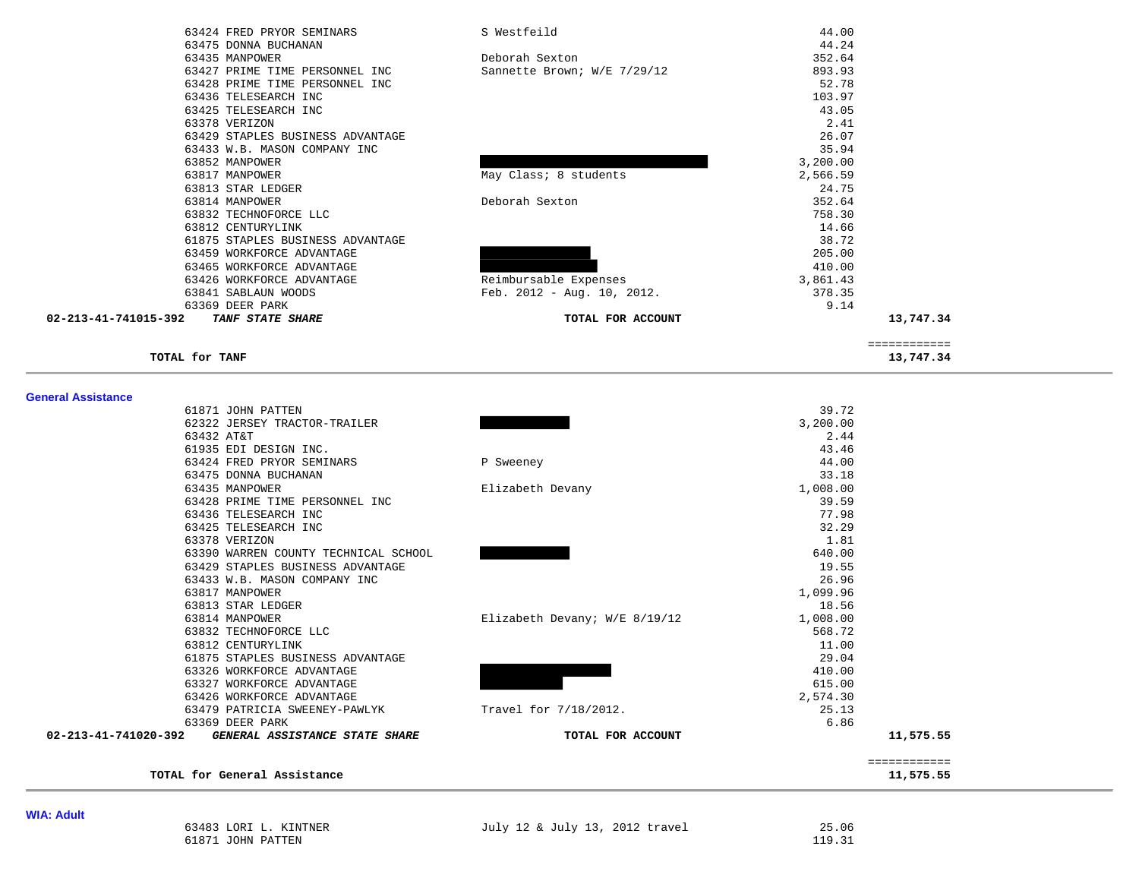| 63424 FRED PRYOR SEMINARS                       | S Westfeild                  | 44.00    |              |
|-------------------------------------------------|------------------------------|----------|--------------|
| 63475 DONNA BUCHANAN                            |                              | 44.24    |              |
| 63435 MANPOWER                                  | Deborah Sexton               | 352.64   |              |
| 63427 PRIME TIME PERSONNEL INC                  | Sannette Brown; W/E 7/29/12  | 893.93   |              |
| 63428 PRIME TIME PERSONNEL INC                  |                              | 52.78    |              |
| 63436 TELESEARCH INC                            |                              | 103.97   |              |
| 63425 TELESEARCH INC                            |                              | 43.05    |              |
| 63378 VERIZON                                   |                              | 2.41     |              |
| 63429 STAPLES BUSINESS ADVANTAGE                |                              | 26.07    |              |
| 63433 W.B. MASON COMPANY INC                    |                              | 35.94    |              |
| 63852 MANPOWER                                  |                              | 3,200.00 |              |
| 63817 MANPOWER                                  | May Class; 8 students        | 2,566.59 |              |
| 63813 STAR LEDGER                               |                              | 24.75    |              |
| 63814 MANPOWER                                  | Deborah Sexton               | 352.64   |              |
| 63832 TECHNOFORCE LLC                           |                              | 758.30   |              |
| 63812 CENTURYLINK                               |                              | 14.66    |              |
| 61875 STAPLES BUSINESS ADVANTAGE                |                              | 38.72    |              |
| 63459 WORKFORCE ADVANTAGE                       |                              | 205.00   |              |
| 63465 WORKFORCE ADVANTAGE                       |                              | 410.00   |              |
| 63426 WORKFORCE ADVANTAGE                       | Reimbursable Expenses        | 3,861.43 |              |
| 63841 SABLAUN WOODS                             | Feb. $2012 - Aug. 10, 2012.$ | 378.35   |              |
| 63369 DEER PARK                                 |                              | 9.14     |              |
| 02-213-41-741015-392<br><b>TANF STATE SHARE</b> | TOTAL FOR ACCOUNT            |          | 13,747.34    |
|                                                 |                              |          | ============ |
| TOTAL for TANF                                  |                              |          | 13,747.34    |

| 61871 JOHN PATTEN                                      |                               | 39.72        |
|--------------------------------------------------------|-------------------------------|--------------|
| 62322 JERSEY TRACTOR-TRAILER                           |                               | 3,200.00     |
| 63432 AT&T                                             |                               | 2.44         |
| 61935 EDI DESIGN INC.                                  |                               | 43.46        |
| 63424 FRED PRYOR SEMINARS                              | P Sweeney                     | 44.00        |
| 63475 DONNA BUCHANAN                                   |                               | 33.18        |
| 63435 MANPOWER                                         | Elizabeth Devany              | 1,008.00     |
| 63428 PRIME TIME PERSONNEL INC                         |                               | 39.59        |
| 63436 TELESEARCH INC                                   |                               | 77.98        |
| 63425 TELESEARCH INC                                   |                               | 32.29        |
| 63378 VERIZON                                          |                               | 1.81         |
| 63390 WARREN COUNTY TECHNICAL SCHOOL                   |                               | 640.00       |
| 63429 STAPLES BUSINESS ADVANTAGE                       |                               | 19.55        |
| 63433 W.B. MASON COMPANY INC                           |                               | 26.96        |
| 63817 MANPOWER                                         |                               | 1,099.96     |
| 63813 STAR LEDGER                                      |                               | 18.56        |
| 63814 MANPOWER                                         | Elizabeth Devany; W/E 8/19/12 | 1,008.00     |
| 63832 TECHNOFORCE LLC                                  |                               | 568.72       |
| 63812 CENTURYLINK                                      |                               | 11.00        |
| 61875 STAPLES BUSINESS ADVANTAGE                       |                               | 29.04        |
| 63326 WORKFORCE ADVANTAGE                              |                               | 410.00       |
| 63327 WORKFORCE ADVANTAGE                              |                               | 615.00       |
| 63426 WORKFORCE ADVANTAGE                              |                               | 2,574.30     |
| 63479 PATRICIA SWEENEY-PAWLYK                          | Travel for 7/18/2012.         | 25.13        |
| 63369 DEER PARK                                        |                               | 6.86         |
| 02-213-41-741020-392<br>GENERAL ASSISTANCE STATE SHARE | TOTAL FOR ACCOUNT             | 11,575.55    |
|                                                        |                               | ============ |
| TOTAL for General Assistance                           |                               | 11,575.55    |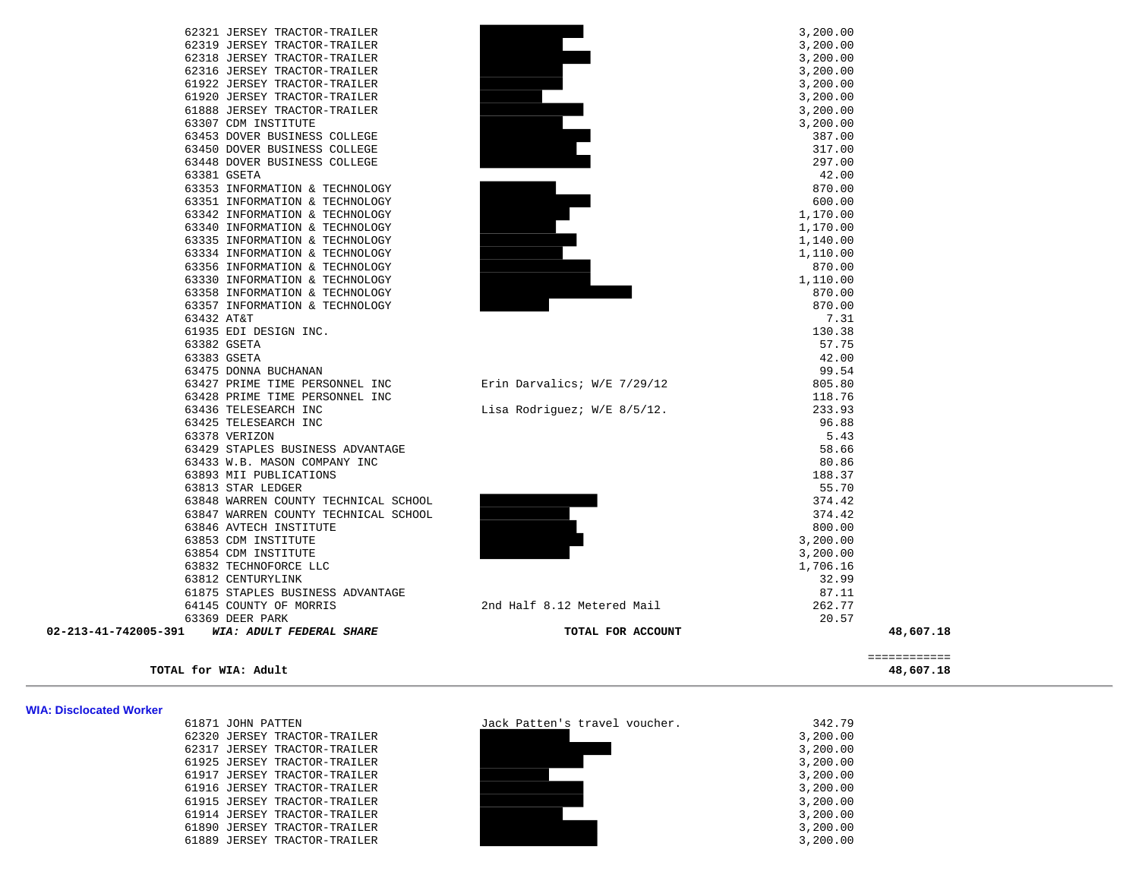|                      |                                                                  |                             |                      | ============ |
|----------------------|------------------------------------------------------------------|-----------------------------|----------------------|--------------|
| 02-213-41-742005-391 | WIA: ADULT FEDERAL SHARE                                         | TOTAL FOR ACCOUNT           |                      | 48,607.18    |
|                      | 63369 DEER PARK                                                  |                             | 20.57                |              |
|                      | 64145 COUNTY OF MORRIS                                           | 2nd Half 8.12 Metered Mail  | 262.77               |              |
|                      | 61875 STAPLES BUSINESS ADVANTAGE                                 |                             | 87.11                |              |
|                      | 63812 CENTURYLINK                                                |                             | 32.99                |              |
|                      | 63832 TECHNOFORCE LLC                                            |                             | 1,706.16             |              |
|                      | 63854 CDM INSTITUTE                                              |                             | 3,200.00             |              |
|                      | 63853 CDM INSTITUTE                                              |                             | 3,200.00             |              |
|                      | 63846 AVTECH INSTITUTE                                           |                             | 800.00               |              |
|                      | 63847 WARREN COUNTY TECHNICAL SCHOOL                             |                             | 374.42               |              |
|                      | 63848 WARREN COUNTY TECHNICAL SCHOOL                             |                             | 374.42               |              |
|                      | 63813 STAR LEDGER                                                |                             | 55.70                |              |
|                      | 63893 MII PUBLICATIONS                                           |                             | 188.37               |              |
|                      | 63433 W.B. MASON COMPANY INC                                     |                             | 80.86                |              |
|                      | 63429 STAPLES BUSINESS ADVANTAGE                                 |                             | 58.66                |              |
|                      | 63378 VERIZON                                                    |                             | 5.43                 |              |
|                      | 63425 TELESEARCH INC                                             |                             | 96.88                |              |
|                      | 63436 TELESEARCH INC                                             | Lisa Rodriguez; W/E 8/5/12. | 233.93               |              |
|                      | 63428 PRIME TIME PERSONNEL INC                                   |                             | 118.76               |              |
|                      | 63427 PRIME TIME PERSONNEL INC                                   | Erin Darvalics; W/E 7/29/12 | 805.80               |              |
|                      | 63475 DONNA BUCHANAN                                             |                             | 99.54                |              |
|                      | 63383 GSETA                                                      |                             | 42.00                |              |
|                      | 63382 GSETA                                                      |                             | 57.75                |              |
|                      | 61935 EDI DESIGN INC.                                            |                             | 130.38               |              |
|                      | 63357 INFORMATION & TECHNOLOGY<br>63432 AT&T                     |                             | 870.00<br>7.31       |              |
|                      |                                                                  |                             | 870.00               |              |
|                      | 63358 INFORMATION & TECHNOLOGY                                   |                             |                      |              |
|                      | 63330 INFORMATION & TECHNOLOGY                                   |                             | 870.00<br>1,110.00   |              |
|                      | 63356 INFORMATION & TECHNOLOGY                                   |                             | 1,110.00             |              |
|                      | 63335 INFORMATION & TECHNOLOGY<br>63334 INFORMATION & TECHNOLOGY |                             | 1,140.00             |              |
|                      | 63340 INFORMATION & TECHNOLOGY                                   |                             | 1,170.00             |              |
|                      |                                                                  |                             | 1,170.00             |              |
|                      | 63351 INFORMATION & TECHNOLOGY<br>63342 INFORMATION & TECHNOLOGY |                             | 600.00               |              |
|                      | 63353 INFORMATION & TECHNOLOGY                                   |                             | 870.00               |              |
|                      | 63381 GSETA                                                      |                             | 42.00                |              |
|                      | 63448 DOVER BUSINESS COLLEGE                                     |                             | 297.00               |              |
|                      | 63450 DOVER BUSINESS COLLEGE                                     |                             | 317.00               |              |
|                      | 63453 DOVER BUSINESS COLLEGE                                     |                             | 387.00               |              |
|                      |                                                                  |                             | 3,200.00             |              |
|                      | 63307 CDM INSTITUTE                                              |                             | 3,200.00             |              |
|                      | 61888 JERSEY TRACTOR-TRAILER                                     |                             |                      |              |
|                      | 61920 JERSEY TRACTOR-TRAILER                                     |                             | 3,200.00             |              |
|                      | 61922 JERSEY TRACTOR-TRAILER                                     |                             | 3,200.00             |              |
|                      | 62318 JERSEY TRACTOR-TRAILER<br>62316 JERSEY TRACTOR-TRAILER     |                             | 3,200.00<br>3,200.00 |              |
|                      | 62319 JERSEY TRACTOR-TRAILER                                     |                             | 3,200.00             |              |
|                      |                                                                  |                             |                      |              |

| TOTAL for WIA:<br>Adult | 48,607.18 |  |  |  |  |  |
|-------------------------|-----------|--|--|--|--|--|
|-------------------------|-----------|--|--|--|--|--|

### **WIA: Disclocated Worker**

| 61871 JOHN PATTEN |                              |
|-------------------|------------------------------|
|                   | 62320 JERSEY TRACTOR-TRAILER |
|                   | 62317 JERSEY TRACTOR-TRAILER |
|                   | 61925 JERSEY TRACTOR-TRAILER |
|                   | 61917 JERSEY TRACTOR-TRAILER |
|                   | 61916 JERSEY TRACTOR-TRAILER |
|                   | 61915 JERSEY TRACTOR-TRAILER |
|                   | 61914 JERSEY TRACTOR-TRAILER |
|                   | 51890 JERSEY TRACTOR-TRAILER |
|                   | 51889 JERSEY TRACTOR-TRAILER |
|                   |                              |



48,607.18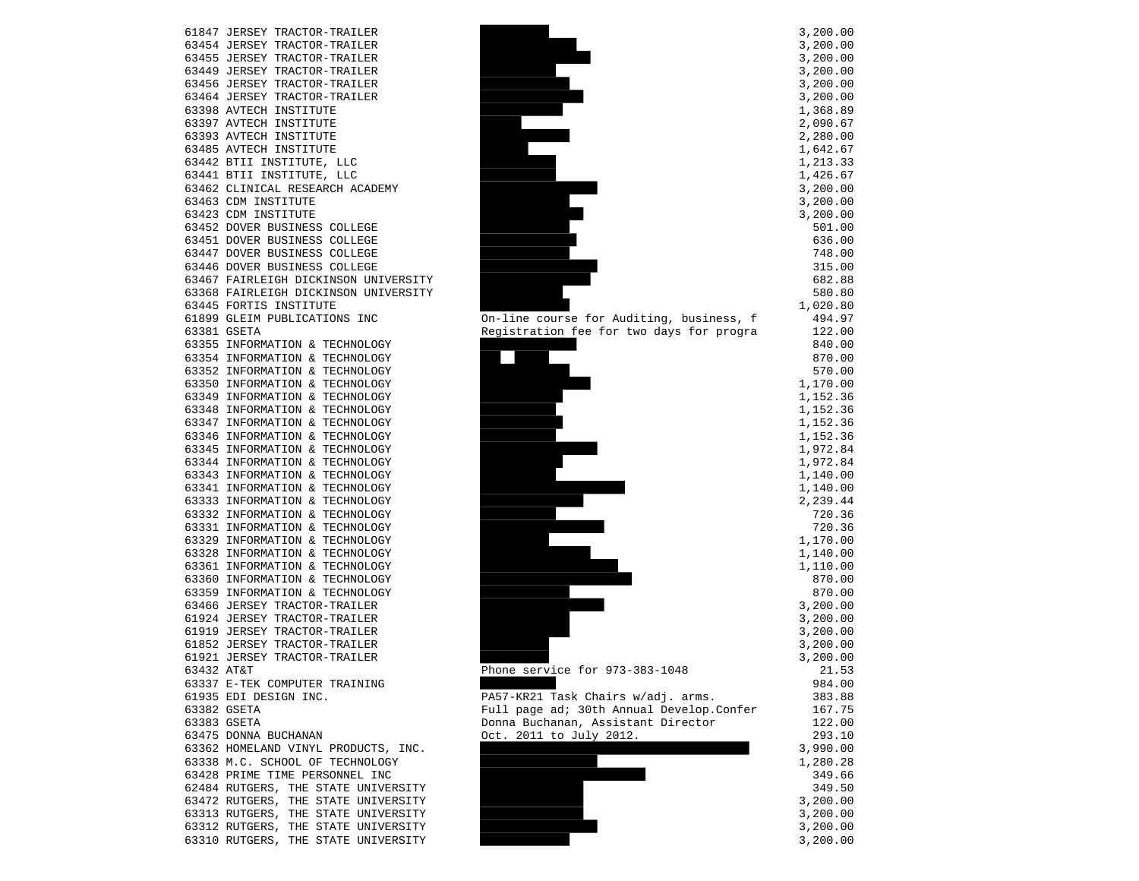61847 JERSEY TRACTOR-TRAILER 63454 JERSEY TRACTOR-TRAILER 63455 JERSEY TRACTOR-TRAILER 63449 JERSEY TRACTOR-TRAILER 63456 JERSEY TRACTOR-TRAILER 63464 JERSEY TRACTOR-TRAILER 63398 AVTECH INSTITUTE 63397 AVTECH INSTITUTE 63393 AVTECH INSTITUTE 63485 AVTECH INSTITUTE 63442 BTII INSTITUTE, LLC 63441 BTII INSTITUTE, LLC 63462 CLINICAL RESEARCH ACADEMY 63463 CDM INSTITUTE 63423 CDM INSTITUTE 63452 DOVER BUSINESS COLLEGE 63451 DOVER BUSINESS COLLEGE 63447 DOVER BUSINESS COLLEGE 63446 DOVER BUSINESS COLLEGE 63467 FAIRLEIGH DICKINSON UNIVERSITY 63368 FAIRLEIGH DICKINSON UNIVERSITY 63445 FORTIS INSTITUTE 63355 INFORMATION & TECHNOLOGY 63354 INFORMATION & TECHNOLOGY 63352 INFORMATION & TECHNOLOGY 63350 INFORMATION & TECHNOLOGY 63349 INFORMATION & TECHNOLOGY 63348 INFORMATION & TECHNOLOGY 63347 INFORMATION & TECHNOLOGY 63346 INFORMATION & TECHNOLOGY 63345 INFORMATION & TECHNOLOGY 63344 INFORMATION & TECHNOLOGY 63343 INFORMATION & TECHNOLOGY 63341 INFORMATION & TECHNOLOGY 63333 INFORMATION & TECHNOLOGY 63332 INFORMATION & TECHNOLOGY 63331 INFORMATION & TECHNOLOGY 63329 INFORMATION & TECHNOLOGY 63328 INFORMATION & TECHNOLOGY 63361 INFORMATION & TECHNOLOGY 63360 INFORMATION & TECHNOLOGY 63359 INFORMATION & TECHNOLOGY 63466 JERSEY TRACTOR-TRAILER 61924 JERSEY TRACTOR-TRAILER 61919 JERSEY TRACTOR-TRAILER 61852 JERSEY TRACTOR-TRAILER 61921 JERSEY TRACTOR-TRAILER 63432 AT&T Phone service for 973-383-1048 63337 E-TEK COMPUTER TRAINING 61935 EDI DESIGN INC. PA57-KR21 Task Chairs w/adj. arms. 383.88 63383 GSETA Donna Buchanan, Assistant Director 122.00 63475 DONNA BUCHANAN Oct. 2011 to July 2012. 293.10 63362 HOMELAND VINYL PRODUCTS, INC. 63338 M.C. SCHOOL OF TECHNOLOGY 63428 PRIME TIME PERSONNEL INC 62484 RUTGERS, THE STATE UNIVERSITY 63310 RUTGERS, THE STATE UNIVERSITY **3,200.00** 3,200.00



| $\mathbf{r}$                                                                    | 200.00<br>200.00                     |  |
|---------------------------------------------------------------------------------|--------------------------------------|--|
| ,<br>$\overline{1}$                                                             | 200.00<br>200.00                     |  |
| 33312<br>$\overline{\phantom{a}}$<br>$\overline{1}$                             | 200.00                               |  |
| $\overline{\phantom{a}}$<br>$\overline{ }$                                      | 200.00<br>368.89                     |  |
| $\overline{\phantom{a}}$<br>$\overline{\mathbf{c}}$<br>$\overline{\phantom{a}}$ | 090.67<br>280.00                     |  |
| $\mathbf{1}$<br>$\overline{1}$<br>$\frac{1}{1}$<br>$\overline{1}$               | 642.67<br>213.<br>33                 |  |
| $\overline{ }$<br>$\overline{ }$                                                | 426.67<br>200.<br>0 <sub>0</sub>     |  |
| $\begin{array}{c} 3 \\ 3 \end{array}$<br>$\overline{ }$                         | 200.00<br>200<br>.00                 |  |
|                                                                                 | 501.00<br>636.00                     |  |
|                                                                                 | 748.00<br>15.00<br>3                 |  |
|                                                                                 | 682.88<br>580.80                     |  |
| 1                                                                               | 020.80<br>494.97                     |  |
|                                                                                 | 122.00<br>840.00                     |  |
|                                                                                 | 870.00<br>570.00                     |  |
| 1<br>$\mathbf{1}$<br>$\overline{\phantom{a}}$                                   | 170.00<br>152.36                     |  |
| $\frac{1}{1}$<br>$\overline{ }$<br>$\overline{ }$                               | 152.<br>152.<br>36<br>36             |  |
| 1<br>1<br>$\overline{ }$<br>$\overline{ }$                                      | 152.<br>36<br>972.84                 |  |
| $\begin{array}{c} 1 \\ 1 \\ 1 \end{array}$<br>$\overline{1}$<br>$\overline{ }$  | 972.84<br>140.00                     |  |
| $\overline{ }$<br>2<br>$\overline{1}$                                           | 140.00<br>239.<br>44                 |  |
|                                                                                 | 720.<br>36<br>$20$ .<br>36<br>7      |  |
| $\mathbf{1}$<br>$\mathbf 1$<br>$\overline{1}$                                   | 170.00<br>140.00                     |  |
| $\mathbf{1}$<br>í                                                               | 110.00<br>870.00                     |  |
|                                                                                 | 870.00<br>200.00                     |  |
| 3<br>3<br>3<br>3<br>,<br>$\overline{1}$                                         | 200.00<br>200.00                     |  |
| $\overline{ }$<br>$\overline{ }$                                                | 200.00<br>200.00                     |  |
|                                                                                 | 21<br>53<br>دد.⊥∠<br>984.00          |  |
|                                                                                 | 383.<br>88<br>167<br>75              |  |
|                                                                                 | 122.<br>0 <sub>0</sub><br>293<br>10  |  |
| 3<br>1                                                                          | 990.<br>0 <sub>0</sub><br>280.<br>28 |  |
|                                                                                 | 349.66<br>349.<br>50                 |  |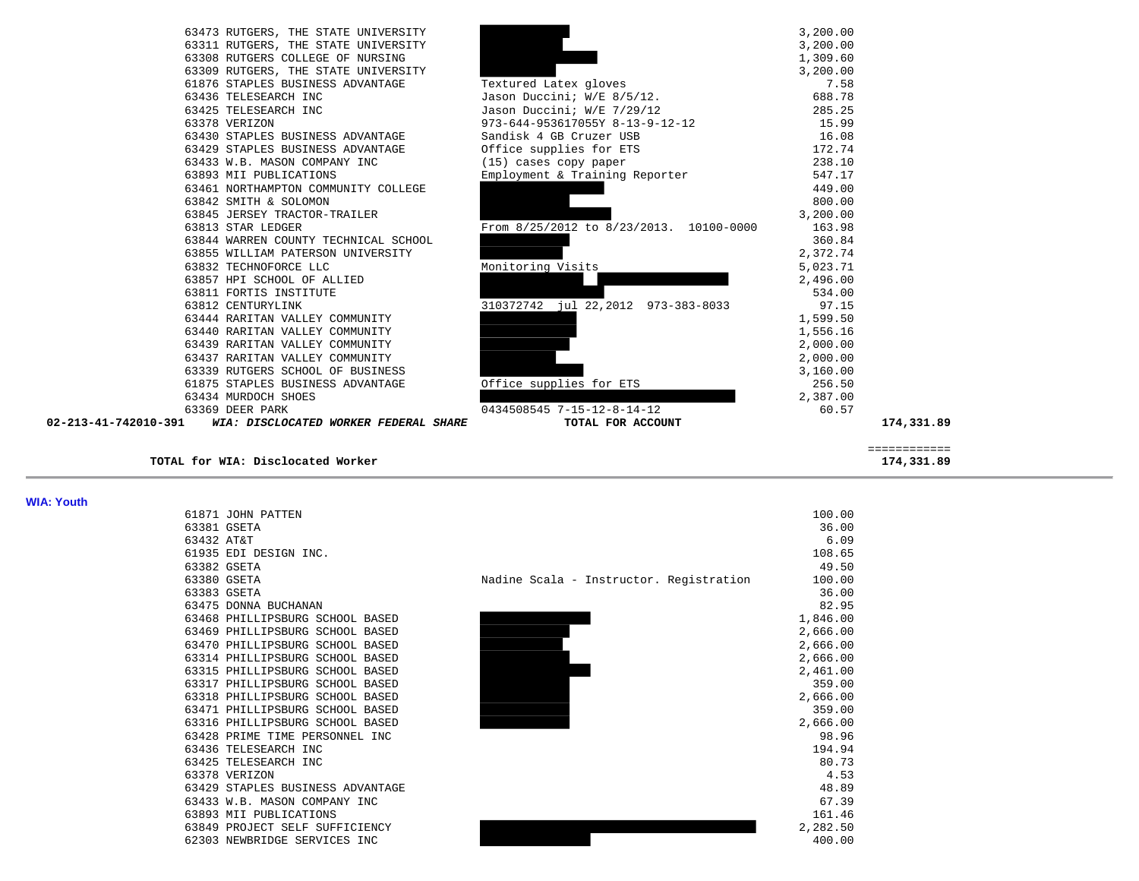| TOTAL for WIA: Disclocated Worker    |                                                                                                                                                                                                                                                                                                                                                                                                                                                                                                                                                |                                                                                                                                                                                                                                                                                          | 174,331.89                                                                                                                                    |
|--------------------------------------|------------------------------------------------------------------------------------------------------------------------------------------------------------------------------------------------------------------------------------------------------------------------------------------------------------------------------------------------------------------------------------------------------------------------------------------------------------------------------------------------------------------------------------------------|------------------------------------------------------------------------------------------------------------------------------------------------------------------------------------------------------------------------------------------------------------------------------------------|-----------------------------------------------------------------------------------------------------------------------------------------------|
|                                      |                                                                                                                                                                                                                                                                                                                                                                                                                                                                                                                                                |                                                                                                                                                                                                                                                                                          | 174,331.89<br>============                                                                                                                    |
|                                      |                                                                                                                                                                                                                                                                                                                                                                                                                                                                                                                                                |                                                                                                                                                                                                                                                                                          |                                                                                                                                               |
|                                      |                                                                                                                                                                                                                                                                                                                                                                                                                                                                                                                                                |                                                                                                                                                                                                                                                                                          |                                                                                                                                               |
| 61875 STAPLES BUSINESS ADVANTAGE     | Office supplies for ETS                                                                                                                                                                                                                                                                                                                                                                                                                                                                                                                        | 256.50                                                                                                                                                                                                                                                                                   |                                                                                                                                               |
| 63339 RUTGERS SCHOOL OF BUSINESS     |                                                                                                                                                                                                                                                                                                                                                                                                                                                                                                                                                | 3,160.00                                                                                                                                                                                                                                                                                 |                                                                                                                                               |
| 63437 RARITAN VALLEY COMMUNITY       |                                                                                                                                                                                                                                                                                                                                                                                                                                                                                                                                                | 2,000.00                                                                                                                                                                                                                                                                                 |                                                                                                                                               |
| 63439 RARITAN VALLEY COMMUNITY       |                                                                                                                                                                                                                                                                                                                                                                                                                                                                                                                                                | 2,000.00                                                                                                                                                                                                                                                                                 |                                                                                                                                               |
| 63440 RARITAN VALLEY COMMUNITY       |                                                                                                                                                                                                                                                                                                                                                                                                                                                                                                                                                | 1,556.16                                                                                                                                                                                                                                                                                 |                                                                                                                                               |
| 63444 RARITAN VALLEY COMMUNITY       |                                                                                                                                                                                                                                                                                                                                                                                                                                                                                                                                                | 1,599.50                                                                                                                                                                                                                                                                                 |                                                                                                                                               |
| 63812 CENTURYLINK                    | 310372742 jul 22,2012 973-383-8033                                                                                                                                                                                                                                                                                                                                                                                                                                                                                                             | 97.15                                                                                                                                                                                                                                                                                    |                                                                                                                                               |
| 63811 FORTIS INSTITUTE               |                                                                                                                                                                                                                                                                                                                                                                                                                                                                                                                                                | 534.00                                                                                                                                                                                                                                                                                   |                                                                                                                                               |
| 63857 HPI SCHOOL OF ALLIED           |                                                                                                                                                                                                                                                                                                                                                                                                                                                                                                                                                | 2,496.00                                                                                                                                                                                                                                                                                 |                                                                                                                                               |
| 63832 TECHNOFORCE LLC                | Monitoring Visits                                                                                                                                                                                                                                                                                                                                                                                                                                                                                                                              | 5,023.71                                                                                                                                                                                                                                                                                 |                                                                                                                                               |
| 63855 WILLIAM PATERSON UNIVERSITY    |                                                                                                                                                                                                                                                                                                                                                                                                                                                                                                                                                | 2,372.74                                                                                                                                                                                                                                                                                 |                                                                                                                                               |
| 63844 WARREN COUNTY TECHNICAL SCHOOL |                                                                                                                                                                                                                                                                                                                                                                                                                                                                                                                                                | 360.84                                                                                                                                                                                                                                                                                   |                                                                                                                                               |
| 63813 STAR LEDGER                    | From 8/25/2012 to 8/23/2013. 10100-0000                                                                                                                                                                                                                                                                                                                                                                                                                                                                                                        | 163.98                                                                                                                                                                                                                                                                                   |                                                                                                                                               |
| 63845 JERSEY TRACTOR-TRAILER         |                                                                                                                                                                                                                                                                                                                                                                                                                                                                                                                                                | 3,200.00                                                                                                                                                                                                                                                                                 |                                                                                                                                               |
| 63842 SMITH & SOLOMON                |                                                                                                                                                                                                                                                                                                                                                                                                                                                                                                                                                | 800.00                                                                                                                                                                                                                                                                                   |                                                                                                                                               |
|                                      |                                                                                                                                                                                                                                                                                                                                                                                                                                                                                                                                                | 449.00                                                                                                                                                                                                                                                                                   |                                                                                                                                               |
|                                      |                                                                                                                                                                                                                                                                                                                                                                                                                                                                                                                                                |                                                                                                                                                                                                                                                                                          |                                                                                                                                               |
|                                      |                                                                                                                                                                                                                                                                                                                                                                                                                                                                                                                                                |                                                                                                                                                                                                                                                                                          |                                                                                                                                               |
|                                      |                                                                                                                                                                                                                                                                                                                                                                                                                                                                                                                                                |                                                                                                                                                                                                                                                                                          |                                                                                                                                               |
|                                      |                                                                                                                                                                                                                                                                                                                                                                                                                                                                                                                                                |                                                                                                                                                                                                                                                                                          |                                                                                                                                               |
|                                      |                                                                                                                                                                                                                                                                                                                                                                                                                                                                                                                                                |                                                                                                                                                                                                                                                                                          |                                                                                                                                               |
|                                      |                                                                                                                                                                                                                                                                                                                                                                                                                                                                                                                                                |                                                                                                                                                                                                                                                                                          |                                                                                                                                               |
|                                      |                                                                                                                                                                                                                                                                                                                                                                                                                                                                                                                                                |                                                                                                                                                                                                                                                                                          |                                                                                                                                               |
|                                      |                                                                                                                                                                                                                                                                                                                                                                                                                                                                                                                                                |                                                                                                                                                                                                                                                                                          |                                                                                                                                               |
|                                      |                                                                                                                                                                                                                                                                                                                                                                                                                                                                                                                                                |                                                                                                                                                                                                                                                                                          |                                                                                                                                               |
|                                      |                                                                                                                                                                                                                                                                                                                                                                                                                                                                                                                                                |                                                                                                                                                                                                                                                                                          |                                                                                                                                               |
|                                      |                                                                                                                                                                                                                                                                                                                                                                                                                                                                                                                                                |                                                                                                                                                                                                                                                                                          |                                                                                                                                               |
|                                      | 63473 RUTGERS, THE STATE UNIVERSITY<br>63311 RUTGERS, THE STATE UNIVERSITY<br>63308 RUTGERS COLLEGE OF NURSING<br>63309 RUTGERS, THE STATE UNIVERSITY<br>61876 STAPLES BUSINESS ADVANTAGE<br>63436 TELESEARCH INC<br>63425 TELESEARCH INC<br>63378 VERIZON<br>63430 STAPLES BUSINESS ADVANTAGE<br>63429 STAPLES BUSINESS ADVANTAGE<br>63433 W.B. MASON COMPANY INC<br>63893 MII PUBLICATIONS<br>63461 NORTHAMPTON COMMUNITY COLLEGE<br>63434 MURDOCH SHOES<br>63369 DEER PARK<br>02-213-41-742010-391<br>WIA: DISCLOCATED WORKER FEDERAL SHARE | Textured Latex gloves<br>Jason Duccini; W/E 8/5/12.<br>Jason Duccini; W/E 7/29/12<br>973-644-953617055Y 8-13-9-12-12<br>Sandisk 4 GB Cruzer USB<br>Office supplies for ETS<br>(15) cases copy paper<br>Employment & Training Reporter<br>0434508545 7-15-12-8-14-12<br>TOTAL FOR ACCOUNT | 3,200.00<br>3,200.00<br>1,309.60<br>3,200.00<br>7.58<br>688.78<br>285.25<br>15.99<br>16.08<br>172.74<br>238.10<br>547.17<br>2,387.00<br>60.57 |

### **WIA: Youth**

|       | 61871 JOHN PATTEN                   |
|-------|-------------------------------------|
| 63381 | GSETA                               |
| 63432 | AT&T                                |
| 61935 | EDI DESIGN INC.                     |
| 63382 | GSETA                               |
| 63380 | GSETA                               |
| 63383 | GSETA                               |
| 63475 | DONNA BUCHANAN                      |
| 63468 | PHILLIPSBURG SCHOOL BASED           |
| 63469 | PHILLIPSBURG SCHOOL BASED           |
| 63470 | PHILLIPSBURG SCHOOL BASED           |
| 63314 | PHILLIPSBURG SCHOOL BASED           |
| 63315 | PHILLIPSBURG SCHOOL BASED           |
| 63317 | PHILLIPSBURG SCHOOL BASED           |
| 63318 | PHILLIPSBURG SCHOOL BASED           |
| 63471 | PHILLIPSBURG SCHOOL<br><b>BASED</b> |
| 63316 | PHILLIPSBURG SCHOOL BASED           |
| 63428 | PRIME TIME PERSONNEL INC            |
| 63436 | TELESEARCH INC                      |
| 63425 | TELESEARCH INC                      |
| 63378 | <b>VERIZON</b>                      |
| 63429 | STAPLES BUSINESS ADVANTAGI          |
| 63433 | W.B. MASON COMPANY INC              |
| 63893 | MII PUBLICATIONS                    |
| 63849 | PROJECT SELF SUFFICIENCY            |
| 62303 | NEWBRIDGE SERVICES INC              |

| 61871 JOHN PATTEN                |                                         | 100.00   |
|----------------------------------|-----------------------------------------|----------|
| 63381 GSETA                      |                                         | 36.00    |
| 63432 AT&T                       |                                         | 6.09     |
| 61935 EDI DESIGN INC.            |                                         | 108.65   |
| 63382 GSETA                      |                                         | 49.50    |
| 63380 GSETA                      | Nadine Scala - Instructor. Registration | 100.00   |
| 63383 GSETA                      |                                         | 36.00    |
| 63475 DONNA BUCHANAN             |                                         | 82.95    |
| 63468 PHILLIPSBURG SCHOOL BASED  |                                         | 1,846.00 |
| 63469 PHILLIPSBURG SCHOOL BASED  |                                         | 2,666.00 |
| 63470 PHILLIPSBURG SCHOOL BASED  |                                         | 2,666.00 |
| 63314 PHILLIPSBURG SCHOOL BASED  |                                         | 2,666.00 |
| 63315 PHILLIPSBURG SCHOOL BASED  |                                         | 2,461.00 |
| 63317 PHILLIPSBURG SCHOOL BASED  |                                         | 359.00   |
| 63318 PHILLIPSBURG SCHOOL BASED  |                                         | 2,666.00 |
| 63471 PHILLIPSBURG SCHOOL BASED  |                                         | 359.00   |
| 63316 PHILLIPSBURG SCHOOL BASED  |                                         | 2,666.00 |
| 63428 PRIME TIME PERSONNEL INC   |                                         | 98.96    |
| 63436 TELESEARCH INC             |                                         | 194.94   |
| 63425 TELESEARCH INC             |                                         | 80.73    |
| 63378 VERIZON                    |                                         | 4.53     |
| 63429 STAPLES BUSINESS ADVANTAGE |                                         | 48.89    |
| 63433 W.B. MASON COMPANY INC     |                                         | 67.39    |
| 63893 MII PUBLICATIONS           |                                         | 161.46   |
| 63849 PROJECT SELF SUFFICIENCY   |                                         | 2,282.50 |
| 62303 NEWBRIDGE SERVICES INC     |                                         | 400.00   |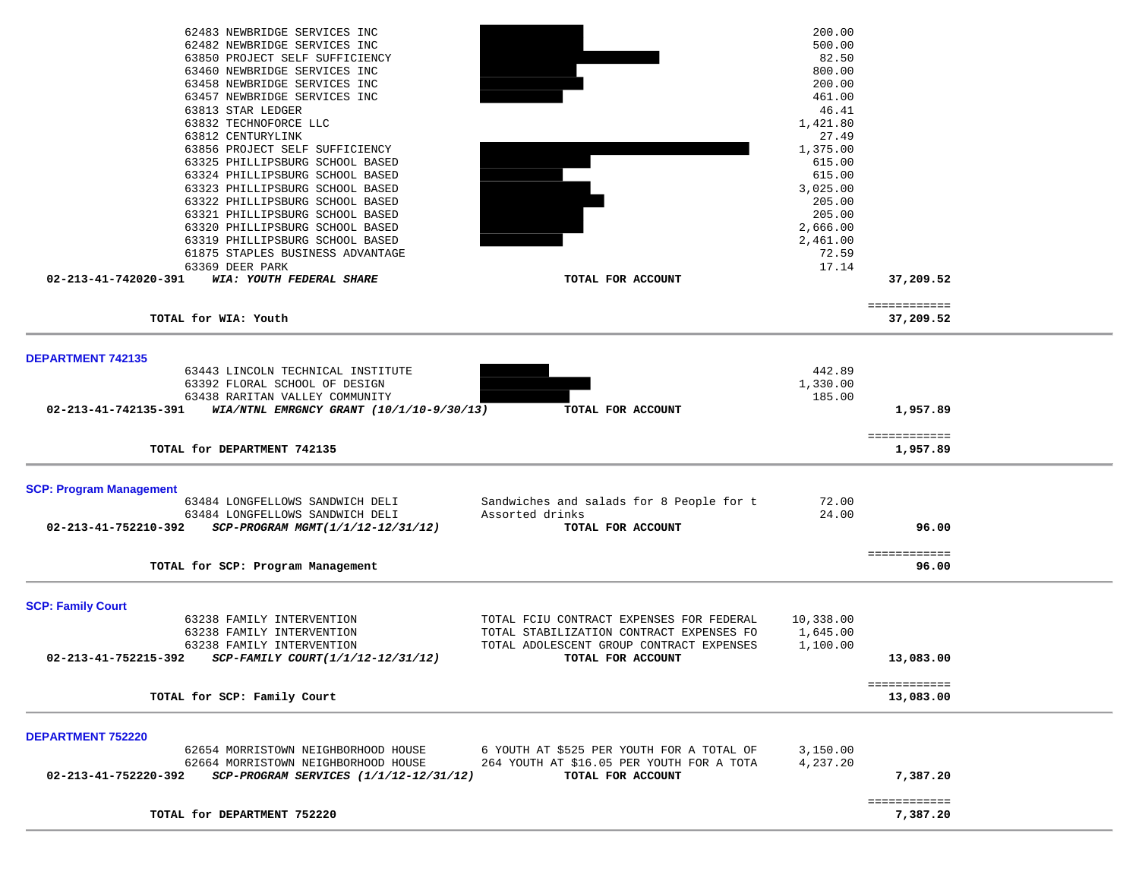| 62483 NEWBRIDGE SERVICES INC                                                                                 | 200.00    |              |  |
|--------------------------------------------------------------------------------------------------------------|-----------|--------------|--|
| 62482 NEWBRIDGE SERVICES INC                                                                                 |           |              |  |
|                                                                                                              | 500.00    |              |  |
| 63850 PROJECT SELF SUFFICIENCY                                                                               | 82.50     |              |  |
| 63460 NEWBRIDGE SERVICES INC                                                                                 | 800.00    |              |  |
| 63458 NEWBRIDGE SERVICES INC                                                                                 | 200.00    |              |  |
| 63457 NEWBRIDGE SERVICES INC                                                                                 | 461.00    |              |  |
| 63813 STAR LEDGER                                                                                            | 46.41     |              |  |
| 63832 TECHNOFORCE LLC                                                                                        | 1,421.80  |              |  |
|                                                                                                              | 27.49     |              |  |
| 63812 CENTURYLINK                                                                                            |           |              |  |
| 63856 PROJECT SELF SUFFICIENCY                                                                               | 1,375.00  |              |  |
| 63325 PHILLIPSBURG SCHOOL BASED                                                                              | 615.00    |              |  |
| 63324 PHILLIPSBURG SCHOOL BASED                                                                              | 615.00    |              |  |
| 63323 PHILLIPSBURG SCHOOL BASED                                                                              | 3,025.00  |              |  |
| 63322 PHILLIPSBURG SCHOOL BASED                                                                              | 205.00    |              |  |
| 63321 PHILLIPSBURG SCHOOL BASED                                                                              | 205.00    |              |  |
| 63320 PHILLIPSBURG SCHOOL BASED                                                                              | 2,666.00  |              |  |
| 63319 PHILLIPSBURG SCHOOL BASED                                                                              | 2,461.00  |              |  |
| 61875 STAPLES BUSINESS ADVANTAGE                                                                             | 72.59     |              |  |
|                                                                                                              |           |              |  |
| 63369 DEER PARK                                                                                              | 17.14     |              |  |
| WIA: YOUTH FEDERAL SHARE<br>TOTAL FOR ACCOUNT<br>02-213-41-742020-391                                        |           | 37,209.52    |  |
|                                                                                                              |           |              |  |
|                                                                                                              |           | ============ |  |
| TOTAL for WIA: Youth                                                                                         |           | 37,209.52    |  |
|                                                                                                              |           |              |  |
|                                                                                                              |           |              |  |
| DEPARTMENT 742135                                                                                            |           |              |  |
| 63443 LINCOLN TECHNICAL INSTITUTE                                                                            | 442.89    |              |  |
| 63392 FLORAL SCHOOL OF DESIGN                                                                                | 1,330.00  |              |  |
| 63438 RARITAN VALLEY COMMUNITY                                                                               | 185.00    |              |  |
|                                                                                                              |           |              |  |
| 02-213-41-742135-391 WIA/NTNL EMRGNCY GRANT (10/1/10-9/30/13)<br>TOTAL FOR ACCOUNT                           |           | 1,957.89     |  |
|                                                                                                              |           |              |  |
|                                                                                                              |           | ============ |  |
| TOTAL for DEPARTMENT 742135                                                                                  |           | 1,957.89     |  |
|                                                                                                              |           |              |  |
|                                                                                                              |           |              |  |
| <b>SCP: Program Management</b>                                                                               |           |              |  |
| Sandwiches and salads for 8 People for t<br>63484 LONGFELLOWS SANDWICH DELI                                  | 72.00     |              |  |
| 63484 LONGFELLOWS SANDWICH DELI<br>Assorted drinks                                                           | 24.00     |              |  |
| SCP-PROGRAM MGMT(1/1/12-12/31/12)<br>TOTAL FOR ACCOUNT<br>02-213-41-752210-392                               |           | 96.00        |  |
|                                                                                                              |           |              |  |
|                                                                                                              |           |              |  |
|                                                                                                              |           |              |  |
|                                                                                                              |           | ============ |  |
| TOTAL for SCP: Program Management                                                                            |           | 96.00        |  |
|                                                                                                              |           |              |  |
|                                                                                                              |           |              |  |
| <b>SCP: Family Court</b>                                                                                     |           |              |  |
| 63238 FAMILY INTERVENTION<br>TOTAL FCIU CONTRACT EXPENSES FOR FEDERAL                                        | 10,338.00 |              |  |
| 63238 FAMILY INTERVENTION<br>TOTAL STABILIZATION CONTRACT EXPENSES FO                                        | 1,645.00  |              |  |
| 63238 FAMILY INTERVENTION<br>TOTAL ADOLESCENT GROUP CONTRACT EXPENSES                                        |           |              |  |
|                                                                                                              | 1,100.00  |              |  |
| 02-213-41-752215-392<br>SCP-FAMILY COURT(1/1/12-12/31/12)<br>TOTAL FOR ACCOUNT                               |           | 13,083.00    |  |
|                                                                                                              |           |              |  |
|                                                                                                              |           | ============ |  |
| TOTAL for SCP: Family Court                                                                                  |           | 13,083.00    |  |
|                                                                                                              |           |              |  |
|                                                                                                              |           |              |  |
|                                                                                                              |           |              |  |
| <b>DEPARTMENT 752220</b><br>6 YOUTH AT \$525 PER YOUTH FOR A TOTAL OF<br>62654 MORRISTOWN NEIGHBORHOOD HOUSE | 3,150.00  |              |  |
| 62664 MORRISTOWN NEIGHBORHOOD HOUSE<br>264 YOUTH AT \$16.05 PER YOUTH FOR A TOTA                             | 4,237.20  |              |  |
| 02-213-41-752220-392<br>$SCP-PROGRAM$ SERVICES $(1/1/12-12/31/12)$                                           |           | 7,387.20     |  |
| TOTAL FOR ACCOUNT                                                                                            |           |              |  |
|                                                                                                              |           |              |  |
|                                                                                                              |           | ============ |  |
| TOTAL for DEPARTMENT 752220                                                                                  |           | 7,387.20     |  |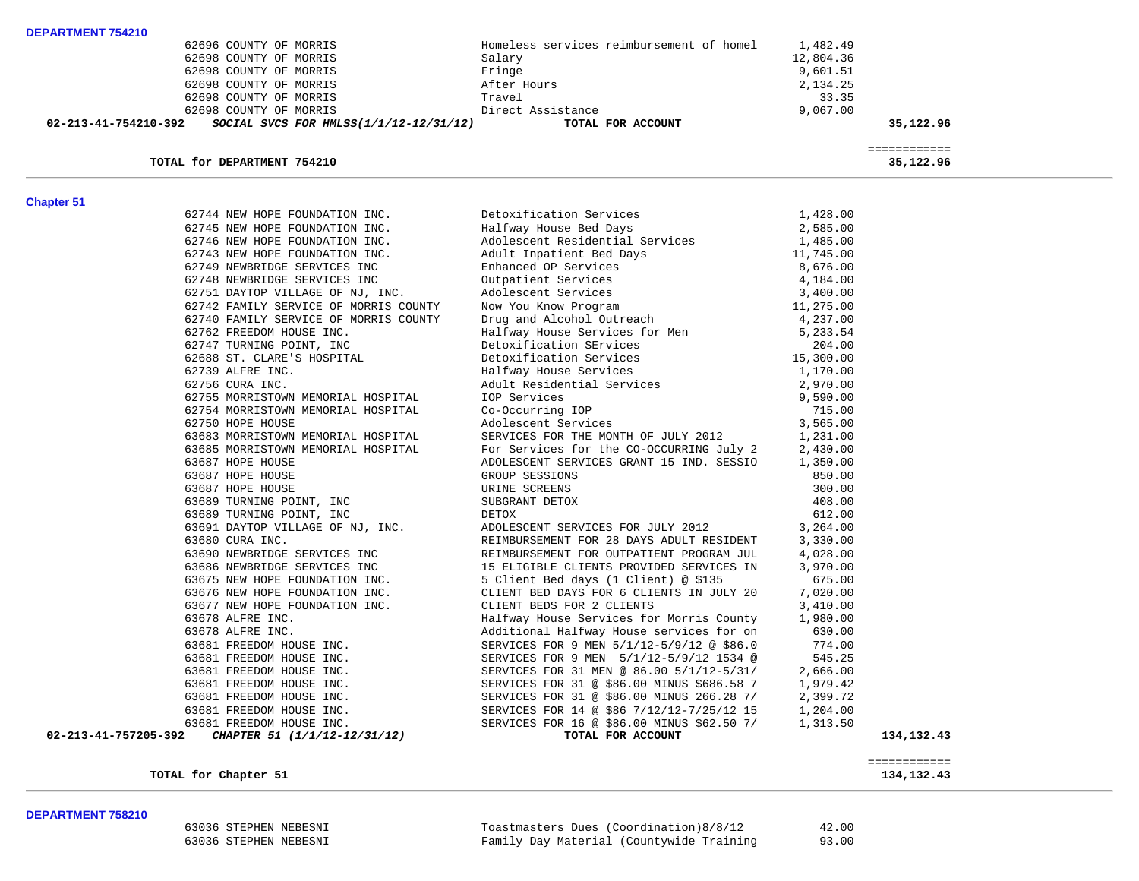| DEPARTMENT 754210 |                        |                                          |           |
|-------------------|------------------------|------------------------------------------|-----------|
|                   | 62696 COUNTY OF MORRIS | Homeless services reimbursement of homel | 1,482.49  |
|                   | 62698 COUNTY OF MORRIS | Salary                                   | 12,804.36 |
|                   | 62698 COUNTY OF MORRIS | Fringe                                   | 9,601.51  |
|                   | 62698 COUNTY OF MORRIS | After Hours                              | 2,134.25  |
|                   | 62698 COUNTY OF MORRIS | Travel                                   | 33.35     |
|                   | 62698 COUNTY OF MORRIS | Direct Assistance                        | 9.067.00  |

 **02-213-41-754210-392** *SOCIAL SVCS FOR HMLSS(1/1/12-12/31/12)* **TOTAL FOR ACCOUNT 35,122.96**

# TOTAL for DEPARTMENT 754210

 ============ 35,122.96

**Chapter 51** 

| 62744 NEW HOPE FOUNDATION INC.                                                   |                                                                                                                                                                                                                                                      |          |            |
|----------------------------------------------------------------------------------|------------------------------------------------------------------------------------------------------------------------------------------------------------------------------------------------------------------------------------------------------|----------|------------|
| 62745 NEW HOPE FOUNDATION INC.                                                   | Detoxification Services 1,428.00<br>Halfway House Bed Days 2,585.00<br>Adolescent Residential Services 1,485.00                                                                                                                                      |          |            |
| 62746 NEW HOPE FOUNDATION INC.                                                   |                                                                                                                                                                                                                                                      |          |            |
| 62743 NEW HOPE FOUNDATION INC.                                                   |                                                                                                                                                                                                                                                      |          |            |
| 62749 NEWBRIDGE SERVICES INC                                                     |                                                                                                                                                                                                                                                      |          |            |
| 62748 NEWBRIDGE SERVICES INC                                                     |                                                                                                                                                                                                                                                      |          |            |
| 62751 DAYTOP VILLAGE OF NJ, INC.                                                 |                                                                                                                                                                                                                                                      |          |            |
| 62742 FAMILY SERVICE OF MORRIS COUNTY                                            | Adolescent Residential Services<br>Adolescent Residential Services<br>2.1,485.00<br>2.00<br>Enhanced OP Services<br>2.676.00<br>Outpatient Services<br>2.676.00<br>Outpatient Services<br>Now You Know Program<br>2.71.00<br>Drug and Alcohol Outrea |          |            |
| 62740 FAMILY SERVICE OF MORRIS COUNTY                                            |                                                                                                                                                                                                                                                      |          |            |
| 62762 FREEDOM HOUSE INC.                                                         |                                                                                                                                                                                                                                                      |          |            |
| 62747 TURNING POINT, INC                                                         |                                                                                                                                                                                                                                                      |          |            |
| 62688 ST. CLARE'S HOSPITAL                                                       |                                                                                                                                                                                                                                                      |          |            |
| 62739 ALFRE INC.                                                                 |                                                                                                                                                                                                                                                      |          |            |
| 62756 CURA INC.                                                                  |                                                                                                                                                                                                                                                      |          |            |
| 62755 MORRISTOWN MEMORIAL HOSPITAL                                               |                                                                                                                                                                                                                                                      |          |            |
| 62754 MORRISTOWN MEMORIAL HOSPITAL                                               |                                                                                                                                                                                                                                                      |          |            |
| 62750 HOPE HOUSE                                                                 |                                                                                                                                                                                                                                                      |          |            |
| 63683 MORRISTOWN MEMORIAL HOSPITAL                                               |                                                                                                                                                                                                                                                      |          |            |
| 63685 MORRISTOWN MEMORIAL HOSPITAL                                               | SERVICES FOR THE MONTH OF JULY 2012 1,231.00<br>For Services for the CO-OCCURRING July 2 2,430.00<br>ADOLESCENT SERVICES GRANT 15 IND. SESSIO 1,350.00                                                                                               |          |            |
| 63687 HOPE HOUSE                                                                 |                                                                                                                                                                                                                                                      |          |            |
| 63687 HOPE HOUSE                                                                 | GROUP SESSIONS                                                                                                                                                                                                                                       | 850.00   |            |
| 63687 HOPE HOUSE                                                                 | URINE SCREENS                                                                                                                                                                                                                                        | 300.00   |            |
| 63689 TURNING POINT, INC                                                         | SUBGRANT DETOX                                                                                                                                                                                                                                       | 408.00   |            |
| 63689 TURNING POINT, INC<br>63689 TURNING POINT, INC                             | DETOX                                                                                                                                                                                                                                                | 612.00   |            |
| 63691 DAYTOP VILLAGE OF NJ, INC.                                                 | ADOLESCENT SERVICES FOR JULY 2012 3,264.00                                                                                                                                                                                                           |          |            |
| 63680 CURA INC.                                                                  | REIMBURSEMENT FOR 28 DAYS ADULT RESIDENT 3,330.00                                                                                                                                                                                                    |          |            |
| 63690 NEWBRIDGE SERVICES INC                                                     |                                                                                                                                                                                                                                                      |          |            |
| 63686 NEWBRIDGE SERVICES INC                                                     | REIMBURSEMENT FOR OUTPATIENT PROGRAM JUL 4,028.00<br>15 ELIGIBLE CLIENTS PROVIDED SERVICES IN 3,970.00                                                                                                                                               |          |            |
| 63675 NEW HOPE FOUNDATION INC.                                                   | 5 Client Bed days (1 Client) @ \$135                                                                                                                                                                                                                 | 675.00   |            |
| 63676 NEW HOPE FOUNDATION INC.                                                   | CLIENT BED DAYS FOR 6 CLIENTS IN JULY 20                                                                                                                                                                                                             | 7,020.00 |            |
| 63677 NEW HOPE FOUNDATION INC.                                                   | CLIENT BEDS FOR 2 CLIENTS                                                                                                                                                                                                                            | 3,410.00 |            |
| 63678 ALFRE INC.                                                                 | Halfway House Services for Morris County 1,980.00                                                                                                                                                                                                    |          |            |
| 63678 ALFRE INC.                                                                 | Additional Halfway House services for on 630.00                                                                                                                                                                                                      |          |            |
| 63681 FREEDOM HOUSE INC.                                                         | SERVICES FOR 9 MEN 5/1/12-5/9/12 @ \$86.0 774.00                                                                                                                                                                                                     |          |            |
| 63681 FREEDOM HOUSE INC.                                                         | SERVICES FOR 9 MEN 5/1/12-5/9/12 1534 @ 545.25                                                                                                                                                                                                       |          |            |
|                                                                                  |                                                                                                                                                                                                                                                      |          |            |
| 63681 FREEDOM HOUSE INC.<br>63681 FREEDOM HOUSE INC.<br>63681 FREEDOM HOUSE INC. | SERVICES FOR 31 MEN @ 86.00 5/1/12-5/31/ 2,666.00<br>SERVICES FOR 31 @ \$86.00 MINUS \$686.58 7 1,979.42<br>SERVICES FOR 31 @ \$86.00 MINUS 266.28 7/ 2,399.72                                                                                       |          |            |
|                                                                                  |                                                                                                                                                                                                                                                      |          |            |
| 63681 FREEDOM HOUSE INC.                                                         | SERVICES FOR 14 @ \$86 7/12/12-7/25/12 15 1,204.00                                                                                                                                                                                                   |          |            |
| 63681 FREEDOM HOUSE INC.                                                         | SERVICES FOR 16 @ \$86.00 MINUS \$62.50 7/ 1,313.50                                                                                                                                                                                                  |          |            |
| 02-213-41-757205-392<br>CHAPTER 51 (1/1/12-12/31/12)                             | TOTAL FOR ACCOUNT                                                                                                                                                                                                                                    |          | 134,132.43 |
|                                                                                  |                                                                                                                                                                                                                                                      |          |            |

TOTAL for Chapter 51

 ============  $\begin{array}{r} \texttt{-----} \texttt{-----} \\ \texttt{134,132.43} \end{array}$ 

## **DEPARTMENT 758210**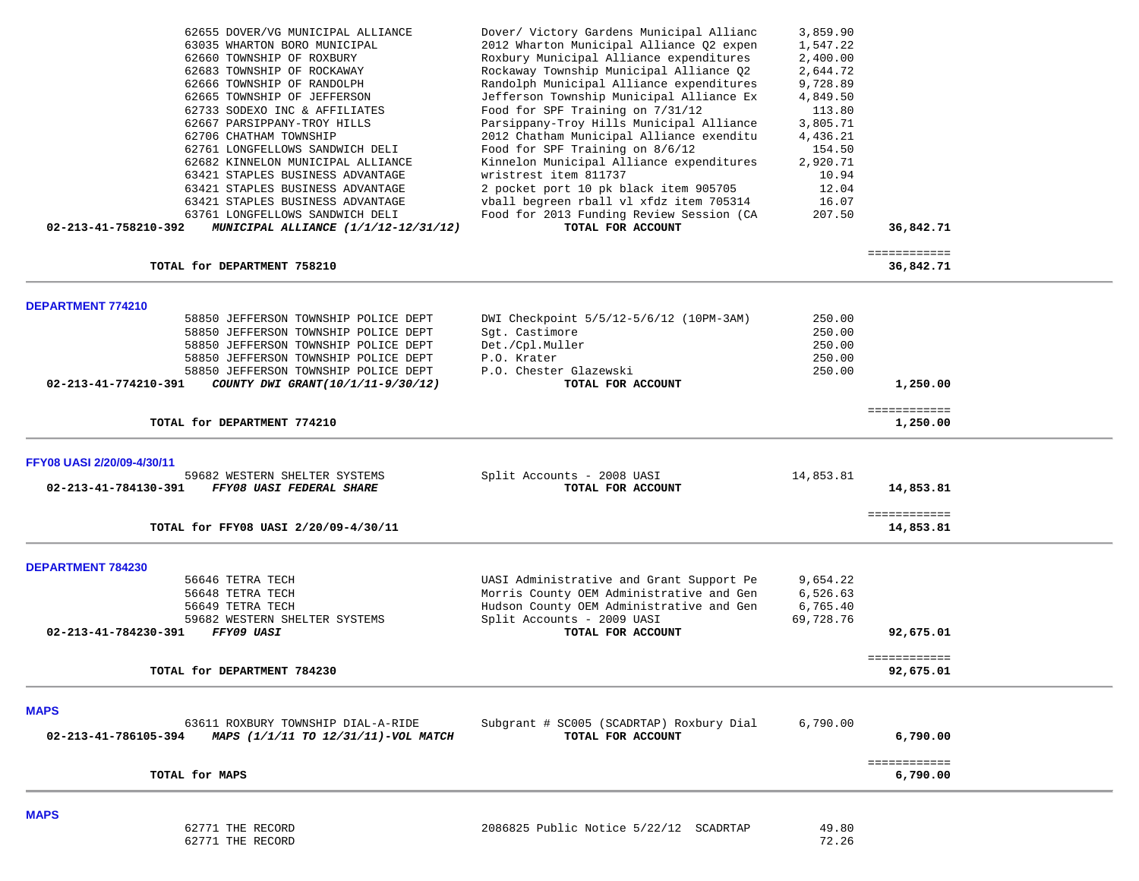| TOTAL for MAPS                                                                                                                                                                                                                                                                                                                                                                                                                                                                                                                                                             |                                                                                                                                                                                                                                                                                                                                                                                                                                                                                                                                                                                                                                                             |                                                                                                                                                                   | ============<br>6,790.00  |  |
|----------------------------------------------------------------------------------------------------------------------------------------------------------------------------------------------------------------------------------------------------------------------------------------------------------------------------------------------------------------------------------------------------------------------------------------------------------------------------------------------------------------------------------------------------------------------------|-------------------------------------------------------------------------------------------------------------------------------------------------------------------------------------------------------------------------------------------------------------------------------------------------------------------------------------------------------------------------------------------------------------------------------------------------------------------------------------------------------------------------------------------------------------------------------------------------------------------------------------------------------------|-------------------------------------------------------------------------------------------------------------------------------------------------------------------|---------------------------|--|
| <b>MAPS</b><br>63611 ROXBURY TOWNSHIP DIAL-A-RIDE<br>02-213-41-786105-394<br>MAPS (1/1/11 TO 12/31/11)-VOL MATCH                                                                                                                                                                                                                                                                                                                                                                                                                                                           | Subgrant # SC005 (SCADRTAP) Roxbury Dial<br>TOTAL FOR ACCOUNT                                                                                                                                                                                                                                                                                                                                                                                                                                                                                                                                                                                               | 6,790.00                                                                                                                                                          | 6,790.00                  |  |
| TOTAL for DEPARTMENT 784230                                                                                                                                                                                                                                                                                                                                                                                                                                                                                                                                                |                                                                                                                                                                                                                                                                                                                                                                                                                                                                                                                                                                                                                                                             |                                                                                                                                                                   | 92,675.01                 |  |
| 56646 TETRA TECH<br>56648 TETRA TECH<br>56649 TETRA TECH<br>59682 WESTERN SHELTER SYSTEMS<br><b>FFY09 UASI</b><br>02-213-41-784230-391                                                                                                                                                                                                                                                                                                                                                                                                                                     | UASI Administrative and Grant Support Pe<br>Morris County OEM Administrative and Gen<br>Hudson County OEM Administrative and Gen<br>Split Accounts - 2009 UASI<br>TOTAL FOR ACCOUNT                                                                                                                                                                                                                                                                                                                                                                                                                                                                         | 9,654.22<br>6,526.63<br>6,765.40<br>69,728.76                                                                                                                     | 92,675.01<br>============ |  |
| <b>DEPARTMENT 784230</b>                                                                                                                                                                                                                                                                                                                                                                                                                                                                                                                                                   |                                                                                                                                                                                                                                                                                                                                                                                                                                                                                                                                                                                                                                                             |                                                                                                                                                                   |                           |  |
| TOTAL for FFY08 UASI 2/20/09-4/30/11                                                                                                                                                                                                                                                                                                                                                                                                                                                                                                                                       |                                                                                                                                                                                                                                                                                                                                                                                                                                                                                                                                                                                                                                                             |                                                                                                                                                                   | ============<br>14,853.81 |  |
| FFY08 UASI 2/20/09-4/30/11<br>59682 WESTERN SHELTER SYSTEMS<br>02-213-41-784130-391<br>FFY08 UASI FEDERAL SHARE                                                                                                                                                                                                                                                                                                                                                                                                                                                            | Split Accounts - 2008 UASI<br>TOTAL FOR ACCOUNT                                                                                                                                                                                                                                                                                                                                                                                                                                                                                                                                                                                                             | 14,853.81                                                                                                                                                         | 14,853.81                 |  |
| TOTAL for DEPARTMENT 774210                                                                                                                                                                                                                                                                                                                                                                                                                                                                                                                                                |                                                                                                                                                                                                                                                                                                                                                                                                                                                                                                                                                                                                                                                             |                                                                                                                                                                   | ============<br>1,250.00  |  |
| <b>DEPARTMENT 774210</b><br>58850 JEFFERSON TOWNSHIP POLICE DEPT<br>58850 JEFFERSON TOWNSHIP POLICE DEPT<br>58850 JEFFERSON TOWNSHIP POLICE DEPT<br>58850 JEFFERSON TOWNSHIP POLICE DEPT<br>58850 JEFFERSON TOWNSHIP POLICE DEPT<br>02-213-41-774210-391<br>COUNTY DWI GRANT (10/1/11-9/30/12)                                                                                                                                                                                                                                                                             | DWI Checkpoint 5/5/12-5/6/12 (10PM-3AM)<br>Sgt. Castimore<br>Det./Cpl.Muller<br>P.O. Krater<br>P.O. Chester Glazewski<br>TOTAL FOR ACCOUNT                                                                                                                                                                                                                                                                                                                                                                                                                                                                                                                  | 250.00<br>250.00<br>250.00<br>250.00<br>250.00                                                                                                                    | 1,250.00                  |  |
| TOTAL for DEPARTMENT 758210                                                                                                                                                                                                                                                                                                                                                                                                                                                                                                                                                |                                                                                                                                                                                                                                                                                                                                                                                                                                                                                                                                                                                                                                                             |                                                                                                                                                                   | 36,842.71                 |  |
| 62655 DOVER/VG MUNICIPAL ALLIANCE<br>63035 WHARTON BORO MUNICIPAL<br>62660 TOWNSHIP OF ROXBURY<br>62683 TOWNSHIP OF ROCKAWAY<br>62666 TOWNSHIP OF RANDOLPH<br>62665 TOWNSHIP OF JEFFERSON<br>62733 SODEXO INC & AFFILIATES<br>62667 PARSIPPANY-TROY HILLS<br>62706 CHATHAM TOWNSHIP<br>62761 LONGFELLOWS SANDWICH DELI<br>62682 KINNELON MUNICIPAL ALLIANCE<br>63421 STAPLES BUSINESS ADVANTAGE<br>63421 STAPLES BUSINESS ADVANTAGE<br>63421 STAPLES BUSINESS ADVANTAGE<br>63761 LONGFELLOWS SANDWICH DELI<br>02-213-41-758210-392<br>MUNICIPAL ALLIANCE (1/1/12-12/31/12) | Dover/ Victory Gardens Municipal Allianc<br>2012 Wharton Municipal Alliance Q2 expen<br>Roxbury Municipal Alliance expenditures<br>Rockaway Township Municipal Alliance 02<br>Randolph Municipal Alliance expenditures<br>Jefferson Township Municipal Alliance Ex<br>Food for SPF Training on 7/31/12<br>Parsippany-Troy Hills Municipal Alliance<br>2012 Chatham Municipal Alliance exenditu<br>Food for SPF Training on 8/6/12<br>Kinnelon Municipal Alliance expenditures<br>wristrest item 811737<br>2 pocket port 10 pk black item 905705<br>vball begreen rball vl xfdz item 705314<br>Food for 2013 Funding Review Session (CA<br>TOTAL FOR ACCOUNT | 3,859.90<br>1,547.22<br>2,400.00<br>2,644.72<br>9,728.89<br>4,849.50<br>113.80<br>3,805.71<br>4,436.21<br>154.50<br>2,920.71<br>10.94<br>12.04<br>16.07<br>207.50 | 36,842.71<br>============ |  |

| 62771 THE RECORD | 2086825 Public Notice 5/22/12 SCADRTAP | 49.80 |
|------------------|----------------------------------------|-------|
| 62771 THE RECORD |                                        | 72.26 |

**MAPS**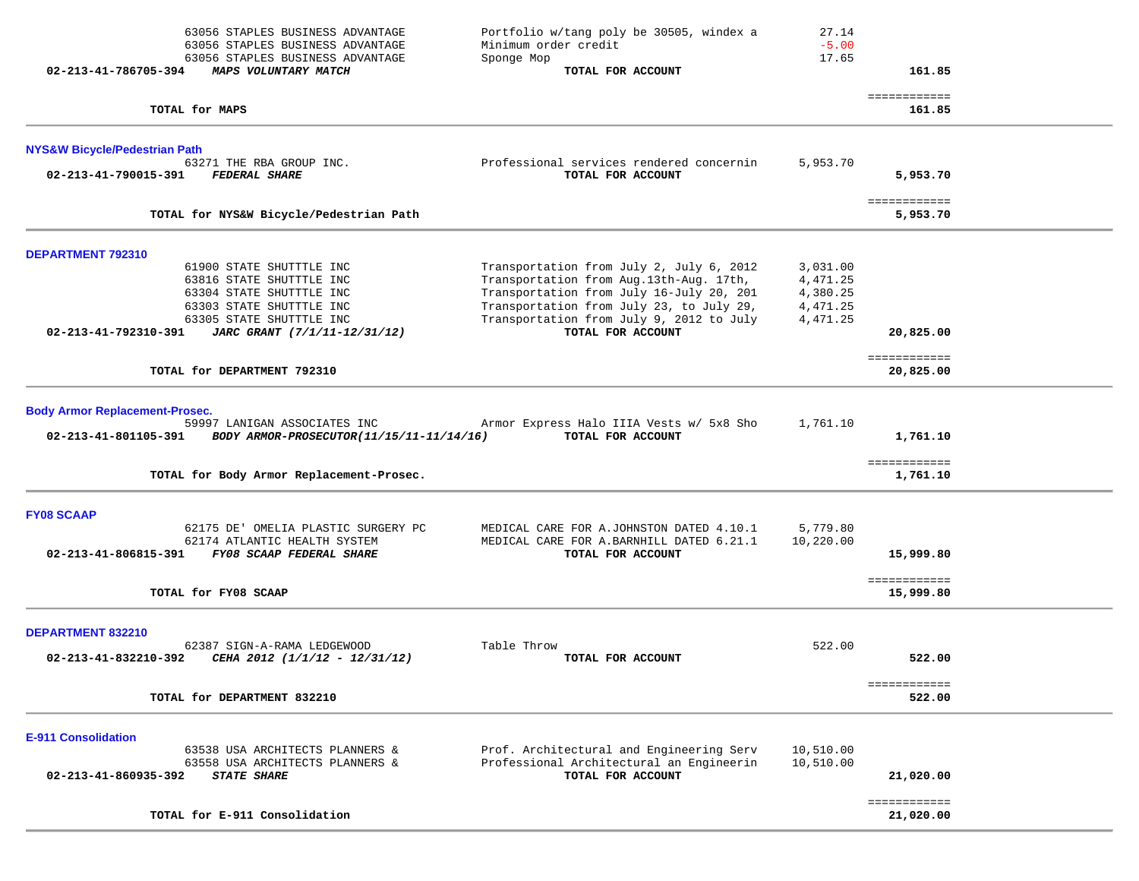| 02-213-41-786705-394<br><b>MAPS VOLUNTARY MATCH</b>                                                                                      | 63056 STAPLES BUSINESS ADVANTAGE<br>63056 STAPLES BUSINESS ADVANTAGE<br>63056 STAPLES BUSINESS ADVANTAGE             | Portfolio w/tang poly be 30505, windex a<br>Minimum order credit<br>Sponge Mop<br>TOTAL FOR ACCOUNT                                                                                                                     | 27.14<br>$-5.00$<br>17.65                                | 161.85                               |  |
|------------------------------------------------------------------------------------------------------------------------------------------|----------------------------------------------------------------------------------------------------------------------|-------------------------------------------------------------------------------------------------------------------------------------------------------------------------------------------------------------------------|----------------------------------------------------------|--------------------------------------|--|
| TOTAL for MAPS                                                                                                                           |                                                                                                                      |                                                                                                                                                                                                                         |                                                          | ============<br>161.85               |  |
| NYS&W Bicycle/Pedestrian Path                                                                                                            |                                                                                                                      |                                                                                                                                                                                                                         |                                                          |                                      |  |
| 63271 THE RBA GROUP INC.<br>02-213-41-790015-391<br><b>FEDERAL SHARE</b>                                                                 |                                                                                                                      | Professional services rendered concernin<br>TOTAL FOR ACCOUNT                                                                                                                                                           | 5,953.70                                                 | 5,953.70                             |  |
|                                                                                                                                          | TOTAL for NYS&W Bicycle/Pedestrian Path                                                                              |                                                                                                                                                                                                                         |                                                          | ============<br>5,953.70             |  |
| DEPARTMENT 792310                                                                                                                        |                                                                                                                      |                                                                                                                                                                                                                         |                                                          |                                      |  |
| 61900 STATE SHUTTTLE INC<br>63816 STATE SHUTTTLE INC<br>63304 STATE SHUTTTLE INC<br>63303 STATE SHUTTTLE INC<br>63305 STATE SHUTTTLE INC |                                                                                                                      | Transportation from July 2, July 6, 2012<br>Transportation from Aug.13th-Aug. 17th,<br>Transportation from July 16-July 20, 201<br>Transportation from July 23, to July 29,<br>Transportation from July 9, 2012 to July | 3,031.00<br>4,471.25<br>4,380.25<br>4,471.25<br>4,471.25 |                                      |  |
| 02-213-41-792310-391                                                                                                                     | JARC GRANT (7/1/11-12/31/12)                                                                                         | TOTAL FOR ACCOUNT                                                                                                                                                                                                       |                                                          | 20,825.00<br>============            |  |
| TOTAL for DEPARTMENT 792310                                                                                                              |                                                                                                                      |                                                                                                                                                                                                                         |                                                          | 20,825.00                            |  |
| <b>Body Armor Replacement-Prosec.</b><br>02-213-41-801105-391                                                                            | 59997 LANIGAN ASSOCIATES INC<br>BODY ARMOR-PROSECUTOR(11/15/11-11/14/16)<br>TOTAL for Body Armor Replacement-Prosec. | Armor Express Halo IIIA Vests w/ 5x8 Sho<br>TOTAL FOR ACCOUNT                                                                                                                                                           | 1,761.10                                                 | 1,761.10<br>============<br>1,761.10 |  |
| <b>FY08 SCAAP</b><br>02-213-41-806815-391                                                                                                | 62175 DE' OMELIA PLASTIC SURGERY PC<br>62174 ATLANTIC HEALTH SYSTEM<br>FY08 SCAAP FEDERAL SHARE                      | MEDICAL CARE FOR A.JOHNSTON DATED 4.10.1<br>MEDICAL CARE FOR A.BARNHILL DATED 6.21.1<br>TOTAL FOR ACCOUNT                                                                                                               | 5,779.80<br>10,220.00                                    | 15,999.80                            |  |
| TOTAL for FY08 SCAAP                                                                                                                     |                                                                                                                      |                                                                                                                                                                                                                         |                                                          | ============<br>15,999.80            |  |
| DEPARTMENT 832210<br>62387 SIGN-A-RAMA LEDGEWOOD<br>02-213-41-832210-392                                                                 | CEHA 2012 (1/1/12 - 12/31/12)                                                                                        | Table Throw<br>TOTAL FOR ACCOUNT                                                                                                                                                                                        | 522.00                                                   | 522.00                               |  |
| TOTAL for DEPARTMENT 832210                                                                                                              |                                                                                                                      |                                                                                                                                                                                                                         |                                                          | ============<br>522.00               |  |
| <b>E-911 Consolidation</b><br>02-213-41-860935-392<br><b>STATE SHARE</b>                                                                 | 63538 USA ARCHITECTS PLANNERS &<br>63558 USA ARCHITECTS PLANNERS &                                                   | Prof. Architectural and Engineering Serv<br>Professional Architectural an Engineerin<br>TOTAL FOR ACCOUNT                                                                                                               | 10,510.00<br>10,510.00                                   | 21,020.00                            |  |
| TOTAL for E-911 Consolidation                                                                                                            |                                                                                                                      |                                                                                                                                                                                                                         |                                                          | ============<br>21,020.00            |  |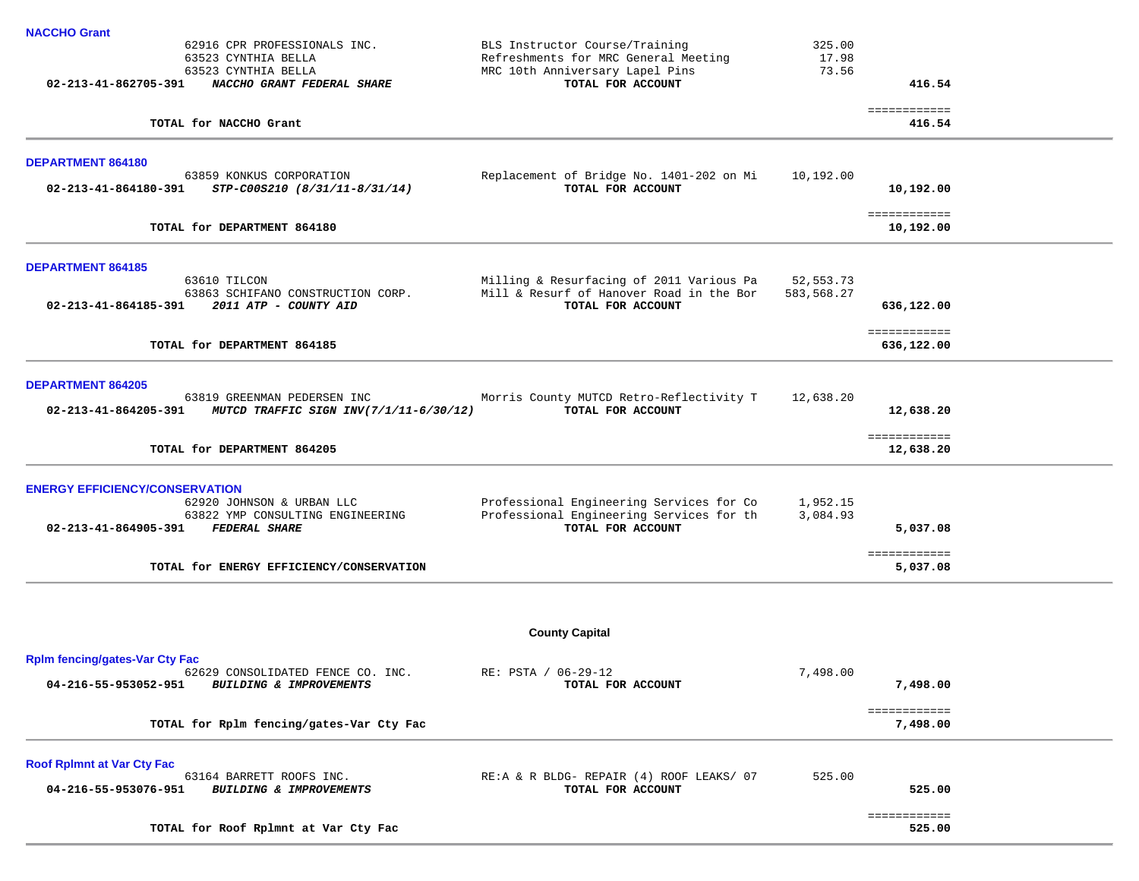| <b>NACCHO Grant</b>                                                         |                                                               |            |                           |  |
|-----------------------------------------------------------------------------|---------------------------------------------------------------|------------|---------------------------|--|
| 62916 CPR PROFESSIONALS INC.                                                | BLS Instructor Course/Training                                | 325.00     |                           |  |
| 63523 CYNTHIA BELLA                                                         | Refreshments for MRC General Meeting                          | 17.98      |                           |  |
| 63523 CYNTHIA BELLA<br>02-213-41-862705-391 NACCHO GRANT FEDERAL SHARE      | MRC 10th Anniversary Lapel Pins<br>TOTAL FOR ACCOUNT          | 73.56      | 416.54                    |  |
|                                                                             |                                                               |            |                           |  |
|                                                                             |                                                               |            | ============              |  |
| TOTAL for NACCHO Grant                                                      |                                                               |            | 416.54                    |  |
|                                                                             |                                                               |            |                           |  |
| <b>DEPARTMENT 864180</b><br>63859 KONKUS CORPORATION                        | Replacement of Bridge No. 1401-202 on Mi                      | 10,192.00  |                           |  |
| $02 - 213 - 41 - 864180 - 391$ STP-C00S210 (8/31/11-8/31/14)                | TOTAL FOR ACCOUNT                                             |            | 10,192.00                 |  |
|                                                                             |                                                               |            |                           |  |
| TOTAL for DEPARTMENT 864180                                                 |                                                               |            | ============<br>10,192.00 |  |
|                                                                             |                                                               |            |                           |  |
|                                                                             |                                                               |            |                           |  |
| <b>DEPARTMENT 864185</b><br>63610 TILCON                                    | Milling & Resurfacing of 2011 Various Pa                      | 52,553.73  |                           |  |
| 63863 SCHIFANO CONSTRUCTION CORP.                                           | Mill & Resurf of Hanover Road in the Bor                      | 583,568.27 |                           |  |
| 2011 ATP - COUNTY AID<br>02-213-41-864185-391                               | TOTAL FOR ACCOUNT                                             |            | 636,122.00                |  |
|                                                                             |                                                               |            |                           |  |
|                                                                             |                                                               |            | ============              |  |
| TOTAL for DEPARTMENT 864185                                                 |                                                               |            | 636,122.00                |  |
| <b>DEPARTMENT 864205</b>                                                    |                                                               |            |                           |  |
| 63819 GREENMAN PEDERSEN INC                                                 | Morris County MUTCD Retro-Reflectivity T                      | 12,638.20  |                           |  |
| 02-213-41-864205-391 MUTCD TRAFFIC SIGN INV(7/1/11-6/30/12)                 | TOTAL FOR ACCOUNT                                             |            | 12,638.20                 |  |
|                                                                             |                                                               |            |                           |  |
| TOTAL for DEPARTMENT 864205                                                 |                                                               |            | ============<br>12,638.20 |  |
|                                                                             |                                                               |            |                           |  |
| <b>ENERGY EFFICIENCY/CONSERVATION</b>                                       |                                                               |            |                           |  |
| 62920 JOHNSON & URBAN LLC                                                   | Professional Engineering Services for Co                      | 1,952.15   |                           |  |
| 63822 YMP CONSULTING ENGINEERING                                            | Professional Engineering Services for th                      | 3,084.93   |                           |  |
| 02-213-41-864905-391<br><b>FEDERAL SHARE</b>                                | TOTAL FOR ACCOUNT                                             |            | 5,037.08                  |  |
|                                                                             |                                                               |            | ============              |  |
| TOTAL for ENERGY EFFICIENCY/CONSERVATION                                    |                                                               |            | 5,037.08                  |  |
|                                                                             |                                                               |            |                           |  |
|                                                                             |                                                               |            |                           |  |
|                                                                             |                                                               |            |                           |  |
|                                                                             | <b>County Capital</b>                                         |            |                           |  |
| <b>Rplm fencing/gates-Var Cty Fac</b>                                       |                                                               |            |                           |  |
| 62629 CONSOLIDATED FENCE CO. INC.                                           | RE: PSTA / 06-29-12                                           | 7,498.00   |                           |  |
| BUILDING & IMPROVEMENTS<br>04-216-55-953052-951                             | TOTAL FOR ACCOUNT                                             |            | 7,498.00                  |  |
|                                                                             |                                                               |            | ============              |  |
| TOTAL for Rplm fencing/gates-Var Cty Fac                                    |                                                               |            | 7,498.00                  |  |
|                                                                             |                                                               |            |                           |  |
| <b>Roof RpImnt at Var Cty Fac</b>                                           |                                                               |            |                           |  |
| 63164 BARRETT ROOFS INC.<br>04-216-55-953076-951<br>BUILDING & IMPROVEMENTS | RE:A & R BLDG- REPAIR (4) ROOF LEAKS/ 07<br>TOTAL FOR ACCOUNT | 525.00     | 525.00                    |  |
|                                                                             |                                                               |            |                           |  |
|                                                                             |                                                               |            | ============              |  |
| TOTAL for Roof Rplmnt at Var Cty Fac                                        |                                                               |            | 525.00                    |  |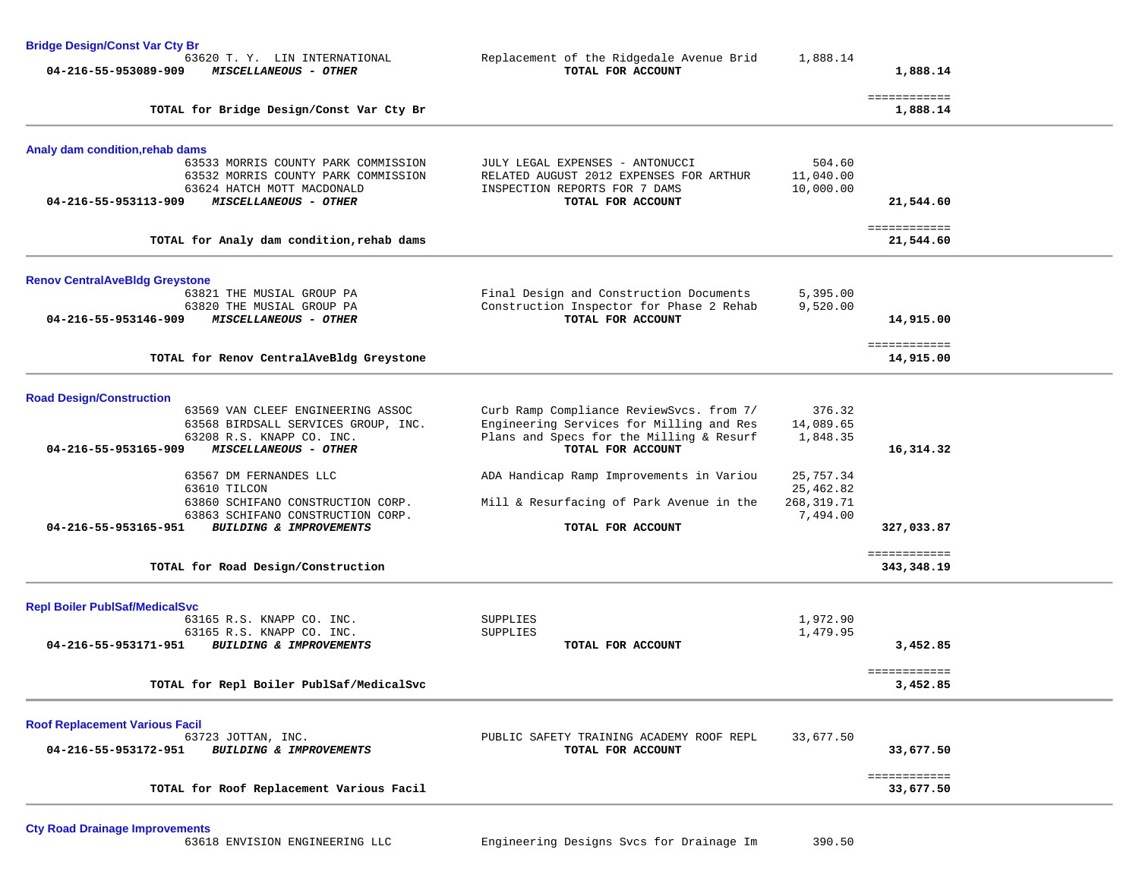| <b>Bridge Design/Const Var Cty Br</b> |                                                                         |                                                                                      |                        |                            |  |
|---------------------------------------|-------------------------------------------------------------------------|--------------------------------------------------------------------------------------|------------------------|----------------------------|--|
| 04-216-55-953089-909                  | 63620 T. Y. LIN INTERNATIONAL<br>MISCELLANEOUS - OTHER                  | Replacement of the Ridgedale Avenue Brid<br>TOTAL FOR ACCOUNT                        | 1,888.14               | 1,888.14                   |  |
|                                       | TOTAL for Bridge Design/Const Var Cty Br                                |                                                                                      |                        | ============<br>1,888.14   |  |
| Analy dam condition, rehab dams       |                                                                         |                                                                                      |                        |                            |  |
|                                       | 63533 MORRIS COUNTY PARK COMMISSION                                     | JULY LEGAL EXPENSES - ANTONUCCI                                                      | 504.60                 |                            |  |
|                                       | 63532 MORRIS COUNTY PARK COMMISSION<br>63624 HATCH MOTT MACDONALD       | RELATED AUGUST 2012 EXPENSES FOR ARTHUR<br>INSPECTION REPORTS FOR 7 DAMS             | 11,040.00<br>10,000.00 |                            |  |
| 04-216-55-953113-909                  | MISCELLANEOUS - OTHER                                                   | TOTAL FOR ACCOUNT                                                                    |                        | 21,544.60                  |  |
|                                       |                                                                         |                                                                                      |                        | ============               |  |
|                                       | TOTAL for Analy dam condition, rehab dams                               |                                                                                      |                        | 21,544.60                  |  |
| <b>Renov CentralAveBldg Greystone</b> |                                                                         |                                                                                      |                        |                            |  |
|                                       | 63821 THE MUSIAL GROUP PA                                               | Final Design and Construction Documents                                              | 5,395.00               |                            |  |
| 04-216-55-953146-909                  | 63820 THE MUSIAL GROUP PA<br>MISCELLANEOUS - OTHER                      | Construction Inspector for Phase 2 Rehab<br>TOTAL FOR ACCOUNT                        | 9,520.00               | 14,915.00                  |  |
|                                       |                                                                         |                                                                                      |                        | ============               |  |
|                                       | TOTAL for Renov CentralAveBldg Greystone                                |                                                                                      |                        | 14,915.00                  |  |
| <b>Road Design/Construction</b>       |                                                                         |                                                                                      |                        |                            |  |
|                                       | 63569 VAN CLEEF ENGINEERING ASSOC                                       | Curb Ramp Compliance ReviewSvcs. from 7/                                             | 376.32                 |                            |  |
|                                       | 63568 BIRDSALL SERVICES GROUP, INC.<br>63208 R.S. KNAPP CO. INC.        | Engineering Services for Milling and Res<br>Plans and Specs for the Milling & Resurf | 14,089.65<br>1,848.35  |                            |  |
| 04-216-55-953165-909                  | MISCELLANEOUS - OTHER                                                   | TOTAL FOR ACCOUNT                                                                    |                        | 16,314.32                  |  |
|                                       | 63567 DM FERNANDES LLC                                                  | ADA Handicap Ramp Improvements in Variou                                             | 25,757.34              |                            |  |
|                                       | 63610 TILCON                                                            |                                                                                      | 25,462.82              |                            |  |
|                                       | 63860 SCHIFANO CONSTRUCTION CORP.                                       | Mill & Resurfacing of Park Avenue in the                                             | 268, 319.71            |                            |  |
| 04-216-55-953165-951                  | 63863 SCHIFANO CONSTRUCTION CORP.<br><b>BUILDING &amp; IMPROVEMENTS</b> | TOTAL FOR ACCOUNT                                                                    | 7,494.00               | 327,033.87                 |  |
|                                       |                                                                         |                                                                                      |                        |                            |  |
|                                       | TOTAL for Road Design/Construction                                      |                                                                                      |                        | ============<br>343,348.19 |  |
| <b>Repl Boiler PublSaf/MedicalSvc</b> |                                                                         |                                                                                      |                        |                            |  |
|                                       | 63165 R.S. KNAPP CO. INC.                                               | SUPPLIES                                                                             | 1,972.90               |                            |  |
| 04-216-55-953171-951                  | 63165 R.S. KNAPP CO. INC.<br>BUILDING & IMPROVEMENTS                    | SUPPLIES<br>TOTAL FOR ACCOUNT                                                        | 1,479.95               | 3,452.85                   |  |
|                                       |                                                                         |                                                                                      |                        |                            |  |
|                                       | TOTAL for Repl Boiler PublSaf/MedicalSvc                                |                                                                                      |                        | ============<br>3,452.85   |  |
| <b>Roof Replacement Various Facil</b> |                                                                         |                                                                                      |                        |                            |  |
|                                       | 63723 JOTTAN, INC.                                                      | PUBLIC SAFETY TRAINING ACADEMY ROOF REPL                                             | 33,677.50              |                            |  |
| 04-216-55-953172-951                  | BUILDING & IMPROVEMENTS                                                 | TOTAL FOR ACCOUNT                                                                    |                        | 33,677.50                  |  |
|                                       | TOTAL for Roof Replacement Various Facil                                |                                                                                      |                        | ============<br>33,677.50  |  |
|                                       |                                                                         |                                                                                      |                        |                            |  |

**Cty Road Drainage Improvements**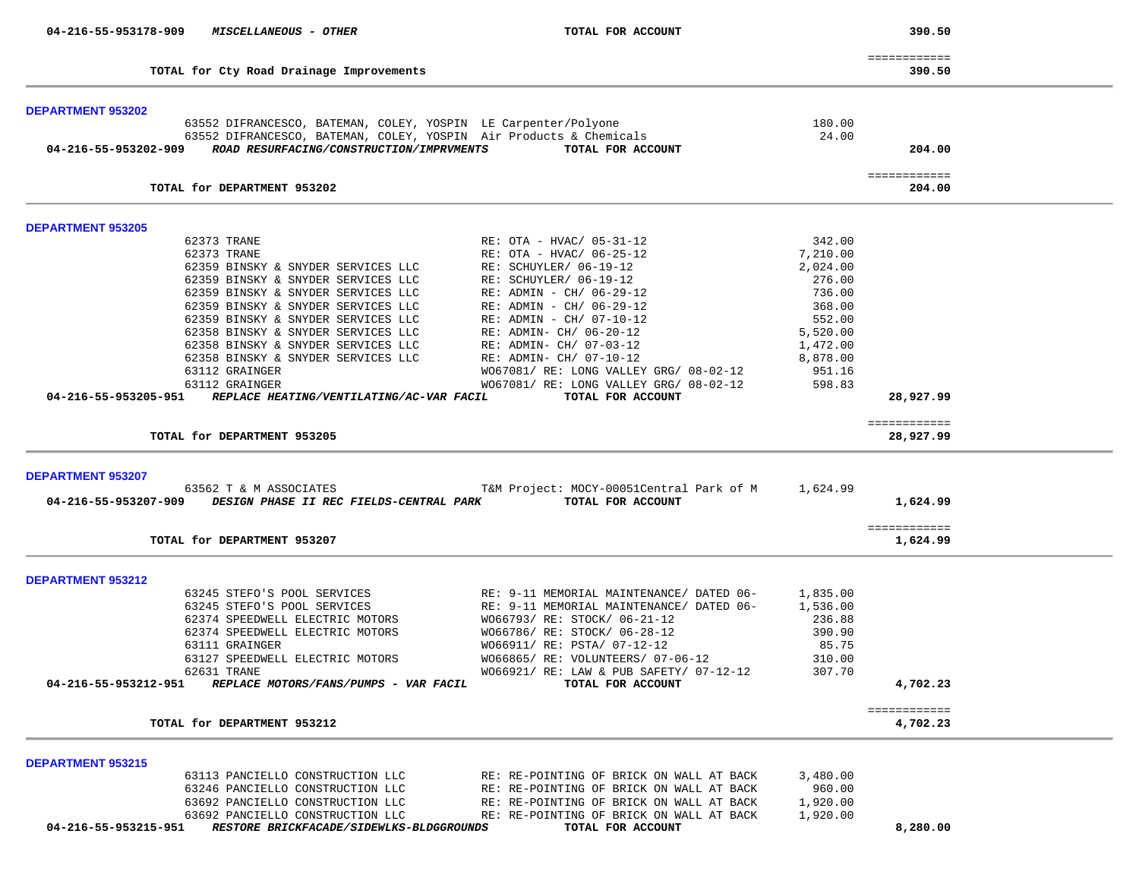| 04-216-55-953178-909                                                                                     | <i>MISCELLANEOUS - OTHER</i>                                                 |                                                                                                                                     |          |                           |  |
|----------------------------------------------------------------------------------------------------------|------------------------------------------------------------------------------|-------------------------------------------------------------------------------------------------------------------------------------|----------|---------------------------|--|
|                                                                                                          | TOTAL for Cty Road Drainage Improvements                                     |                                                                                                                                     |          | ============<br>390.50    |  |
| <b>DEPARTMENT 953202</b>                                                                                 |                                                                              |                                                                                                                                     |          |                           |  |
|                                                                                                          | 63552 DIFRANCESCO, BATEMAN, COLEY, YOSPIN LE Carpenter/Polyone               |                                                                                                                                     | 180.00   |                           |  |
|                                                                                                          |                                                                              | 63552 DIFRANCESCO, BATEMAN, COLEY, YOSPIN Air Products & Chemicals                                                                  | 24.00    |                           |  |
| 04-216-55-953202-909                                                                                     | ROAD RESURFACING/CONSTRUCTION/IMPRVMENTS                                     | TOTAL FOR ACCOUNT                                                                                                                   |          | 204.00                    |  |
|                                                                                                          |                                                                              |                                                                                                                                     |          | ============              |  |
|                                                                                                          | TOTAL for DEPARTMENT 953202                                                  |                                                                                                                                     |          | 204.00                    |  |
| <b>DEPARTMENT 953205</b>                                                                                 |                                                                              |                                                                                                                                     |          |                           |  |
|                                                                                                          | 62373 TRANE                                                                  | RE: OTA - HVAC/ 05-31-12                                                                                                            | 342.00   |                           |  |
|                                                                                                          | 62373 TRANE                                                                  | RE: OTA - HVAC/ 06-25-12                                                                                                            | 7,210.00 |                           |  |
|                                                                                                          | 62359 BINSKY & SNYDER SERVICES LLC                                           | RE: SCHUYLER/ 06-19-12                                                                                                              | 2,024.00 |                           |  |
|                                                                                                          | 62359 BINSKY & SNYDER SERVICES LLC                                           | RE: SCHUYLER/ 06-19-12                                                                                                              | 276.00   |                           |  |
|                                                                                                          | 62359 BINSKY & SNYDER SERVICES LLC                                           | RE: ADMIN - CH/ 06-29-12                                                                                                            | 736.00   |                           |  |
|                                                                                                          | 62359 BINSKY & SNYDER SERVICES LLC                                           | RE: ADMIN - CH/ 06-29-12                                                                                                            | 368.00   |                           |  |
|                                                                                                          | 62359 BINSKY & SNYDER SERVICES LLC                                           | RE: ADMIN - CH/ 07-10-12                                                                                                            | 552.00   |                           |  |
|                                                                                                          | 62358 BINSKY & SNYDER SERVICES LLC                                           | RE: ADMIN- CH/ 06-20-12                                                                                                             | 5,520.00 |                           |  |
|                                                                                                          | 62358 BINSKY & SNYDER SERVICES LLC                                           | RE: ADMIN- CH/ 07-03-12                                                                                                             | 1,472.00 |                           |  |
|                                                                                                          | 62358 BINSKY & SNYDER SERVICES LLC                                           | RE: ADMIN- CH/ 07-10-12                                                                                                             | 8,878.00 |                           |  |
|                                                                                                          | 63112 GRAINGER                                                               | WO67081/ RE: LONG VALLEY GRG/ 08-02-12                                                                                              | 951.16   |                           |  |
|                                                                                                          |                                                                              |                                                                                                                                     | 598.83   |                           |  |
| 04-216-55-953205-951                                                                                     | 63112 GRAINGER<br>REPLACE HEATING/VENTILATING/AC-VAR FACIL                   | WO67081/ RE: LONG VALLEY GRG/ 08-02-12<br>TOTAL FOR ACCOUNT                                                                         |          | 28,927.99                 |  |
|                                                                                                          |                                                                              |                                                                                                                                     |          |                           |  |
|                                                                                                          |                                                                              |                                                                                                                                     |          |                           |  |
|                                                                                                          | TOTAL for DEPARTMENT 953205                                                  |                                                                                                                                     |          | ============<br>28,927.99 |  |
|                                                                                                          |                                                                              |                                                                                                                                     |          |                           |  |
|                                                                                                          |                                                                              |                                                                                                                                     |          |                           |  |
|                                                                                                          | 63562 T & M ASSOCIATES                                                       | T&M Project: MOCY-00051Central Park of M 1,624.99<br>04-216-55-953207-909 DESIGN PHASE II REC FIELDS-CENTRAL PARK TOTAL FOR ACCOUNT |          | 1,624.99                  |  |
|                                                                                                          |                                                                              |                                                                                                                                     |          | ============              |  |
|                                                                                                          | TOTAL for DEPARTMENT 953207                                                  |                                                                                                                                     |          | 1,624.99                  |  |
|                                                                                                          |                                                                              |                                                                                                                                     |          |                           |  |
|                                                                                                          |                                                                              |                                                                                                                                     |          |                           |  |
|                                                                                                          | 63245 STEFO'S POOL SERVICES                                                  | RE: 9-11 MEMORIAL MAINTENANCE/ DATED 06-                                                                                            | 1,835.00 |                           |  |
|                                                                                                          | 63245 STEFO'S POOL SERVICES                                                  | RE: 9-11 MEMORIAL MAINTENANCE/ DATED 06-                                                                                            | 1,536.00 |                           |  |
|                                                                                                          | 62374 SPEEDWELL ELECTRIC MOTORS                                              | W066793/ RE: STOCK/ 06-21-12                                                                                                        | 236.88   |                           |  |
|                                                                                                          | 62374 SPEEDWELL ELECTRIC MOTORS                                              | W066786/ RE: STOCK/ 06-28-12                                                                                                        | 390.90   |                           |  |
|                                                                                                          | 63111 GRAINGER                                                               | W066911/ RE: PSTA/ 07-12-12                                                                                                         | 85.75    |                           |  |
|                                                                                                          | 63127 SPEEDWELL ELECTRIC MOTORS                                              | WO66865/ RE: VOLUNTEERS/ 07-06-12                                                                                                   | 310.00   |                           |  |
|                                                                                                          | 62631 TRANE                                                                  | W066921/ RE: LAW & PUB SAFETY/ 07-12-12                                                                                             | 307.70   |                           |  |
| 04-216-55-953212-951                                                                                     | REPLACE MOTORS/FANS/PUMPS - VAR FACIL                                        | TOTAL FOR ACCOUNT                                                                                                                   |          | 4,702.23                  |  |
|                                                                                                          | TOTAL for DEPARTMENT 953212                                                  |                                                                                                                                     |          | ============<br>4,702.23  |  |
|                                                                                                          |                                                                              |                                                                                                                                     |          |                           |  |
|                                                                                                          |                                                                              |                                                                                                                                     |          |                           |  |
|                                                                                                          | 63113 PANCIELLO CONSTRUCTION LLC                                             | RE: RE-POINTING OF BRICK ON WALL AT BACK                                                                                            | 3,480.00 |                           |  |
|                                                                                                          | 63246 PANCIELLO CONSTRUCTION LLC                                             | RE: RE-POINTING OF BRICK ON WALL AT BACK                                                                                            | 960.00   |                           |  |
|                                                                                                          | 63692 PANCIELLO CONSTRUCTION LLC                                             | RE: RE-POINTING OF BRICK ON WALL AT BACK                                                                                            | 1,920.00 |                           |  |
| <b>DEPARTMENT 953207</b><br><b>DEPARTMENT 953212</b><br><b>DEPARTMENT 953215</b><br>04-216-55-953215-951 | 63692 PANCIELLO CONSTRUCTION LLC<br>RESTORE BRICKFACADE/SIDEWLKS-BLDGGROUNDS | RE: RE-POINTING OF BRICK ON WALL AT BACK<br>TOTAL FOR ACCOUNT                                                                       | 1,920.00 | 8,280.00                  |  |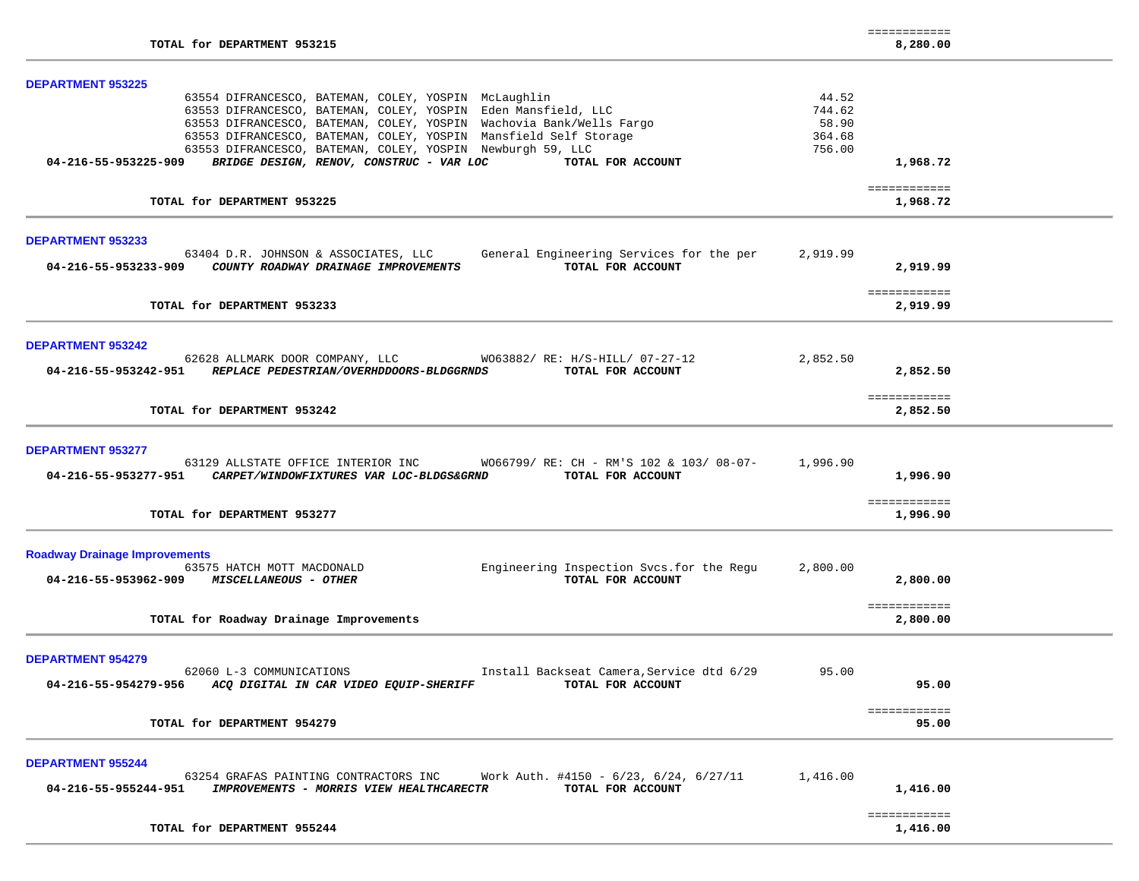| TOTAL for DEPARTMENT 953215                                                                                                                                                                                                                                                                                                                                                                                                                         |                                              | ============<br>8,280.00             |  |
|-----------------------------------------------------------------------------------------------------------------------------------------------------------------------------------------------------------------------------------------------------------------------------------------------------------------------------------------------------------------------------------------------------------------------------------------------------|----------------------------------------------|--------------------------------------|--|
| <b>DEPARTMENT 953225</b><br>63554 DIFRANCESCO, BATEMAN, COLEY, YOSPIN McLaughlin<br>63553 DIFRANCESCO, BATEMAN, COLEY, YOSPIN Eden Mansfield, LLC<br>63553 DIFRANCESCO, BATEMAN, COLEY, YOSPIN Wachovia Bank/Wells Fargo<br>63553 DIFRANCESCO, BATEMAN, COLEY, YOSPIN Mansfield Self Storage<br>63553 DIFRANCESCO, BATEMAN, COLEY, YOSPIN Newburgh 59, LLC<br>BRIDGE DESIGN, RENOV, CONSTRUC - VAR LOC<br>04-216-55-953225-909<br>TOTAL FOR ACCOUNT | 44.52<br>744.62<br>58.90<br>364.68<br>756.00 | 1,968.72                             |  |
| TOTAL for DEPARTMENT 953225                                                                                                                                                                                                                                                                                                                                                                                                                         |                                              | ============<br>1,968.72             |  |
| <b>DEPARTMENT 953233</b><br>63404 D.R. JOHNSON & ASSOCIATES, LLC<br>General Engineering Services for the per<br>TOTAL FOR ACCOUNT<br>04-216-55-953233-909<br>COUNTY ROADWAY DRAINAGE IMPROVEMENTS                                                                                                                                                                                                                                                   | 2,919.99                                     | 2,919.99<br>============             |  |
| TOTAL for DEPARTMENT 953233                                                                                                                                                                                                                                                                                                                                                                                                                         |                                              | 2,919.99                             |  |
| <b>DEPARTMENT 953242</b><br>62628 ALLMARK DOOR COMPANY, LLC WO63882/ RE: H/S-HILL/ 07-27-12<br>04-216-55-953242-951 REPLACE PEDESTRIAN/OVERHDDOORS-BLDGGRNDS<br>TOTAL FOR ACCOUNT                                                                                                                                                                                                                                                                   | 2,852.50                                     | 2,852.50<br>============             |  |
| TOTAL for DEPARTMENT 953242                                                                                                                                                                                                                                                                                                                                                                                                                         |                                              | 2,852.50                             |  |
| <b>DEPARTMENT 953277</b><br>63129 ALLSTATE OFFICE INTERIOR INC WO66799/RE: CH - RM'S 102 & 103/08-07-<br>04-216-55-953277-951<br>CARPET/WINDOWFIXTURES VAR LOC-BLDGS&GRND<br>TOTAL FOR ACCOUNT<br>TOTAL for DEPARTMENT 953277                                                                                                                                                                                                                       | 1,996.90                                     | 1,996.90<br>============<br>1,996.90 |  |
| <b>Roadway Drainage Improvements</b><br>Engineering Inspection Svcs.for the Regu<br>63575 HATCH MOTT MACDONALD<br>TOTAL FOR ACCOUNT<br>04-216-55-953962-909 MISCELLANEOUS - OTHER<br>TOTAL for Roadway Drainage Improvements                                                                                                                                                                                                                        | 2,800.00                                     | 2,800,00<br>============<br>2,800.00 |  |
| <b>DEPARTMENT 954279</b><br>62060 L-3 COMMUNICATIONS<br>Install Backseat Camera, Service dtd 6/29<br>ACQ DIGITAL IN CAR VIDEO EQUIP-SHERIFF<br>TOTAL FOR ACCOUNT<br>04-216-55-954279-956                                                                                                                                                                                                                                                            | 95.00                                        | 95.00<br>============                |  |
| TOTAL for DEPARTMENT 954279                                                                                                                                                                                                                                                                                                                                                                                                                         |                                              | 95.00                                |  |
| <b>DEPARTMENT 955244</b><br>Work Auth. #4150 - $6/23$ , $6/24$ , $6/27/11$<br>63254 GRAFAS PAINTING CONTRACTORS INC<br>04-216-55-955244-951<br>IMPROVEMENTS - MORRIS VIEW HEALTHCARECTR<br>TOTAL FOR ACCOUNT                                                                                                                                                                                                                                        | 1,416.00                                     | 1,416.00                             |  |
| TOTAL for DEPARTMENT 955244                                                                                                                                                                                                                                                                                                                                                                                                                         |                                              | ============<br>1,416.00             |  |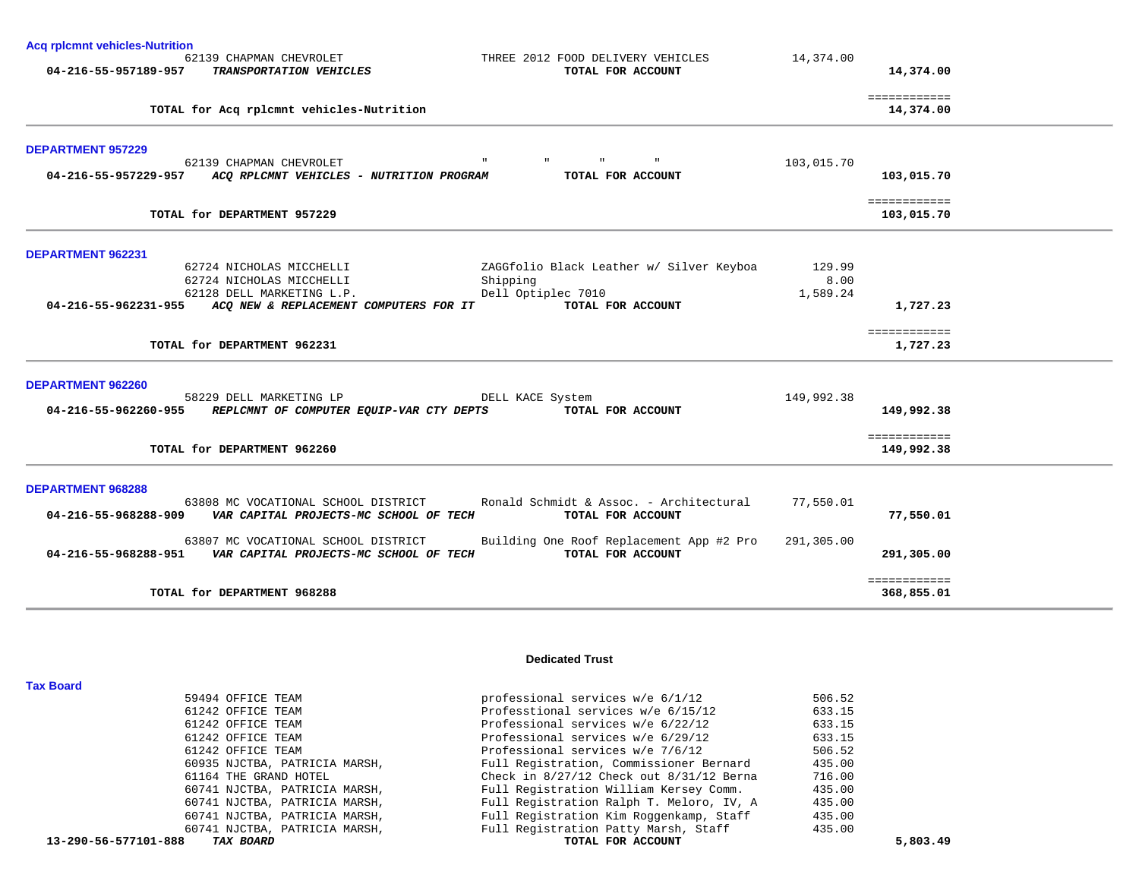| <b>Acq rplcmnt vehicles-Nutrition</b>                                                                                                                                 |                            |
|-----------------------------------------------------------------------------------------------------------------------------------------------------------------------|----------------------------|
| 62139 CHAPMAN CHEVROLET<br>THREE 2012 FOOD DELIVERY VEHICLES<br>04-216-55-957189-957<br>TRANSPORTATION VEHICLES<br>TOTAL FOR ACCOUNT                                  | 14,374.00<br>14,374.00     |
| TOTAL for Acq rplcmnt vehicles-Nutrition                                                                                                                              | ============<br>14,374.00  |
| <b>DEPARTMENT 957229</b><br>62139 CHAPMAN CHEVROLET                                                                                                                   | 103,015.70                 |
| ACQ RPLCMNT VEHICLES - NUTRITION PROGRAM<br>TOTAL FOR ACCOUNT<br>04-216-55-957229-957                                                                                 | 103,015.70                 |
| TOTAL for DEPARTMENT 957229                                                                                                                                           | ============<br>103,015.70 |
| DEPARTMENT 962231                                                                                                                                                     |                            |
| 62724 NICHOLAS MICCHELLI<br>ZAGGfolio Black Leather w/ Silver Keyboa<br>62724 NICHOLAS MICCHELLI                                                                      | 129.99<br>8.00             |
| Shipping<br>Dell Optiplec 7010<br>62128 DELL MARKETING L.P.                                                                                                           | 1,589.24                   |
| TOTAL FOR ACCOUNT<br>04-216-55-962231-955 ACQ NEW & REPLACEMENT COMPUTERS FOR IT                                                                                      | 1,727.23                   |
| TOTAL for DEPARTMENT 962231                                                                                                                                           | ============<br>1,727.23   |
| <b>DEPARTMENT 962260</b>                                                                                                                                              |                            |
| 58229 DELL MARKETING LP<br>DELL KACE System<br>04-216-55-962260-955 REPLCMNT OF COMPUTER EQUIP-VAR CTY DEPTS<br>TOTAL FOR ACCOUNT                                     | 149,992.38<br>149,992.38   |
|                                                                                                                                                                       |                            |
| TOTAL for DEPARTMENT 962260                                                                                                                                           | ============<br>149,992.38 |
| <b>DEPARTMENT 968288</b>                                                                                                                                              |                            |
| Ronald Schmidt & Assoc. - Architectural<br>63808 MC VOCATIONAL SCHOOL DISTRICT<br>04-216-55-968288-909<br>VAR CAPITAL PROJECTS-MC SCHOOL OF TECH<br>TOTAL FOR ACCOUNT | 77,550.01<br>77,550.01     |
| Building One Roof Replacement App #2 Pro<br>63807 MC VOCATIONAL SCHOOL DISTRICT<br>04-216-55-968288-951 VAR CAPITAL PROJECTS-MC SCHOOL OF TECH<br>TOTAL FOR ACCOUNT   | 291,305.00<br>291,305.00   |
| TOTAL for DEPARTMENT 968288                                                                                                                                           | ============<br>368,855.01 |

**Tax Board** 

### **Dedicated Trust**

| 13-290-56-577101-888<br>TAX BOARD | TOTAL FOR ACCOUNT                            | 5,803.49 |
|-----------------------------------|----------------------------------------------|----------|
| 60741 NJCTBA, PATRICIA MARSH,     | Full Registration Patty Marsh, Staff         | 435.00   |
| 60741 NJCTBA, PATRICIA MARSH,     | Full Registration Kim Roggenkamp, Staff      | 435.00   |
| 60741 NJCTBA, PATRICIA MARSH,     | Full Registration Ralph T. Meloro, IV, A     | 435.00   |
| 60741 NJCTBA, PATRICIA MARSH,     | Full Registration William Kersey Comm.       | 435.00   |
| 61164 THE GRAND HOTEL             | Check in $8/27/12$ Check out $8/31/12$ Berna | 716.00   |
| 60935 NJCTBA, PATRICIA MARSH,     | Full Registration, Commissioner Bernard      | 435.00   |
| 61242 OFFICE TEAM                 | Professional services w/e 7/6/12             | 506.52   |
| 61242 OFFICE TEAM                 | Professional services w/e 6/29/12            | 633.15   |
| 61242 OFFICE TEAM                 | Professional services w/e 6/22/12            | 633.15   |
| 61242 OFFICE TEAM                 | Professtional services w/e 6/15/12           | 633.15   |
| 59494 OFFICE TEAM                 | professional services w/e 6/1/12             | 506.52   |